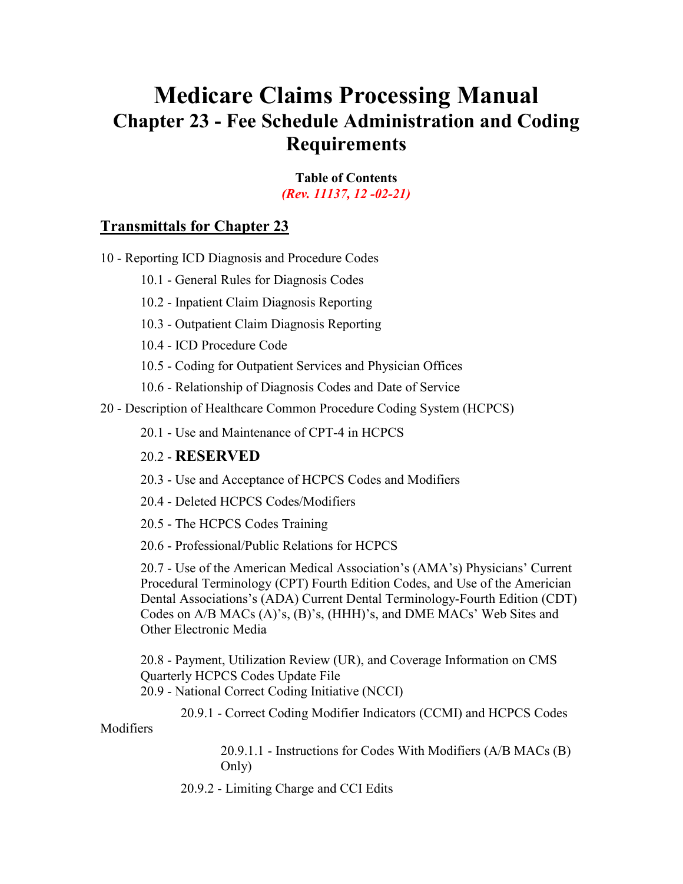# **Medicare Claims Processing Manual Chapter 23 - Fee Schedule Administration and Coding Requirements**

**Table of Contents**  *(Rev. 11137, 12 -02-21)* 

## **[Transmittals for Chapter 23](#page-121-0)**

[10 - Reporting ICD Diagnosis and Procedure Codes](#page-4-0)

[10.1 - General Rules for Diagnosis Codes](#page-4-1) 

[10.2 - Inpatient Claim Diagnosis Reporting](#page-4-2)

[10.3 - Outpatient Claim Diagnosis Reporting](#page-5-0)

[10.4 - ICD Procedure Code](#page-6-0)

[10.5 - Coding for Outpatient Services and Physician Offices](#page-6-1) 

[10.6 - Relationship of Diagnosis Codes and Date of Service](#page-6-2) 

[20 - Description of Healthcare Common Procedure Coding System \(HCPCS\)](#page-7-0) 

[20.1 - Use and Maintenance of CPT-4 in HCPCS](#page-7-1) 

#### 20.2 - **[RESERVED](#page-9-0)**

[20.3 - Use and Acceptance of HCPCS Codes and Modifiers](#page-9-1)

[20.4 - Deleted HCPCS Codes/Modifiers](#page-9-2)

[20.5 - The HCPCS Codes Training](#page-11-0) 

[20.6 - Professional/Public Relations for HCPCS](#page-12-0) 

[20.7 - Use of the American Medical Association's \(AMA's\) Physicians' Current](#page-13-0)  [Procedural Terminology \(CPT\) Fourth Edition Codes, and Use of the Americian](#page-13-0)  [Dental Associations's \(ADA\) Current Dental Terminology-Fourth Edition \(CDT\)](#page-13-0)  [Codes on A/B MACs \(A\)'s, \(B\)'s, \(HHH\)'s, and DME MACs'](#page-13-0) Web Sites and [Other Electronic Media](#page-13-0)

[20.8 - Payment, Utilization Review \(UR\), and Coverage Information on CMS](#page-14-0)  [Quarterly HCPCS Codes Update File](#page-14-0)  20.9 - National [Correct Coding Initiative \(NCCI\)](#page-14-1)

[20.9.1 - Correct Coding Modifier Indicators \(CCMI\) and HCPCS Codes](#page-15-0) 

[Modifiers](#page-15-0)

[20.9.1.1 - Instructions for Codes With Modifiers \(A/B MACs \(B\)](#page-15-0) [Only\)](#page-15-0)

[20.9.2 - Limiting Charge and CCI Edits](#page-16-0)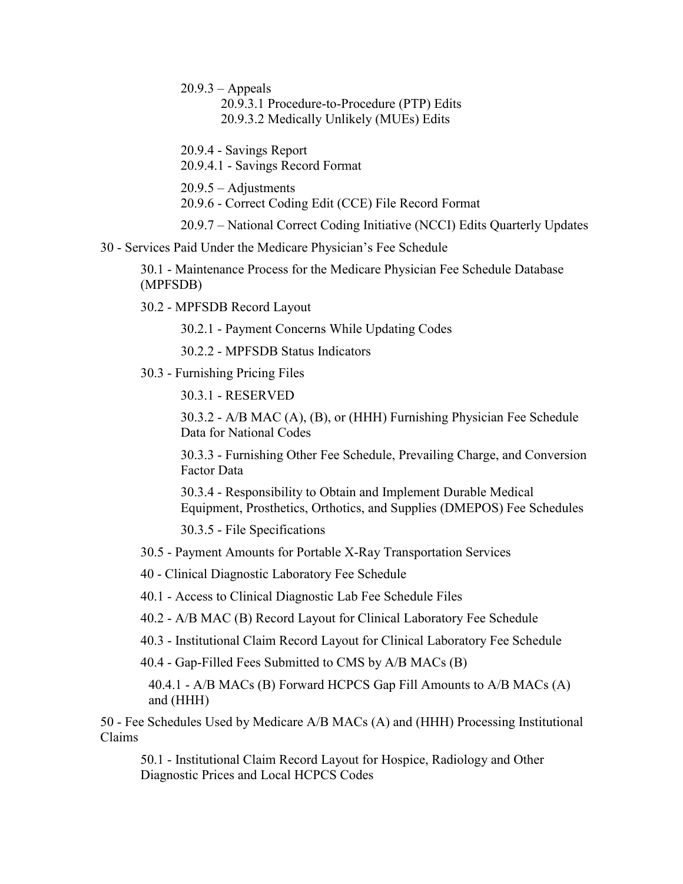$20.9.3 -$ Appeals

[20.9.3.1 Procedure-to-Procedure](#page-20-0) (PTP) Edits [20.9.3.2 Medically Unlikely \(MUEs\) Edits](#page-20-0) 

20.9.4 - Savings Report

20.9.4.1 - Savings Record Format

20.9.5 – [Adjustments](#page-23-0) 

20.9.6 - [Correct Coding Edit \(CCE\) File Record Format](#page-23-0)

20.9.7 – [National Correct Coding Initiative \(NCCI\) Edits Quarterly Updates](#page-25-0)

30 - [Services Paid Under the Medicare Physician's Fee Schedule](#page-25-1)

30.1 - [Maintenance Process for the Medicare Physician Fee Schedule Database](#page-28-0)  [\(MPFSDB\)](#page-28-0)

30.2 - [MPFSDB Record Layout](#page-30-0)

30.2.1 - [Payment Concerns While Updating Codes](#page-30-1)

30.2.2 - MPFSDB Status Indicators

30.3 - [Furnishing Pricing Files](#page-30-2)

30.3.1 - [RESERVED](#page-33-0)

30.3.2 - [A/B MAC \(A\), \(B\), or \(HHH\) Furnishing Physician Fee Schedule](#page-33-1)  [Data for National Codes](#page-33-1)

30.3.3 - [Furnishing Other Fee Schedule, Prevailing Charge, and Conversion](#page-33-2)  [Factor Data](#page-33-2)

30.3.4 - [Responsibility to Obtain and Implement Durable Medical](#page-34-0)  [Equipment, Prosthetics, Orthotics, and Supplies \(DMEPOS\) Fee Schedules](#page-34-0)

30.3.5 - [File Specifications](#page-35-0)

- 30.5 [Payment Amounts for Portable X-Ray Transportation Services](#page-38-0)
- 40 [Clinical Diagnostic Laboratory Fee Schedule](#page-39-0)

40.1 - [Access to Clinical Diagnostic Lab Fee Schedule Files](#page-40-0)

40.2 - A/B MAC (B) [Record Layout for Clinical Laboratory Fee Schedule](#page-41-0)

- 40.3 [Institutional Claim Record Layout for Clinical Laboratory Fee Schedule](#page-42-0)
- 40.4 [Gap-Filled Fees Submitted to CMS by A/B MACs \(B\)](#page-43-0)

40.4.1 - A/B MACs (B) [Forward HCPCS Gap Fill Amounts to A/B MACs \(A\)](#page-45-0) and (HHH)

50 - [Fee Schedules Used by Medicare A/B MACs \(A\) and \(HHH\) Processing Institutional](#page-46-0)  [Claims](#page-46-0)

50.1 - [Institutional Claim Record Layout for Hospice, Radiology and Other](#page-47-0)  [Diagnostic Prices and Local HCPCS Codes](#page-47-0)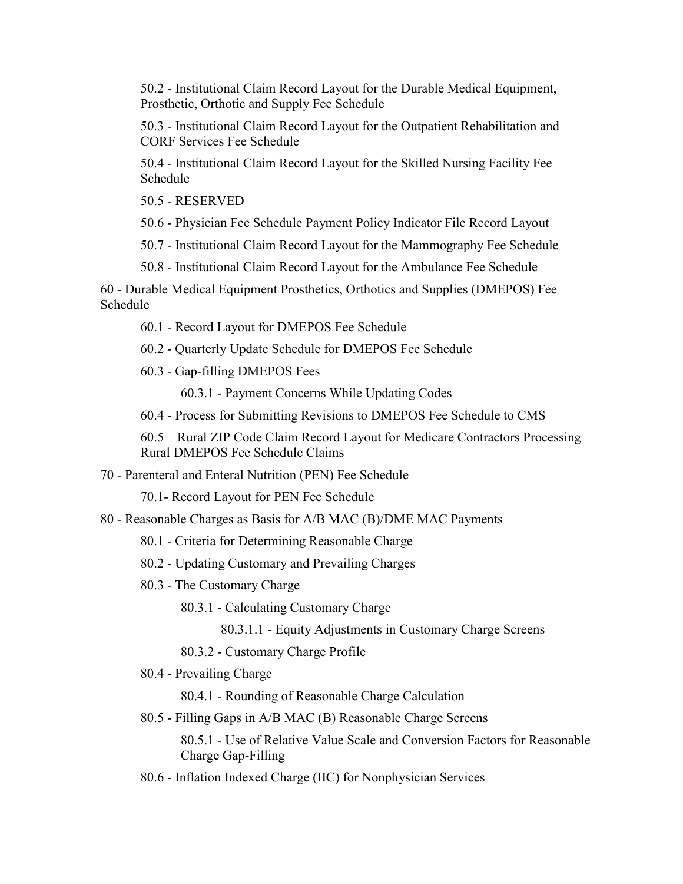50.2 - [Institutional Claim Record Layout for the Durable Medical Equipment,](#page-49-0)  [Prosthetic, Orthotic and Supply Fee Schedule](#page-49-0)

50.3 - [Institutional Claim Record Layout for the Outpatient Rehabilitation and](#page-50-0)  [CORF Services Fee Schedule](#page-50-0)

50.4 - [Institutional Claim Record Layout for the Skilled Nursing Facility Fee](#page-52-0)  [Schedule](#page-52-0)

50.5 - [RESERVED](#page-53-0)

50.6 - [Physician Fee Schedule Payment Policy Indicator File Record Layout](#page-53-1)

50.7 - [Institutional Claim Record Layout for the Mammography Fee Schedule](#page-63-0)

50.8 - [Institutional Claim Record Layout for the Ambulance Fee Schedule](#page-64-0)

60 - [Durable Medical Equipment Prosthetics, Orthotics and Supplies \(DMEPOS\) Fee](#page-65-0)  [Schedule](#page-65-0)

60.1 - [Record Layout for DMEPOS Fee Schedule](#page-66-0)

60.2 - [Quarterly Update Schedule for DMEPOS Fee Schedule](#page-69-0)

60.3 - Gap-filling DMEPOS Fees

60.3.1 - [Payment Concerns While Updating Codes](#page-70-0)

60.4 - [Process for Submitting Revisions to DMEPOS Fee Schedule to CMS](#page-75-0)

60.5 – [Rural ZIP Code Claim Record Layout for Medicare Contractors Processing](#page-76-0)  [Rural DMEPOS Fee Schedule Claims](#page-76-0)

70 - [Parenteral and Enteral Nutrition \(PEN\) Fee Schedule](#page-77-0)

70.1- Record Layout for PEN Fee Schedule

80 - [Reasonable Charges as Basis for A/B MAC \(B\)/DME MAC](#page-78-0) Payments

80.1 - [Criteria for Determining Reasonable Charge](#page-79-0)

80.2 - [Updating Customary and](#page-80-0) Prevailing Charges

80.3 - [The Customary Charge](#page-87-0)

80.3.1 - Calculating Customary Charge

80.3.1.1 - Equity Adjustments in Customary Charge Screens

80.3.2 - Customary Charge Profile

80.4 - Prevailing Charge

80.4.1 - Rounding of Reasonable Charge Calculation

80.5 - Filling Gaps in A/B MAC (B) Reasonable Charge Screens

80.5.1 - Use of Relative Value Scale and Conversion Factors for Reasonable Charge Gap-Filling

80.6 - [Inflation Indexed Charge \(IIC\) for Nonphysician Services](#page-90-0)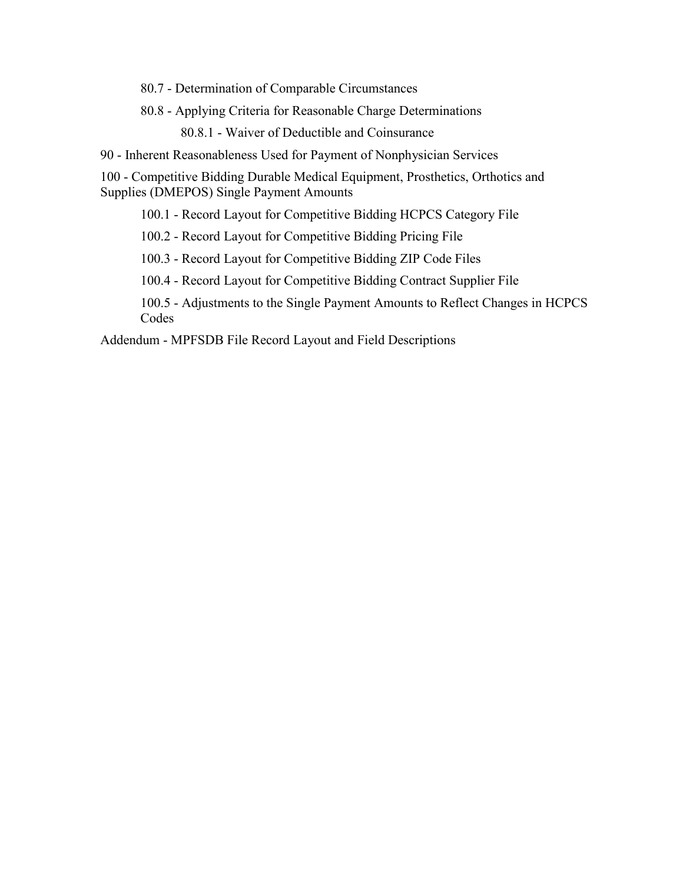80.7 - Determination [of Comparable Circumstances](#page-91-0)

80.8 - [Applying Criteria for Reasonable Charge Determinations](#page-92-0)

80.8.1 - [Waiver of Deductible and Coinsurance](#page-92-1)

90 - [Inherent Reasonableness Used for Payment of Nonphysician Services](#page-93-0)

100 - [Competitive Bidding Durable Medical Equipment, Prosthetics, Orthotics and](#page-93-1)  [Supplies \(DMEPOS\) Single Payment Amounts](#page-93-1)

100.1 - [Record Layout for Competitive Bidding HCPCS Category File](#page-94-0)

100.2 - [Record Layout for Competitive Bidding Pricing File](#page-97-0)

100.3 - [Record Layout for Competitive Bidding ZIP Code File](#page-100-0)[s](#page-94-0)

100.4 - [Record Layout for Competitive Bidding Contract Supplier File](#page-102-0)

100.5 - [Adjustments to the Single Payment Amounts to Reflect Changes in HCPCS](#page-104-0)  **[Codes](#page-104-0)** 

Addendum - [MPFSDB File Record Layout and Field Descriptions](#page-105-0)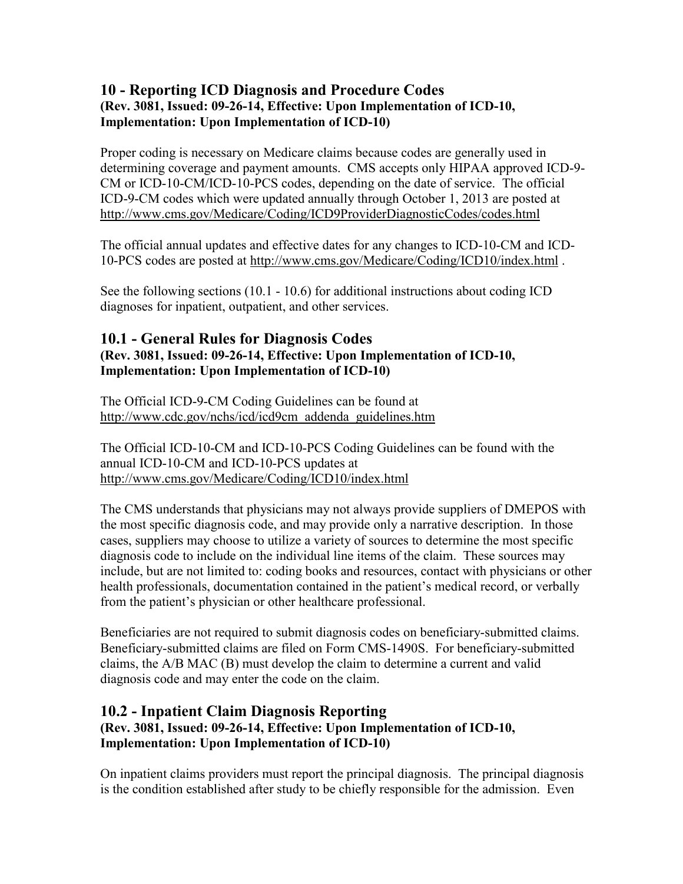## <span id="page-4-0"></span>**10 - Reporting ICD Diagnosis and Procedure Codes (Rev. 3081, Issued: 09-26-14, Effective: Upon Implementation of ICD-10, Implementation: Upon Implementation of ICD-10)**

Proper coding is necessary on Medicare claims because codes are generally used in determining coverage and payment amounts. CMS accepts only HIPAA approved ICD-9- CM or ICD-10-CM/ICD-10-PCS codes, depending on the date of service. The official ICD-9-CM codes which were updated annually through October 1, 2013 are posted at <http://www.cms.gov/Medicare/Coding/ICD9ProviderDiagnosticCodes/codes.html>

The official annual updates and effective dates for any changes to ICD-10-CM and ICD-10-PCS codes are posted at<http://www.cms.gov/Medicare/Coding/ICD10/index.html> .

See the following sections (10.1 - 10.6) for additional instructions about coding ICD diagnoses for inpatient, outpatient, and other services.

#### <span id="page-4-1"></span>**10.1 - General Rules for Diagnosis Codes (Rev. 3081, Issued: 09-26-14, Effective: Upon Implementation of ICD-10, Implementation: Upon Implementation of ICD-10)**

The Official ICD-9-CM Coding Guidelines can be found at [http://www.cdc.gov/nchs/icd/icd9cm\\_addenda\\_guidelines.htm](http://www.cdc.gov/nchs/icd/icd9cm_addenda_guidelines.htm)

The Official ICD-10-CM and ICD-10-PCS Coding Guidelines can be found with the annual ICD-10-CM and ICD-10-PCS updates at <http://www.cms.gov/Medicare/Coding/ICD10/index.html>

The CMS understands that physicians may not always provide suppliers of DMEPOS with the most specific diagnosis code, and may provide only a narrative description. In those cases, suppliers may choose to utilize a variety of sources to determine the most specific diagnosis code to include on the individual line items of the claim. These sources may include, but are not limited to: coding books and resources, contact with physicians or other health professionals, documentation contained in the patient's medical record, or verbally from the patient's physician or other healthcare professional.

Beneficiaries are not required to submit diagnosis codes on beneficiary-submitted claims. Beneficiary-submitted claims are filed on Form CMS-1490S. For beneficiary-submitted claims, the A/B MAC (B) must develop the claim to determine a current and valid diagnosis code and may enter the code on the claim.

## <span id="page-4-2"></span>**10.2 - Inpatient Claim Diagnosis Reporting (Rev. 3081, Issued: 09-26-14, Effective: Upon Implementation of ICD-10, Implementation: Upon Implementation of ICD-10)**

On inpatient claims providers must report the principal diagnosis. The principal diagnosis is the condition established after study to be chiefly responsible for the admission. Even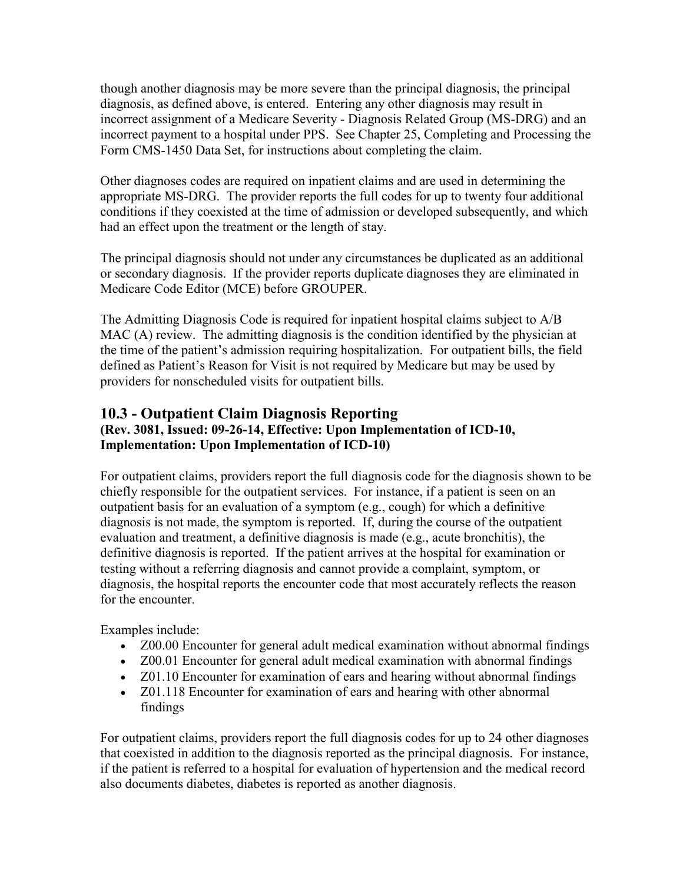though another diagnosis may be more severe than the principal diagnosis, the principal diagnosis, as defined above, is entered. Entering any other diagnosis may result in incorrect assignment of a Medicare Severity - Diagnosis Related Group (MS-DRG) and an incorrect payment to a hospital under PPS. See Chapter 25, Completing and Processing the Form CMS-1450 Data Set, for instructions about completing the claim.

Other diagnoses codes are required on inpatient claims and are used in determining the appropriate MS-DRG. The provider reports the full codes for up to twenty four additional conditions if they coexisted at the time of admission or developed subsequently, and which had an effect upon the treatment or the length of stay.

The principal diagnosis should not under any circumstances be duplicated as an additional or secondary diagnosis. If the provider reports duplicate diagnoses they are eliminated in Medicare Code Editor (MCE) before GROUPER.

The Admitting Diagnosis Code is required for inpatient hospital claims subject to A/B MAC (A) review. The admitting diagnosis is the condition identified by the physician at the time of the patient's admission requiring hospitalization. For outpatient bills, the field defined as Patient's Reason for Visit is not required by Medicare but may be used by providers for nonscheduled visits for outpatient bills.

#### <span id="page-5-0"></span>**10.3 - Outpatient Claim Diagnosis Reporting (Rev. 3081, Issued: 09-26-14, Effective: Upon Implementation of ICD-10, Implementation: Upon Implementation of ICD-10)**

For outpatient claims, providers report the full diagnosis code for the diagnosis shown to be chiefly responsible for the outpatient services. For instance, if a patient is seen on an outpatient basis for an evaluation of a symptom (e.g., cough) for which a definitive diagnosis is not made, the symptom is reported. If, during the course of the outpatient evaluation and treatment, a definitive diagnosis is made (e.g., acute bronchitis), the definitive diagnosis is reported. If the patient arrives at the hospital for examination or testing without a referring diagnosis and cannot provide a complaint, symptom, or diagnosis, the hospital reports the encounter code that most accurately reflects the reason for the encounter.

Examples include:

- Z00.00 Encounter for general adult medical examination without abnormal findings
- Z00.01 Encounter for general adult medical examination with abnormal findings
- Z01.10 Encounter for examination of ears and hearing without abnormal findings
- Z01.118 Encounter for examination of ears and hearing with other abnormal findings

For outpatient claims, providers report the full diagnosis codes for up to 24 other diagnoses that coexisted in addition to the diagnosis reported as the principal diagnosis. For instance, if the patient is referred to a hospital for evaluation of hypertension and the medical record also documents diabetes, diabetes is reported as another diagnosis.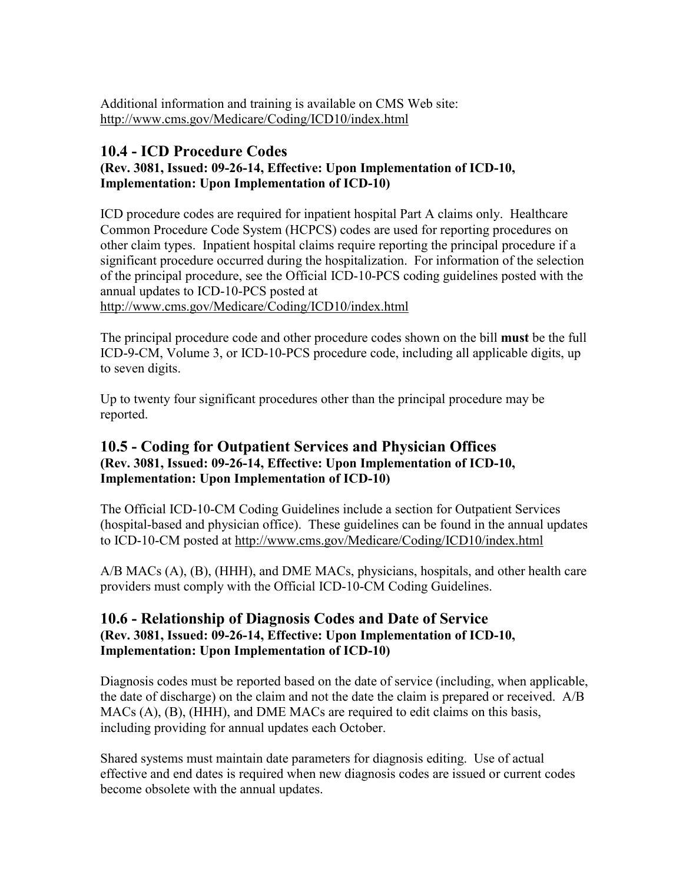Additional information and training is available on CMS Web site: <http://www.cms.gov/Medicare/Coding/ICD10/index.html>

## <span id="page-6-0"></span>**10.4 - ICD Procedure Codes**

### **(Rev. 3081, Issued: 09-26-14, Effective: Upon Implementation of ICD-10, Implementation: Upon Implementation of ICD-10)**

ICD procedure codes are required for inpatient hospital Part A claims only. Healthcare Common Procedure Code System (HCPCS) codes are used for reporting procedures on other claim types. Inpatient hospital claims require reporting the principal procedure if a significant procedure occurred during the hospitalization. For information of the selection of the principal procedure, see the Official ICD-10-PCS coding guidelines posted with the annual updates to ICD-10-PCS posted at <http://www.cms.gov/Medicare/Coding/ICD10/index.html>

The principal procedure code and other procedure codes shown on the bill **must** be the full ICD-9-CM, Volume 3, or ICD-10-PCS procedure code, including all applicable digits, up to seven digits.

Up to twenty four significant procedures other than the principal procedure may be reported.

## <span id="page-6-1"></span>**10.5 - Coding for Outpatient Services and Physician Offices (Rev. 3081, Issued: 09-26-14, Effective: Upon Implementation of ICD-10, Implementation: Upon Implementation of ICD-10)**

The Official ICD-10-CM Coding Guidelines include a section for Outpatient Services (hospital-based and physician office). These guidelines can be found in the annual updates to ICD-10-CM posted at<http://www.cms.gov/Medicare/Coding/ICD10/index.html>

A/B MACs (A), (B), (HHH), and DME MACs, physicians, hospitals, and other health care providers must comply with the Official ICD-10-CM Coding Guidelines.

#### <span id="page-6-2"></span>**10.6 - Relationship of Diagnosis Codes and Date of Service (Rev. 3081, Issued: 09-26-14, Effective: Upon Implementation of ICD-10, Implementation: Upon Implementation of ICD-10)**

Diagnosis codes must be reported based on the date of service (including, when applicable, the date of discharge) on the claim and not the date the claim is prepared or received. A/B MACs (A), (B), (HHH), and DME MACs are required to edit claims on this basis, including providing for annual updates each October.

Shared systems must maintain date parameters for diagnosis editing. Use of actual effective and end dates is required when new diagnosis codes are issued or current codes become obsolete with the annual updates.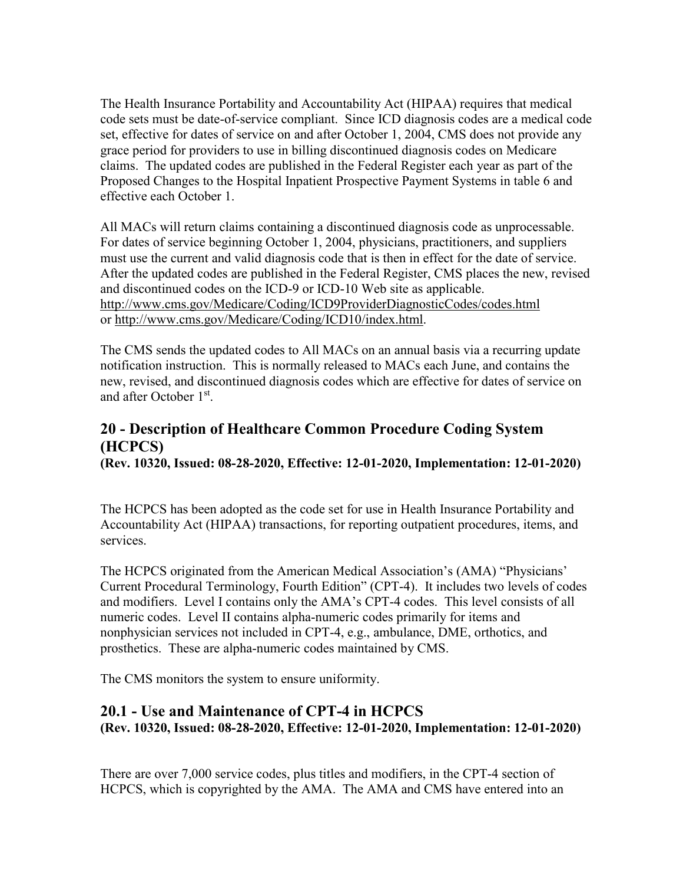The Health Insurance Portability and Accountability Act (HIPAA) requires that medical code sets must be date-of-service compliant. Since ICD diagnosis codes are a medical code set, effective for dates of service on and after October 1, 2004, CMS does not provide any grace period for providers to use in billing discontinued diagnosis codes on Medicare claims. The updated codes are published in the Federal Register each year as part of the Proposed Changes to the Hospital Inpatient Prospective Payment Systems in table 6 and effective each October 1.

All MACs will return claims containing a discontinued diagnosis code as unprocessable. For dates of service beginning October 1, 2004, physicians, practitioners, and suppliers must use the current and valid diagnosis code that is then in effect for the date of service. After the updated codes are published in the Federal Register, CMS places the new, revised and discontinued codes on the ICD-9 or ICD-10 Web site as applicable. <http://www.cms.gov/Medicare/Coding/ICD9ProviderDiagnosticCodes/codes.html> or [http://www.cms.gov/Medicare/Coding/ICD10/index.html.](http://www.cms.gov/Medicare/Coding/ICD10/index.html)

The CMS sends the updated codes to All MACs on an annual basis via a recurring update notification instruction. This is normally released to MACs each June, and contains the new, revised, and discontinued diagnosis codes which are effective for dates of service on and after October 1st.

# <span id="page-7-0"></span>**20 - Description of Healthcare Common Procedure Coding System (HCPCS)**

**(Rev. 10320, Issued: 08-28-2020, Effective: 12-01-2020, Implementation: 12-01-2020)**

The HCPCS has been adopted as the code set for use in Health Insurance Portability and Accountability Act (HIPAA) transactions, for reporting outpatient procedures, items, and services.

The HCPCS originated from the American Medical Association's (AMA) "Physicians' Current Procedural Terminology, Fourth Edition" (CPT-4). It includes two levels of codes and modifiers. Level I contains only the AMA's CPT-4 codes. This level consists of all numeric codes. Level II contains alpha-numeric codes primarily for items and nonphysician services not included in CPT-4, e.g., ambulance, DME, orthotics, and prosthetics. These are alpha-numeric codes maintained by CMS.

The CMS monitors the system to ensure uniformity.

## <span id="page-7-1"></span>**20.1 - Use and Maintenance of CPT-4 in HCPCS (Rev. 10320, Issued: 08-28-2020, Effective: 12-01-2020, Implementation: 12-01-2020)**

There are over 7,000 service codes, plus titles and modifiers, in the CPT-4 section of HCPCS, which is copyrighted by the AMA. The AMA and CMS have entered into an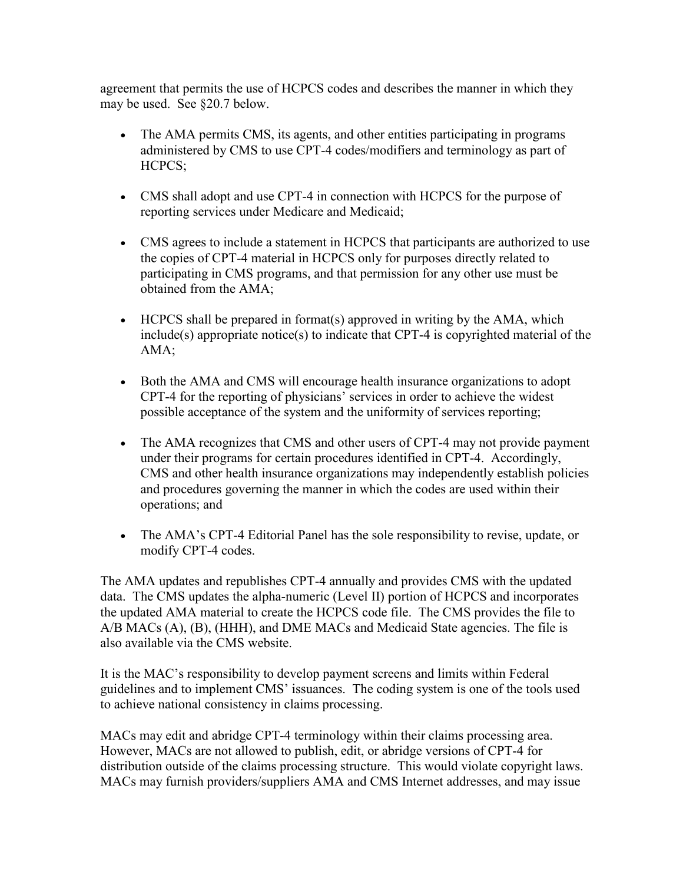agreement that permits the use of HCPCS codes and describes the manner in which they may be used. See §20.7 below.

- The AMA permits CMS, its agents, and other entities participating in programs administered by CMS to use CPT-4 codes/modifiers and terminology as part of HCPCS;
- CMS shall adopt and use CPT-4 in connection with HCPCS for the purpose of reporting services under Medicare and Medicaid;
- CMS agrees to include a statement in HCPCS that participants are authorized to use the copies of CPT-4 material in HCPCS only for purposes directly related to participating in CMS programs, and that permission for any other use must be obtained from the AMA;
- HCPCS shall be prepared in format(s) approved in writing by the AMA, which include(s) appropriate notice(s) to indicate that CPT-4 is copyrighted material of the AMA;
- Both the AMA and CMS will encourage health insurance organizations to adopt CPT-4 for the reporting of physicians' services in order to achieve the widest possible acceptance of the system and the uniformity of services reporting;
- The AMA recognizes that CMS and other users of CPT-4 may not provide payment under their programs for certain procedures identified in CPT-4. Accordingly, CMS and other health insurance organizations may independently establish policies and procedures governing the manner in which the codes are used within their operations; and
- The AMA's CPT-4 Editorial Panel has the sole responsibility to revise, update, or modify CPT-4 codes.

The AMA updates and republishes CPT-4 annually and provides CMS with the updated data. The CMS updates the alpha-numeric (Level II) portion of HCPCS and incorporates the updated AMA material to create the HCPCS code file. The CMS provides the file to A/B MACs (A), (B), (HHH), and DME MACs and Medicaid State agencies. The file is also available via the CMS website.

It is the MAC's responsibility to develop payment screens and limits within Federal guidelines and to implement CMS' issuances. The coding system is one of the tools used to achieve national consistency in claims processing.

MACs may edit and abridge CPT-4 terminology within their claims processing area. However, MACs are not allowed to publish, edit, or abridge versions of CPT-4 for distribution outside of the claims processing structure. This would violate copyright laws. MACs may furnish providers/suppliers AMA and CMS Internet addresses, and may issue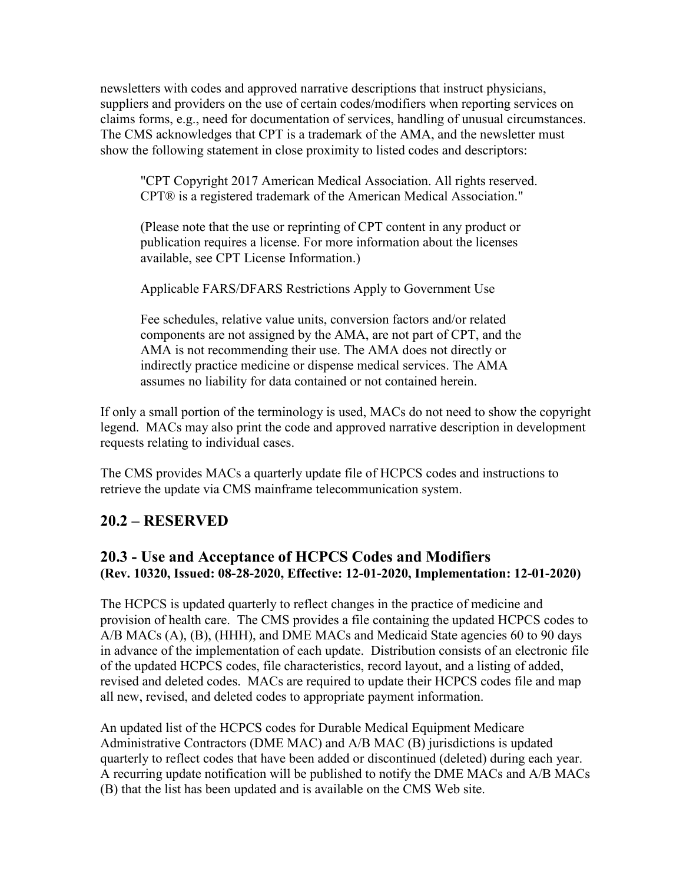newsletters with codes and approved narrative descriptions that instruct physicians, suppliers and providers on the use of certain codes/modifiers when reporting services on claims forms, e.g., need for documentation of services, handling of unusual circumstances. The CMS acknowledges that CPT is a trademark of the AMA, and the newsletter must show the following statement in close proximity to listed codes and descriptors:

"CPT Copyright 2017 American Medical Association. All rights reserved. CPT® is a registered trademark of the American Medical Association."

(Please note that the use or reprinting of CPT content in any product or publication requires a license. For more information about the licenses available, see CPT License Information.)

Applicable FARS/DFARS Restrictions Apply to Government Use

Fee schedules, relative value units, conversion factors and/or related components are not assigned by the AMA, are not part of CPT, and the AMA is not recommending their use. The AMA does not directly or indirectly practice medicine or dispense medical services. The AMA assumes no liability for data contained or not contained herein.

If only a small portion of the terminology is used, MACs do not need to show the copyright legend. MACs may also print the code and approved narrative description in development requests relating to individual cases.

The CMS provides MACs a quarterly update file of HCPCS codes and instructions to retrieve the update via CMS mainframe telecommunication system.

# <span id="page-9-0"></span>**20.2 – RESERVED**

## <span id="page-9-2"></span><span id="page-9-1"></span>**20.3 - Use and Acceptance of HCPCS Codes and Modifiers (Rev. 10320, Issued: 08-28-2020, Effective: 12-01-2020, Implementation: 12-01-2020)**

The HCPCS is updated quarterly to reflect changes in the practice of medicine and provision of health care. The CMS provides a file containing the updated HCPCS codes to A/B MACs (A), (B), (HHH), and DME MACs and Medicaid State agencies 60 to 90 days in advance of the implementation of each update. Distribution consists of an electronic file of the updated HCPCS codes, file characteristics, record layout, and a listing of added, revised and deleted codes. MACs are required to update their HCPCS codes file and map all new, revised, and deleted codes to appropriate payment information.

An updated list of the HCPCS codes for Durable Medical Equipment Medicare Administrative Contractors (DME MAC) and A/B MAC (B) jurisdictions is updated quarterly to reflect codes that have been added or discontinued (deleted) during each year. A recurring update notification will be published to notify the DME MACs and A/B MACs (B) that the list has been updated and is available on the CMS Web site.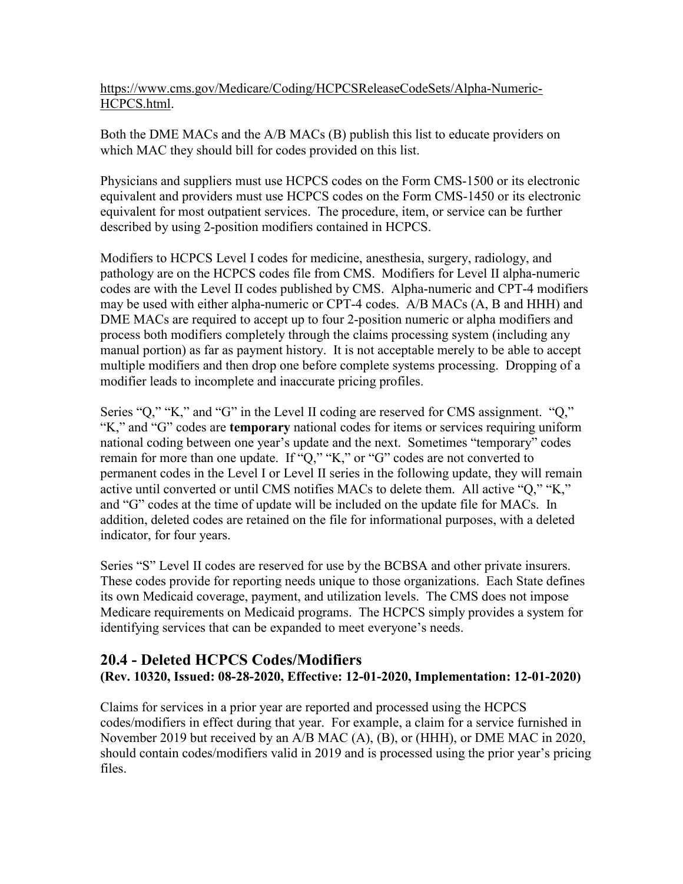[https://www.cms.gov/Medicare/Coding/HCPCSReleaseCodeSets/Alpha-Numeric-](https://www.cms.gov/Medicare/Coding/HCPCSReleaseCodeSets/Alpha-Numeric-HCPCS.html)[HCPCS.html.](https://www.cms.gov/Medicare/Coding/HCPCSReleaseCodeSets/Alpha-Numeric-HCPCS.html)

Both the DME MACs and the A/B MACs (B) publish this list to educate providers on which MAC they should bill for codes provided on this list.

Physicians and suppliers must use HCPCS codes on the Form CMS-1500 or its electronic equivalent and providers must use HCPCS codes on the Form CMS-1450 or its electronic equivalent for most outpatient services. The procedure, item, or service can be further described by using 2-position modifiers contained in HCPCS.

Modifiers to HCPCS Level I codes for medicine, anesthesia, surgery, radiology, and pathology are on the HCPCS codes file from CMS. Modifiers for Level II alpha-numeric codes are with the Level II codes published by CMS. Alpha-numeric and CPT-4 modifiers may be used with either alpha-numeric or CPT-4 codes. A/B MACs (A, B and HHH) and DME MACs are required to accept up to four 2-position numeric or alpha modifiers and process both modifiers completely through the claims processing system (including any manual portion) as far as payment history. It is not acceptable merely to be able to accept multiple modifiers and then drop one before complete systems processing. Dropping of a modifier leads to incomplete and inaccurate pricing profiles.

Series "Q," "K," and "G" in the Level II coding are reserved for CMS assignment. "Q," "K," and "G" codes are **temporary** national codes for items or services requiring uniform national coding between one year's update and the next. Sometimes "temporary" codes remain for more than one update. If "Q," "K," or "G" codes are not converted to permanent codes in the Level I or Level II series in the following update, they will remain active until converted or until CMS notifies MACs to delete them. All active "Q," "K," and "G" codes at the time of update will be included on the update file for MACs. In addition, deleted codes are retained on the file for informational purposes, with a deleted indicator, for four years.

Series "S" Level II codes are reserved for use by the BCBSA and other private insurers. These codes provide for reporting needs unique to those organizations. Each State defines its own Medicaid coverage, payment, and utilization levels. The CMS does not impose Medicare requirements on Medicaid programs. The HCPCS simply provides a system for identifying services that can be expanded to meet everyone's needs.

#### **20.4 - Deleted HCPCS Codes/Modifiers (Rev. 10320, Issued: 08-28-2020, Effective: 12-01-2020, Implementation: 12-01-2020)**

Claims for services in a prior year are reported and processed using the HCPCS codes/modifiers in effect during that year. For example, a claim for a service furnished in November 2019 but received by an A/B MAC (A), (B), or (HHH), or DME MAC in 2020, should contain codes/modifiers valid in 2019 and is processed using the prior year's pricing files.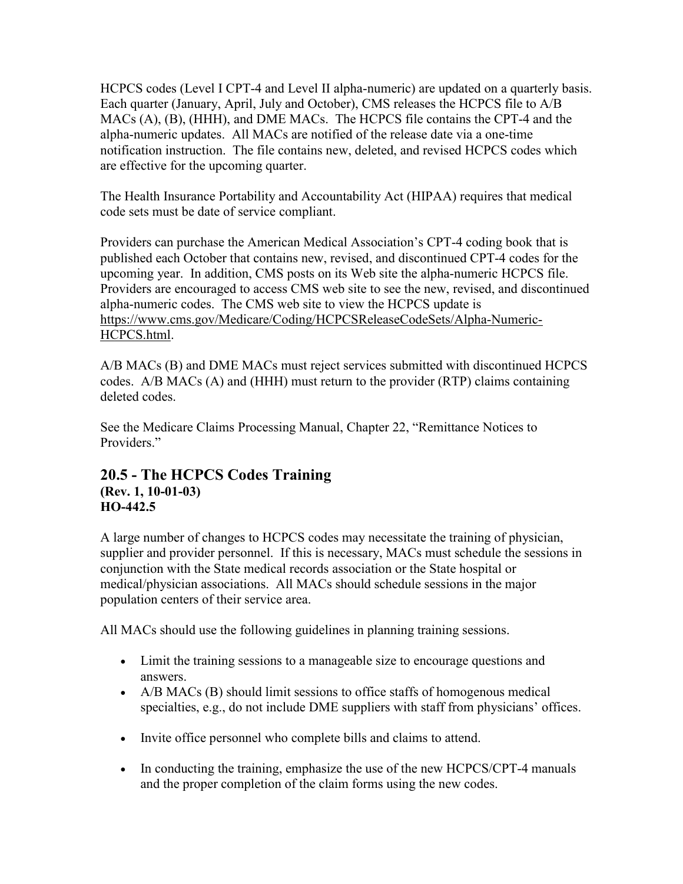HCPCS codes (Level I CPT-4 and Level II alpha-numeric) are updated on a quarterly basis. Each quarter (January, April, July and October), CMS releases the HCPCS file to A/B MACs (A), (B), (HHH), and DME MACs. The HCPCS file contains the CPT-4 and the alpha-numeric updates. All MACs are notified of the release date via a one-time notification instruction. The file contains new, deleted, and revised HCPCS codes which are effective for the upcoming quarter.

The Health Insurance Portability and Accountability Act (HIPAA) requires that medical code sets must be date of service compliant.

Providers can purchase the American Medical Association's CPT-4 coding book that is published each October that contains new, revised, and discontinued CPT-4 codes for the upcoming year. In addition, CMS posts on its Web site the alpha-numeric HCPCS file. Providers are encouraged to access CMS web site to see the new, revised, and discontinued alpha-numeric codes. The CMS web site to view the HCPCS update is [https://www.cms.gov/Medicare/Coding/HCPCSReleaseCodeSets/Alpha-Numeric-](https://www.cms.gov/Medicare/Coding/HCPCSReleaseCodeSets/Alpha-Numeric-HCPCS.html)[HCPCS.html.](https://www.cms.gov/Medicare/Coding/HCPCSReleaseCodeSets/Alpha-Numeric-HCPCS.html)

A/B MACs (B) and DME MACs must reject services submitted with discontinued HCPCS codes. A/B MACs (A) and (HHH) must return to the provider (RTP) claims containing deleted codes.

See the Medicare Claims Processing Manual, Chapter 22, "Remittance Notices to Providers."

#### <span id="page-11-0"></span>**20.5 - The HCPCS Codes Training (Rev. 1, 10-01-03) HO-442.5**

A large number of changes to HCPCS codes may necessitate the training of physician, supplier and provider personnel. If this is necessary, MACs must schedule the sessions in conjunction with the State medical records association or the State hospital or medical/physician associations. All MACs should schedule sessions in the major population centers of their service area.

All MACs should use the following guidelines in planning training sessions.

- Limit the training sessions to a manageable size to encourage questions and answers.
- A/B MACs (B) should limit sessions to office staffs of homogenous medical specialties, e.g., do not include DME suppliers with staff from physicians' offices.
- Invite office personnel who complete bills and claims to attend.
- In conducting the training, emphasize the use of the new HCPCS/CPT-4 manuals and the proper completion of the claim forms using the new codes.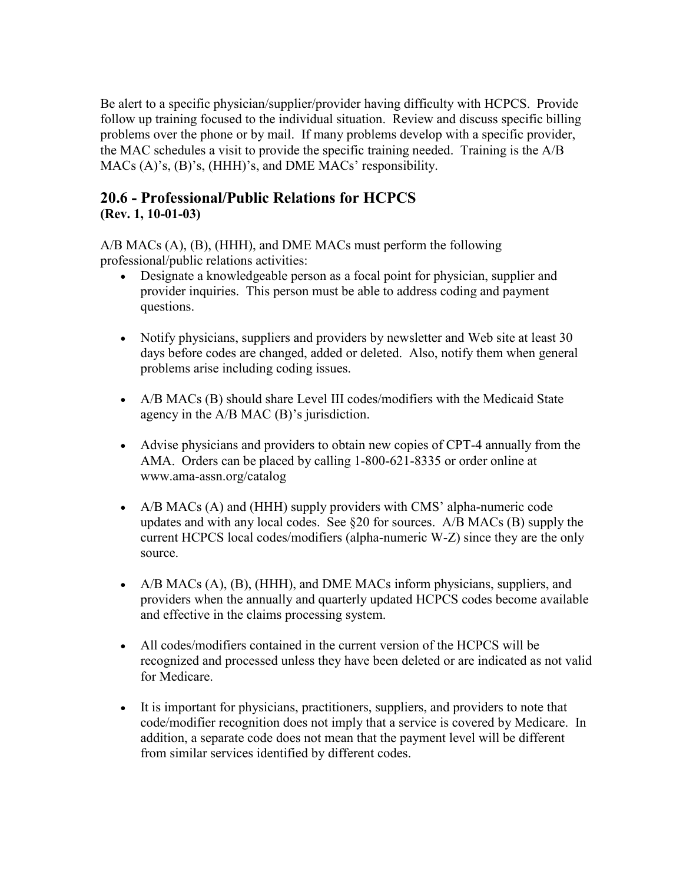Be alert to a specific physician/supplier/provider having difficulty with HCPCS. Provide follow up training focused to the individual situation. Review and discuss specific billing problems over the phone or by mail. If many problems develop with a specific provider, the MAC schedules a visit to provide the specific training needed. Training is the A/B MACs (A)'s, (B)'s, (HHH)'s, and DME MACs' responsibility.

## <span id="page-12-0"></span>**20.6 - Professional/Public Relations for HCPCS (Rev. 1, 10-01-03)**

A/B MACs (A), (B), (HHH), and DME MACs must perform the following professional/public relations activities:

- Designate a knowledgeable person as a focal point for physician, supplier and provider inquiries. This person must be able to address coding and payment questions.
- Notify physicians, suppliers and providers by newsletter and Web site at least 30 days before codes are changed, added or deleted. Also, notify them when general problems arise including coding issues.
- A/B MACs (B) should share Level III codes/modifiers with the Medicaid State agency in the A/B MAC (B)'s jurisdiction.
- Advise physicians and providers to obtain new copies of CPT-4 annually from the AMA. Orders can be placed by calling 1-800-621-8335 or order online at [www.ama-assn.org/catalog](http://www.ama-assn.org/catalog)
- A/B MACs (A) and (HHH) supply providers with CMS' alpha-numeric code updates and with any local codes. See §20 for sources. A/B MACs (B) supply the current HCPCS local codes/modifiers (alpha-numeric W-Z) since they are the only source.
- A/B MACs (A), (B), (HHH), and DME MACs inform physicians, suppliers, and providers when the annually and quarterly updated HCPCS codes become available and effective in the claims processing system.
- All codes/modifiers contained in the current version of the HCPCS will be recognized and processed unless they have been deleted or are indicated as not valid for Medicare.
- It is important for physicians, practitioners, suppliers, and providers to note that code/modifier recognition does not imply that a service is covered by Medicare. In addition, a separate code does not mean that the payment level will be different from similar services identified by different codes.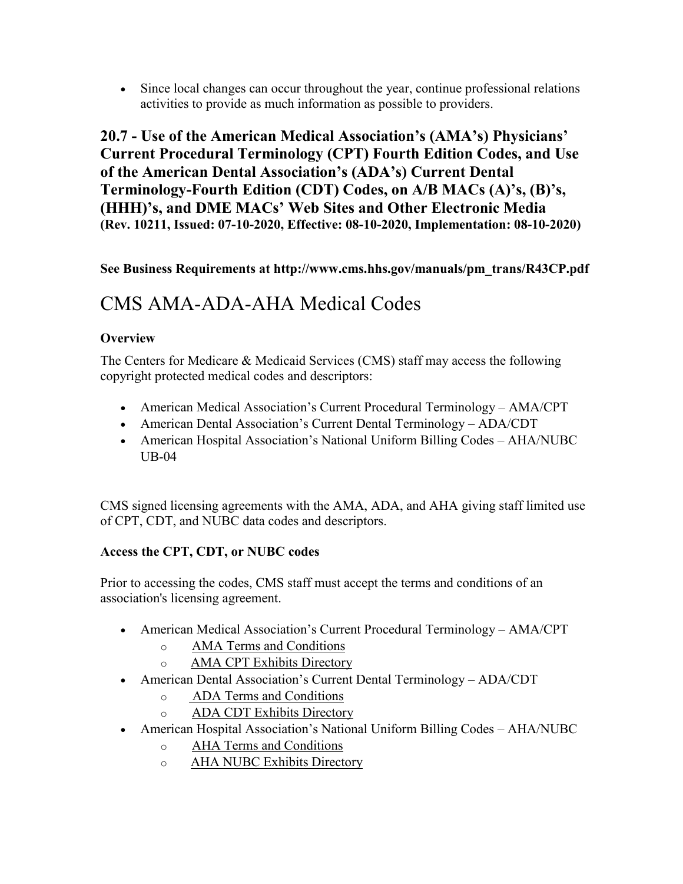• Since local changes can occur throughout the year, continue professional relations activities to provide as much information as possible to providers.

<span id="page-13-0"></span>**20.7 - Use of the American Medical Association's (AMA's) Physicians' Current Procedural Terminology (CPT) Fourth Edition Codes, and Use of the American Dental Association's (ADA's) Current Dental Terminology-Fourth Edition (CDT) Codes, on A/B MACs (A)'s, (B)'s, (HHH)'s, and DME MACs' Web Sites and Other Electronic Media (Rev. 10211, Issued: 07-10-2020, Effective: 08-10-2020, Implementation: 08-10-2020)**

## **See Business Requirements at [http://www.cms.hhs.gov/manuals/pm\\_trans/R43CP.pdf](http://www.cms.hhs.gov/manuals/pm_trans/R43CP.pdf)**

# CMS AMA-ADA-AHA Medical Codes

#### **Overview**

The Centers for Medicare & Medicaid Services (CMS) staff may access the following copyright protected medical codes and descriptors:

- American Medical Association's Current Procedural Terminology AMA/CPT
- American Dental Association's Current Dental Terminology ADA/CDT
- American Hospital Association's National Uniform Billing Codes AHA/NUBC UB-04

CMS signed licensing agreements with the AMA, ADA, and AHA giving staff limited use of CPT, CDT, and NUBC data codes and descriptors.

#### **Access the CPT, CDT, or NUBC codes**

Prior to accessing the codes, CMS staff must accept the terms and conditions of an association's licensing agreement.

- American Medical Association's Current Procedural Terminology AMA/CPT
	- o [AMA Terms and Conditions](https://www.cms.gov/Outreach-and-Education/Medicare-Learning-Network-MLN/MLNEdWebGuide/Downloads/AMA-Terms-Conditions.pdf)
	- o [AMA CPT Exhibits Directory](https://www.cms.gov/Outreach-and-Education/Medicare-Learning-Network-MLN/MLNEdWebGuide/Downloads/ADA-AHA-AMA-Exhibits-Directory.pdf)
- American Dental Association's Current Dental Terminology ADA/CDT
	- o [ADA Terms and Conditions](https://www.cms.gov/Outreach-and-Education/Medicare-Learning-Network-MLN/MLNEdWebGuide/Downloads/ADA-Terms-Conditions.pdf)
	- o [ADA CDT Exhibits Directory](https://www.cms.gov/Outreach-and-Education/Medicare-Learning-Network-MLN/MLNEdWebGuide/Downloads/ADA-AHA-AMA-Exhibits-Directory.pdf)
- American Hospital Association's National Uniform Billing Codes AHA/NUBC
	- o [AHA Terms and Conditions](https://www.cms.gov/Outreach-and-Education/Medicare-Learning-Network-MLN/MLNEdWebGuide/Downloads/AHA-Terms-Conditions.pdf)
	- o [AHA NUBC Exhibits Directory](https://www.cms.gov/Outreach-and-Education/Medicare-Learning-Network-MLN/MLNEdWebGuide/Downloads/ADA-AHA-AMA-Exhibits-Directory.pdf)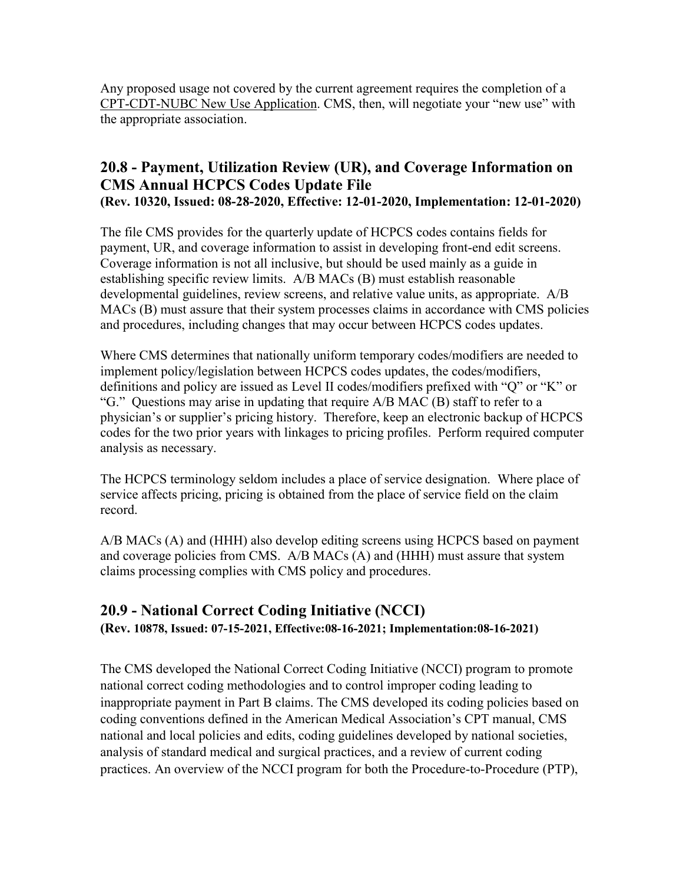Any proposed usage not covered by the current agreement requires the completion of a [CPT-CDT-NUBC New Use Application.](https://cmsgov.wufoo.com/forms/zv3wg600blhu1n/) CMS, then, will negotiate your "new use" with the appropriate association.

## <span id="page-14-0"></span>**20.8 - Payment, Utilization Review (UR), and Coverage Information on CMS Annual HCPCS Codes Update File (Rev. 10320, Issued: 08-28-2020, Effective: 12-01-2020, Implementation: 12-01-2020)**

The file CMS provides for the quarterly update of HCPCS codes contains fields for payment, UR, and coverage information to assist in developing front-end edit screens. Coverage information is not all inclusive, but should be used mainly as a guide in establishing specific review limits. A/B MACs (B) must establish reasonable developmental guidelines, review screens, and relative value units, as appropriate. A/B MACs (B) must assure that their system processes claims in accordance with CMS policies and procedures, including changes that may occur between HCPCS codes updates.

Where CMS determines that nationally uniform temporary codes/modifiers are needed to implement policy/legislation between HCPCS codes updates, the codes/modifiers, definitions and policy are issued as Level II codes/modifiers prefixed with "Q" or "K" or "G." Questions may arise in updating that require A/B MAC (B) staff to refer to a physician's or supplier's pricing history. Therefore, keep an electronic backup of HCPCS codes for the two prior years with linkages to pricing profiles. Perform required computer analysis as necessary.

The HCPCS terminology seldom includes a place of service designation. Where place of service affects pricing, pricing is obtained from the place of service field on the claim record.

A/B MACs (A) and (HHH) also develop editing screens using HCPCS based on payment and coverage policies from CMS. A/B MACs (A) and (HHH) must assure that system claims processing complies with CMS policy and procedures.

## <span id="page-14-1"></span>**20.9 - National Correct Coding Initiative (NCCI) (Rev. 10878, Issued: 07-15-2021, Effective:08-16-2021; Implementation:08-16-2021)**

The CMS developed the National Correct Coding Initiative (NCCI) program to promote national correct coding methodologies and to control improper coding leading to inappropriate payment in Part B claims. The CMS developed its coding policies based on coding conventions defined in the American Medical Association's CPT manual, CMS national and local policies and edits, coding guidelines developed by national societies, analysis of standard medical and surgical practices, and a review of current coding practices. An overview of the NCCI program for both the Procedure-to-Procedure (PTP),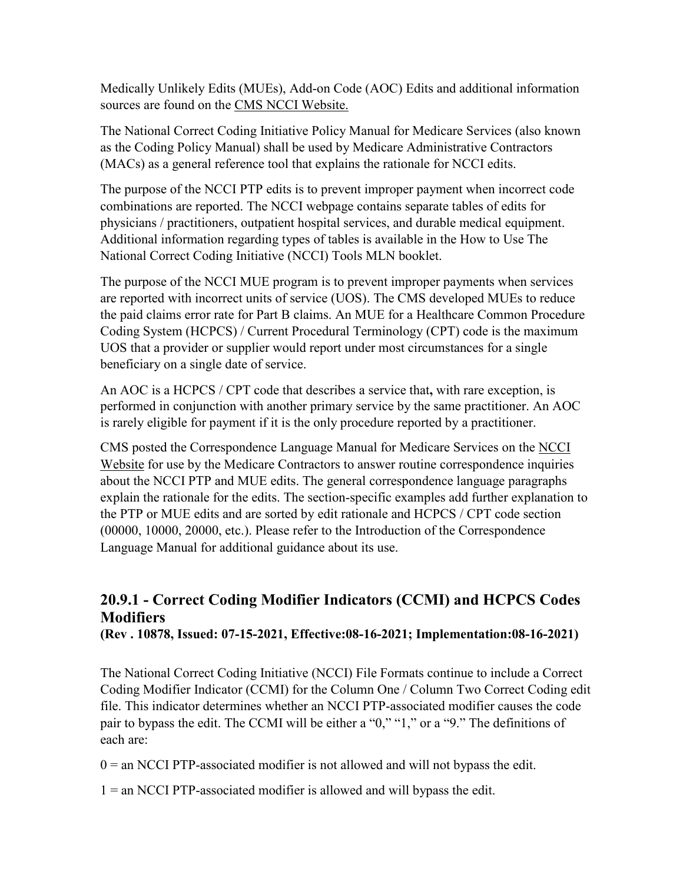Medically Unlikely Edits (MUEs), Add-on Code (AOC) Edits and additional information sources are found on the [CMS NCCI Website.](https://www.cms.gov/Medicare/Coding/NationalCorrectCodInitEd/index.html)

The National Correct Coding Initiative Policy Manual for Medicare Services (also known as the Coding Policy Manual) shall be used by Medicare Administrative Contractors (MACs) as a general reference tool that explains the rationale for NCCI edits.

The purpose of the NCCI PTP edits is to prevent improper payment when incorrect code combinations are reported. The NCCI webpage contains separate tables of edits for physicians / practitioners, outpatient hospital services, and durable medical equipment. Additional information regarding types of tables is available in the How to Use The National Correct Coding Initiative (NCCI) Tools MLN booklet.

The purpose of the NCCI MUE program is to prevent improper payments when services are reported with incorrect units of service (UOS). The CMS developed MUEs to reduce the paid claims error rate for Part B claims. An MUE for a Healthcare Common Procedure Coding System (HCPCS) / Current Procedural Terminology (CPT) code is the maximum UOS that a provider or supplier would report under most circumstances for a single beneficiary on a single date of service.

An AOC is a HCPCS / CPT code that describes a service that**,** with rare exception, is performed in conjunction with another primary service by the same practitioner. An AOC is rarely eligible for payment if it is the only procedure reported by a practitioner.

CMS posted the Correspondence Language Manual for Medicare Services on the [NCCI](https://www.cms.gov/Medicare/Coding/NationalCorrectCodInitEd/index)  [Website](https://www.cms.gov/Medicare/Coding/NationalCorrectCodInitEd/index) for use by the Medicare Contractors to answer routine correspondence inquiries about the NCCI PTP and MUE edits. The general correspondence language paragraphs explain the rationale for the edits. The section-specific examples add further explanation to the PTP or MUE edits and are sorted by edit rationale and HCPCS / CPT code section (00000, 10000, 20000, etc.). Please refer to the Introduction of the Correspondence Language Manual for additional guidance about its use.

# **20.9.1 - Correct Coding Modifier Indicators (CCMI) and HCPCS Codes Modifiers**

<span id="page-15-0"></span>**(Rev . 10878, Issued: 07-15-2021, Effective:08-16-2021; Implementation:08-16-2021)** 

The National Correct Coding Initiative (NCCI) File Formats continue to include a Correct Coding Modifier Indicator (CCMI) for the Column One / Column Two Correct Coding edit file. This indicator determines whether an NCCI PTP-associated modifier causes the code pair to bypass the edit. The CCMI will be either a "0," "1," or a "9." The definitions of each are:

 $0 =$  an NCCI PTP-associated modifier is not allowed and will not bypass the edit.

1 = an NCCI PTP-associated modifier is allowed and will bypass the edit.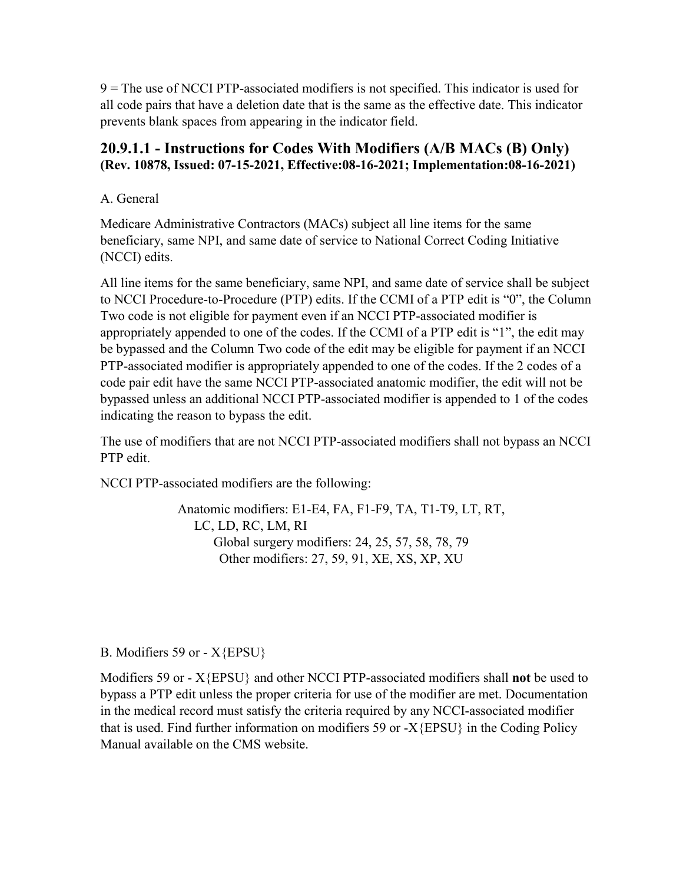9 = The use of NCCI PTP-associated modifiers is not specified. This indicator is used for all code pairs that have a deletion date that is the same as the effective date. This indicator prevents blank spaces from appearing in the indicator field.

## <span id="page-16-0"></span>**20.9.1.1 - Instructions for Codes With Modifiers (A/B MACs (B) Only) (Rev. 10878, Issued: 07-15-2021, Effective:08-16-2021; Implementation:08-16-2021)**

A. General

Medicare Administrative Contractors (MACs) subject all line items for the same beneficiary, same NPI, and same date of service to National Correct Coding Initiative (NCCI) edits.

All line items for the same beneficiary, same NPI, and same date of service shall be subject to NCCI Procedure-to-Procedure (PTP) edits. If the CCMI of a PTP edit is "0", the Column Two code is not eligible for payment even if an NCCI PTP-associated modifier is appropriately appended to one of the codes. If the CCMI of a PTP edit is "1", the edit may be bypassed and the Column Two code of the edit may be eligible for payment if an NCCI PTP-associated modifier is appropriately appended to one of the codes. If the 2 codes of a code pair edit have the same NCCI PTP-associated anatomic modifier, the edit will not be bypassed unless an additional NCCI PTP-associated modifier is appended to 1 of the codes indicating the reason to bypass the edit.

The use of modifiers that are not NCCI PTP-associated modifiers shall not bypass an NCCI PTP edit.

NCCI PTP-associated modifiers are the following:

 Anatomic modifiers: E1-E4, FA, F1-F9, TA, T1-T9, LT, RT, LC, LD, RC, LM, RI Global surgery modifiers: 24, 25, 57, 58, 78, 79 Other modifiers: 27, 59, 91, XE, XS, XP, XU

B. Modifiers 59 or - X{EPSU}

Modifiers 59 or - X{EPSU} and other NCCI PTP-associated modifiers shall **not** be used to bypass a PTP edit unless the proper criteria for use of the modifier are met. Documentation in the medical record must satisfy the criteria required by any NCCI-associated modifier that is used. Find further information on modifiers 59 or - $X{EPSU}$  in the Coding Policy Manual available on the CMS website.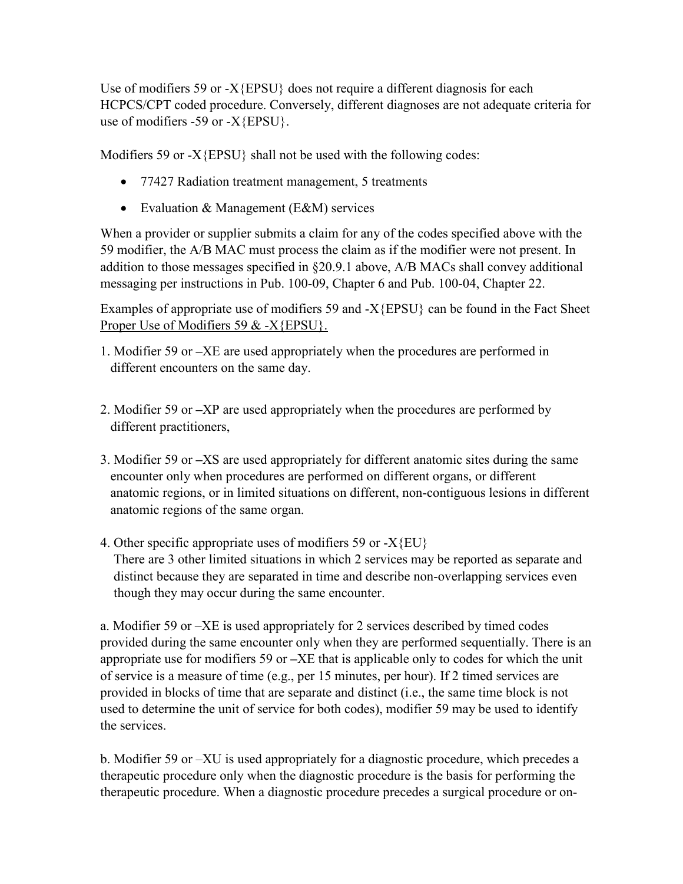Use of modifiers 59 or -X{EPSU} does not require a different diagnosis for each HCPCS/CPT coded procedure. Conversely, different diagnoses are not adequate criteria for use of modifiers -59 or - $X$ {EPSU}.

Modifiers 59 or -X{EPSU} shall not be used with the following codes:

- 77427 Radiation treatment management, 5 treatments
- Evaluation & Management (E&M) services

When a provider or supplier submits a claim for any of the codes specified above with the 59 modifier, the A/B MAC must process the claim as if the modifier were not present. In addition to those messages specified in  $\S 20.9.1$  above, A/B MACs shall convey additional messaging per instructions in Pub. 100-09, Chapter 6 and Pub. 100-04, Chapter 22.

Examples of appropriate use of modifiers 59 and -X{EPSU} can be found in the Fact Sheet Proper Use of [Modifiers 59 & -X{EPSU}.](https://www.cms.gov/files/document/proper-use-modifiers-59-xepsu.pdf)

- 1. Modifier 59 or **–**XE are used appropriately when the procedures are performed in different encounters on the same day.
- 2. Modifier 59 or **–**XP are used appropriately when the procedures are performed by different practitioners,
- 3. Modifier 59 or **–**XS are used appropriately for different anatomic sites during the same encounter only when procedures are performed on different organs, or different anatomic regions, or in limited situations on different, non-contiguous lesions in different anatomic regions of the same organ.
- 4. Other specific appropriate uses of modifiers 59 or  $-X$ {EU} There are 3 other limited situations in which 2 services may be reported as separate and distinct because they are separated in time and describe non-overlapping services even though they may occur during the same encounter.

a. Modifier 59 or –XE is used appropriately for 2 services described by timed codes provided during the same encounter only when they are performed sequentially. There is an appropriate use for modifiers 59 or **–**XE that is applicable only to codes for which the unit of service is a measure of time (e.g., per 15 minutes, per hour). If 2 timed services are provided in blocks of time that are separate and distinct (i.e., the same time block is not used to determine the unit of service for both codes), modifier 59 may be used to identify the services.

b. Modifier 59 or –XU is used appropriately for a diagnostic procedure, which precedes a therapeutic procedure only when the diagnostic procedure is the basis for performing the therapeutic procedure. When a diagnostic procedure precedes a surgical procedure or on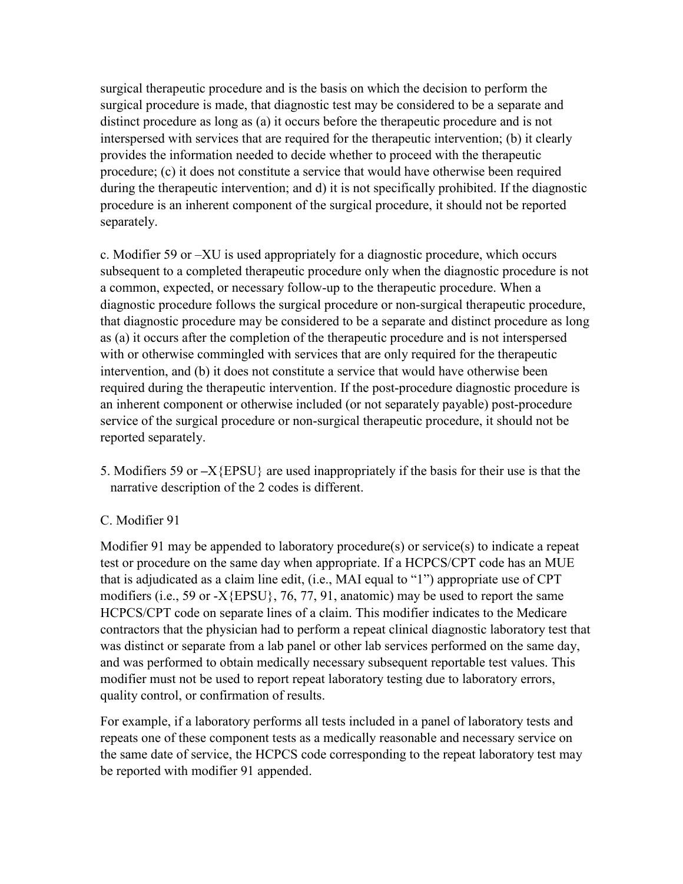surgical therapeutic procedure and is the basis on which the decision to perform the surgical procedure is made, that diagnostic test may be considered to be a separate and distinct procedure as long as (a) it occurs before the therapeutic procedure and is not interspersed with services that are required for the therapeutic intervention; (b) it clearly provides the information needed to decide whether to proceed with the therapeutic procedure; (c) it does not constitute a service that would have otherwise been required during the therapeutic intervention; and d) it is not specifically prohibited. If the diagnostic procedure is an inherent component of the surgical procedure, it should not be reported separately.

c. Modifier 59 or –XU is used appropriately for a diagnostic procedure, which occurs subsequent to a completed therapeutic procedure only when the diagnostic procedure is not a common, expected, or necessary follow-up to the therapeutic procedure. When a diagnostic procedure follows the surgical procedure or non-surgical therapeutic procedure, that diagnostic procedure may be considered to be a separate and distinct procedure as long as (a) it occurs after the completion of the therapeutic procedure and is not interspersed with or otherwise commingled with services that are only required for the therapeutic intervention, and (b) it does not constitute a service that would have otherwise been required during the therapeutic intervention. If the post-procedure diagnostic procedure is an inherent component or otherwise included (or not separately payable) post-procedure service of the surgical procedure or non-surgical therapeutic procedure, it should not be reported separately.

5. Modifiers 59 or **–**X{EPSU} are used inappropriately if the basis for their use is that the narrative description of the 2 codes is different.

#### C. Modifier 91

Modifier 91 may be appended to laboratory procedure(s) or service(s) to indicate a repeat test or procedure on the same day when appropriate. If a HCPCS/CPT code has an MUE that is adjudicated as a claim line edit, (i.e., MAI equal to "1") appropriate use of CPT modifiers (i.e., 59 or -X{EPSU}, 76, 77, 91, anatomic) may be used to report the same HCPCS/CPT code on separate lines of a claim. This modifier indicates to the Medicare contractors that the physician had to perform a repeat clinical diagnostic laboratory test that was distinct or separate from a lab panel or other lab services performed on the same day, and was performed to obtain medically necessary subsequent reportable test values. This modifier must not be used to report repeat laboratory testing due to laboratory errors, quality control, or confirmation of results.

For example, if a laboratory performs all tests included in a panel of laboratory tests and repeats one of these component tests as a medically reasonable and necessary service on the same date of service, the HCPCS code corresponding to the repeat laboratory test may be reported with modifier 91 appended.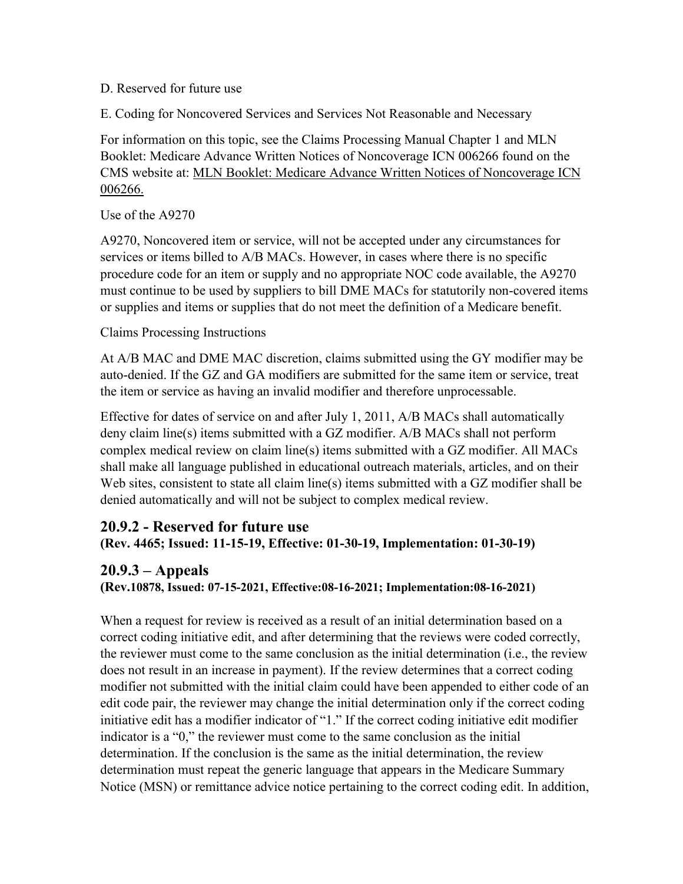#### D. Reserved for future use

E. Coding for Noncovered Services and Services Not Reasonable and Necessary

For information on this topic, see the Claims Processing Manual Chapter 1 and MLN Booklet: Medicare Advance Written Notices of Noncoverage ICN 006266 found on the CMS website at: [MLN Booklet: Medicare Advance Written Notices of Noncoverage ICN](https://www.cms.gov/Outreach-and-Education/Medicare-Learning-Network-MLN/MLNProducts/downloads/abn_booklet_icn006266.pdf)  [006266.](https://www.cms.gov/Outreach-and-Education/Medicare-Learning-Network-MLN/MLNProducts/downloads/abn_booklet_icn006266.pdf)

Use of the A9270

A9270, Noncovered item or service, will not be accepted under any circumstances for services or items billed to A/B MACs. However, in cases where there is no specific procedure code for an item or supply and no appropriate NOC code available, the A9270 must continue to be used by suppliers to bill DME MACs for statutorily non-covered items or supplies and items or supplies that do not meet the definition of a Medicare benefit.

#### Claims Processing Instructions

At A/B MAC and DME MAC discretion, claims submitted using the GY modifier may be auto-denied. If the GZ and GA modifiers are submitted for the same item or service, treat the item or service as having an invalid modifier and therefore unprocessable.

Effective for dates of service on and after July 1, 2011, A/B MACs shall automatically deny claim line(s) items submitted with a GZ modifier. A/B MACs shall not perform complex medical review on claim line(s) items submitted with a GZ modifier. All MACs shall make all language published in educational outreach materials, articles, and on their Web sites, consistent to state all claim line(s) items submitted with a GZ modifier shall be denied automatically and will not be subject to complex medical review.

## **20.9.2 - Reserved for future use**

**(Rev. 4465; Issued: 11-15-19, Effective: 01-30-19, Implementation: 01-30-19)**

#### **20.9.3 – Appeals**

**(Rev.10878, Issued: 07-15-2021, Effective:08-16-2021; Implementation:08-16-2021)** 

When a request for review is received as a result of an initial determination based on a correct coding initiative edit, and after determining that the reviews were coded correctly, the reviewer must come to the same conclusion as the initial determination (i.e., the review does not result in an increase in payment). If the review determines that a correct coding modifier not submitted with the initial claim could have been appended to either code of an edit code pair, the reviewer may change the initial determination only if the correct coding initiative edit has a modifier indicator of "1." If the correct coding initiative edit modifier indicator is a "0," the reviewer must come to the same conclusion as the initial determination. If the conclusion is the same as the initial determination, the review determination must repeat the generic language that appears in the Medicare Summary Notice (MSN) or remittance advice notice pertaining to the correct coding edit. In addition,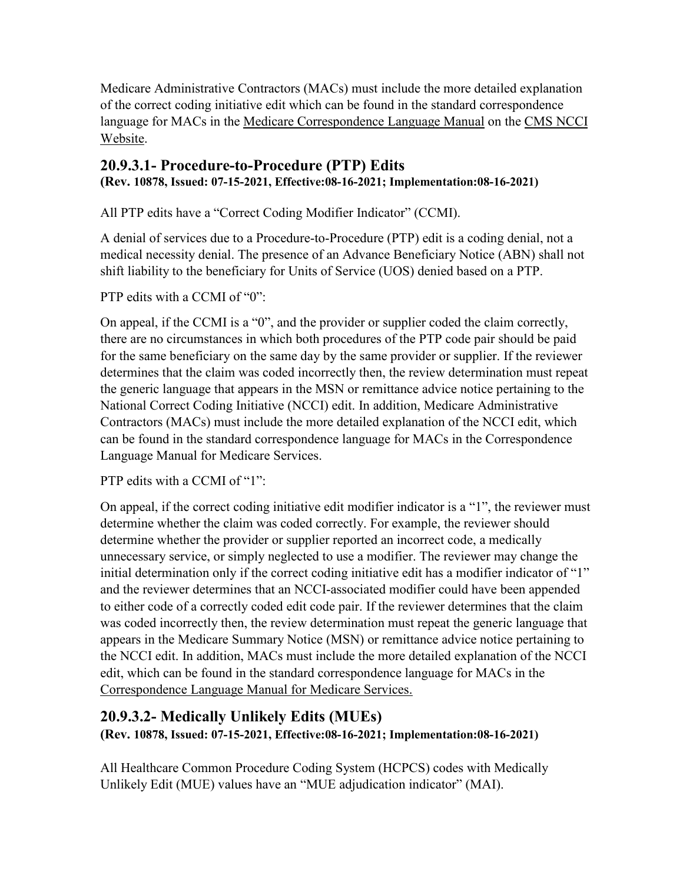Medicare Administrative Contractors (MACs) must include the more detailed explanation of the correct coding initiative edit which can be found in the standard correspondence language for MACs in the [Medicare Correspondence Language Manual](https://www.cms.gov/files/document/correspondence-language-manual-medicare-services.pdf) on the CMS NCCI [Website.](https://www.cms.gov/Medicare/Coding/NationalCorrectCodInitEd/index.html)

## **20.9.3.1- Procedure-to-Procedure (PTP) Edits**

**(Rev. 10878, Issued: 07-15-2021, Effective:08-16-2021; Implementation:08-16-2021)** 

<span id="page-20-0"></span>All PTP edits have a "Correct Coding Modifier Indicator" (CCMI).

A denial of services due to a Procedure-to-Procedure (PTP) edit is a coding denial, not a medical necessity denial. The presence of an Advance Beneficiary Notice (ABN) shall not shift liability to the beneficiary for Units of Service (UOS) denied based on a PTP.

PTP edits with a CCMI of "0":

On appeal, if the CCMI is a "0", and the provider or supplier coded the claim correctly, there are no circumstances in which both procedures of the PTP code pair should be paid for the same beneficiary on the same day by the same provider or supplier. If the reviewer determines that the claim was coded incorrectly then, the review determination must repeat the generic language that appears in the MSN or remittance advice notice pertaining to the National Correct Coding Initiative (NCCI) edit. In addition, Medicare Administrative Contractors (MACs) must include the more detailed explanation of the NCCI edit, which can be found in the standard correspondence language for MACs in the Correspondence Language Manual for Medicare Services.

PTP edits with a CCMI of "1":

On appeal, if the correct coding initiative edit modifier indicator is a "1", the reviewer must determine whether the claim was coded correctly. For example, the reviewer should determine whether the provider or supplier reported an incorrect code, a medically unnecessary service, or simply neglected to use a modifier. The reviewer may change the initial determination only if the correct coding initiative edit has a modifier indicator of "1" and the reviewer determines that an NCCI-associated modifier could have been appended to either code of a correctly coded edit code pair. If the reviewer determines that the claim was coded incorrectly then, the review determination must repeat the generic language that appears in the Medicare Summary Notice (MSN) or remittance advice notice pertaining to the NCCI edit. In addition, MACs must include the more detailed explanation of the NCCI edit, which can be found in the standard correspondence language for MACs in the [Correspondence Language Manual for Medicare Services.](https://www.cms.gov/files/document/correspondence-language-manual-medicare-services.pdf)

## **20.9.3.2- Medically Unlikely Edits (MUEs) (Rev. 10878, Issued: 07-15-2021, Effective:08-16-2021; Implementation:08-16-2021)**

All Healthcare Common Procedure Coding System (HCPCS) codes with Medically Unlikely Edit (MUE) values have an "MUE adjudication indicator" (MAI).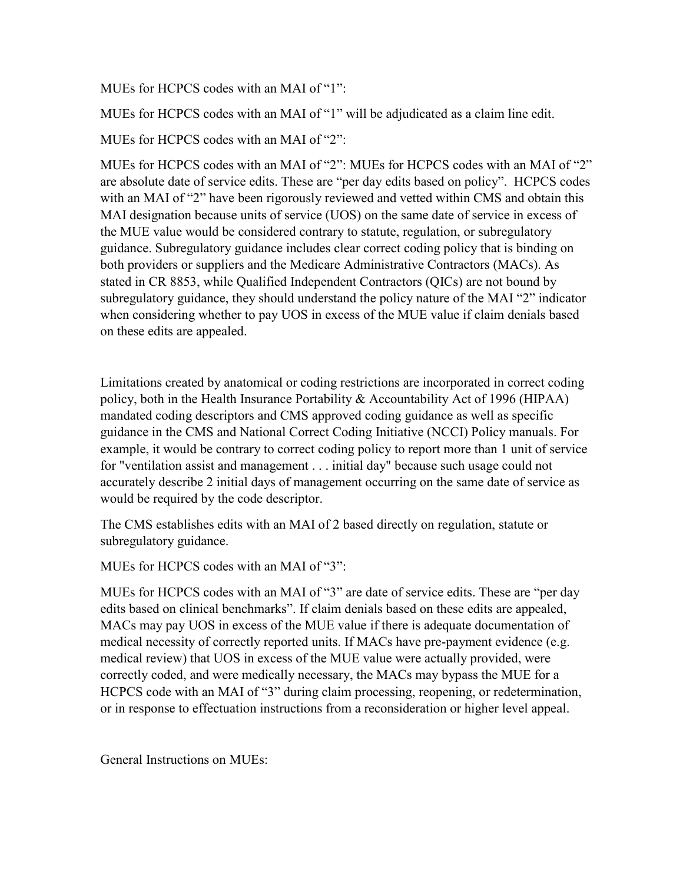#### MUEs for HCPCS codes with an MAI of "1":

MUEs for HCPCS codes with an MAI of "1" will be adjudicated as a claim line edit.

MUEs for HCPCS codes with an MAI of "2":

MUEs for HCPCS codes with an MAI of "2": MUEs for HCPCS codes with an MAI of "2" are absolute date of service edits. These are "per day edits based on policy". HCPCS codes with an MAI of "2" have been rigorously reviewed and vetted within CMS and obtain this MAI designation because units of service (UOS) on the same date of service in excess of the MUE value would be considered contrary to statute, regulation, or subregulatory guidance. Subregulatory guidance includes clear correct coding policy that is binding on both providers or suppliers and the Medicare Administrative Contractors (MACs). As stated in CR 8853, while Qualified Independent Contractors (QICs) are not bound by subregulatory guidance, they should understand the policy nature of the MAI "2" indicator when considering whether to pay UOS in excess of the MUE value if claim denials based on these edits are appealed.

Limitations created by anatomical or coding restrictions are incorporated in correct coding policy, both in the Health Insurance Portability & Accountability Act of 1996 (HIPAA) mandated coding descriptors and CMS approved coding guidance as well as specific guidance in the CMS and National Correct Coding Initiative (NCCI) Policy manuals. For example, it would be contrary to correct coding policy to report more than 1 unit of service for "ventilation assist and management . . . initial day" because such usage could not accurately describe 2 initial days of management occurring on the same date of service as would be required by the code descriptor.

The CMS establishes edits with an MAI of 2 based directly on regulation, statute or subregulatory guidance.

MUEs for HCPCS codes with an MAI of "3":

MUEs for HCPCS codes with an MAI of "3" are date of service edits. These are "per day edits based on clinical benchmarks". If claim denials based on these edits are appealed, MACs may pay UOS in excess of the MUE value if there is adequate documentation of medical necessity of correctly reported units. If MACs have pre-payment evidence (e.g. medical review) that UOS in excess of the MUE value were actually provided, were correctly coded, and were medically necessary, the MACs may bypass the MUE for a HCPCS code with an MAI of "3" during claim processing, reopening, or redetermination, or in response to effectuation instructions from a reconsideration or higher level appeal.

General Instructions on MUEs: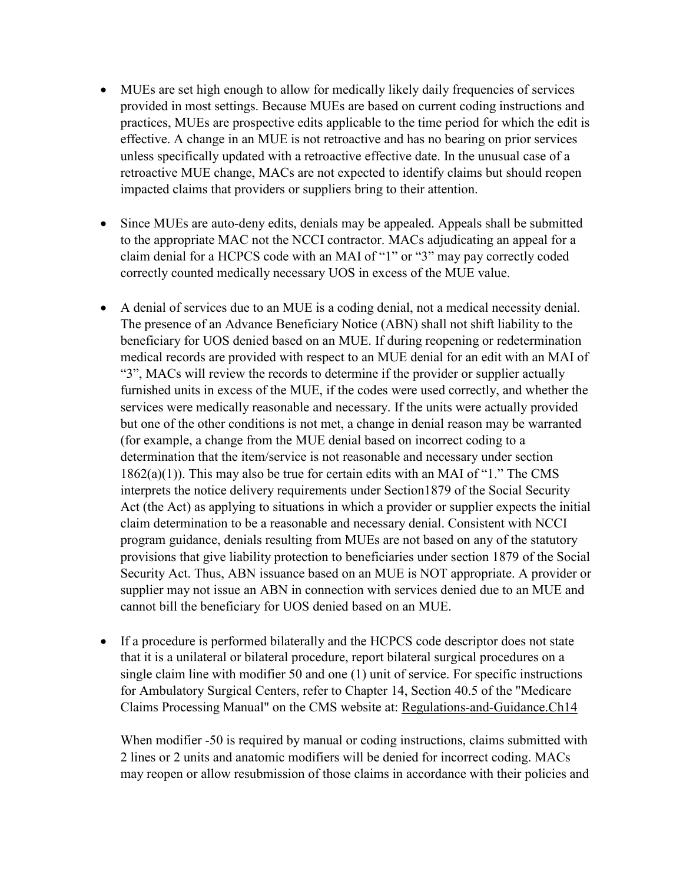- MUEs are set high enough to allow for medically likely daily frequencies of services provided in most settings. Because MUEs are based on current coding instructions and practices, MUEs are prospective edits applicable to the time period for which the edit is effective. A change in an MUE is not retroactive and has no bearing on prior services unless specifically updated with a retroactive effective date. In the unusual case of a retroactive MUE change, MACs are not expected to identify claims but should reopen impacted claims that providers or suppliers bring to their attention.
- Since MUEs are auto-deny edits, denials may be appealed. Appeals shall be submitted to the appropriate MAC not the NCCI contractor. MACs adjudicating an appeal for a claim denial for a HCPCS code with an MAI of "1" or "3" may pay correctly coded correctly counted medically necessary UOS in excess of the MUE value.
- A denial of services due to an MUE is a coding denial, not a medical necessity denial. The presence of an Advance Beneficiary Notice (ABN) shall not shift liability to the beneficiary for UOS denied based on an MUE. If during reopening or redetermination medical records are provided with respect to an MUE denial for an edit with an MAI of "3", MACs will review the records to determine if the provider or supplier actually furnished units in excess of the MUE, if the codes were used correctly, and whether the services were medically reasonable and necessary. If the units were actually provided but one of the other conditions is not met, a change in denial reason may be warranted (for example, a change from the MUE denial based on incorrect coding to a determination that the item/service is not reasonable and necessary under section 1862(a)(1)). This may also be true for certain edits with an MAI of "1." The CMS interprets the notice delivery requirements under Section1879 of the Social Security Act (the Act) as applying to situations in which a provider or supplier expects the initial claim determination to be a reasonable and necessary denial. Consistent with NCCI program guidance, denials resulting from MUEs are not based on any of the statutory provisions that give liability protection to beneficiaries under section 1879 of the Social Security Act. Thus, ABN issuance based on an MUE is NOT appropriate. A provider or supplier may not issue an ABN in connection with services denied due to an MUE and cannot bill the beneficiary for UOS denied based on an MUE.
- If a procedure is performed bilaterally and the HCPCS code descriptor does not state that it is a unilateral or bilateral procedure, report bilateral surgical procedures on a single claim line with modifier 50 and one (1) unit of service. For specific instructions for Ambulatory Surgical Centers, refer to Chapter 14, Section 40.5 of the "Medicare Claims Processing Manual" on the CMS website at: [Regulations-and-Guidance.Ch14](https://www.cms.gov/Regulations-and-Guidance/Guidance/Manuals/Downloads/clm104c14.pdf)

When modifier -50 is required by manual or coding instructions, claims submitted with 2 lines or 2 units and anatomic modifiers will be denied for incorrect coding. MACs may reopen or allow resubmission of those claims in accordance with their policies and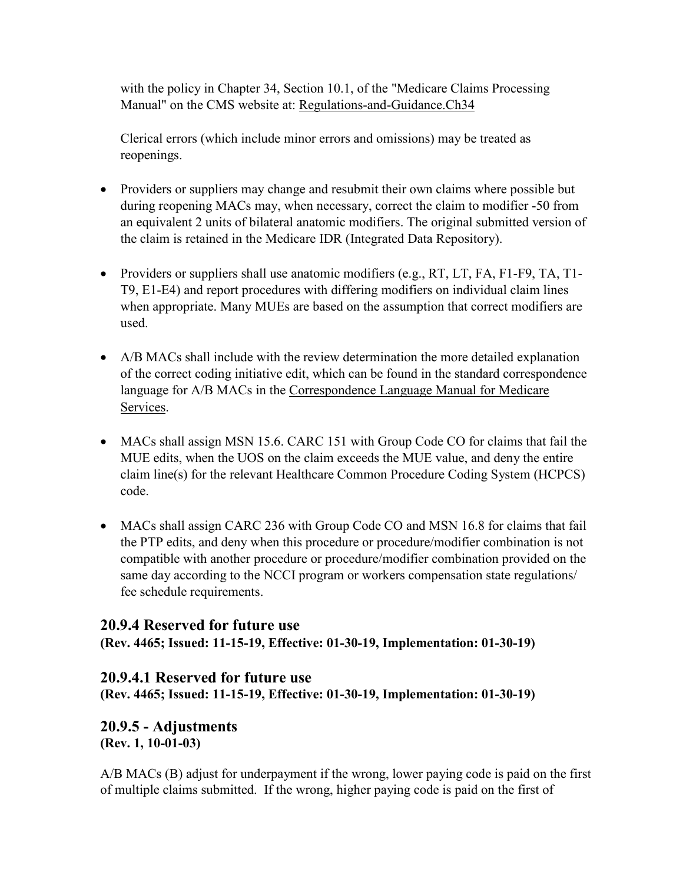with the policy in Chapter 34, Section 10.1, of the "Medicare Claims Processing Manual" on the CMS website at: [Regulations-and-Guidance.Ch34](https://www.cms.gov/Regulations-and-Guidance/Guidance/Manuals/Downloads/clm104c34.pdf)

Clerical errors (which include minor errors and omissions) may be treated as reopenings.

- Providers or suppliers may change and resubmit their own claims where possible but during reopening MACs may, when necessary, correct the claim to modifier -50 from an equivalent 2 units of bilateral anatomic modifiers. The original submitted version of the claim is retained in the Medicare IDR (Integrated Data Repository).
- Providers or suppliers shall use anatomic modifiers (e.g., RT, LT, FA, F1-F9, TA, T1-T9, E1-E4) and report procedures with differing modifiers on individual claim lines when appropriate. Many MUEs are based on the assumption that correct modifiers are used.
- A/B MACs shall include with the review determination the more detailed explanation of the correct coding initiative edit, which can be found in the standard correspondence language for A/B MACs in the [Correspondence Language Manual for Medicare](https://www.cms.gov/files/document/correspondence-language-manual-medicare-services.pdf)  [Services.](https://www.cms.gov/files/document/correspondence-language-manual-medicare-services.pdf)
- MACs shall assign MSN 15.6. CARC 151 with Group Code CO for claims that fail the MUE edits, when the UOS on the claim exceeds the MUE value, and deny the entire claim line(s) for the relevant Healthcare Common Procedure Coding System (HCPCS) code.
- MACs shall assign CARC 236 with Group Code CO and MSN 16.8 for claims that fail the PTP edits, and deny when this procedure or procedure/modifier combination is not compatible with another procedure or procedure/modifier combination provided on the same day according to the NCCI program or workers compensation state regulations/ fee schedule requirements.

## **20.9.4 Reserved for future use**

**(Rev. 4465; Issued: 11-15-19, Effective: 01-30-19, Implementation: 01-30-19)**

## **20.9.4.1 Reserved for future use**

**(Rev. 4465; Issued: 11-15-19, Effective: 01-30-19, Implementation: 01-30-19)**

## <span id="page-23-0"></span>**20.9.5 - Adjustments (Rev. 1, 10-01-03)**

A/B MACs (B) adjust for underpayment if the wrong, lower paying code is paid on the first of multiple claims submitted. If the wrong, higher paying code is paid on the first of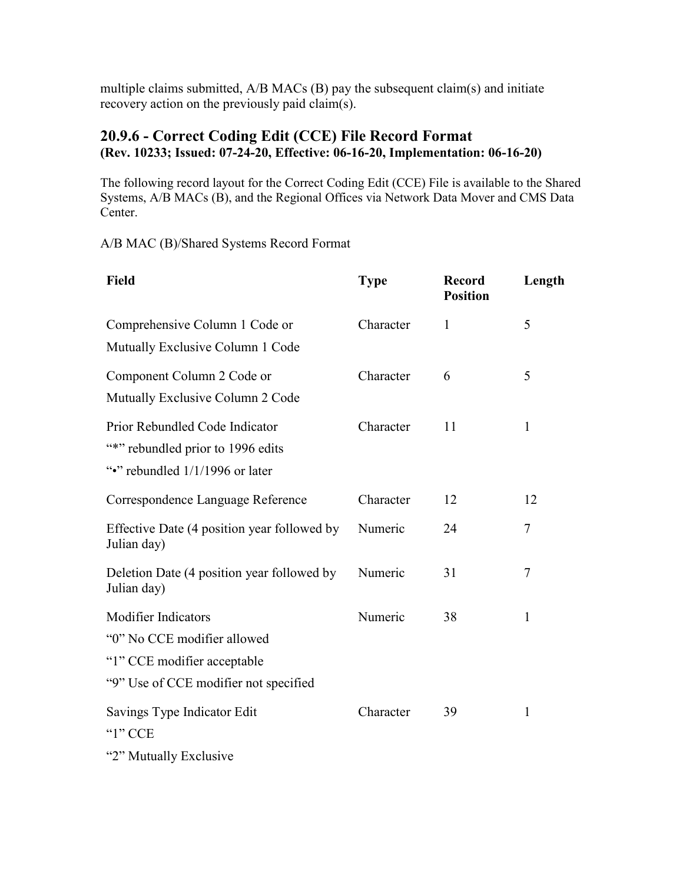multiple claims submitted, A/B MACs (B) pay the subsequent claim(s) and initiate recovery action on the previously paid claim(s).

#### **20.9.6 - Correct Coding Edit (CCE) File Record Format (Rev. 10233; Issued: 07-24-20, Effective: 06-16-20, Implementation: 06-16-20)**

The following record layout for the Correct Coding Edit (CCE) File is available to the Shared Systems, A/B MACs (B), and the Regional Offices via Network Data Mover and CMS Data Center.

A/B MAC (B)/Shared Systems Record Format

| <b>Field</b>                                                                                           | <b>Type</b> | <b>Record</b><br><b>Position</b> | Length         |
|--------------------------------------------------------------------------------------------------------|-------------|----------------------------------|----------------|
| Comprehensive Column 1 Code or<br>Mutually Exclusive Column 1 Code                                     | Character   | 1                                | 5              |
| Component Column 2 Code or<br>Mutually Exclusive Column 2 Code                                         | Character   | 6                                | 5              |
| Prior Rebundled Code Indicator<br>"*" rebundled prior to 1996 edits<br>"." rebundled 1/1/1996 or later | Character   | 11                               | $\mathbf{1}$   |
| Correspondence Language Reference                                                                      | Character   | 12                               | 12             |
| Effective Date (4 position year followed by<br>Julian day)                                             | Numeric     | 24                               | 7              |
| Deletion Date (4 position year followed by<br>Julian day)                                              | Numeric     | 31                               | $\overline{7}$ |
| <b>Modifier Indicators</b>                                                                             | Numeric     | 38                               | 1              |
| "0" No CCE modifier allowed<br>"1" CCE modifier acceptable<br>"9" Use of CCE modifier not specified    |             |                                  |                |
| Savings Type Indicator Edit<br>" $1$ " CCE<br>"2" Mutually Exclusive                                   | Character   | 39                               | 1              |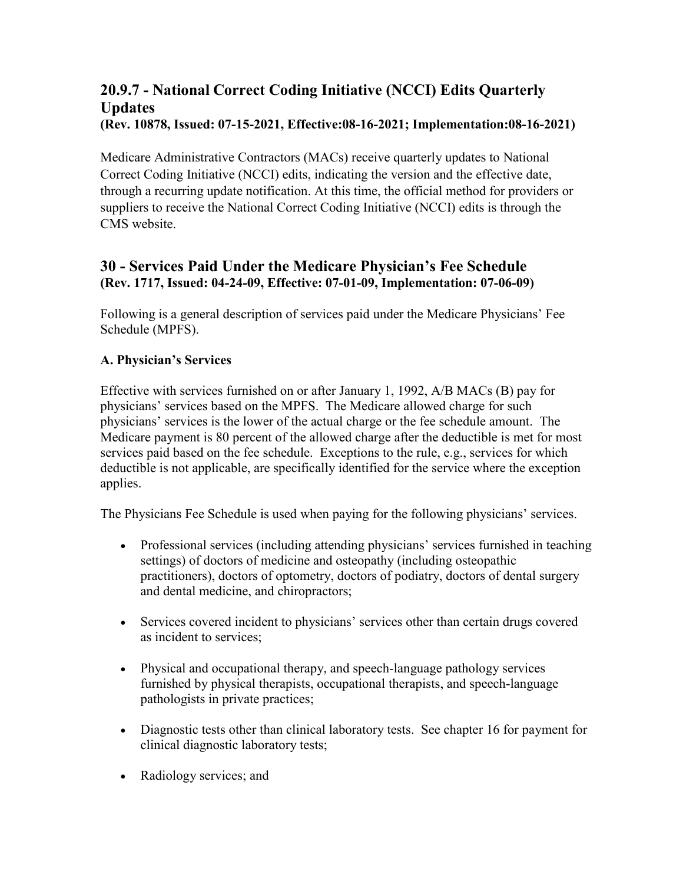## <span id="page-25-0"></span>**20.9.7 - National Correct Coding Initiative (NCCI) Edits Quarterly Updates (Rev. 10878, Issued: 07-15-2021, Effective:08-16-2021; Implementation:08-16-2021)**

Medicare Administrative Contractors (MACs) receive quarterly updates to National Correct Coding Initiative (NCCI) edits, indicating the version and the effective date, through a recurring update notification. At this time, the official method for providers or suppliers to receive the National Correct Coding Initiative (NCCI) edits is through the CMS website.

## <span id="page-25-1"></span>**30 - Services Paid Under the Medicare Physician's Fee Schedule (Rev. 1717, Issued: 04-24-09, Effective: 07-01-09, Implementation: 07-06-09)**

Following is a general description of services paid under the Medicare Physicians' Fee Schedule (MPFS).

## **A. Physician's Services**

Effective with services furnished on or after January 1, 1992, A/B MACs (B) pay for physicians' services based on the MPFS. The Medicare allowed charge for such physicians' services is the lower of the actual charge or the fee schedule amount. The Medicare payment is 80 percent of the allowed charge after the deductible is met for most services paid based on the fee schedule. Exceptions to the rule, e.g., services for which deductible is not applicable, are specifically identified for the service where the exception applies.

The Physicians Fee Schedule is used when paying for the following physicians' services.

- Professional services (including attending physicians' services furnished in teaching settings) of doctors of medicine and osteopathy (including osteopathic practitioners), doctors of optometry, doctors of podiatry, doctors of dental surgery and dental medicine, and chiropractors;
- Services covered incident to physicians' services other than certain drugs covered as incident to services;
- Physical and occupational therapy, and speech-language pathology services furnished by physical therapists, occupational therapists, and speech-language pathologists in private practices;
- Diagnostic tests other than clinical laboratory tests. See chapter 16 for payment for clinical diagnostic laboratory tests;
- Radiology services; and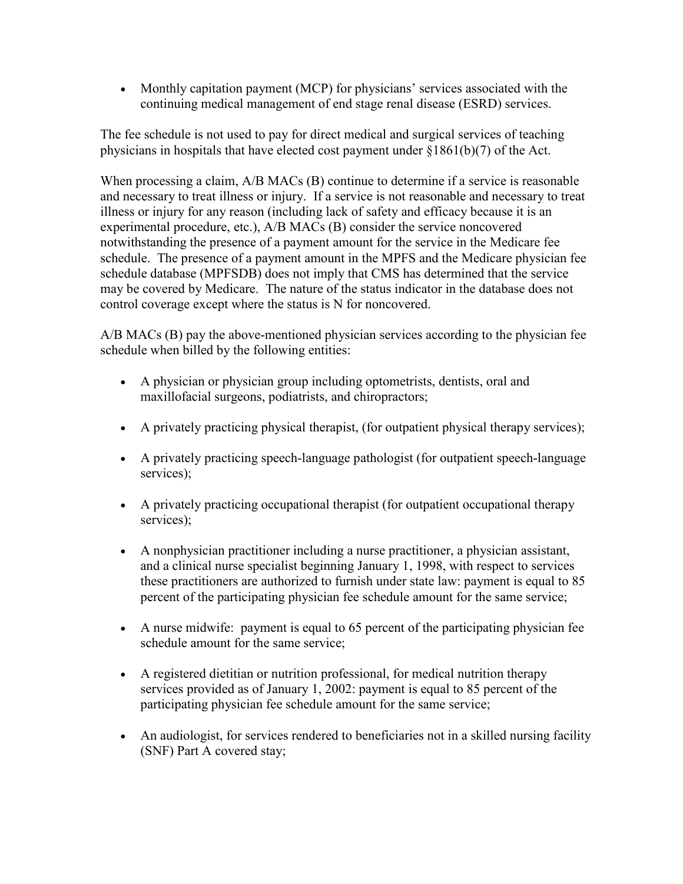• Monthly capitation payment (MCP) for physicians' services associated with the continuing medical management of end stage renal disease (ESRD) services.

The fee schedule is not used to pay for direct medical and surgical services of teaching physicians in hospitals that have elected cost payment under [§1861\(b\)\(7\)](http://www.cms.hhs.gov/regulations) of the Act.

When processing a claim, A/B MACs (B) continue to determine if a service is reasonable and necessary to treat illness or injury. If a service is not reasonable and necessary to treat illness or injury for any reason (including lack of safety and efficacy because it is an experimental procedure, etc.), A/B MACs (B) consider the service noncovered notwithstanding the presence of a payment amount for the service in the Medicare fee schedule. The presence of a payment amount in the MPFS and the Medicare physician fee schedule database (MPFSDB) does not imply that CMS has determined that the service may be covered by Medicare. The nature of the status indicator in the database does not control coverage except where the status is N for noncovered.

A/B MACs (B) pay the above-mentioned physician services according to the physician fee schedule when billed by the following entities:

- A physician or physician group including optometrists, dentists, oral and maxillofacial surgeons, podiatrists, and chiropractors;
- A privately practicing physical therapist, (for outpatient physical therapy services);
- A privately practicing speech-language pathologist (for outpatient speech-language services);
- A privately practicing occupational therapist (for outpatient occupational therapy services);
- A nonphysician practitioner including a nurse practitioner, a physician assistant, and a clinical nurse specialist beginning January 1, 1998, with respect to services these practitioners are authorized to furnish under state law: payment is equal to 85 percent of the participating physician fee schedule amount for the same service;
- A nurse midwife: payment is equal to 65 percent of the participating physician fee schedule amount for the same service;
- A registered dietitian or nutrition professional, for medical nutrition therapy services provided as of January 1, 2002: payment is equal to 85 percent of the participating physician fee schedule amount for the same service;
- An audiologist, for services rendered to beneficiaries not in a skilled nursing facility (SNF) Part A covered stay;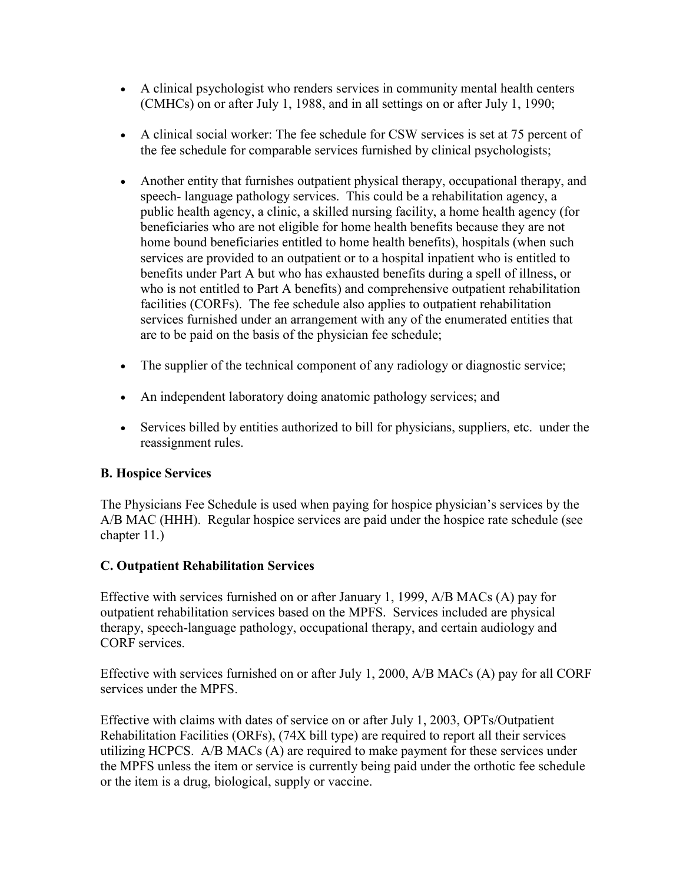- A clinical psychologist who renders services in community mental health centers (CMHCs) on or after July 1, 1988, and in all settings on or after July 1, 1990;
- A clinical social worker: The fee schedule for CSW services is set at 75 percent of the fee schedule for comparable services furnished by clinical psychologists;
- Another entity that furnishes outpatient physical therapy, occupational therapy, and speech- language pathology services. This could be a rehabilitation agency, a public health agency, a clinic, a skilled nursing facility, a home health agency (for beneficiaries who are not eligible for home health benefits because they are not home bound beneficiaries entitled to home health benefits), hospitals (when such services are provided to an outpatient or to a hospital inpatient who is entitled to benefits under Part A but who has exhausted benefits during a spell of illness, or who is not entitled to Part A benefits) and comprehensive outpatient rehabilitation facilities (CORFs). The fee schedule also applies to outpatient rehabilitation services furnished under an arrangement with any of the enumerated entities that are to be paid on the basis of the physician fee schedule;
- The supplier of the technical component of any radiology or diagnostic service;
- An independent laboratory doing anatomic pathology services; and
- Services billed by entities authorized to bill for physicians, suppliers, etc. under the reassignment rules.

## **B. Hospice Services**

The Physicians Fee Schedule is used when paying for hospice physician's services by the A/B MAC (HHH). Regular hospice services are paid under the hospice rate schedule (see chapter 11.)

#### **C. Outpatient Rehabilitation Services**

Effective with services furnished on or after January 1, 1999, A/B MACs (A) pay for outpatient rehabilitation services based on the MPFS. Services included are physical therapy, speech-language pathology, occupational therapy, and certain audiology and CORF services.

Effective with services furnished on or after July 1, 2000, A/B MACs (A) pay for all CORF services under the MPFS.

Effective with claims with dates of service on or after July 1, 2003, OPTs/Outpatient Rehabilitation Facilities (ORFs), (74X bill type) are required to report all their services utilizing HCPCS. A/B MACs (A) are required to make payment for these services under the MPFS unless the item or service is currently being paid under the orthotic fee schedule or the item is a drug, biological, supply or vaccine.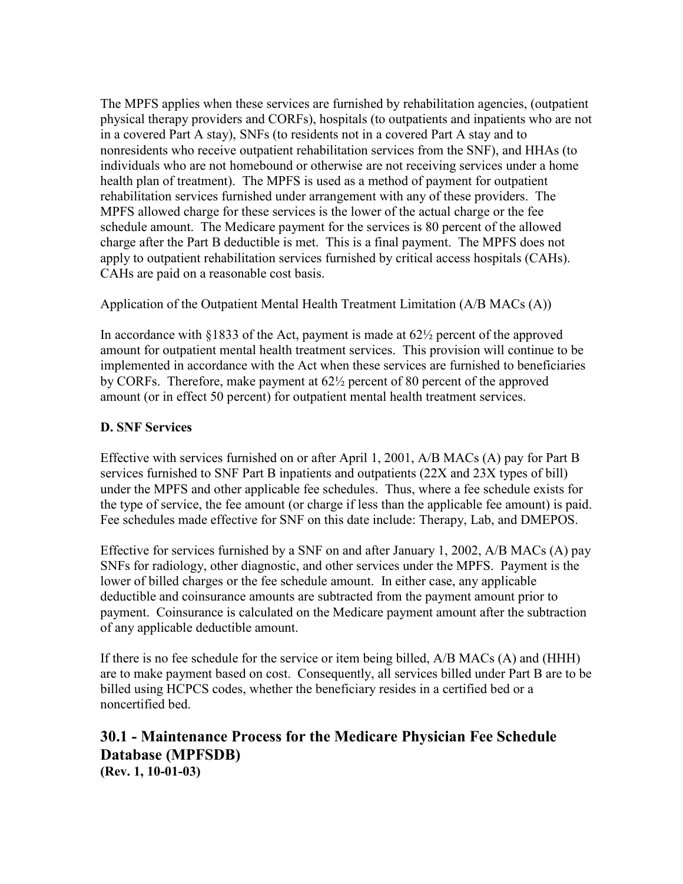The MPFS applies when these services are furnished by rehabilitation agencies, (outpatient physical therapy providers and CORFs), hospitals (to outpatients and inpatients who are not in a covered Part A stay), SNFs (to residents not in a covered Part A stay and to nonresidents who receive outpatient rehabilitation services from the SNF), and HHAs (to individuals who are not homebound or otherwise are not receiving services under a home health plan of treatment). The MPFS is used as a method of payment for outpatient rehabilitation services furnished under arrangement with any of these providers. The MPFS allowed charge for these services is the lower of the actual charge or the fee schedule amount. The Medicare payment for the services is 80 percent of the allowed charge after the Part B deductible is met. This is a final payment. The MPFS does not apply to outpatient rehabilitation services furnished by critical access hospitals (CAHs). CAHs are paid on a reasonable cost basis.

Application of the Outpatient Mental Health Treatment Limitation (A/B MACs (A))

In accordance with [§1833](http://www.cms.hhs.gov/regulations) of the Act, payment is made at  $62\frac{1}{2}$  percent of the approved amount for outpatient mental health treatment services. This provision will continue to be implemented in accordance with the Act when these services are furnished to beneficiaries by CORFs. Therefore, make payment at 62½ percent of 80 percent of the approved amount (or in effect 50 percent) for outpatient mental health treatment services.

#### **D. SNF Services**

Effective with services furnished on or after April 1, 2001, A/B MACs (A) pay for Part B services furnished to SNF Part B inpatients and outpatients (22X and 23X types of bill) under the MPFS and other applicable fee schedules. Thus, where a fee schedule exists for the type of service, the fee amount (or charge if less than the applicable fee amount) is paid. Fee schedules made effective for SNF on this date include: Therapy, Lab, and DMEPOS.

Effective for services furnished by a SNF on and after January 1, 2002, A/B MACs (A) pay SNFs for radiology, other diagnostic, and other services under the MPFS. Payment is the lower of billed charges or the fee schedule amount. In either case, any applicable deductible and coinsurance amounts are subtracted from the payment amount prior to payment. Coinsurance is calculated on the Medicare payment amount after the subtraction of any applicable deductible amount.

If there is no fee schedule for the service or item being billed, A/B MACs (A) and (HHH) are to make payment based on cost. Consequently, all services billed under Part B are to be billed using HCPCS codes, whether the beneficiary resides in a certified bed or a noncertified bed.

## <span id="page-28-0"></span>**30.1 - Maintenance Process for the Medicare Physician Fee Schedule Database (MPFSDB) (Rev. 1, 10-01-03)**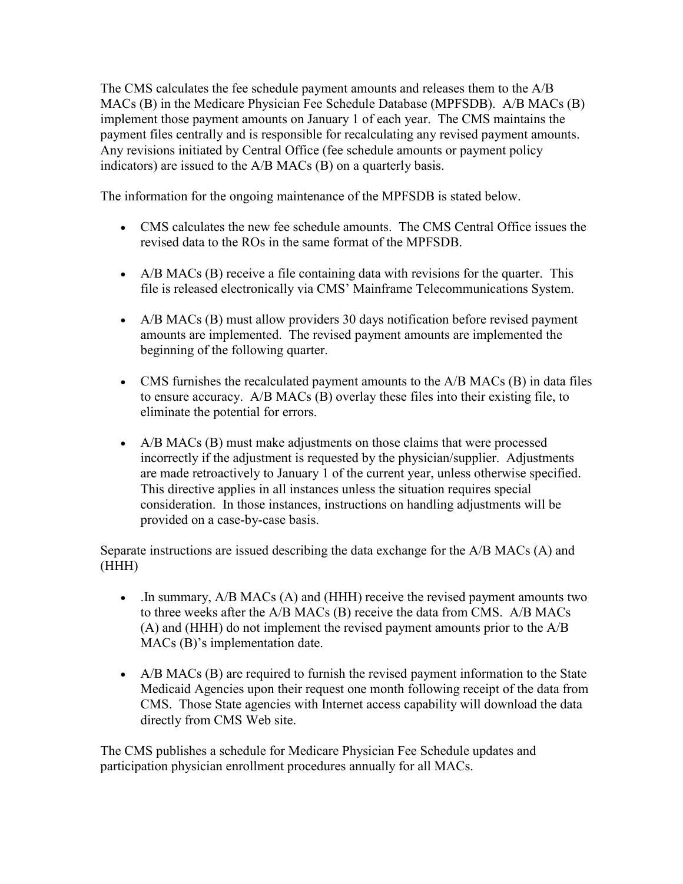The CMS calculates the fee schedule payment amounts and releases them to the A/B MACs (B) in the Medicare Physician Fee Schedule Database (MPFSDB). A/B MACs (B) implement those payment amounts on January 1 of each year. The CMS maintains the payment files centrally and is responsible for recalculating any revised payment amounts. Any revisions initiated by Central Office (fee schedule amounts or payment policy indicators) are issued to the A/B MACs (B) on a quarterly basis.

The information for the ongoing maintenance of the MPFSDB is stated below.

- CMS calculates the new fee schedule amounts. The CMS Central Office issues the revised data to the ROs in the same format of the MPFSDB.
- A/B MACs (B) receive a file containing data with revisions for the quarter. This file is released electronically via CMS' Mainframe Telecommunications System.
- A/B MACs (B) must allow providers 30 days notification before revised payment amounts are implemented. The revised payment amounts are implemented the beginning of the following quarter.
- CMS furnishes the recalculated payment amounts to the A/B MACs (B) in data files to ensure accuracy. A/B MACs (B) overlay these files into their existing file, to eliminate the potential for errors.
- A/B MACs (B) must make adjustments on those claims that were processed incorrectly if the adjustment is requested by the physician/supplier. Adjustments are made retroactively to January 1 of the current year, unless otherwise specified. This directive applies in all instances unless the situation requires special consideration. In those instances, instructions on handling adjustments will be provided on a case-by-case basis.

Separate instructions are issued describing the data exchange for the A/B MACs (A) and (HHH)

- . In summary, A/B MACs (A) and (HHH) receive the revised payment amounts two to three weeks after the A/B MACs (B) receive the data from CMS. A/B MACs (A) and (HHH) do not implement the revised payment amounts prior to the A/B MACs (B)'s implementation date.
- A/B MACs (B) are required to furnish the revised payment information to the State Medicaid Agencies upon their request one month following receipt of the data from CMS. Those State agencies with Internet access capability will download the data directly from CMS Web site.

The CMS publishes a schedule for Medicare Physician Fee Schedule updates and participation physician enrollment procedures annually for all MACs.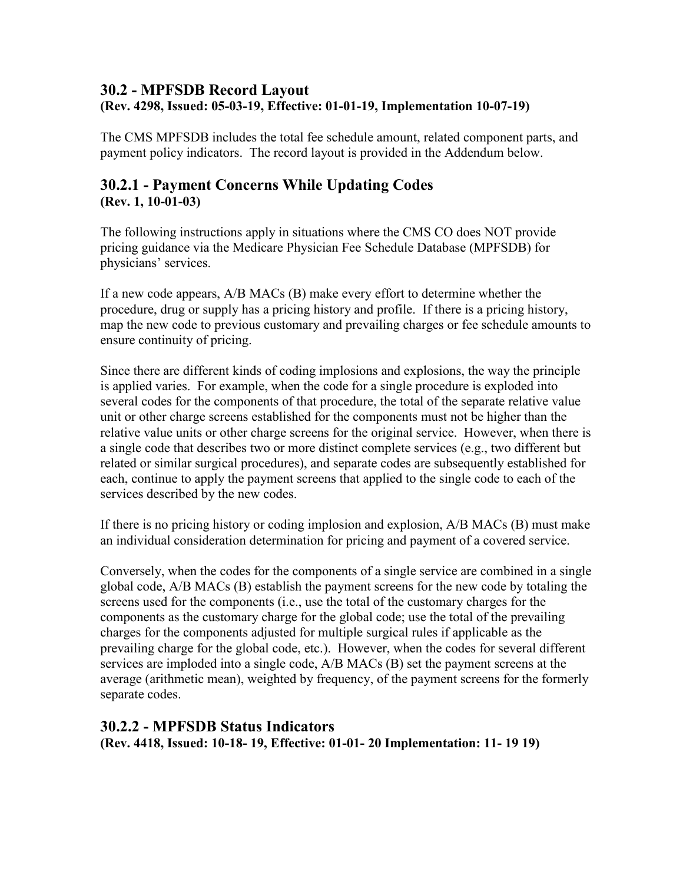## <span id="page-30-0"></span>**30.2 - MPFSDB Record Layout (Rev. 4298, Issued: 05-03-19, Effective: 01-01-19, Implementation 10-07-19)**

The CMS MPFSDB includes the total fee schedule amount, related component parts, and payment policy indicators. The record layout is provided in the Addendum below.

## <span id="page-30-1"></span>**30.2.1 - Payment Concerns While Updating Codes (Rev. 1, 10-01-03)**

The following instructions apply in situations where the CMS CO does NOT provide pricing guidance via the Medicare Physician Fee Schedule Database (MPFSDB) for physicians' services.

If a new code appears, A/B MACs (B) make every effort to determine whether the procedure, drug or supply has a pricing history and profile. If there is a pricing history, map the new code to previous customary and prevailing charges or fee schedule amounts to ensure continuity of pricing.

Since there are different kinds of coding implosions and explosions, the way the principle is applied varies. For example, when the code for a single procedure is exploded into several codes for the components of that procedure, the total of the separate relative value unit or other charge screens established for the components must not be higher than the relative value units or other charge screens for the original service. However, when there is a single code that describes two or more distinct complete services (e.g., two different but related or similar surgical procedures), and separate codes are subsequently established for each, continue to apply the payment screens that applied to the single code to each of the services described by the new codes.

If there is no pricing history or coding implosion and explosion, A/B MACs (B) must make an individual consideration determination for pricing and payment of a covered service.

Conversely, when the codes for the components of a single service are combined in a single global code, A/B MACs (B) establish the payment screens for the new code by totaling the screens used for the components (i.e., use the total of the customary charges for the components as the customary charge for the global code; use the total of the prevailing charges for the components adjusted for multiple surgical rules if applicable as the prevailing charge for the global code, etc.). However, when the codes for several different services are imploded into a single code, A/B MACs (B) set the payment screens at the average (arithmetic mean), weighted by frequency, of the payment screens for the formerly separate codes.

## <span id="page-30-2"></span>**30.2.2 - MPFSDB Status Indicators**

**(Rev. 4418, Issued: 10-18- 19, Effective: 01-01- 20 Implementation: 11- 19 19)**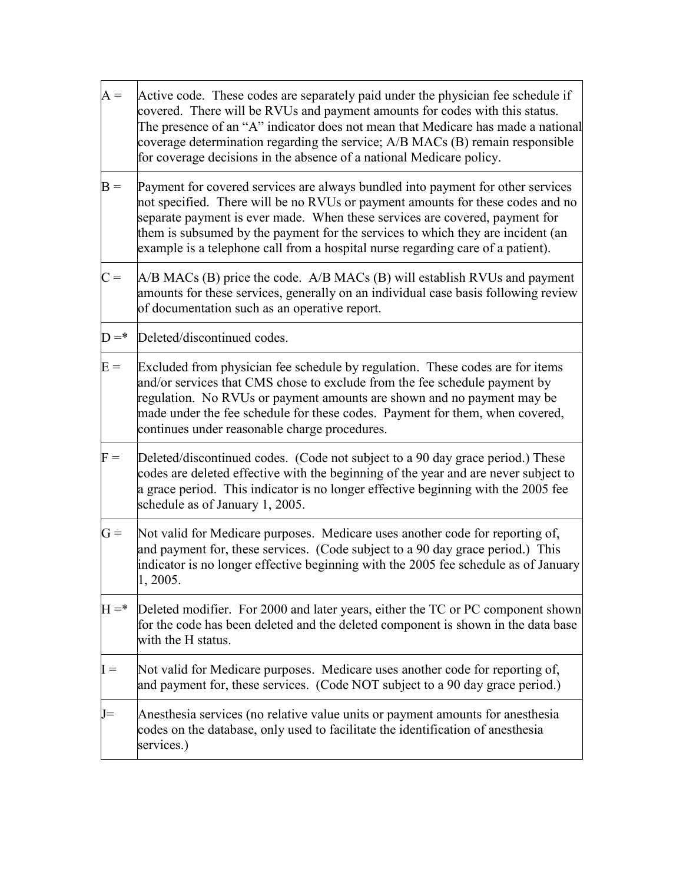| $A =$   | Active code. These codes are separately paid under the physician fee schedule if<br>covered. There will be RVUs and payment amounts for codes with this status.<br>The presence of an "A" indicator does not mean that Medicare has made a national<br>coverage determination regarding the service; A/B MACs (B) remain responsible<br>for coverage decisions in the absence of a national Medicare policy.           |
|---------|------------------------------------------------------------------------------------------------------------------------------------------------------------------------------------------------------------------------------------------------------------------------------------------------------------------------------------------------------------------------------------------------------------------------|
| $B =$   | Payment for covered services are always bundled into payment for other services<br>not specified. There will be no RVUs or payment amounts for these codes and no<br>separate payment is ever made. When these services are covered, payment for<br>them is subsumed by the payment for the services to which they are incident (an<br>example is a telephone call from a hospital nurse regarding care of a patient). |
| $C =$   | $A/B$ MACs (B) price the code. $A/B$ MACs (B) will establish RVUs and payment<br>amounts for these services, generally on an individual case basis following review<br>of documentation such as an operative report.                                                                                                                                                                                                   |
| $D = *$ | Deleted/discontinued codes.                                                                                                                                                                                                                                                                                                                                                                                            |
| $E =$   | Excluded from physician fee schedule by regulation. These codes are for items<br>and/or services that CMS chose to exclude from the fee schedule payment by<br>regulation. No RVUs or payment amounts are shown and no payment may be<br>made under the fee schedule for these codes. Payment for them, when covered,<br>continues under reasonable charge procedures.                                                 |
| $F =$   | Deleted/discontinued codes. (Code not subject to a 90 day grace period.) These<br>codes are deleted effective with the beginning of the year and are never subject to<br>a grace period. This indicator is no longer effective beginning with the 2005 fee<br>schedule as of January 1, 2005.                                                                                                                          |
| $G =$   | Not valid for Medicare purposes. Medicare uses another code for reporting of,<br>and payment for, these services. (Code subject to a 90 day grace period.) This<br>indicator is no longer effective beginning with the 2005 fee schedule as of January<br>1, 2005.                                                                                                                                                     |
| $H = *$ | Deleted modifier. For 2000 and later years, either the TC or PC component shown<br>for the code has been deleted and the deleted component is shown in the data base<br>with the H status.                                                                                                                                                                                                                             |
| $I =$   | Not valid for Medicare purposes. Medicare uses another code for reporting of,<br>and payment for, these services. (Code NOT subject to a 90 day grace period.)                                                                                                                                                                                                                                                         |
| $J=$    | Anesthesia services (no relative value units or payment amounts for anesthesia<br>codes on the database, only used to facilitate the identification of anesthesia<br>services.)                                                                                                                                                                                                                                        |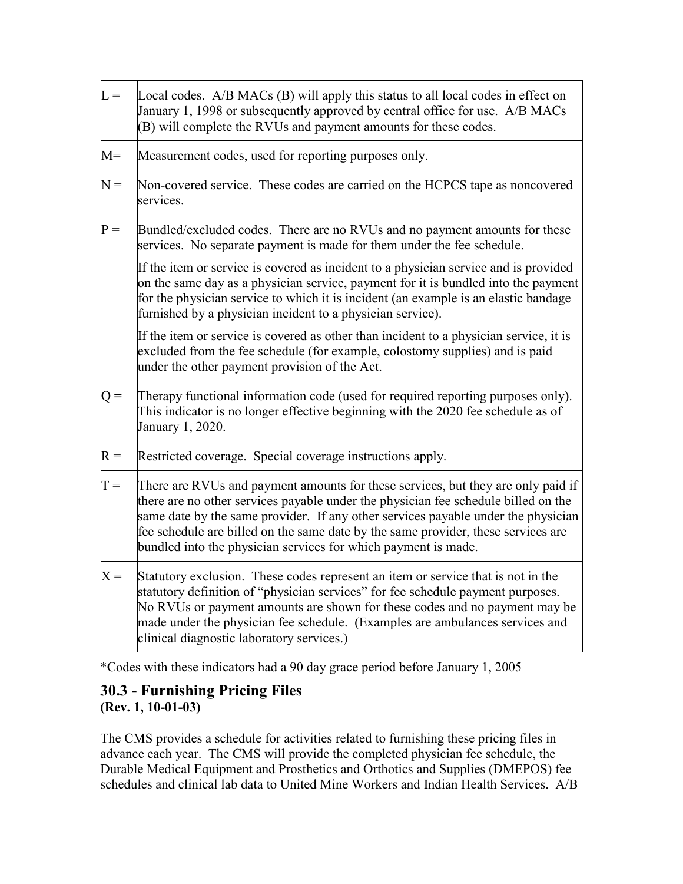| $L =$       | Local codes. A/B MACs (B) will apply this status to all local codes in effect on<br>January 1, 1998 or subsequently approved by central office for use. A/B MACs<br>(B) will complete the RVUs and payment amounts for these codes.                                                                                                                                                                                |
|-------------|--------------------------------------------------------------------------------------------------------------------------------------------------------------------------------------------------------------------------------------------------------------------------------------------------------------------------------------------------------------------------------------------------------------------|
| $M =$       | Measurement codes, used for reporting purposes only.                                                                                                                                                                                                                                                                                                                                                               |
| $N =$       | Non-covered service. These codes are carried on the HCPCS tape as noncovered<br>services.                                                                                                                                                                                                                                                                                                                          |
| ${\bf P} =$ | Bundled/excluded codes. There are no RVUs and no payment amounts for these<br>services. No separate payment is made for them under the fee schedule.                                                                                                                                                                                                                                                               |
|             | If the item or service is covered as incident to a physician service and is provided<br>on the same day as a physician service, payment for it is bundled into the payment<br>for the physician service to which it is incident (an example is an elastic bandage<br>furnished by a physician incident to a physician service).                                                                                    |
|             | If the item or service is covered as other than incident to a physician service, it is<br>excluded from the fee schedule (for example, colostomy supplies) and is paid<br>under the other payment provision of the Act.                                                                                                                                                                                            |
| $Q =$       | Therapy functional information code (used for required reporting purposes only).<br>This indicator is no longer effective beginning with the 2020 fee schedule as of<br>January 1, 2020.                                                                                                                                                                                                                           |
| $R =$       | Restricted coverage. Special coverage instructions apply.                                                                                                                                                                                                                                                                                                                                                          |
| $T =$       | There are RVUs and payment amounts for these services, but they are only paid if<br>there are no other services payable under the physician fee schedule billed on the<br>same date by the same provider. If any other services payable under the physician<br>fee schedule are billed on the same date by the same provider, these services are<br>bundled into the physician services for which payment is made. |
| $X =$       | Statutory exclusion. These codes represent an item or service that is not in the<br>statutory definition of "physician services" for fee schedule payment purposes.<br>No RVUs or payment amounts are shown for these codes and no payment may be<br>made under the physician fee schedule. (Examples are ambulances services and<br>clinical diagnostic laboratory services.)                                     |

\*Codes with these indicators had a 90 day grace period before January 1, 2005

# **30.3 - Furnishing Pricing Files**

**(Rev. 1, 10-01-03)**

The CMS provides a schedule for activities related to furnishing these pricing files in advance each year. The CMS will provide the completed physician fee schedule, the Durable Medical Equipment and Prosthetics and Orthotics and Supplies (DMEPOS) fee schedules and clinical lab data to United Mine Workers and Indian Health Services. A/B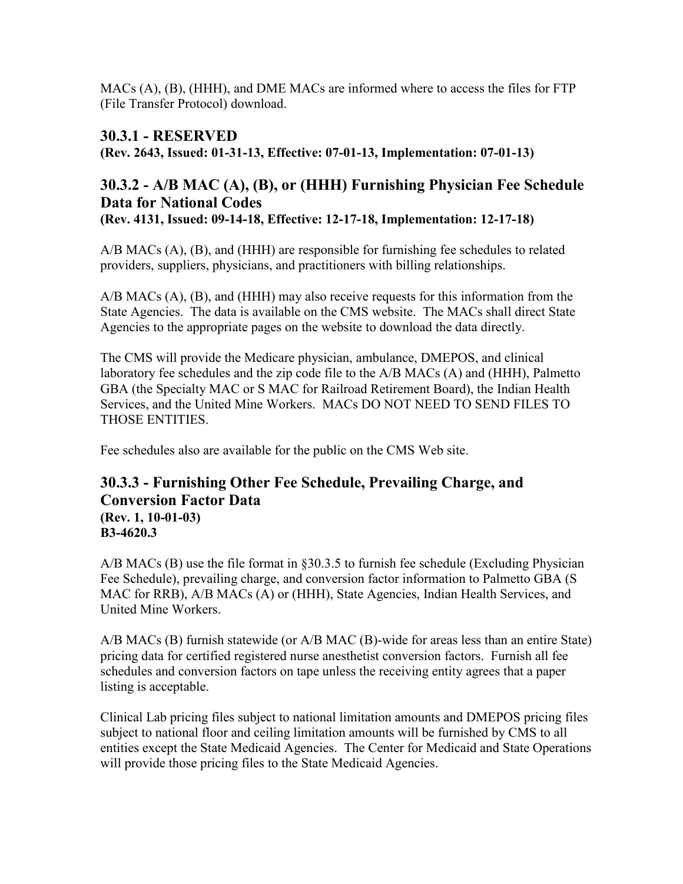MACs (A), (B), (HHH), and DME MACs are informed where to access the files for FTP (File Transfer Protocol) download.

## <span id="page-33-0"></span>**30.3.1 - RESERVED**

**(Rev. 2643, Issued: 01-31-13, Effective: 07-01-13, Implementation: 07-01-13)**

# <span id="page-33-1"></span>**30.3.2 - A/B MAC (A), (B), or (HHH) Furnishing Physician Fee Schedule Data for National Codes**

**(Rev. 4131, Issued: 09-14-18, Effective: 12-17-18, Implementation: 12-17-18)**

A/B MACs (A), (B), and (HHH) are responsible for furnishing fee schedules to related providers, suppliers, physicians, and practitioners with billing relationships.

A/B MACs (A), (B), and (HHH) may also receive requests for this information from the State Agencies. The data is available on the CMS website. The MACs shall direct State Agencies to the appropriate pages on the website to download the data directly.

The CMS will provide the Medicare physician, ambulance, DMEPOS, and clinical laboratory fee schedules and the zip code file to the A/B MACs (A) and (HHH), Palmetto GBA (the Specialty MAC or S MAC for Railroad Retirement Board), the Indian Health Services, and the United Mine Workers. MACs DO NOT NEED TO SEND FILES TO THOSE ENTITIES.

Fee schedules also are available for the public on the CMS Web site.

## <span id="page-33-2"></span>**30.3.3 - Furnishing Other Fee Schedule, Prevailing Charge, and Conversion Factor Data (Rev. 1, 10-01-03)**

**B3-4620.3**

 $A/B$  MACs (B) use the file format in §30.3.5 to furnish fee schedule (Excluding Physician Fee Schedule), prevailing charge, and conversion factor information to Palmetto GBA (S MAC for RRB), A/B MACs (A) or (HHH), State Agencies, Indian Health Services, and United Mine Workers.

A/B MACs (B) furnish statewide (or A/B MAC (B)-wide for areas less than an entire State) pricing data for certified registered nurse anesthetist conversion factors. Furnish all fee schedules and conversion factors on tape unless the receiving entity agrees that a paper listing is acceptable.

Clinical Lab pricing files subject to national limitation amounts and DMEPOS pricing files subject to national floor and ceiling limitation amounts will be furnished by CMS to all entities except the State Medicaid Agencies. The Center for Medicaid and State Operations will provide those pricing files to the State Medicaid Agencies.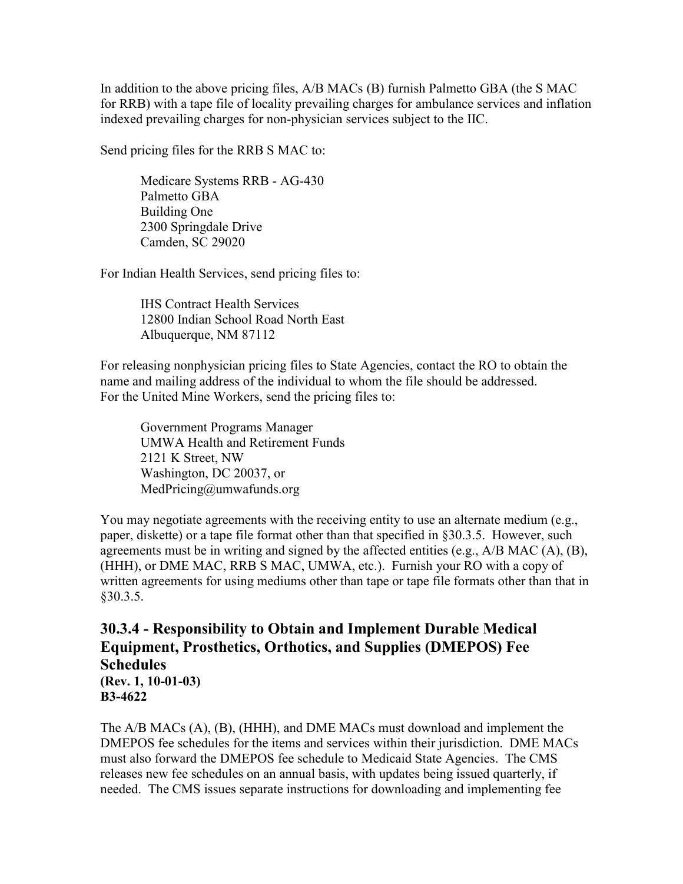In addition to the above pricing files, A/B MACs (B) furnish Palmetto GBA (the S MAC for RRB) with a tape file of locality prevailing charges for ambulance services and inflation indexed prevailing charges for non-physician services subject to the IIC.

Send pricing files for the RRB S MAC to:

Medicare Systems RRB - AG-430 Palmetto GBA Building One 2300 Springdale Drive Camden, SC 29020

For Indian Health Services, send pricing files to:

IHS Contract Health Services 12800 Indian School Road North East Albuquerque, NM 87112

For releasing nonphysician pricing files to State Agencies, contact the RO to obtain the name and mailing address of the individual to whom the file should be addressed. For the United Mine Workers, send the pricing files to:

Government Programs Manager UMWA Health and Retirement Funds 2121 K Street, NW Washington, DC 20037, or MedPricing@umwafunds.org

You may negotiate agreements with the receiving entity to use an alternate medium (e.g., paper, diskette) or a tape file format other than that specified in §30.3.5. However, such agreements must be in writing and signed by the affected entities (e.g., A/B MAC (A), (B), (HHH), or DME MAC, RRB S MAC, UMWA, etc.). Furnish your RO with a copy of written agreements for using mediums other than tape or tape file formats other than that in §30.3.5.

## <span id="page-34-0"></span>**30.3.4 - Responsibility to Obtain and Implement Durable Medical Equipment, Prosthetics, Orthotics, and Supplies (DMEPOS) Fee Schedules (Rev. 1, 10-01-03) B3-4622**

The A/B MACs (A), (B), (HHH), and DME MACs must download and implement the DMEPOS fee schedules for the items and services within their jurisdiction. DME MACs must also forward the DMEPOS fee schedule to Medicaid State Agencies. The CMS releases new fee schedules on an annual basis, with updates being issued quarterly, if needed. The CMS issues separate instructions for downloading and implementing fee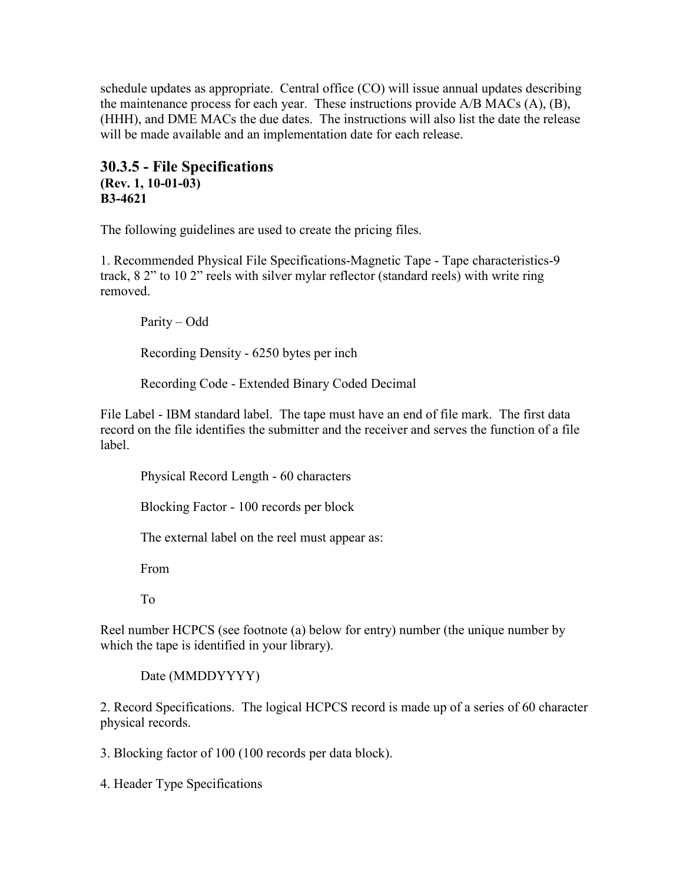schedule updates as appropriate. Central office (CO) will issue annual updates describing the maintenance process for each year. These instructions provide A/B MACs (A), (B), (HHH), and DME MACs the due dates. The instructions will also list the date the release will be made available and an implementation date for each release.

## <span id="page-35-0"></span>**30.3.5 - File Specifications (Rev. 1, 10-01-03) B3-4621**

The following guidelines are used to create the pricing files.

1. Recommended Physical File Specifications-Magnetic Tape - Tape characteristics-9 track, 8 2" to 10 2" reels with silver mylar reflector (standard reels) with write ring removed.

Parity – Odd Recording Density - 6250 bytes per inch Recording Code - Extended Binary Coded Decimal

File Label - IBM standard label. The tape must have an end of file mark. The first data record on the file identifies the submitter and the receiver and serves the function of a file label.

Physical Record Length - 60 characters

Blocking Factor - 100 records per block

The external label on the reel must appear as:

From

To

Reel number HCPCS (see footnote (a) below for entry) number (the unique number by which the tape is identified in your library).

Date (MMDDYYYY)

2. Record Specifications. The logical HCPCS record is made up of a series of 60 character physical records.

3. Blocking factor of 100 (100 records per data block).

4. Header Type Specifications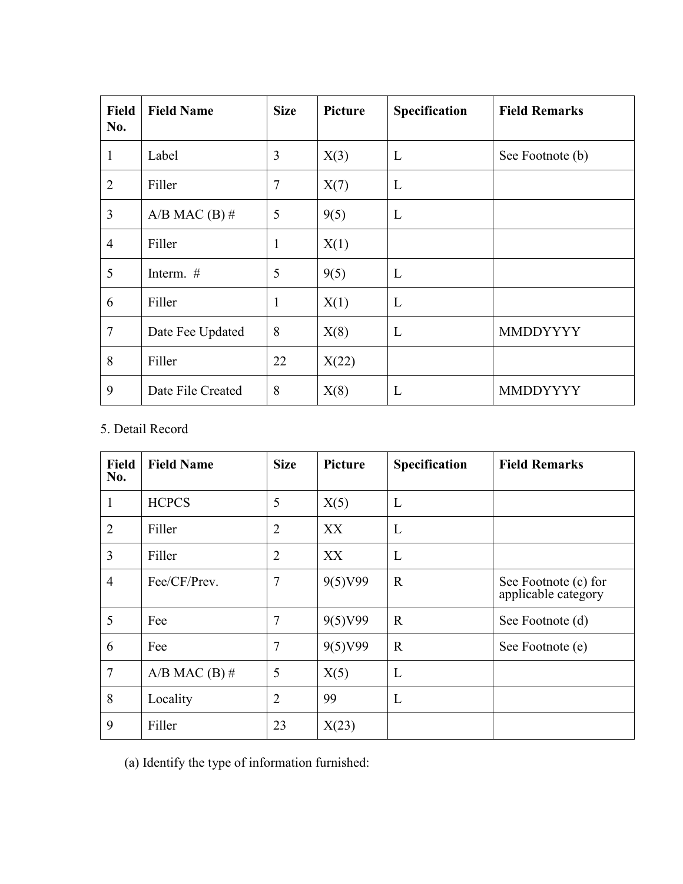| Field<br>No.   | <b>Field Name</b> | <b>Size</b>  | Picture | Specification | <b>Field Remarks</b> |
|----------------|-------------------|--------------|---------|---------------|----------------------|
| $\mathbf{1}$   | Label             | 3            | X(3)    | L             | See Footnote (b)     |
| $\overline{2}$ | Filler            | 7            | X(7)    | L             |                      |
| 3              | $A/B$ MAC $(B)$ # | 5            | 9(5)    | L             |                      |
| $\overline{4}$ | Filler            | $\mathbf{1}$ | X(1)    |               |                      |
| 5              | Interm. #         | 5            | 9(5)    | L             |                      |
| 6              | Filler            | 1            | X(1)    | L             |                      |
| 7              | Date Fee Updated  | 8            | X(8)    | L             | <b>MMDDYYYY</b>      |
| 8              | Filler            | 22           | X(22)   |               |                      |
| 9              | Date File Created | 8            | X(8)    | L             | <b>MMDDYYYY</b>      |

### 5. Detail Record

| <b>Field</b><br>No. | <b>Field Name</b> | <b>Size</b>    | Picture | Specification | <b>Field Remarks</b>                        |
|---------------------|-------------------|----------------|---------|---------------|---------------------------------------------|
| 1                   | <b>HCPCS</b>      | 5              | X(5)    | L             |                                             |
| $\overline{2}$      | Filler            | $\overline{2}$ | XX      | L             |                                             |
| 3                   | Filler            | $\overline{2}$ | XX      | L             |                                             |
| $\overline{4}$      | Fee/CF/Prev.      | $\overline{7}$ | 9(5)V99 | $\mathbf R$   | See Footnote (c) for<br>applicable category |
| 5                   | Fee               | $\overline{7}$ | 9(5)V99 | $\mathbb{R}$  | See Footnote (d)                            |
| 6                   | Fee               | $\overline{7}$ | 9(5)V99 | $\mathbf R$   | See Footnote (e)                            |
| $\overline{7}$      | $A/B$ MAC $(B)$ # | 5              | X(5)    | L             |                                             |
| 8                   | Locality          | $\overline{2}$ | 99      | L             |                                             |
| 9                   | Filler            | 23             | X(23)   |               |                                             |

(a) Identify the type of information furnished: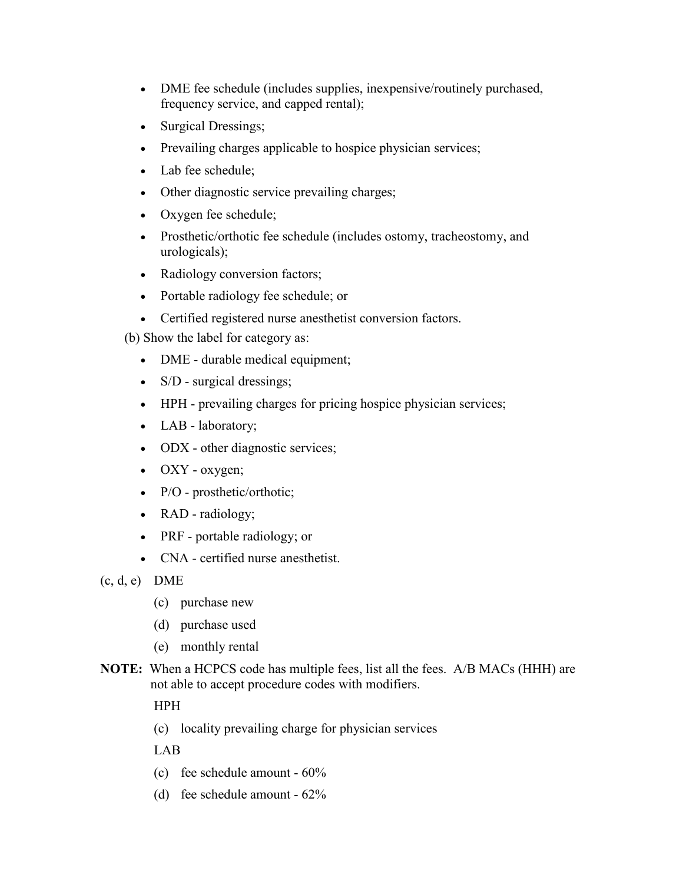- DME fee schedule (includes supplies, inexpensive/routinely purchased, frequency service, and capped rental);
- Surgical Dressings;
- Prevailing charges applicable to hospice physician services;
- Lab fee schedule;
- Other diagnostic service prevailing charges;
- Oxygen fee schedule;
- Prosthetic/orthotic fee schedule (includes ostomy, tracheostomy, and urologicals);
- Radiology conversion factors;
- Portable radiology fee schedule; or
- Certified registered nurse anesthetist conversion factors.
- (b) Show the label for category as:
	- DME durable medical equipment;
	- S/D surgical dressings;
	- HPH prevailing charges for pricing hospice physician services;
	- LAB laboratory;
	- ODX other diagnostic services;
	- OXY oxygen;
	- P/O prosthetic/orthotic;
	- RAD radiology;
	- PRF portable radiology; or
	- CNA certified nurse anesthetist.

(c, d, e) DME

- (c) purchase new
- (d) purchase used
- (e) monthly rental
- **NOTE:** When a HCPCS code has multiple fees, list all the fees. A/B MACs (HHH) are not able to accept procedure codes with modifiers.

HPH

(c) locality prevailing charge for physician services

LAB

- (c) fee schedule amount 60%
- (d) fee schedule amount 62%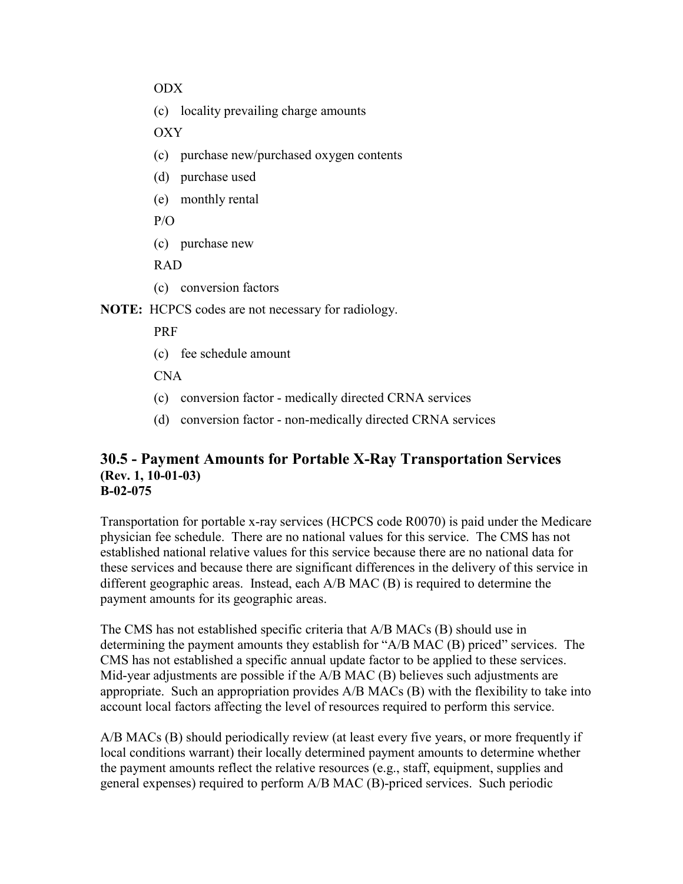ODX

(c) locality prevailing charge amounts

OXY

- (c) purchase new/purchased oxygen contents
- (d) purchase used
- (e) monthly rental

P/O

(c) purchase new

RAD

(c) conversion factors

**NOTE:** HCPCS codes are not necessary for radiology.

PRF

(c) fee schedule amount

CNA

- (c) conversion factor medically directed CRNA services
- (d) conversion factor non-medically directed CRNA services

#### **30.5 - Payment Amounts for Portable X-Ray Transportation Services (Rev. 1, 10-01-03) B-02-075**

Transportation for portable x-ray services (HCPCS code R0070) is paid under the Medicare physician fee schedule. There are no national values for this service. The CMS has not established national relative values for this service because there are no national data for these services and because there are significant differences in the delivery of this service in different geographic areas. Instead, each A/B MAC (B) is required to determine the payment amounts for its geographic areas.

The CMS has not established specific criteria that A/B MACs (B) should use in determining the payment amounts they establish for "A/B MAC (B) priced" services. The CMS has not established a specific annual update factor to be applied to these services. Mid-year adjustments are possible if the A/B MAC (B) believes such adjustments are appropriate. Such an appropriation provides A/B MACs (B) with the flexibility to take into account local factors affecting the level of resources required to perform this service.

A/B MACs (B) should periodically review (at least every five years, or more frequently if local conditions warrant) their locally determined payment amounts to determine whether the payment amounts reflect the relative resources (e.g., staff, equipment, supplies and general expenses) required to perform A/B MAC (B)-priced services. Such periodic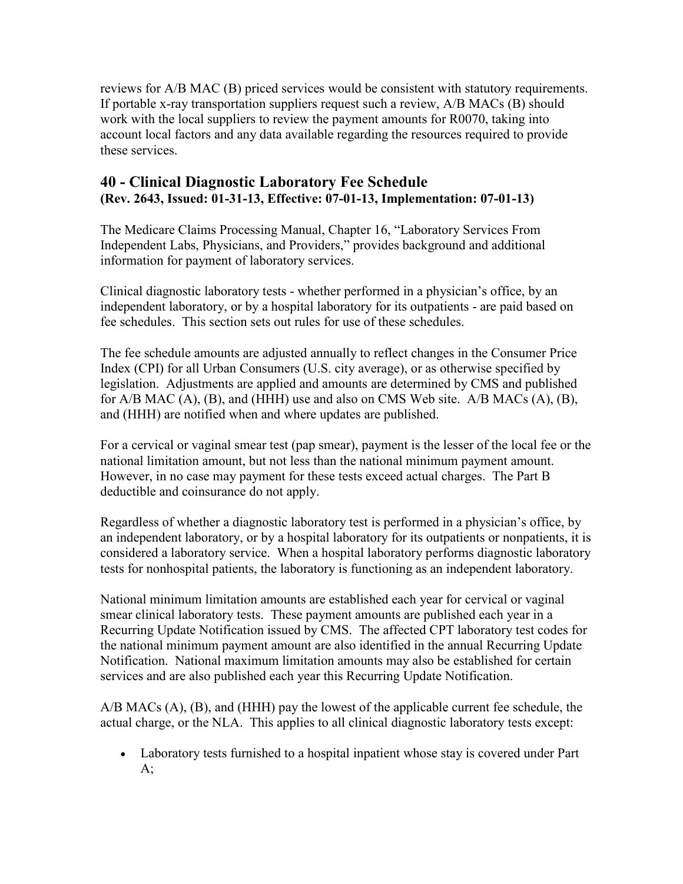reviews for A/B MAC (B) priced services would be consistent with statutory requirements. If portable x-ray transportation suppliers request such a review, A/B MACs (B) should work with the local suppliers to review the payment amounts for R0070, taking into account local factors and any data available regarding the resources required to provide these services.

#### **40 - Clinical Diagnostic Laboratory Fee Schedule (Rev. 2643, Issued: 01-31-13, Effective: 07-01-13, Implementation: 07-01-13)**

The Medicare Claims Processing Manual, Chapter 16, "Laboratory Services From Independent Labs, Physicians, and Providers," provides background and additional information for payment of laboratory services.

Clinical diagnostic laboratory tests - whether performed in a physician's office, by an independent laboratory, or by a hospital laboratory for its outpatients - are paid based on fee schedules. This section sets out rules for use of these schedules.

The fee schedule amounts are adjusted annually to reflect changes in the Consumer Price Index (CPI) for all Urban Consumers (U.S. city average), or as otherwise specified by legislation. Adjustments are applied and amounts are determined by CMS and published for A/B MAC (A), (B), and (HHH) use and also on CMS Web site. A/B MACs (A), (B), and (HHH) are notified when and where updates are published.

For a cervical or vaginal smear test (pap smear), payment is the lesser of the local fee or the national limitation amount, but not less than the national minimum payment amount. However, in no case may payment for these tests exceed actual charges. The Part B deductible and coinsurance do not apply.

Regardless of whether a diagnostic laboratory test is performed in a physician's office, by an independent laboratory, or by a hospital laboratory for its outpatients or nonpatients, it is considered a laboratory service. When a hospital laboratory performs diagnostic laboratory tests for nonhospital patients, the laboratory is functioning as an independent laboratory.

National minimum limitation amounts are established each year for cervical or vaginal smear clinical laboratory tests. These payment amounts are published each year in a Recurring Update Notification issued by CMS. The affected CPT laboratory test codes for the national minimum payment amount are also identified in the annual Recurring Update Notification. National maximum limitation amounts may also be established for certain services and are also published each year this Recurring Update Notification.

A/B MACs (A), (B), and (HHH) pay the lowest of the applicable current fee schedule, the actual charge, or the NLA. This applies to all clinical diagnostic laboratory tests except:

• Laboratory tests furnished to a hospital inpatient whose stay is covered under Part  $A$ ;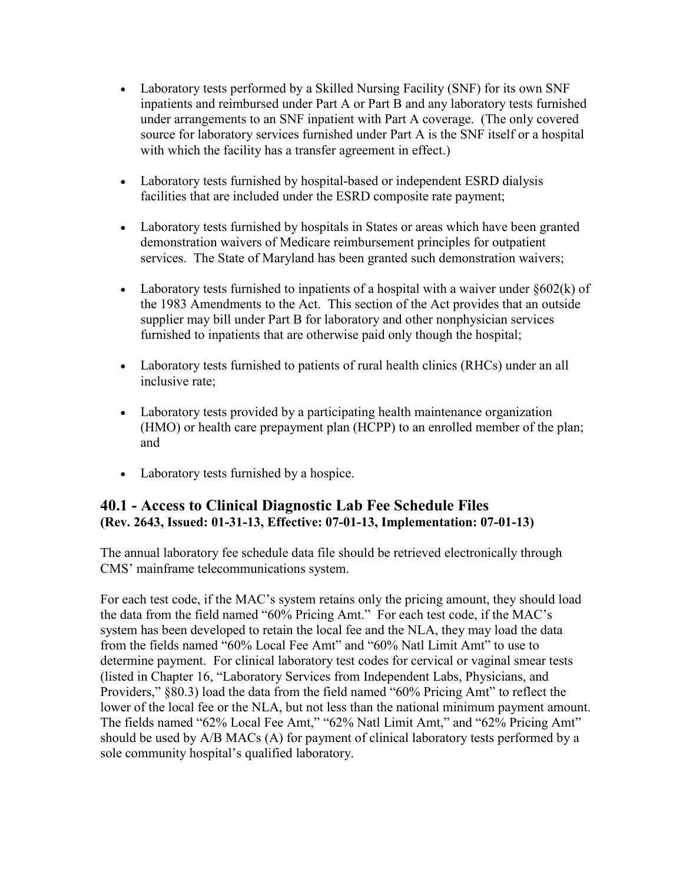- Laboratory tests performed by a Skilled Nursing Facility (SNF) for its own SNF inpatients and reimbursed under Part A or Part B and any laboratory tests furnished under arrangements to an SNF inpatient with Part A coverage. (The only covered source for laboratory services furnished under Part A is the SNF itself or a hospital with which the facility has a transfer agreement in effect.)
- Laboratory tests furnished by hospital-based or independent ESRD dialysis facilities that are included under the ESRD composite rate payment;
- Laboratory tests furnished by hospitals in States or areas which have been granted demonstration waivers of Medicare reimbursement principles for outpatient services. The State of Maryland has been granted such demonstration waivers;
- Laboratory tests furnished to inpatients of a hospital with a waiver under  $§602(k)$  of the 1983 Amendments to the Act. This section of the Act provides that an outside supplier may bill under Part B for laboratory and other nonphysician services furnished to inpatients that are otherwise paid only though the hospital;
- Laboratory tests furnished to patients of rural health clinics (RHCs) under an all inclusive rate;
- Laboratory tests provided by a participating health maintenance organization (HMO) or health care prepayment plan (HCPP) to an enrolled member of the plan; and
- Laboratory tests furnished by a hospice.

#### **40.1 - Access to Clinical Diagnostic Lab Fee Schedule Files (Rev. 2643, Issued: 01-31-13, Effective: 07-01-13, Implementation: 07-01-13)**

The annual laboratory fee schedule data file should be retrieved electronically through CMS' mainframe telecommunications system.

For each test code, if the MAC's system retains only the pricing amount, they should load the data from the field named "60% Pricing Amt." For each test code, if the MAC's system has been developed to retain the local fee and the NLA, they may load the data from the fields named "60% Local Fee Amt" and "60% Natl Limit Amt" to use to determine payment. For clinical laboratory test codes for cervical or vaginal smear tests (listed in Chapter 16, "Laboratory Services from Independent Labs, Physicians, and Providers," §80.3) load the data from the field named "60% Pricing Amt" to reflect the lower of the local fee or the NLA, but not less than the national minimum payment amount. The fields named "62% Local Fee Amt," "62% Natl Limit Amt," and "62% Pricing Amt" should be used by A/B MACs (A) for payment of clinical laboratory tests performed by a sole community hospital's qualified laboratory.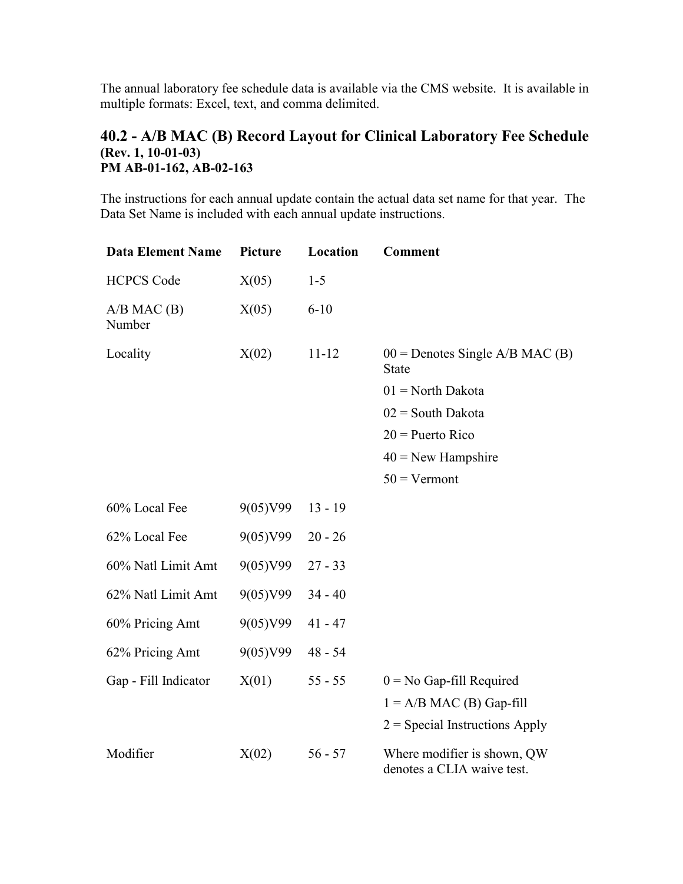The annual laboratory fee schedule data is available via the CMS website. It is available in multiple formats: Excel, text, and comma delimited.

#### **40.2 - A/B MAC (B) Record Layout for Clinical Laboratory Fee Schedule (Rev. 1, 10-01-03) PM AB-01-162, AB-02-163**

The instructions for each annual update contain the actual data set name for that year. The Data Set Name is included with each annual update instructions.

| <b>Data Element Name</b>  | Picture  | Location  | <b>Comment</b>                                            |
|---------------------------|----------|-----------|-----------------------------------------------------------|
| <b>HCPCS Code</b>         | X(05)    | $1 - 5$   |                                                           |
| $A/B$ MAC $(B)$<br>Number | X(05)    | $6 - 10$  |                                                           |
| Locality                  | X(02)    | $11 - 12$ | $00 =$ Denotes Single A/B MAC (B)<br><b>State</b>         |
|                           |          |           | $01$ = North Dakota                                       |
|                           |          |           | $02 =$ South Dakota                                       |
|                           |          |           | $20$ = Puerto Rico                                        |
|                           |          |           | $40$ = New Hampshire                                      |
|                           |          |           | $50 = Vermont$                                            |
| 60% Local Fee             | 9(05)V99 | $13 - 19$ |                                                           |
| 62% Local Fee             | 9(05)V99 | $20 - 26$ |                                                           |
| 60% Natl Limit Amt        | 9(05)V99 | $27 - 33$ |                                                           |
| 62% Natl Limit Amt        | 9(05)V99 | $34 - 40$ |                                                           |
| 60% Pricing Amt           | 9(05)V99 | $41 - 47$ |                                                           |
| 62% Pricing Amt           | 9(05)V99 | $48 - 54$ |                                                           |
| Gap - Fill Indicator      | X(01)    | $55 - 55$ | $0 = No$ Gap-fill Required                                |
|                           |          |           | $1 = A/B MAC$ (B) Gap-fill                                |
|                           |          |           | $2$ = Special Instructions Apply                          |
| Modifier                  | X(02)    | $56 - 57$ | Where modifier is shown, QW<br>denotes a CLIA waive test. |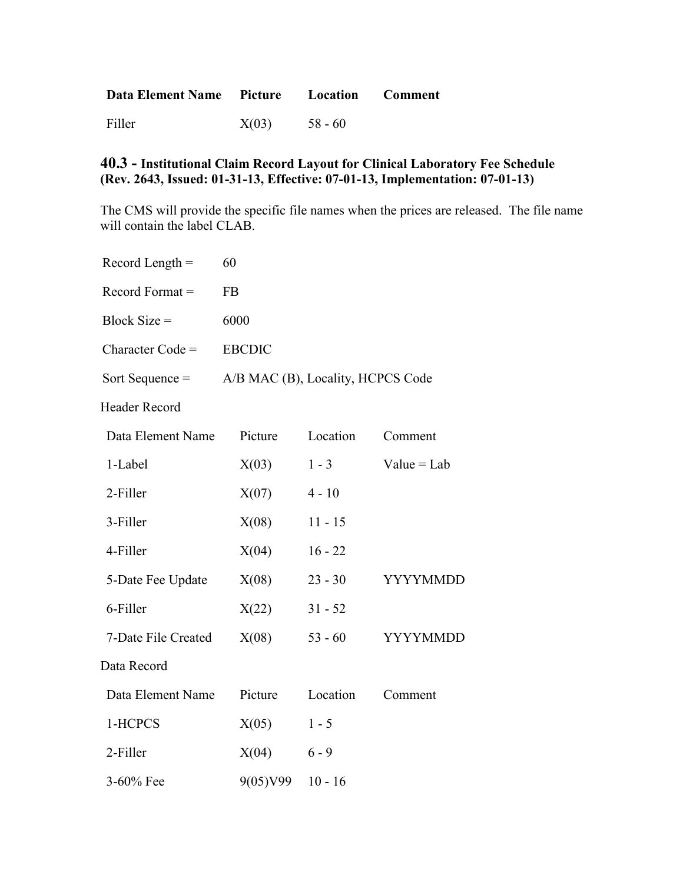| Data Element Name Picture Location Comment |       |           |  |
|--------------------------------------------|-------|-----------|--|
| Filler                                     | X(03) | $58 - 60$ |  |

#### **40.3 - Institutional Claim Record Layout for Clinical Laboratory Fee Schedule (Rev. 2643, Issued: 01-31-13, Effective: 07-01-13, Implementation: 07-01-13)**

The CMS will provide the specific file names when the prices are released. The file name will contain the label CLAB.

| Record Length $=$  | 60                                |
|--------------------|-----------------------------------|
| Record Format $=$  | FB                                |
| $Block Size =$     | 6000                              |
| $Character Code =$ | <b>ERCDIC</b>                     |
| Sort Sequence $=$  | A/B MAC (B), Locality, HCPCS Code |
| Header Record      |                                   |

| Data Element Name   | Picture  | Location  | Comment         |
|---------------------|----------|-----------|-----------------|
| 1-Label             | X(03)    | $1 - 3$   | $Value = Lab$   |
| 2-Filler            | X(07)    | $4 - 10$  |                 |
| 3-Filler            | X(08)    | $11 - 15$ |                 |
| 4-Filler            | X(04)    | $16 - 22$ |                 |
| 5-Date Fee Update   | X(08)    | $23 - 30$ | <b>YYYYMMDD</b> |
| 6-Filler            | X(22)    | $31 - 52$ |                 |
| 7-Date File Created | X(08)    | $53 - 60$ | <b>YYYYMMDD</b> |
| Data Record         |          |           |                 |
| Data Element Name   | Picture  | Location  | Comment         |
| 1-HCPCS             | X(05)    | $1 - 5$   |                 |
| 2-Filler            | X(04)    | $6 - 9$   |                 |
| 3-60% Fee           | 9(05)V99 | $10 - 16$ |                 |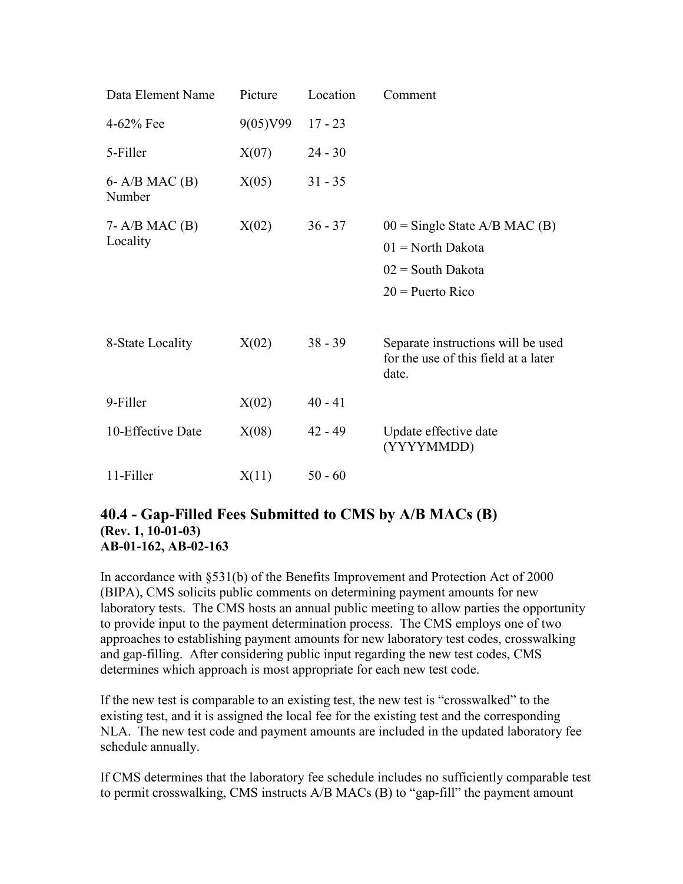| Data Element Name               | Picture  | Location  | Comment                                                                                             |
|---------------------------------|----------|-----------|-----------------------------------------------------------------------------------------------------|
| 4-62% Fee                       | 9(05)V99 | $17 - 23$ |                                                                                                     |
| 5-Filler                        | X(07)    | $24 - 30$ |                                                                                                     |
| $6 - A/B$ MAC $(B)$<br>Number   | X(05)    | $31 - 35$ |                                                                                                     |
| $7 - A/B$ MAC $(B)$<br>Locality | X(02)    | $36 - 37$ | $00 =$ Single State A/B MAC (B)<br>$01 = North Dakota$<br>$02 =$ South Dakota<br>$20$ = Puerto Rico |
| 8-State Locality                | X(02)    | $38 - 39$ | Separate instructions will be used<br>for the use of this field at a later<br>date.                 |
| 9-Filler                        | X(02)    | $40 - 41$ |                                                                                                     |
| 10-Effective Date               | X(08)    | $42 - 49$ | Update effective date<br>(YYYYMMDD)                                                                 |
| 11-Filler                       | X(11)    | $50 - 60$ |                                                                                                     |

#### **40.4 - Gap-Filled Fees Submitted to CMS by A/B MACs (B) (Rev. 1, 10-01-03) AB-01-162, AB-02-163**

In accordance with §531(b) of the Benefits Improvement and Protection Act of 2000 (BIPA), CMS solicits public comments on determining payment amounts for new laboratory tests. The CMS hosts an annual public meeting to allow parties the opportunity to provide input to the payment determination process. The CMS employs one of two approaches to establishing payment amounts for new laboratory test codes, crosswalking and gap-filling. After considering public input regarding the new test codes, CMS determines which approach is most appropriate for each new test code.

If the new test is comparable to an existing test, the new test is "crosswalked" to the existing test, and it is assigned the local fee for the existing test and the corresponding NLA. The new test code and payment amounts are included in the updated laboratory fee schedule annually.

If CMS determines that the laboratory fee schedule includes no sufficiently comparable test to permit crosswalking, CMS instructs A/B MACs (B) to "gap-fill" the payment amount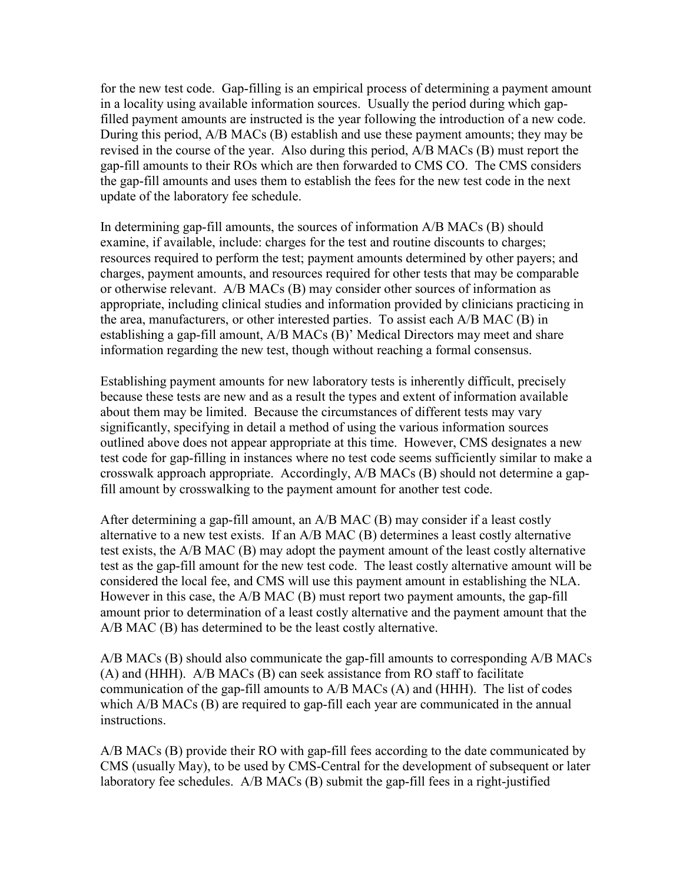for the new test code. Gap-filling is an empirical process of determining a payment amount in a locality using available information sources. Usually the period during which gapfilled payment amounts are instructed is the year following the introduction of a new code. During this period, A/B MACs (B) establish and use these payment amounts; they may be revised in the course of the year. Also during this period, A/B MACs (B) must report the gap-fill amounts to their ROs which are then forwarded to CMS CO. The CMS considers the gap-fill amounts and uses them to establish the fees for the new test code in the next update of the laboratory fee schedule.

In determining gap-fill amounts, the sources of information A/B MACs (B) should examine, if available, include: charges for the test and routine discounts to charges; resources required to perform the test; payment amounts determined by other payers; and charges, payment amounts, and resources required for other tests that may be comparable or otherwise relevant. A/B MACs (B) may consider other sources of information as appropriate, including clinical studies and information provided by clinicians practicing in the area, manufacturers, or other interested parties. To assist each A/B MAC (B) in establishing a gap-fill amount, A/B MACs (B)' Medical Directors may meet and share information regarding the new test, though without reaching a formal consensus.

Establishing payment amounts for new laboratory tests is inherently difficult, precisely because these tests are new and as a result the types and extent of information available about them may be limited. Because the circumstances of different tests may vary significantly, specifying in detail a method of using the various information sources outlined above does not appear appropriate at this time. However, CMS designates a new test code for gap-filling in instances where no test code seems sufficiently similar to make a crosswalk approach appropriate. Accordingly, A/B MACs (B) should not determine a gapfill amount by crosswalking to the payment amount for another test code.

After determining a gap-fill amount, an A/B MAC (B) may consider if a least costly alternative to a new test exists. If an A/B MAC (B) determines a least costly alternative test exists, the A/B MAC (B) may adopt the payment amount of the least costly alternative test as the gap-fill amount for the new test code. The least costly alternative amount will be considered the local fee, and CMS will use this payment amount in establishing the NLA. However in this case, the A/B MAC (B) must report two payment amounts, the gap-fill amount prior to determination of a least costly alternative and the payment amount that the A/B MAC (B) has determined to be the least costly alternative.

A/B MACs (B) should also communicate the gap-fill amounts to corresponding A/B MACs (A) and (HHH). A/B MACs (B) can seek assistance from RO staff to facilitate communication of the gap-fill amounts to A/B MACs (A) and (HHH). The list of codes which A/B MACs (B) are required to gap-fill each year are communicated in the annual instructions.

A/B MACs (B) provide their RO with gap-fill fees according to the date communicated by CMS (usually May), to be used by CMS-Central for the development of subsequent or later laboratory fee schedules. A/B MACs (B) submit the gap-fill fees in a right-justified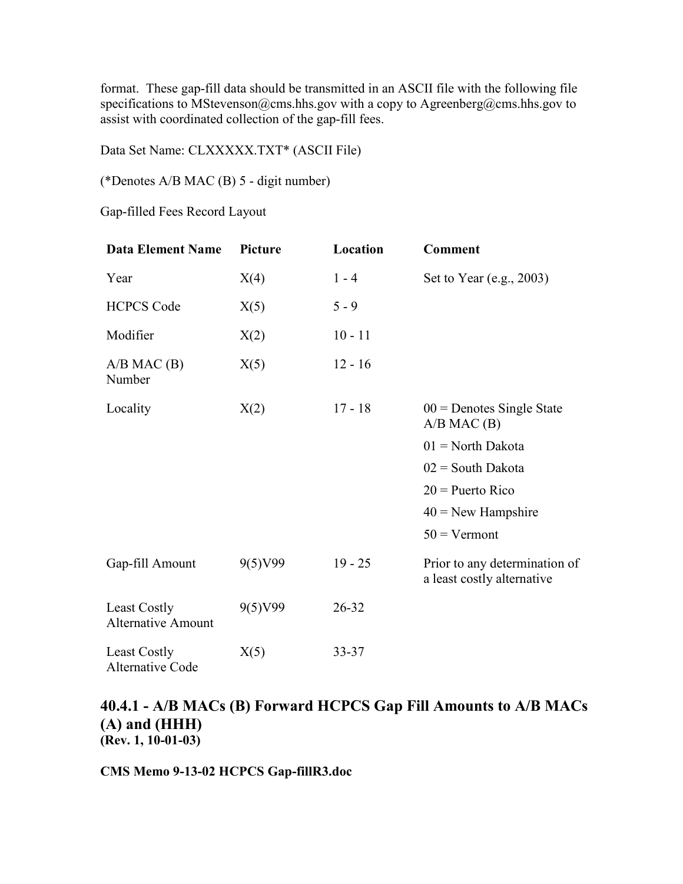format. These gap-fill data should be transmitted in an ASCII file with the following file specifications to MStevenson@cms.hhs.gov with a copy to Agreenberg@cms.hhs.gov to assist with coordinated collection of the gap-fill fees.

Data Set Name: CLXXXXX.TXT\* (ASCII File)

(\*Denotes A/B MAC (B) 5 - digit number)

Gap-filled Fees Record Layout

| <b>Data Element Name</b>                  | Picture | Location  | <b>Comment</b>                                              |
|-------------------------------------------|---------|-----------|-------------------------------------------------------------|
| Year                                      | X(4)    | $1 - 4$   | Set to Year (e.g., $2003$ )                                 |
| <b>HCPCS Code</b>                         | X(5)    | $5 - 9$   |                                                             |
| Modifier                                  | X(2)    | $10 - 11$ |                                                             |
| $A/B$ MAC $(B)$<br>Number                 | X(5)    | $12 - 16$ |                                                             |
| Locality                                  | X(2)    | $17 - 18$ | $00 =$ Denotes Single State<br>$A/B$ MAC $(B)$              |
|                                           |         |           | $01 =$ North Dakota                                         |
|                                           |         |           | $02 =$ South Dakota                                         |
|                                           |         |           | $20$ = Puerto Rico                                          |
|                                           |         |           | $40$ = New Hampshire                                        |
|                                           |         |           | $50$ = Vermont                                              |
| Gap-fill Amount                           | 9(5)V99 | $19 - 25$ | Prior to any determination of<br>a least costly alternative |
| Least Costly<br><b>Alternative Amount</b> | 9(5)V99 | $26 - 32$ |                                                             |
| Least Costly<br>Alternative Code          | X(5)    | 33-37     |                                                             |

#### **40.4.1 - A/B MACs (B) Forward HCPCS Gap Fill Amounts to A/B MACs (A) and (HHH) (Rev. 1, 10-01-03)**

**CMS Memo 9-13-02 HCPCS Gap-fillR3.doc**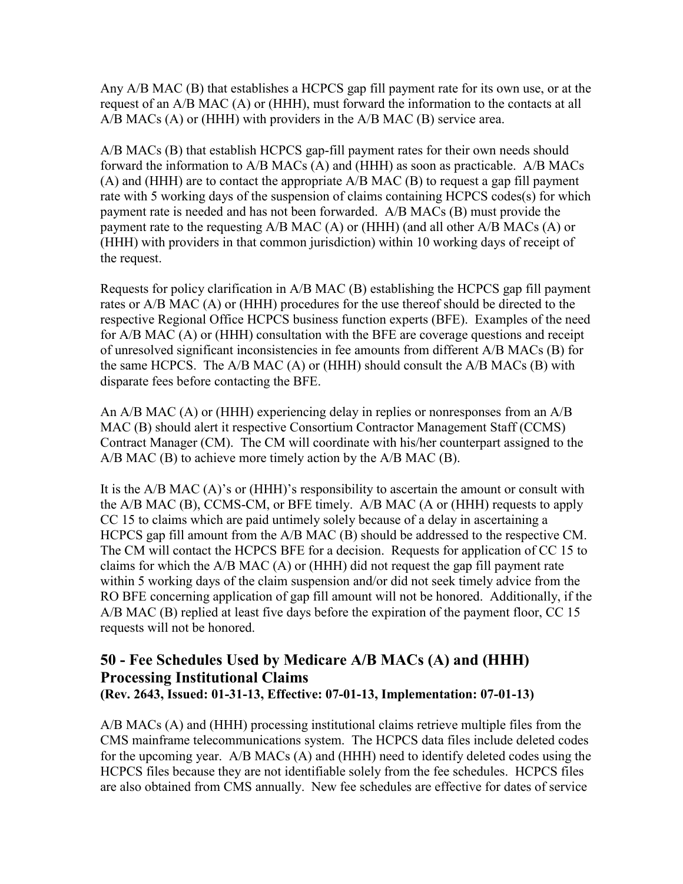Any A/B MAC (B) that establishes a HCPCS gap fill payment rate for its own use, or at the request of an A/B MAC (A) or (HHH), must forward the information to the contacts at all A/B MACs (A) or (HHH) with providers in the A/B MAC (B) service area.

A/B MACs (B) that establish HCPCS gap-fill payment rates for their own needs should forward the information to A/B MACs (A) and (HHH) as soon as practicable. A/B MACs (A) and (HHH) are to contact the appropriate A/B MAC (B) to request a gap fill payment rate with 5 working days of the suspension of claims containing HCPCS codes(s) for which payment rate is needed and has not been forwarded. A/B MACs (B) must provide the payment rate to the requesting  $A/B$  MAC (A) or (HHH) (and all other  $A/B$  MACs (A) or (HHH) with providers in that common jurisdiction) within 10 working days of receipt of the request.

Requests for policy clarification in A/B MAC (B) establishing the HCPCS gap fill payment rates or A/B MAC (A) or (HHH) procedures for the use thereof should be directed to the respective Regional Office HCPCS business function experts (BFE). Examples of the need for A/B MAC (A) or (HHH) consultation with the BFE are coverage questions and receipt of unresolved significant inconsistencies in fee amounts from different A/B MACs (B) for the same HCPCS. The A/B MAC (A) or (HHH) should consult the A/B MACs (B) with disparate fees before contacting the BFE.

An A/B MAC (A) or (HHH) experiencing delay in replies or nonresponses from an A/B MAC (B) should alert it respective Consortium Contractor Management Staff (CCMS) Contract Manager (CM). The CM will coordinate with his/her counterpart assigned to the A/B MAC (B) to achieve more timely action by the A/B MAC (B).

It is the A/B MAC (A)'s or (HHH)'s responsibility to ascertain the amount or consult with the A/B MAC (B), CCMS-CM, or BFE timely. A/B MAC (A or (HHH) requests to apply CC 15 to claims which are paid untimely solely because of a delay in ascertaining a HCPCS gap fill amount from the A/B MAC (B) should be addressed to the respective CM. The CM will contact the HCPCS BFE for a decision. Requests for application of CC 15 to claims for which the A/B MAC (A) or (HHH) did not request the gap fill payment rate within 5 working days of the claim suspension and/or did not seek timely advice from the RO BFE concerning application of gap fill amount will not be honored. Additionally, if the A/B MAC (B) replied at least five days before the expiration of the payment floor, CC 15 requests will not be honored.

## **50 - Fee Schedules Used by Medicare A/B MACs (A) and (HHH) Processing Institutional Claims (Rev. 2643, Issued: 01-31-13, Effective: 07-01-13, Implementation: 07-01-13)**

A/B MACs (A) and (HHH) processing institutional claims retrieve multiple files from the CMS mainframe telecommunications system. The HCPCS data files include deleted codes for the upcoming year. A/B MACs (A) and (HHH) need to identify deleted codes using the HCPCS files because they are not identifiable solely from the fee schedules. HCPCS files are also obtained from CMS annually. New fee schedules are effective for dates of service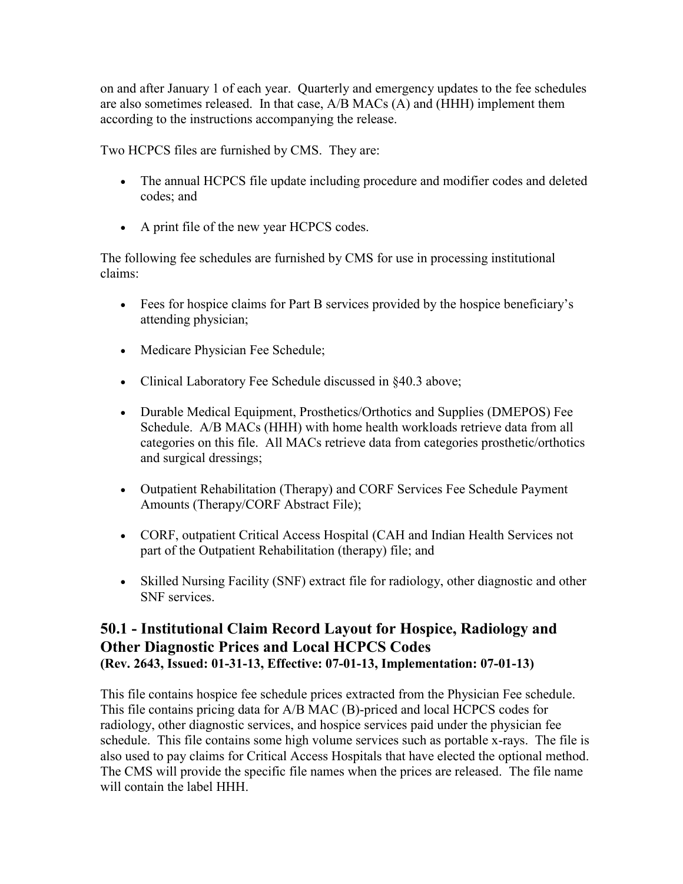on and after January 1 of each year. Quarterly and emergency updates to the fee schedules are also sometimes released. In that case, A/B MACs (A) and (HHH) implement them according to the instructions accompanying the release.

Two HCPCS files are furnished by CMS. They are:

- The annual HCPCS file update including procedure and modifier codes and deleted codes; and
- A print file of the new year HCPCS codes.

The following fee schedules are furnished by CMS for use in processing institutional claims:

- Fees for hospice claims for Part B services provided by the hospice beneficiary's attending physician;
- Medicare Physician Fee Schedule;
- Clinical Laboratory Fee Schedule discussed in §40.3 above;
- Durable Medical Equipment, Prosthetics/Orthotics and Supplies (DMEPOS) Fee Schedule. A/B MACs (HHH) with home health workloads retrieve data from all categories on this file. All MACs retrieve data from categories prosthetic/orthotics and surgical dressings;
- Outpatient Rehabilitation (Therapy) and CORF Services Fee Schedule Payment Amounts (Therapy/CORF Abstract File);
- CORF, outpatient Critical Access Hospital (CAH and Indian Health Services not part of the Outpatient Rehabilitation (therapy) file; and
- Skilled Nursing Facility (SNF) extract file for radiology, other diagnostic and other SNF services.

## **50.1 - Institutional Claim Record Layout for Hospice, Radiology and Other Diagnostic Prices and Local HCPCS Codes (Rev. 2643, Issued: 01-31-13, Effective: 07-01-13, Implementation: 07-01-13)**

This file contains hospice fee schedule prices extracted from the Physician Fee schedule. This file contains pricing data for A/B MAC (B)-priced and local HCPCS codes for radiology, other diagnostic services, and hospice services paid under the physician fee schedule. This file contains some high volume services such as portable x-rays. The file is also used to pay claims for Critical Access Hospitals that have elected the optional method. The CMS will provide the specific file names when the prices are released. The file name will contain the label HHH.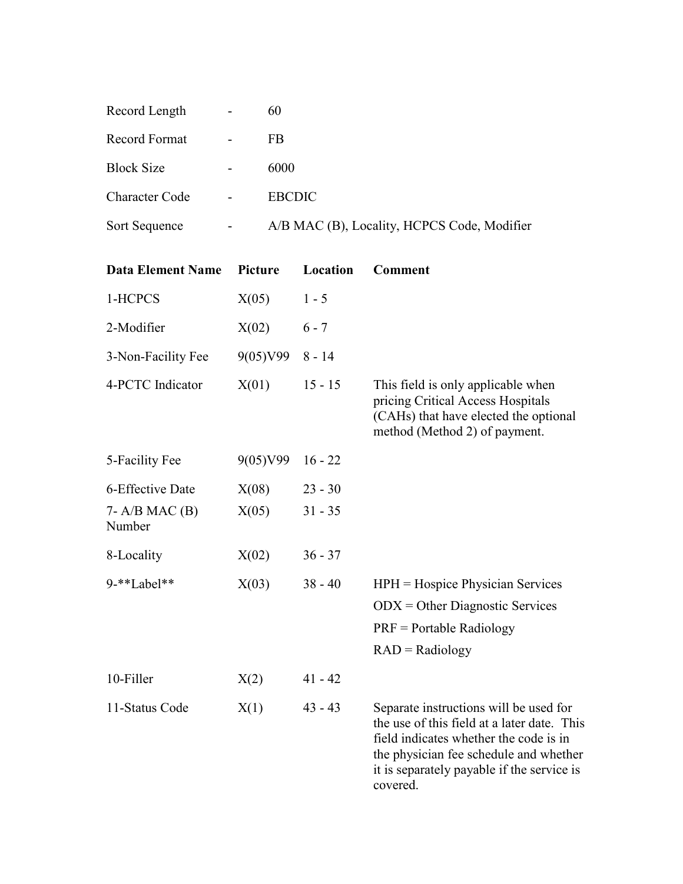| Record Length         | $\overline{\phantom{a}}$ | 60                                          |
|-----------------------|--------------------------|---------------------------------------------|
| Record Format         | $\overline{\phantom{a}}$ | FB                                          |
| <b>Block Size</b>     |                          | 6000                                        |
| <b>Character Code</b> | $\blacksquare$           | <b>EBCDIC</b>                               |
| Sort Sequence         |                          | A/B MAC (B), Locality, HCPCS Code, Modifier |

| <b>Data Element Name</b>      | Picture  | Location  | <b>Comment</b>                                                                                                                                                                                                                      |
|-------------------------------|----------|-----------|-------------------------------------------------------------------------------------------------------------------------------------------------------------------------------------------------------------------------------------|
| 1-HCPCS                       | X(05)    | $1 - 5$   |                                                                                                                                                                                                                                     |
| 2-Modifier                    | X(02)    | $6 - 7$   |                                                                                                                                                                                                                                     |
| 3-Non-Facility Fee            | 9(05)V99 | $8 - 14$  |                                                                                                                                                                                                                                     |
| 4-PCTC Indicator              | X(01)    | $15 - 15$ | This field is only applicable when<br>pricing Critical Access Hospitals<br>(CAHs) that have elected the optional<br>method (Method 2) of payment.                                                                                   |
| 5-Facility Fee                | 9(05)V99 | $16 - 22$ |                                                                                                                                                                                                                                     |
| 6-Effective Date              | X(08)    | $23 - 30$ |                                                                                                                                                                                                                                     |
| $7 - A/B$ MAC $(B)$<br>Number | X(05)    | $31 - 35$ |                                                                                                                                                                                                                                     |
| 8-Locality                    | X(02)    | $36 - 37$ |                                                                                                                                                                                                                                     |
| 9-**Label**                   | X(03)    | $38 - 40$ | $HPH = Hospice Physicali$ Services<br>$ODX = Other Diagnostic Services$<br>$PRF =$ Portable Radiology<br>$RAD = Radiology$                                                                                                          |
| 10-Filler                     | X(2)     | $41 - 42$ |                                                                                                                                                                                                                                     |
| 11-Status Code                | X(1)     | $43 - 43$ | Separate instructions will be used for<br>the use of this field at a later date. This<br>field indicates whether the code is in<br>the physician fee schedule and whether<br>it is separately payable if the service is<br>covered. |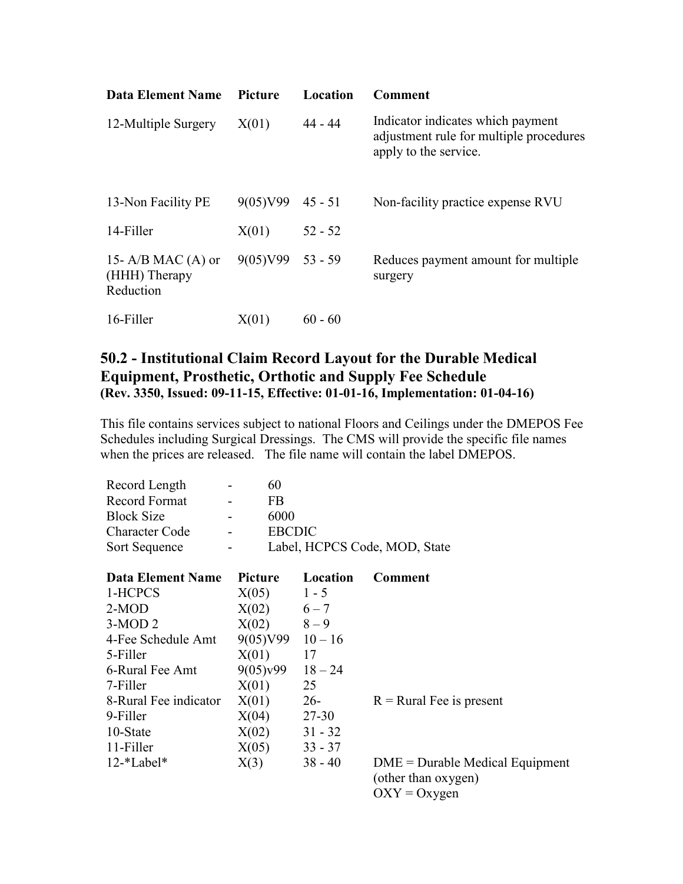| <b>Data Element Name</b>                         | Picture            | Location  | Comment                                                                                               |
|--------------------------------------------------|--------------------|-----------|-------------------------------------------------------------------------------------------------------|
| 12-Multiple Surgery                              | X(01)              | 44 - 44   | Indicator indicates which payment<br>adjustment rule for multiple procedures<br>apply to the service. |
| 13-Non Facility PE                               | 9(05)V99           | 45 - 51   | Non-facility practice expense RVU                                                                     |
| 14-Filler                                        | X(01)              | $52 - 52$ |                                                                                                       |
| 15- A/B MAC (A) or<br>(HHH) Therapy<br>Reduction | $9(05)V99$ 53 - 59 |           | Reduces payment amount for multiple<br>surgery                                                        |
| 16-Filler                                        | X(01)              | $60 - 60$ |                                                                                                       |

### **50.2 - Institutional Claim Record Layout for the Durable Medical Equipment, Prosthetic, Orthotic and Supply Fee Schedule (Rev. 3350, Issued: 09-11-15, Effective: 01-01-16, Implementation: 01-04-16)**

This file contains services subject to national Floors and Ceilings under the DMEPOS Fee Schedules including Surgical Dressings. The CMS will provide the specific file names when the prices are released. The file name will contain the label DMEPOS.

| Record Length                        | 60            |           |                                                          |
|--------------------------------------|---------------|-----------|----------------------------------------------------------|
| Record Format                        | <b>FB</b>     |           |                                                          |
| <b>Block Size</b>                    | 6000          |           |                                                          |
| <b>Character Code</b>                | <b>EBCDIC</b> |           |                                                          |
| Sort Sequence                        |               |           | Label, HCPCS Code, MOD, State                            |
|                                      |               |           |                                                          |
| <b>Data Element Name</b>             | Picture       | Location  | <b>Comment</b>                                           |
| 1-HCPCS                              | X(05)         | $1 - 5$   |                                                          |
| $2-MOD$                              | X(02)         | $6 - 7$   |                                                          |
| $3-MOD2$                             | X(02)         | $8 - 9$   |                                                          |
| 4-Fee Schedule Amt                   | 9(05)V99      | $10 - 16$ |                                                          |
| 5-Filler                             | X(01)         | 17        |                                                          |
| 6-Rural Fee Amt                      | 9(05)y99      | $18 - 24$ |                                                          |
| 7-Filler                             | X(01)         | 25        |                                                          |
| 8-Rural Fee indicator                | X(01)         | $26-$     | $R =$ Rural Fee is present                               |
| 9-Filler                             | X(04)         | 27-30     |                                                          |
| 10-State                             | X(02)         | $31 - 32$ |                                                          |
| 11-Filler                            | X(05)         | $33 - 37$ |                                                          |
| $12$ <sup>*</sup> Label <sup>*</sup> | X(3)          | $38 - 40$ | $DME = Durable Medical Equipment$<br>(other than oxygen) |

 $OXY = Oxygen$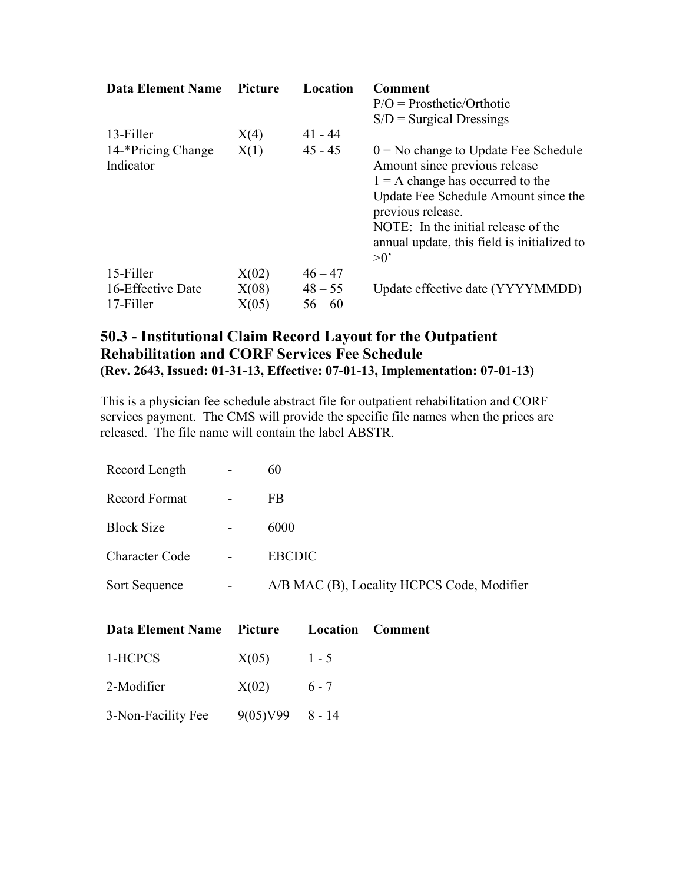| <b>Data Element Name</b> | <b>Picture</b> | Location  | <b>Comment</b>                              |
|--------------------------|----------------|-----------|---------------------------------------------|
|                          |                |           | $P/O = Prosthetic/Orthotic$                 |
|                          |                |           | $S/D =$ Surgical Dressings                  |
| 13-Filler                | X(4)           | 41 - 44   |                                             |
| 14-*Pricing Change       | X(1)           | $45 - 45$ | $0 = No$ change to Update Fee Schedule      |
| Indicator                |                |           | Amount since previous release               |
|                          |                |           | $1 = A$ change has occurred to the          |
|                          |                |           | Update Fee Schedule Amount since the        |
|                          |                |           | previous release.                           |
|                          |                |           | NOTE: In the initial release of the         |
|                          |                |           | annual update, this field is initialized to |
|                          |                |           | $>0$ '                                      |
| 15-Filler                | X(02)          | $46 - 47$ |                                             |
| 16-Effective Date        | X(08)          | $48 - 55$ | Update effective date (YYYYMMDD)            |
| 17-Filler                | X(05)          | $56 - 60$ |                                             |

### **50.3 - Institutional Claim Record Layout for the Outpatient Rehabilitation and CORF Services Fee Schedule (Rev. 2643, Issued: 01-31-13, Effective: 07-01-13, Implementation: 07-01-13)**

This is a physician fee schedule abstract file for outpatient rehabilitation and CORF services payment. The CMS will provide the specific file names when the prices are released. The file name will contain the label ABSTR.

| Record Length         |   | 60                                         |
|-----------------------|---|--------------------------------------------|
| <b>Record Format</b>  |   | FB                                         |
| <b>Block Size</b>     |   | 6000                                       |
| <b>Character Code</b> |   | <b>EBCDIC</b>                              |
| Sort Sequence         | - | A/B MAC (B), Locality HCPCS Code, Modifier |

| Data Element Name Picture Location Comment |               |  |
|--------------------------------------------|---------------|--|
| 1-HCPCS                                    | $X(05)$ 1 - 5 |  |
| 2-Modifier                                 | $X(02)$ 6 - 7 |  |
| 3-Non-Facility Fee $9(05)V99$ 8 - 14       |               |  |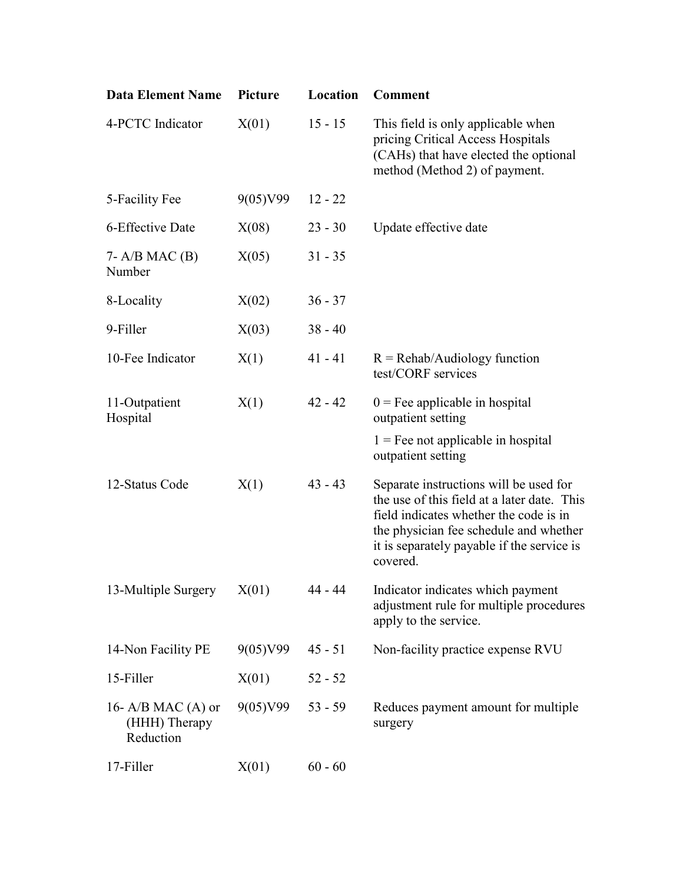| <b>Data Element Name</b>                           | <b>Picture</b> | Location  | <b>Comment</b>                                                                                                                                                                                                                      |
|----------------------------------------------------|----------------|-----------|-------------------------------------------------------------------------------------------------------------------------------------------------------------------------------------------------------------------------------------|
| 4-PCTC Indicator                                   | X(01)          | $15 - 15$ | This field is only applicable when<br>pricing Critical Access Hospitals<br>(CAHs) that have elected the optional<br>method (Method 2) of payment.                                                                                   |
| 5-Facility Fee                                     | 9(05)V99       | $12 - 22$ |                                                                                                                                                                                                                                     |
| 6-Effective Date                                   | X(08)          | $23 - 30$ | Update effective date                                                                                                                                                                                                               |
| $7 - A/B$ MAC $(B)$<br>Number                      | X(05)          | $31 - 35$ |                                                                                                                                                                                                                                     |
| 8-Locality                                         | X(02)          | $36 - 37$ |                                                                                                                                                                                                                                     |
| 9-Filler                                           | X(03)          | $38 - 40$ |                                                                                                                                                                                                                                     |
| 10-Fee Indicator                                   | X(1)           | $41 - 41$ | $R = Rehab/Audiology function$<br>test/CORF services                                                                                                                                                                                |
| 11-Outpatient<br>Hospital                          | X(1)           | $42 - 42$ | $0 =$ Fee applicable in hospital<br>outpatient setting                                                                                                                                                                              |
|                                                    |                |           | $1 =$ Fee not applicable in hospital<br>outpatient setting                                                                                                                                                                          |
| 12-Status Code                                     | X(1)           | $43 - 43$ | Separate instructions will be used for<br>the use of this field at a later date. This<br>field indicates whether the code is in<br>the physician fee schedule and whether<br>it is separately payable if the service is<br>covered. |
| 13-Multiple Surgery                                | X(01)          | 44 - 44   | Indicator indicates which payment<br>adjustment rule for multiple procedures<br>apply to the service.                                                                                                                               |
| 14-Non Facility PE                                 | 9(05)V99       | $45 - 51$ | Non-facility practice expense RVU                                                                                                                                                                                                   |
| 15-Filler                                          | X(01)          | $52 - 52$ |                                                                                                                                                                                                                                     |
| 16- $A/B$ MAC (A) or<br>(HHH) Therapy<br>Reduction | 9(05)V99       | $53 - 59$ | Reduces payment amount for multiple<br>surgery                                                                                                                                                                                      |
| 17-Filler                                          | X(01)          | $60 - 60$ |                                                                                                                                                                                                                                     |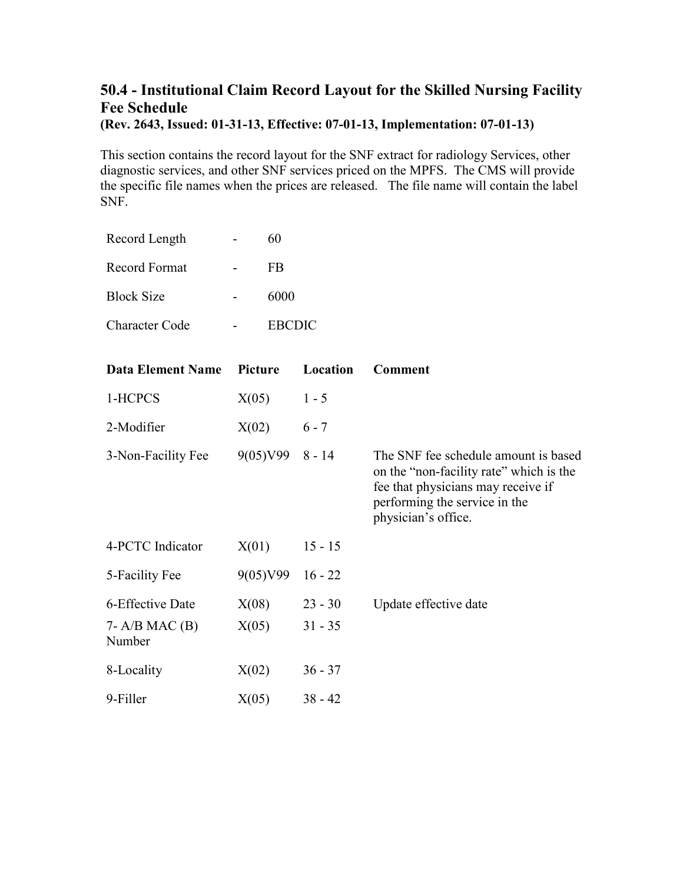# **50.4 - Institutional Claim Record Layout for the Skilled Nursing Facility Fee Schedule**

**(Rev. 2643, Issued: 01-31-13, Effective: 07-01-13, Implementation: 07-01-13)**

This section contains the record layout for the SNF extract for radiology Services, other diagnostic services, and other SNF services priced on the MPFS. The CMS will provide the specific file names when the prices are released. The file name will contain the label SNF.

| Record Length     | 60            |
|-------------------|---------------|
| Record Format     | FB            |
| <b>Block Size</b> | 6000          |
| Character Code    | <b>EBCDIC</b> |

| <b>Data Element Name</b>      | <b>Picture</b>   | Location  | <b>Comment</b>                                                                                                                                                                |
|-------------------------------|------------------|-----------|-------------------------------------------------------------------------------------------------------------------------------------------------------------------------------|
| 1-HCPCS                       | X(05)            | $1 - 5$   |                                                                                                                                                                               |
| 2-Modifier                    | X(02)            | $6 - 7$   |                                                                                                                                                                               |
| 3-Non-Facility Fee            | $9(05)V998 - 14$ |           | The SNF fee schedule amount is based<br>on the "non-facility rate" which is the<br>fee that physicians may receive if<br>performing the service in the<br>physician's office. |
| 4-PCTC Indicator              | X(01)            | $15 - 15$ |                                                                                                                                                                               |
| 5-Facility Fee                | 9(05)V99         | $16 - 22$ |                                                                                                                                                                               |
| 6-Effective Date              | X(08)            | $23 - 30$ | Update effective date                                                                                                                                                         |
| $7 - A/B$ MAC $(B)$<br>Number | X(05)            | $31 - 35$ |                                                                                                                                                                               |
| 8-Locality                    | X(02)            | $36 - 37$ |                                                                                                                                                                               |
| 9-Filler                      | X(05)            | $38 - 42$ |                                                                                                                                                                               |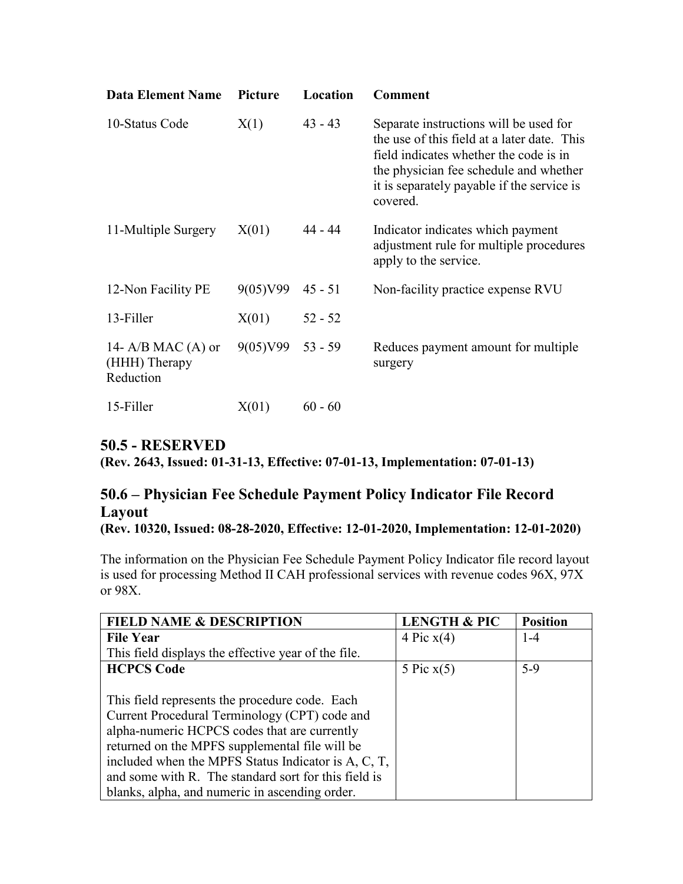| <b>Data Element Name</b>                           | <b>Picture</b> | Location  | <b>Comment</b>                                                                                                                                                                                                                      |
|----------------------------------------------------|----------------|-----------|-------------------------------------------------------------------------------------------------------------------------------------------------------------------------------------------------------------------------------------|
| 10-Status Code                                     | X(1)           | $43 - 43$ | Separate instructions will be used for<br>the use of this field at a later date. This<br>field indicates whether the code is in<br>the physician fee schedule and whether<br>it is separately payable if the service is<br>covered. |
| 11-Multiple Surgery                                | X(01)          | 44 - 44   | Indicator indicates which payment<br>adjustment rule for multiple procedures<br>apply to the service.                                                                                                                               |
| 12-Non Facility PE                                 | 9(05)V99       | $45 - 51$ | Non-facility practice expense RVU                                                                                                                                                                                                   |
| 13-Filler                                          | X(01)          | $52 - 52$ |                                                                                                                                                                                                                                     |
| 14- $A/B$ MAC (A) or<br>(HHH) Therapy<br>Reduction | 9(05)V99       | $53 - 59$ | Reduces payment amount for multiple<br>surgery                                                                                                                                                                                      |
| 15-Filler                                          | X(01)          | $60 - 60$ |                                                                                                                                                                                                                                     |

## **50.5 - RESERVED**

**(Rev. 2643, Issued: 01-31-13, Effective: 07-01-13, Implementation: 07-01-13)**

## **50.6 – Physician Fee Schedule Payment Policy Indicator File Record Layout**

**(Rev. 10320, Issued: 08-28-2020, Effective: 12-01-2020, Implementation: 12-01-2020)**

The information on the Physician Fee Schedule Payment Policy Indicator file record layout is used for processing Method II CAH professional services with revenue codes 96X, 97X or 98X.

| <b>FIELD NAME &amp; DESCRIPTION</b>                  | <b>LENGTH &amp; PIC</b> | <b>Position</b> |
|------------------------------------------------------|-------------------------|-----------------|
| <b>File Year</b>                                     | 4 Pic $x(4)$            | $1 - 4$         |
| This field displays the effective year of the file.  |                         |                 |
| <b>HCPCS Code</b>                                    | 5 Pic $x(5)$            | $5-9$           |
|                                                      |                         |                 |
| This field represents the procedure code. Each       |                         |                 |
| Current Procedural Terminology (CPT) code and        |                         |                 |
| alpha-numeric HCPCS codes that are currently         |                         |                 |
| returned on the MPFS supplemental file will be       |                         |                 |
| included when the MPFS Status Indicator is A, C, T,  |                         |                 |
| and some with R. The standard sort for this field is |                         |                 |
| blanks, alpha, and numeric in ascending order.       |                         |                 |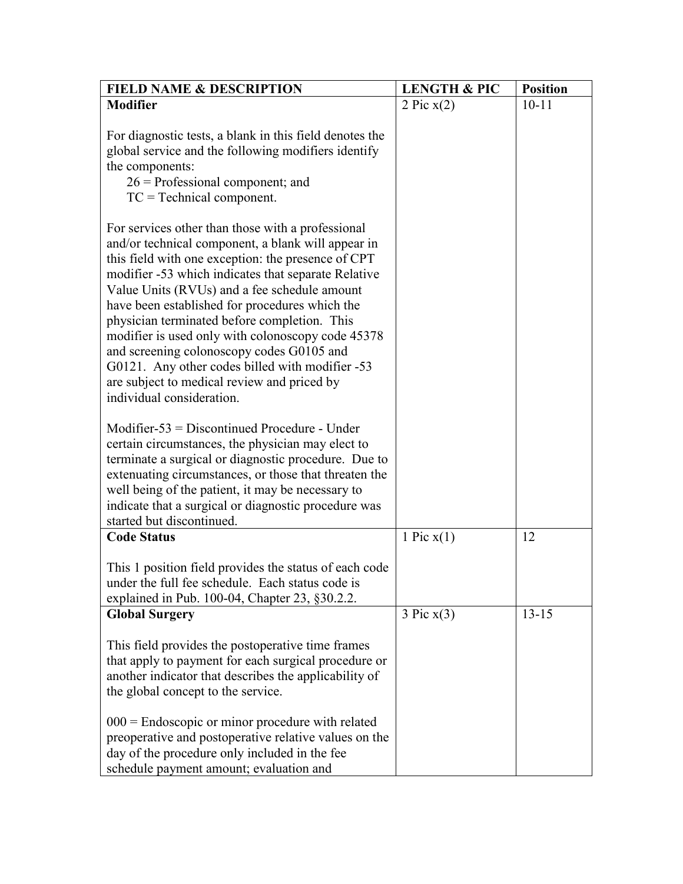| <b>FIELD NAME &amp; DESCRIPTION</b>                                                                                                                                                                                                                                                                                                                                                                                                                                                                                                                                                                     | <b>LENGTH &amp; PIC</b> | <b>Position</b> |
|---------------------------------------------------------------------------------------------------------------------------------------------------------------------------------------------------------------------------------------------------------------------------------------------------------------------------------------------------------------------------------------------------------------------------------------------------------------------------------------------------------------------------------------------------------------------------------------------------------|-------------------------|-----------------|
| <b>Modifier</b>                                                                                                                                                                                                                                                                                                                                                                                                                                                                                                                                                                                         | 2 Pic $x(2)$            | $10 - 11$       |
| For diagnostic tests, a blank in this field denotes the<br>global service and the following modifiers identify<br>the components:<br>$26$ = Professional component; and<br>$TC = Technical component.$                                                                                                                                                                                                                                                                                                                                                                                                  |                         |                 |
| For services other than those with a professional<br>and/or technical component, a blank will appear in<br>this field with one exception: the presence of CPT<br>modifier -53 which indicates that separate Relative<br>Value Units (RVUs) and a fee schedule amount<br>have been established for procedures which the<br>physician terminated before completion. This<br>modifier is used only with colonoscopy code 45378<br>and screening colonoscopy codes G0105 and<br>G0121. Any other codes billed with modifier -53<br>are subject to medical review and priced by<br>individual consideration. |                         |                 |
| Modifier- $53 =$ Discontinued Procedure - Under<br>certain circumstances, the physician may elect to<br>terminate a surgical or diagnostic procedure. Due to<br>extenuating circumstances, or those that threaten the<br>well being of the patient, it may be necessary to<br>indicate that a surgical or diagnostic procedure was<br>started but discontinued.                                                                                                                                                                                                                                         |                         |                 |
| <b>Code Status</b>                                                                                                                                                                                                                                                                                                                                                                                                                                                                                                                                                                                      | 1 Pic $x(1)$            | 12              |
| This 1 position field provides the status of each code<br>under the full fee schedule. Each status code is<br>explained in Pub. 100-04, Chapter 23, §30.2.2.                                                                                                                                                                                                                                                                                                                                                                                                                                            |                         |                 |
| <b>Global Surgery</b>                                                                                                                                                                                                                                                                                                                                                                                                                                                                                                                                                                                   | 3 Pic x(3)              | $13 - 15$       |
| This field provides the postoperative time frames<br>that apply to payment for each surgical procedure or<br>another indicator that describes the applicability of<br>the global concept to the service.                                                                                                                                                                                                                                                                                                                                                                                                |                         |                 |
| $000$ = Endoscopic or minor procedure with related<br>preoperative and postoperative relative values on the<br>day of the procedure only included in the fee<br>schedule payment amount; evaluation and                                                                                                                                                                                                                                                                                                                                                                                                 |                         |                 |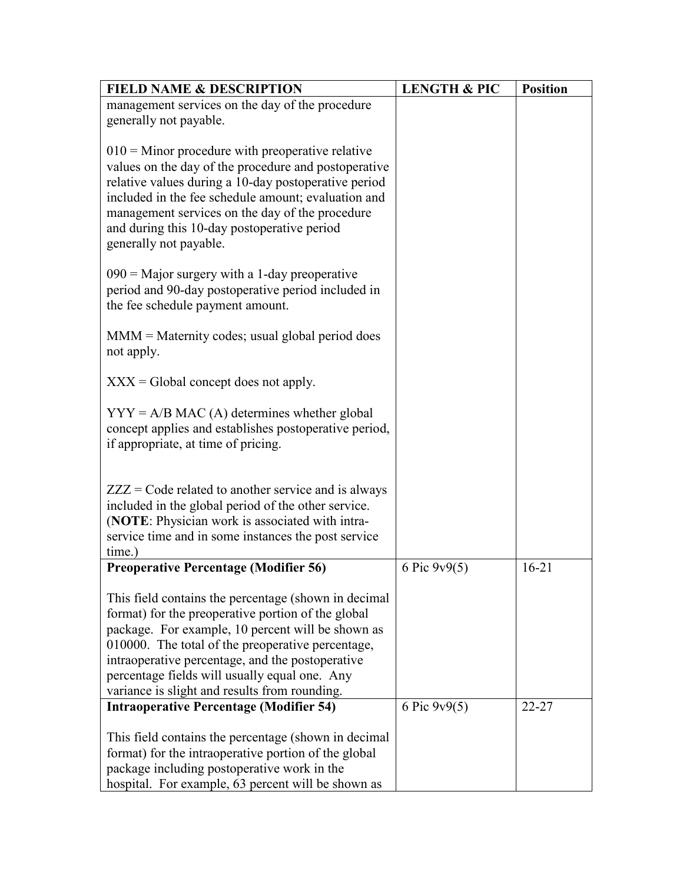| <b>FIELD NAME &amp; DESCRIPTION</b>                                                                                                                                                                                                                                                                                                                                        | <b>LENGTH &amp; PIC</b> | <b>Position</b> |
|----------------------------------------------------------------------------------------------------------------------------------------------------------------------------------------------------------------------------------------------------------------------------------------------------------------------------------------------------------------------------|-------------------------|-----------------|
| management services on the day of the procedure                                                                                                                                                                                                                                                                                                                            |                         |                 |
| generally not payable.                                                                                                                                                                                                                                                                                                                                                     |                         |                 |
| $010$ = Minor procedure with preoperative relative<br>values on the day of the procedure and postoperative<br>relative values during a 10-day postoperative period<br>included in the fee schedule amount; evaluation and<br>management services on the day of the procedure<br>and during this 10-day postoperative period<br>generally not payable.                      |                         |                 |
| $090$ = Major surgery with a 1-day preoperative<br>period and 90-day postoperative period included in<br>the fee schedule payment amount.                                                                                                                                                                                                                                  |                         |                 |
| $MMM = M^{*}$ atternity codes; usual global period does<br>not apply.                                                                                                                                                                                                                                                                                                      |                         |                 |
| $XXX = Global concept does not apply.$                                                                                                                                                                                                                                                                                                                                     |                         |                 |
| $YYY = A/B MAC (A) determines whether global$<br>concept applies and establishes postoperative period,<br>if appropriate, at time of pricing.                                                                                                                                                                                                                              |                         |                 |
| $ZZZ = \text{Code related to another service and is always}$<br>included in the global period of the other service.<br>(NOTE: Physician work is associated with intra-<br>service time and in some instances the post service<br>time.)                                                                                                                                    |                         |                 |
| <b>Preoperative Percentage (Modifier 56)</b>                                                                                                                                                                                                                                                                                                                               | 6 Pic $9v9(5)$          | $16 - 21$       |
| This field contains the percentage (shown in decimal<br>format) for the preoperative portion of the global<br>package. For example, 10 percent will be shown as<br>010000. The total of the preoperative percentage,<br>intraoperative percentage, and the postoperative<br>percentage fields will usually equal one. Any<br>variance is slight and results from rounding. |                         |                 |
| <b>Intraoperative Percentage (Modifier 54)</b>                                                                                                                                                                                                                                                                                                                             | 6 Pic $9v9(5)$          | $22 - 27$       |
| This field contains the percentage (shown in decimal<br>format) for the intraoperative portion of the global<br>package including postoperative work in the<br>hospital. For example, 63 percent will be shown as                                                                                                                                                          |                         |                 |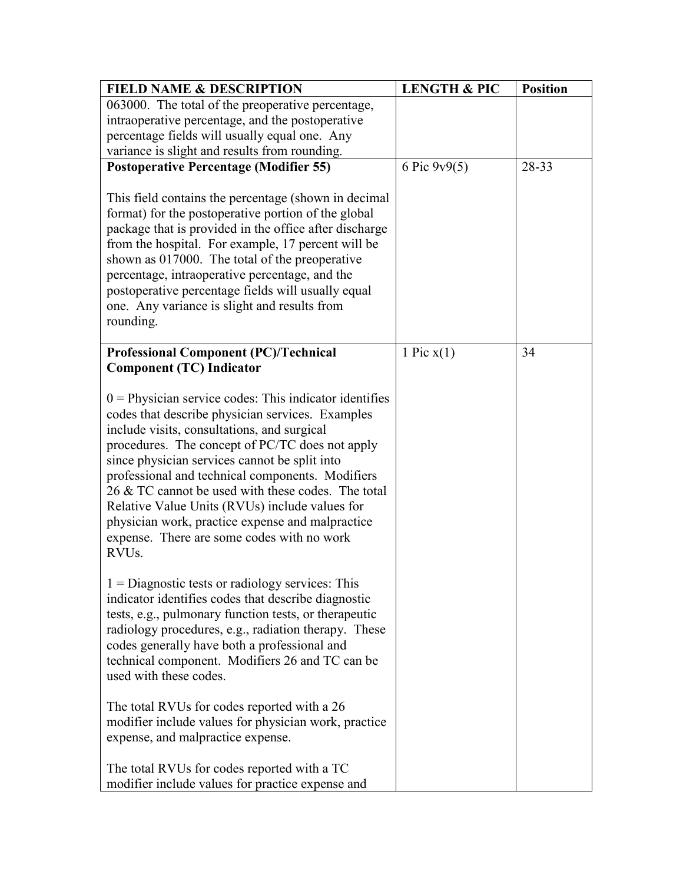| <b>FIELD NAME &amp; DESCRIPTION</b>                                                                                                                                                                                                                                                                                                                                                                                                                                                                                                                 | <b>LENGTH &amp; PIC</b> | <b>Position</b> |
|-----------------------------------------------------------------------------------------------------------------------------------------------------------------------------------------------------------------------------------------------------------------------------------------------------------------------------------------------------------------------------------------------------------------------------------------------------------------------------------------------------------------------------------------------------|-------------------------|-----------------|
| 063000. The total of the preoperative percentage,                                                                                                                                                                                                                                                                                                                                                                                                                                                                                                   |                         |                 |
| intraoperative percentage, and the postoperative                                                                                                                                                                                                                                                                                                                                                                                                                                                                                                    |                         |                 |
| percentage fields will usually equal one. Any                                                                                                                                                                                                                                                                                                                                                                                                                                                                                                       |                         |                 |
| variance is slight and results from rounding.                                                                                                                                                                                                                                                                                                                                                                                                                                                                                                       |                         |                 |
| <b>Postoperative Percentage (Modifier 55)</b>                                                                                                                                                                                                                                                                                                                                                                                                                                                                                                       | 6 Pic $9v9(5)$          | 28-33           |
| This field contains the percentage (shown in decimal<br>format) for the postoperative portion of the global<br>package that is provided in the office after discharge<br>from the hospital. For example, 17 percent will be<br>shown as 017000. The total of the preoperative<br>percentage, intraoperative percentage, and the<br>postoperative percentage fields will usually equal<br>one. Any variance is slight and results from<br>rounding.                                                                                                  |                         |                 |
| <b>Professional Component (PC)/Technical</b><br><b>Component (TC) Indicator</b>                                                                                                                                                                                                                                                                                                                                                                                                                                                                     | 1 Pic $x(1)$            | 34              |
| $0$ = Physician service codes: This indicator identifies<br>codes that describe physician services. Examples<br>include visits, consultations, and surgical<br>procedures. The concept of PC/TC does not apply<br>since physician services cannot be split into<br>professional and technical components. Modifiers<br>26 & TC cannot be used with these codes. The total<br>Relative Value Units (RVUs) include values for<br>physician work, practice expense and malpractice<br>expense. There are some codes with no work<br>RVU <sub>s</sub> . |                         |                 |
| $1 =$ Diagnostic tests or radiology services: This<br>indicator identifies codes that describe diagnostic<br>tests, e.g., pulmonary function tests, or therapeutic<br>radiology procedures, e.g., radiation therapy. These<br>codes generally have both a professional and<br>technical component. Modifiers 26 and TC can be<br>used with these codes.                                                                                                                                                                                             |                         |                 |
| The total RVUs for codes reported with a 26<br>modifier include values for physician work, practice<br>expense, and malpractice expense.                                                                                                                                                                                                                                                                                                                                                                                                            |                         |                 |
| The total RVUs for codes reported with a TC<br>modifier include values for practice expense and                                                                                                                                                                                                                                                                                                                                                                                                                                                     |                         |                 |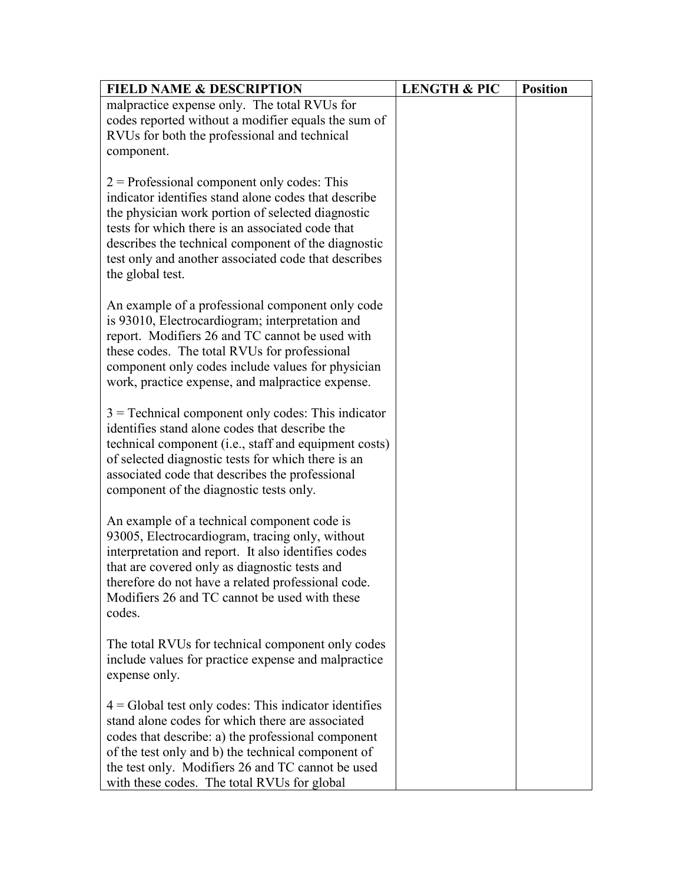| <b>FIELD NAME &amp; DESCRIPTION</b>                                                                                                                                                                                                                                                                                                               | <b>LENGTH &amp; PIC</b> | <b>Position</b> |
|---------------------------------------------------------------------------------------------------------------------------------------------------------------------------------------------------------------------------------------------------------------------------------------------------------------------------------------------------|-------------------------|-----------------|
| malpractice expense only. The total RVUs for                                                                                                                                                                                                                                                                                                      |                         |                 |
| codes reported without a modifier equals the sum of                                                                                                                                                                                                                                                                                               |                         |                 |
| RVUs for both the professional and technical                                                                                                                                                                                                                                                                                                      |                         |                 |
| component.                                                                                                                                                                                                                                                                                                                                        |                         |                 |
| $2$ = Professional component only codes: This<br>indicator identifies stand alone codes that describe<br>the physician work portion of selected diagnostic<br>tests for which there is an associated code that<br>describes the technical component of the diagnostic<br>test only and another associated code that describes<br>the global test. |                         |                 |
| An example of a professional component only code<br>is 93010, Electrocardiogram; interpretation and<br>report. Modifiers 26 and TC cannot be used with<br>these codes. The total RVUs for professional<br>component only codes include values for physician<br>work, practice expense, and malpractice expense.                                   |                         |                 |
| $3$ = Technical component only codes: This indicator<br>identifies stand alone codes that describe the<br>technical component (i.e., staff and equipment costs)<br>of selected diagnostic tests for which there is an<br>associated code that describes the professional<br>component of the diagnostic tests only.                               |                         |                 |
| An example of a technical component code is<br>93005, Electrocardiogram, tracing only, without<br>interpretation and report. It also identifies codes<br>that are covered only as diagnostic tests and<br>therefore do not have a related professional code.<br>Modifiers 26 and TC cannot be used with these<br>codes.                           |                         |                 |
| The total RVUs for technical component only codes<br>include values for practice expense and malpractice<br>expense only.                                                                                                                                                                                                                         |                         |                 |
| $4 =$ Global test only codes: This indicator identifies<br>stand alone codes for which there are associated<br>codes that describe: a) the professional component<br>of the test only and b) the technical component of<br>the test only. Modifiers 26 and TC cannot be used<br>with these codes. The total RVUs for global                       |                         |                 |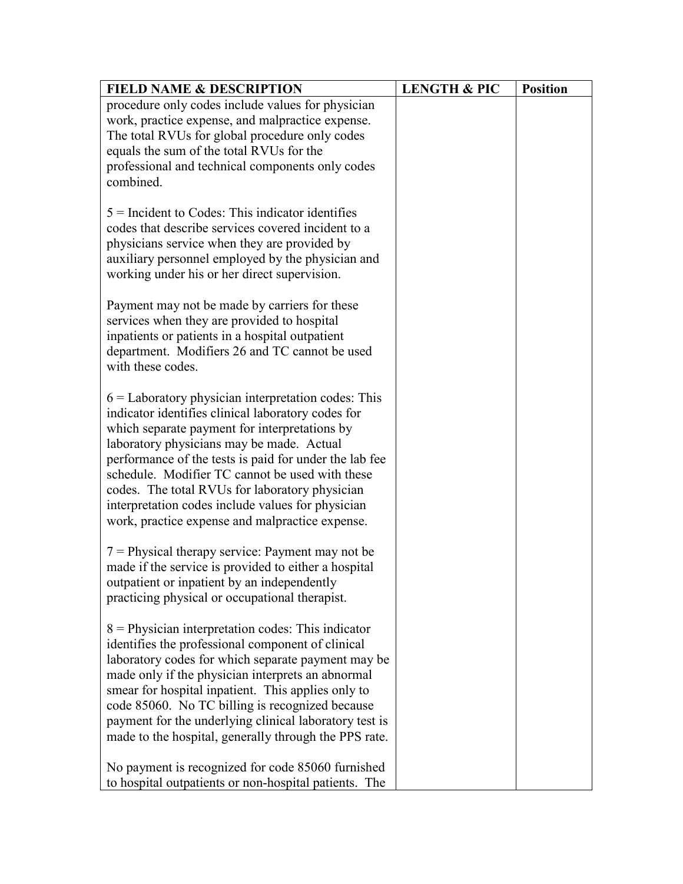| <b>FIELD NAME &amp; DESCRIPTION</b>                                                                       | <b>LENGTH &amp; PIC</b> | <b>Position</b> |
|-----------------------------------------------------------------------------------------------------------|-------------------------|-----------------|
| procedure only codes include values for physician                                                         |                         |                 |
| work, practice expense, and malpractice expense.                                                          |                         |                 |
| The total RVUs for global procedure only codes                                                            |                         |                 |
| equals the sum of the total RVUs for the                                                                  |                         |                 |
| professional and technical components only codes                                                          |                         |                 |
| combined.                                                                                                 |                         |                 |
| $5$ = Incident to Codes: This indicator identifies                                                        |                         |                 |
| codes that describe services covered incident to a                                                        |                         |                 |
| physicians service when they are provided by                                                              |                         |                 |
| auxiliary personnel employed by the physician and                                                         |                         |                 |
| working under his or her direct supervision.                                                              |                         |                 |
|                                                                                                           |                         |                 |
| Payment may not be made by carriers for these                                                             |                         |                 |
| services when they are provided to hospital                                                               |                         |                 |
| inpatients or patients in a hospital outpatient                                                           |                         |                 |
| department. Modifiers 26 and TC cannot be used                                                            |                         |                 |
| with these codes.                                                                                         |                         |                 |
|                                                                                                           |                         |                 |
| $6 =$ Laboratory physician interpretation codes: This                                                     |                         |                 |
| indicator identifies clinical laboratory codes for<br>which separate payment for interpretations by       |                         |                 |
| laboratory physicians may be made. Actual                                                                 |                         |                 |
| performance of the tests is paid for under the lab fee                                                    |                         |                 |
| schedule. Modifier TC cannot be used with these                                                           |                         |                 |
| codes. The total RVUs for laboratory physician                                                            |                         |                 |
| interpretation codes include values for physician                                                         |                         |                 |
| work, practice expense and malpractice expense.                                                           |                         |                 |
|                                                                                                           |                         |                 |
| $7$ = Physical therapy service: Payment may not be                                                        |                         |                 |
| made if the service is provided to either a hospital                                                      |                         |                 |
| outpatient or inpatient by an independently                                                               |                         |                 |
| practicing physical or occupational therapist.                                                            |                         |                 |
|                                                                                                           |                         |                 |
| $8$ = Physician interpretation codes: This indicator<br>identifies the professional component of clinical |                         |                 |
| laboratory codes for which separate payment may be                                                        |                         |                 |
| made only if the physician interprets an abnormal                                                         |                         |                 |
| smear for hospital inpatient. This applies only to                                                        |                         |                 |
| code 85060. No TC billing is recognized because                                                           |                         |                 |
| payment for the underlying clinical laboratory test is                                                    |                         |                 |
| made to the hospital, generally through the PPS rate.                                                     |                         |                 |
|                                                                                                           |                         |                 |
| No payment is recognized for code 85060 furnished                                                         |                         |                 |
| to hospital outpatients or non-hospital patients. The                                                     |                         |                 |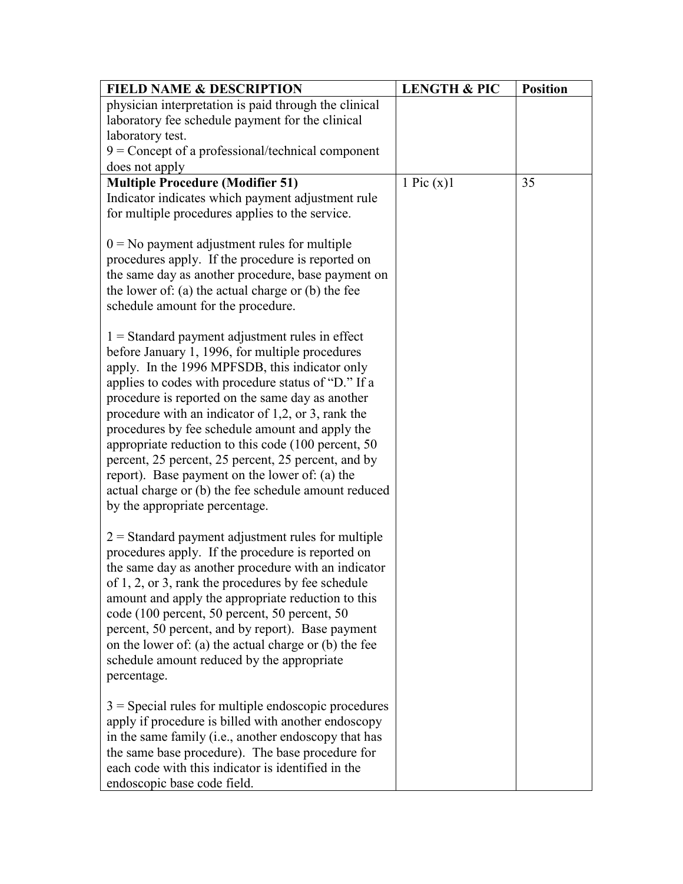| <b>FIELD NAME &amp; DESCRIPTION</b>                                                                                                                                                                                                                                                                                                                                                                                                                                                                                                                                                                                                     | <b>LENGTH &amp; PIC</b> | <b>Position</b> |
|-----------------------------------------------------------------------------------------------------------------------------------------------------------------------------------------------------------------------------------------------------------------------------------------------------------------------------------------------------------------------------------------------------------------------------------------------------------------------------------------------------------------------------------------------------------------------------------------------------------------------------------------|-------------------------|-----------------|
| physician interpretation is paid through the clinical                                                                                                                                                                                                                                                                                                                                                                                                                                                                                                                                                                                   |                         |                 |
| laboratory fee schedule payment for the clinical                                                                                                                                                                                                                                                                                                                                                                                                                                                                                                                                                                                        |                         |                 |
| laboratory test.                                                                                                                                                                                                                                                                                                                                                                                                                                                                                                                                                                                                                        |                         |                 |
| $9 =$ Concept of a professional/technical component                                                                                                                                                                                                                                                                                                                                                                                                                                                                                                                                                                                     |                         |                 |
| does not apply                                                                                                                                                                                                                                                                                                                                                                                                                                                                                                                                                                                                                          |                         |                 |
| <b>Multiple Procedure (Modifier 51)</b>                                                                                                                                                                                                                                                                                                                                                                                                                                                                                                                                                                                                 | 1 Pic $(x)$ 1           | 35              |
| Indicator indicates which payment adjustment rule                                                                                                                                                                                                                                                                                                                                                                                                                                                                                                                                                                                       |                         |                 |
| for multiple procedures applies to the service.                                                                                                                                                                                                                                                                                                                                                                                                                                                                                                                                                                                         |                         |                 |
| $0 = No$ payment adjustment rules for multiple<br>procedures apply. If the procedure is reported on<br>the same day as another procedure, base payment on<br>the lower of: $(a)$ the actual charge or $(b)$ the fee<br>schedule amount for the procedure.                                                                                                                                                                                                                                                                                                                                                                               |                         |                 |
| $1 =$ Standard payment adjustment rules in effect<br>before January 1, 1996, for multiple procedures<br>apply. In the 1996 MPFSDB, this indicator only<br>applies to codes with procedure status of "D." If a<br>procedure is reported on the same day as another<br>procedure with an indicator of $1,2$ , or 3, rank the<br>procedures by fee schedule amount and apply the<br>appropriate reduction to this code (100 percent, 50<br>percent, 25 percent, 25 percent, 25 percent, and by<br>report). Base payment on the lower of: (a) the<br>actual charge or (b) the fee schedule amount reduced<br>by the appropriate percentage. |                         |                 |
| $2$ = Standard payment adjustment rules for multiple<br>procedures apply. If the procedure is reported on<br>the same day as another procedure with an indicator<br>of 1, 2, or 3, rank the procedures by fee schedule<br>amount and apply the appropriate reduction to this<br>code (100 percent, 50 percent, 50 percent, 50<br>percent, 50 percent, and by report). Base payment<br>on the lower of: (a) the actual charge or (b) the fee<br>schedule amount reduced by the appropriate<br>percentage.                                                                                                                                |                         |                 |
| $3$ = Special rules for multiple endoscopic procedures<br>apply if procedure is billed with another endoscopy<br>in the same family (i.e., another endoscopy that has<br>the same base procedure). The base procedure for<br>each code with this indicator is identified in the<br>endoscopic base code field.                                                                                                                                                                                                                                                                                                                          |                         |                 |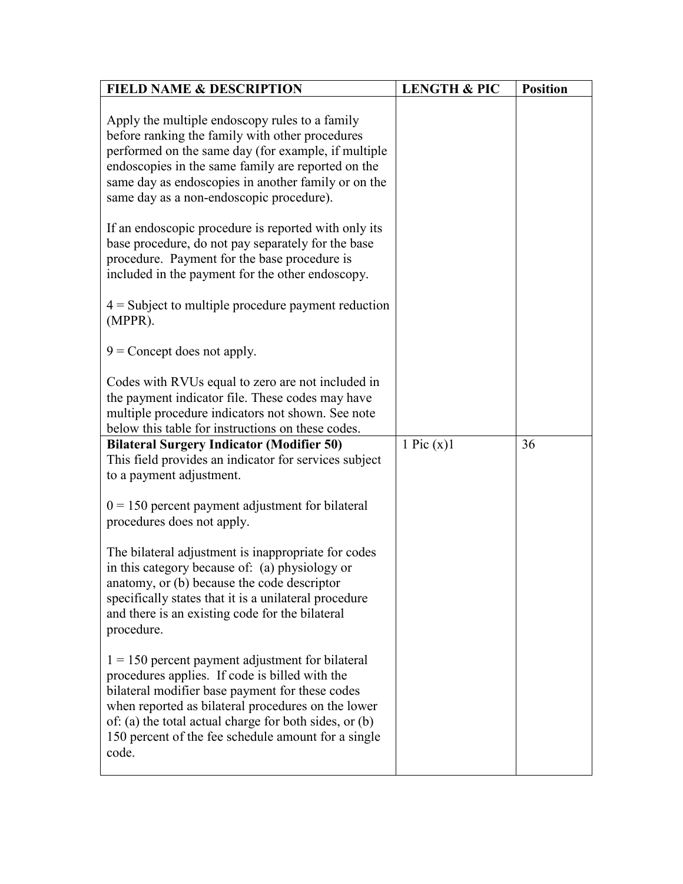| <b>FIELD NAME &amp; DESCRIPTION</b>                                                                                                                                                                                                                                                                                                     | <b>LENGTH &amp; PIC</b> | <b>Position</b> |
|-----------------------------------------------------------------------------------------------------------------------------------------------------------------------------------------------------------------------------------------------------------------------------------------------------------------------------------------|-------------------------|-----------------|
| Apply the multiple endoscopy rules to a family<br>before ranking the family with other procedures<br>performed on the same day (for example, if multiple<br>endoscopies in the same family are reported on the<br>same day as endoscopies in another family or on the<br>same day as a non-endoscopic procedure).                       |                         |                 |
| If an endoscopic procedure is reported with only its<br>base procedure, do not pay separately for the base<br>procedure. Payment for the base procedure is<br>included in the payment for the other endoscopy.                                                                                                                          |                         |                 |
| $4 =$ Subject to multiple procedure payment reduction<br>(MPPR).                                                                                                                                                                                                                                                                        |                         |                 |
| $9$ = Concept does not apply.                                                                                                                                                                                                                                                                                                           |                         |                 |
| Codes with RVUs equal to zero are not included in<br>the payment indicator file. These codes may have<br>multiple procedure indicators not shown. See note<br>below this table for instructions on these codes.                                                                                                                         |                         |                 |
| <b>Bilateral Surgery Indicator (Modifier 50)</b>                                                                                                                                                                                                                                                                                        | 1 Pic $(x)$ 1           | 36              |
| This field provides an indicator for services subject<br>to a payment adjustment.                                                                                                                                                                                                                                                       |                         |                 |
| $0 = 150$ percent payment adjustment for bilateral<br>procedures does not apply.                                                                                                                                                                                                                                                        |                         |                 |
| The bilateral adjustment is inappropriate for codes<br>in this category because of: (a) physiology or<br>anatomy, or (b) because the code descriptor<br>specifically states that it is a unilateral procedure<br>and there is an existing code for the bilateral<br>procedure.                                                          |                         |                 |
| $1 = 150$ percent payment adjustment for bilateral<br>procedures applies. If code is billed with the<br>bilateral modifier base payment for these codes<br>when reported as bilateral procedures on the lower<br>of: (a) the total actual charge for both sides, or (b)<br>150 percent of the fee schedule amount for a single<br>code. |                         |                 |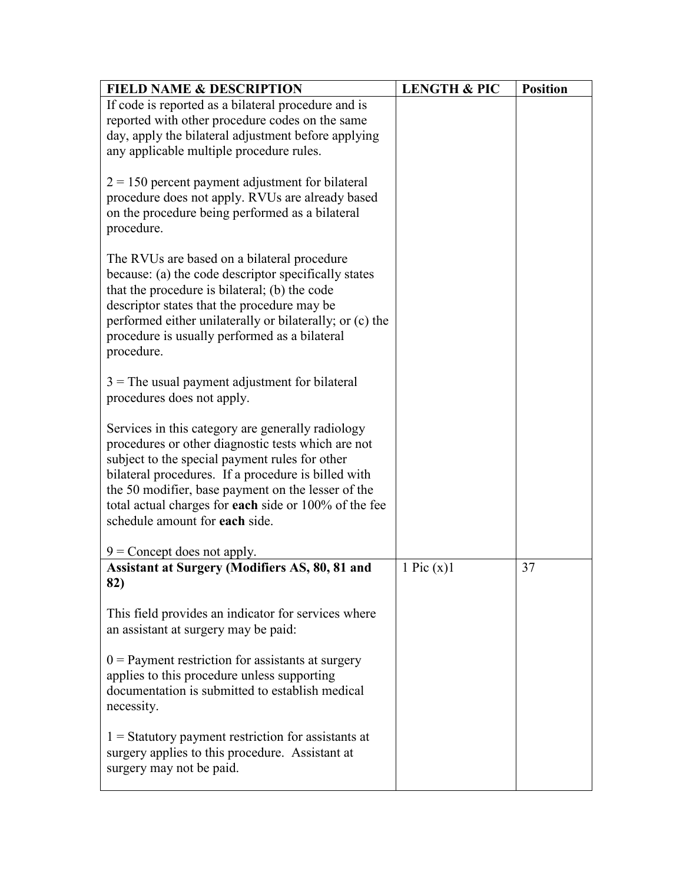| <b>FIELD NAME &amp; DESCRIPTION</b>                                                                                                                                                                                                                                                                                                                               | <b>LENGTH &amp; PIC</b> | <b>Position</b> |
|-------------------------------------------------------------------------------------------------------------------------------------------------------------------------------------------------------------------------------------------------------------------------------------------------------------------------------------------------------------------|-------------------------|-----------------|
| If code is reported as a bilateral procedure and is<br>reported with other procedure codes on the same<br>day, apply the bilateral adjustment before applying<br>any applicable multiple procedure rules.                                                                                                                                                         |                         |                 |
| $2 = 150$ percent payment adjustment for bilateral<br>procedure does not apply. RVUs are already based<br>on the procedure being performed as a bilateral<br>procedure.                                                                                                                                                                                           |                         |                 |
| The RVUs are based on a bilateral procedure<br>because: (a) the code descriptor specifically states<br>that the procedure is bilateral; (b) the code<br>descriptor states that the procedure may be<br>performed either unilaterally or bilaterally; or (c) the<br>procedure is usually performed as a bilateral<br>procedure.                                    |                         |                 |
| $3$ = The usual payment adjustment for bilateral<br>procedures does not apply.                                                                                                                                                                                                                                                                                    |                         |                 |
| Services in this category are generally radiology<br>procedures or other diagnostic tests which are not<br>subject to the special payment rules for other<br>bilateral procedures. If a procedure is billed with<br>the 50 modifier, base payment on the lesser of the<br>total actual charges for each side or 100% of the fee<br>schedule amount for each side. |                         |                 |
| $9$ = Concept does not apply.                                                                                                                                                                                                                                                                                                                                     |                         |                 |
| <b>Assistant at Surgery (Modifiers AS, 80, 81 and</b><br>82)                                                                                                                                                                                                                                                                                                      | 1 Pic $(x)$ 1           | 37              |
| This field provides an indicator for services where<br>an assistant at surgery may be paid:                                                                                                                                                                                                                                                                       |                         |                 |
| $0$ = Payment restriction for assistants at surgery<br>applies to this procedure unless supporting<br>documentation is submitted to establish medical<br>necessity.                                                                                                                                                                                               |                         |                 |
| $1 =$ Statutory payment restriction for assistants at<br>surgery applies to this procedure. Assistant at<br>surgery may not be paid.                                                                                                                                                                                                                              |                         |                 |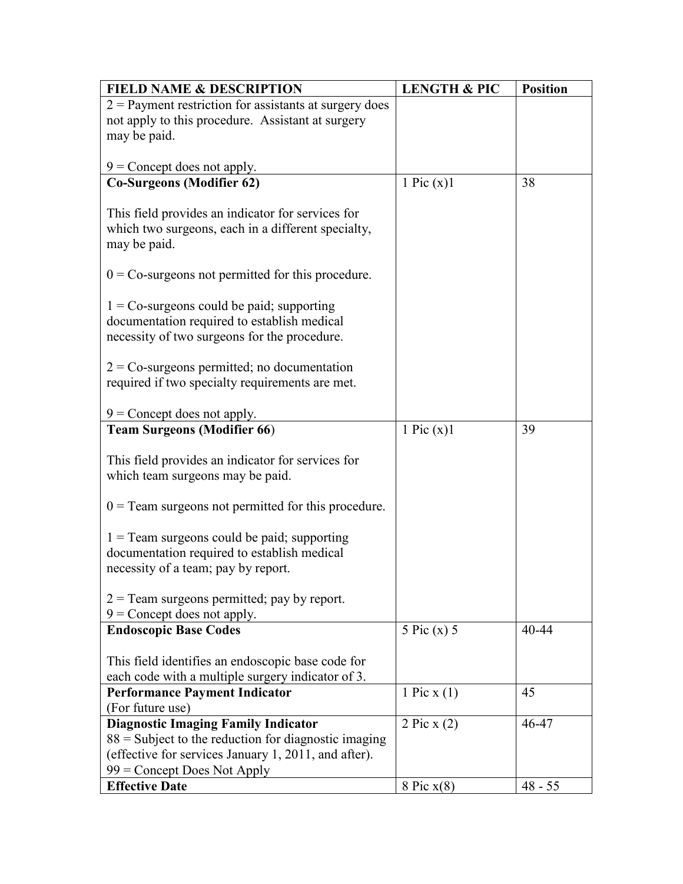| <b>FIELD NAME &amp; DESCRIPTION</b>                      | <b>LENGTH &amp; PIC</b> | <b>Position</b> |
|----------------------------------------------------------|-------------------------|-----------------|
| $2$ = Payment restriction for assistants at surgery does |                         |                 |
| not apply to this procedure. Assistant at surgery        |                         |                 |
| may be paid.                                             |                         |                 |
|                                                          |                         |                 |
| $9$ = Concept does not apply.                            |                         | 38              |
| <b>Co-Surgeons (Modifier 62)</b>                         | 1 Pic $(x)$ 1           |                 |
| This field provides an indicator for services for        |                         |                 |
| which two surgeons, each in a different specialty,       |                         |                 |
| may be paid.                                             |                         |                 |
|                                                          |                         |                 |
| $0 = Co-surgeons$ not permitted for this procedure.      |                         |                 |
|                                                          |                         |                 |
| $1 = Co-surgeons$ could be paid; supporting              |                         |                 |
| documentation required to establish medical              |                         |                 |
| necessity of two surgeons for the procedure.             |                         |                 |
| $2 = Co-surgeons$ permitted; no documentation            |                         |                 |
| required if two specialty requirements are met.          |                         |                 |
|                                                          |                         |                 |
| $9$ = Concept does not apply.                            |                         |                 |
| <b>Team Surgeons (Modifier 66)</b>                       | 1 Pic $(x)$ 1           | 39              |
|                                                          |                         |                 |
| This field provides an indicator for services for        |                         |                 |
| which team surgeons may be paid.                         |                         |                 |
|                                                          |                         |                 |
| $0 =$ Team surgeons not permitted for this procedure.    |                         |                 |
| $1 =$ Team surgeons could be paid; supporting            |                         |                 |
| documentation required to establish medical              |                         |                 |
| necessity of a team; pay by report.                      |                         |                 |
|                                                          |                         |                 |
| $2 =$ Team surgeons permitted; pay by report.            |                         |                 |
| $9$ = Concept does not apply.                            |                         |                 |
| <b>Endoscopic Base Codes</b>                             | $5$ Pic (x) $5$         | 40-44           |
|                                                          |                         |                 |
| This field identifies an endoscopic base code for        |                         |                 |
| each code with a multiple surgery indicator of 3.        |                         |                 |
| <b>Performance Payment Indicator</b><br>(For future use) | 1 Pic $x(1)$            | 45              |
| <b>Diagnostic Imaging Family Indicator</b>               | 2 Pic x $(2)$           | 46-47           |
| $88$ = Subject to the reduction for diagnostic imaging   |                         |                 |
| (effective for services January 1, 2011, and after).     |                         |                 |
| $99$ = Concept Does Not Apply                            |                         |                 |
| <b>Effective Date</b>                                    | 8 Pic $x(8)$            | $48 - 55$       |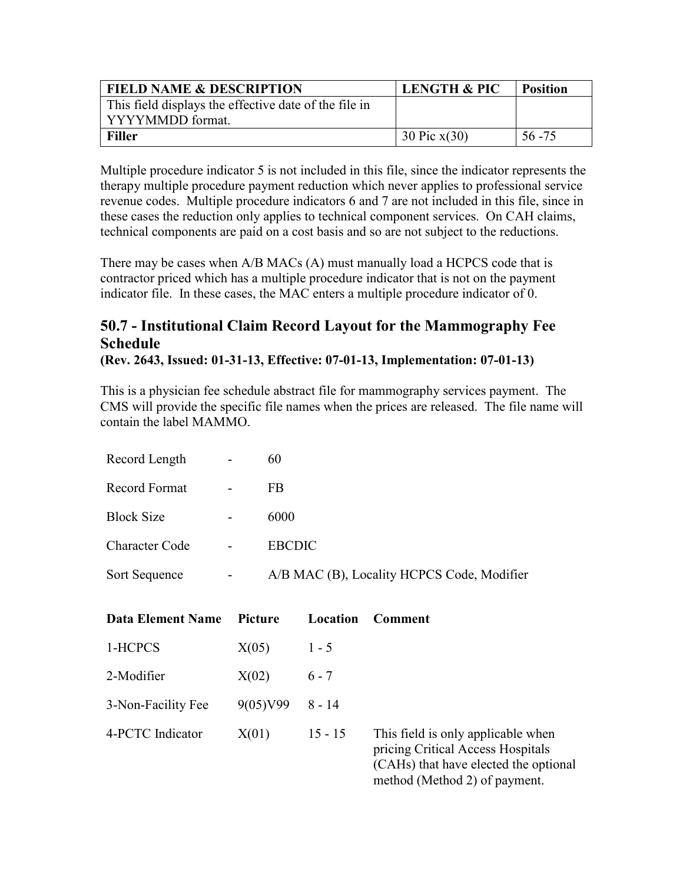| <b>FIELD NAME &amp; DESCRIPTION</b>                   | <b>LENGTH &amp; PIC</b> | <b>Position</b> |
|-------------------------------------------------------|-------------------------|-----------------|
| This field displays the effective date of the file in |                         |                 |
| l YYYYMMDD format.                                    |                         |                 |
| <b>Filler</b>                                         | 30 Pic $x(30)$          | 56 - 75         |

Multiple procedure indicator 5 is not included in this file, since the indicator represents the therapy multiple procedure payment reduction which never applies to professional service revenue codes. Multiple procedure indicators 6 and 7 are not included in this file, since in these cases the reduction only applies to technical component services. On CAH claims, technical components are paid on a cost basis and so are not subject to the reductions.

There may be cases when A/B MACs (A) must manually load a HCPCS code that is contractor priced which has a multiple procedure indicator that is not on the payment indicator file. In these cases, the MAC enters a multiple procedure indicator of 0.

## **50.7 - Institutional Claim Record Layout for the Mammography Fee Schedule**

**(Rev. 2643, Issued: 01-31-13, Effective: 07-01-13, Implementation: 07-01-13)**

This is a physician fee schedule abstract file for mammography services payment. The CMS will provide the specific file names when the prices are released. The file name will contain the label MAMMO.

| Record Length         | 60                                         |
|-----------------------|--------------------------------------------|
| Record Format         | FB                                         |
| <b>Block Size</b>     | 6000                                       |
| <b>Character Code</b> | <b>EBCDIC</b>                              |
| Sort Sequence         | A/B MAC (B), Locality HCPCS Code, Modifier |

| Data Element Name  | Picture            | Location  | Comment                                                                                                                   |
|--------------------|--------------------|-----------|---------------------------------------------------------------------------------------------------------------------------|
| 1-HCPCS            | X(05)              | $1 - 5$   |                                                                                                                           |
| 2-Modifier         | X(02)              | $6 - 7$   |                                                                                                                           |
| 3-Non-Facility Fee | $9(05)$ V99 8 - 14 |           |                                                                                                                           |
| 4-PCTC Indicator   | X(01)              | $15 - 15$ | This field is only applicable when<br>pricing Critical Access Hospitals<br>$(C\Lambda Hc)$ that have elected the optional |

(CAHs) that have elected the optional method (Method 2) of payment.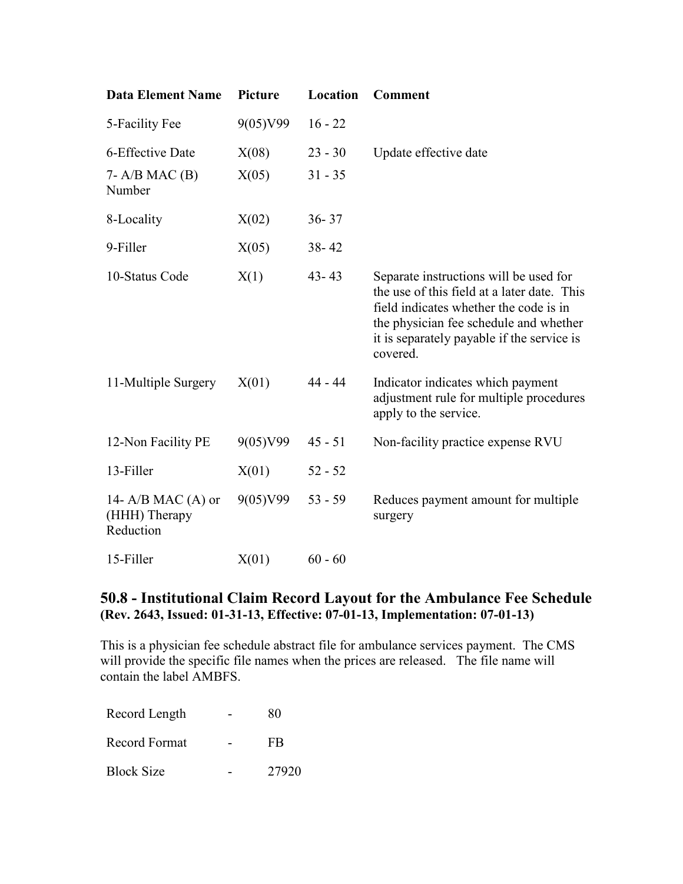| <b>Data Element Name</b>                           | Picture  | Location  | <b>Comment</b>                                                                                                                                                                                                                      |
|----------------------------------------------------|----------|-----------|-------------------------------------------------------------------------------------------------------------------------------------------------------------------------------------------------------------------------------------|
| 5-Facility Fee                                     | 9(05)V99 | $16 - 22$ |                                                                                                                                                                                                                                     |
| 6-Effective Date                                   | X(08)    | $23 - 30$ | Update effective date                                                                                                                                                                                                               |
| $7 - A/B$ MAC $(B)$<br>Number                      | X(05)    | $31 - 35$ |                                                                                                                                                                                                                                     |
| 8-Locality                                         | X(02)    | $36 - 37$ |                                                                                                                                                                                                                                     |
| 9-Filler                                           | X(05)    | $38 - 42$ |                                                                                                                                                                                                                                     |
| 10-Status Code                                     | X(1)     | $43 - 43$ | Separate instructions will be used for<br>the use of this field at a later date. This<br>field indicates whether the code is in<br>the physician fee schedule and whether<br>it is separately payable if the service is<br>covered. |
| 11-Multiple Surgery                                | X(01)    | $44 - 44$ | Indicator indicates which payment<br>adjustment rule for multiple procedures<br>apply to the service.                                                                                                                               |
| 12-Non Facility PE                                 | 9(05)V99 | $45 - 51$ | Non-facility practice expense RVU                                                                                                                                                                                                   |
| 13-Filler                                          | X(01)    | $52 - 52$ |                                                                                                                                                                                                                                     |
| 14- $A/B$ MAC (A) or<br>(HHH) Therapy<br>Reduction | 9(05)V99 | $53 - 59$ | Reduces payment amount for multiple<br>surgery                                                                                                                                                                                      |
| 15-Filler                                          | X(01)    | $60 - 60$ |                                                                                                                                                                                                                                     |

## **50.8 - Institutional Claim Record Layout for the Ambulance Fee Schedule (Rev. 2643, Issued: 01-31-13, Effective: 07-01-13, Implementation: 07-01-13)**

This is a physician fee schedule abstract file for ambulance services payment. The CMS will provide the specific file names when the prices are released. The file name will contain the label AMBFS.

| Record Length     | 80    |
|-------------------|-------|
| Record Format     | FB    |
| <b>Block Size</b> | 27920 |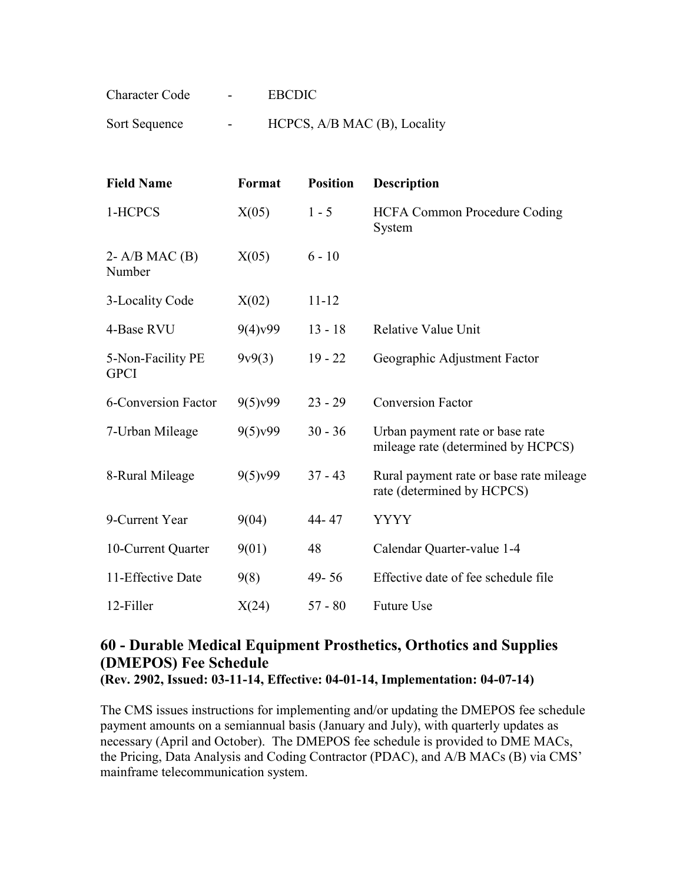| Character Code | <b>Contract Contract</b> | <b>EBCDIC</b>                |
|----------------|--------------------------|------------------------------|
| Sort Sequence  | $\sim$                   | HCPCS, A/B MAC (B), Locality |

| <b>Field Name</b>                | Format               | <b>Position</b> | <b>Description</b>                                                    |
|----------------------------------|----------------------|-----------------|-----------------------------------------------------------------------|
| 1-HCPCS                          | X(05)                | $1 - 5$         | <b>HCFA Common Procedure Coding</b><br>System                         |
| 2- $A/B$ MAC $(B)$<br>Number     | X(05)                | $6 - 10$        |                                                                       |
| 3-Locality Code                  | X(02)                | $11 - 12$       |                                                                       |
| 4-Base RVU                       | $9(4)$ v99           | $13 - 18$       | Relative Value Unit                                                   |
| 5-Non-Facility PE<br><b>GPCI</b> | 9v9(3)               | $19 - 22$       | Geographic Adjustment Factor                                          |
| <b>6-Conversion Factor</b>       | 9(5) <sub>v</sub> 99 | $23 - 29$       | <b>Conversion Factor</b>                                              |
| 7-Urban Mileage                  | 9(5) <sub>v</sub> 99 | $30 - 36$       | Urban payment rate or base rate<br>mileage rate (determined by HCPCS) |
| 8-Rural Mileage                  | 9(5) <sub>y</sub> 99 | $37 - 43$       | Rural payment rate or base rate mileage<br>rate (determined by HCPCS) |
| 9-Current Year                   | 9(04)                | 44-47           | <b>YYYY</b>                                                           |
| 10-Current Quarter               | 9(01)                | 48              | Calendar Quarter-value 1-4                                            |
| 11-Effective Date                | 9(8)                 | $49 - 56$       | Effective date of fee schedule file                                   |
| 12-Filler                        | X(24)                | $57 - 80$       | <b>Future Use</b>                                                     |

#### **60 - Durable Medical Equipment Prosthetics, Orthotics and Supplies (DMEPOS) Fee Schedule (Rev. 2902, Issued: 03-11-14, Effective: 04-01-14, Implementation: 04-07-14)**

The CMS issues instructions for implementing and/or updating the DMEPOS fee schedule payment amounts on a semiannual basis (January and July), with quarterly updates as necessary (April and October). The DMEPOS fee schedule is provided to DME MACs, the Pricing, Data Analysis and Coding Contractor (PDAC), and A/B MACs (B) via CMS' mainframe telecommunication system.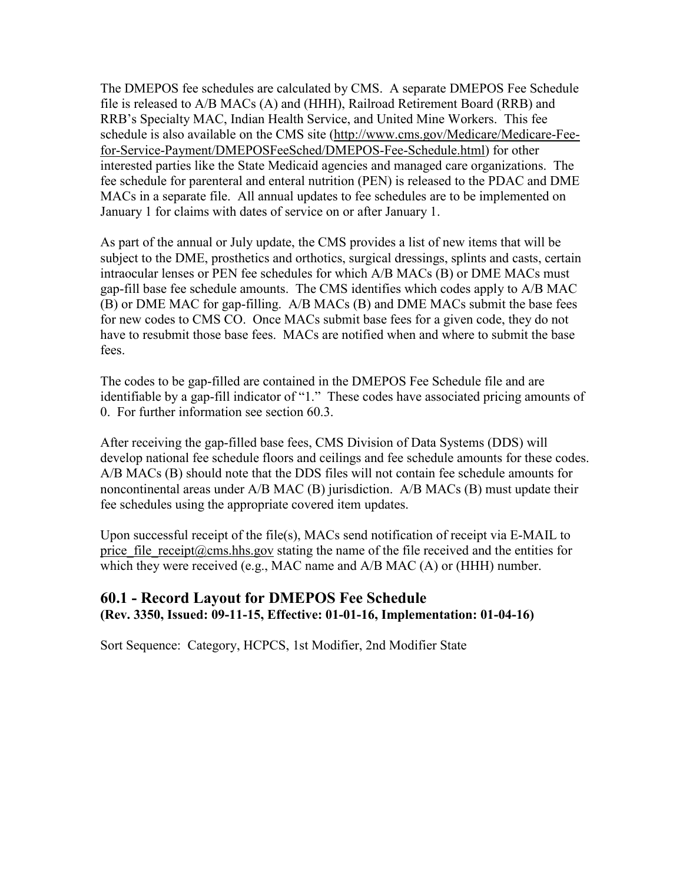The DMEPOS fee schedules are calculated by CMS. A separate DMEPOS Fee Schedule file is released to A/B MACs (A) and (HHH), Railroad Retirement Board (RRB) and RRB's Specialty MAC, Indian Health Service, and United Mine Workers. This fee schedule is also available on the CMS site [\(http://www.cms.gov/Medicare/Medicare-Fee](http://www.cms.gov/Medicare/Medicare-Fee-for-Service-Payment/DMEPOSFeeSched/DMEPOS-Fee-Schedule.html)[for-Service-Payment/DMEPOSFeeSched/DMEPOS-Fee-Schedule.html\)](http://www.cms.gov/Medicare/Medicare-Fee-for-Service-Payment/DMEPOSFeeSched/DMEPOS-Fee-Schedule.html) for other interested parties like the State Medicaid agencies and managed care organizations. The fee schedule for parenteral and enteral nutrition (PEN) is released to the PDAC and DME MACs in a separate file. All annual updates to fee schedules are to be implemented on January 1 for claims with dates of service on or after January 1.

As part of the annual or July update, the CMS provides a list of new items that will be subject to the DME, prosthetics and orthotics, surgical dressings, splints and casts, certain intraocular lenses or PEN fee schedules for which A/B MACs (B) or DME MACs must gap-fill base fee schedule amounts. The CMS identifies which codes apply to A/B MAC (B) or DME MAC for gap-filling. A/B MACs (B) and DME MACs submit the base fees for new codes to CMS CO. Once MACs submit base fees for a given code, they do not have to resubmit those base fees. MACs are notified when and where to submit the base fees.

The codes to be gap-filled are contained in the DMEPOS Fee Schedule file and are identifiable by a gap-fill indicator of "1." These codes have associated pricing amounts of 0. For further information see section 60.3.

After receiving the gap-filled base fees, CMS Division of Data Systems (DDS) will develop national fee schedule floors and ceilings and fee schedule amounts for these codes. A/B MACs (B) should note that the DDS files will not contain fee schedule amounts for noncontinental areas under A/B MAC (B) jurisdiction. A/B MACs (B) must update their fee schedules using the appropriate covered item updates.

Upon successful receipt of the file(s), MACs send notification of receipt via E-MAIL to price file receipt@cms.hhs.gov stating the name of the file received and the entities for which they were received (e.g., MAC name and A/B MAC (A) or (HHH) number.

#### **60.1 - Record Layout for DMEPOS Fee Schedule (Rev. 3350, Issued: 09-11-15, Effective: 01-01-16, Implementation: 01-04-16)**

Sort Sequence: Category, HCPCS, 1st Modifier, 2nd Modifier State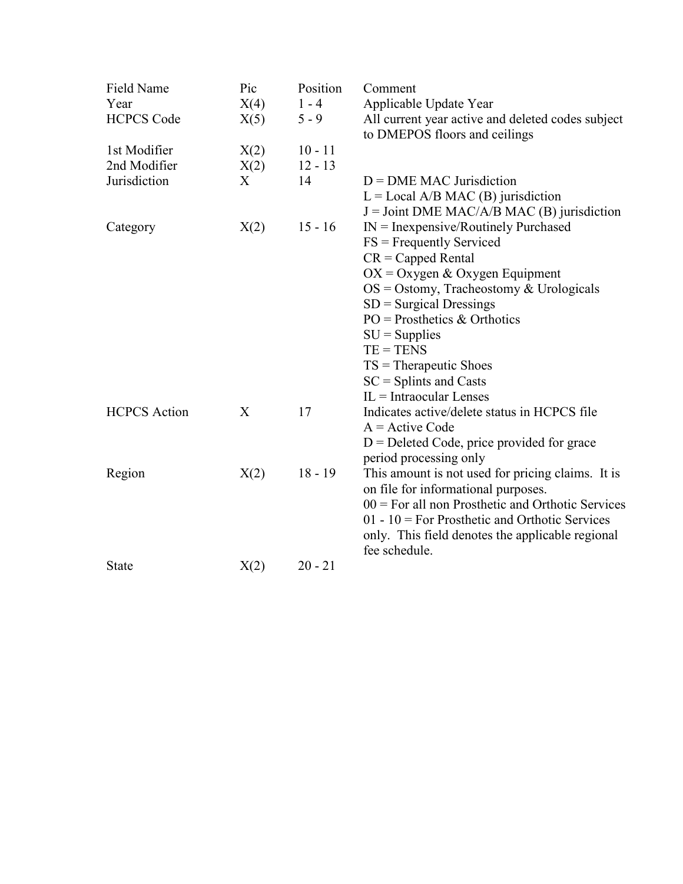| Field Name<br>Year<br><b>HCPCS Code</b> | Pic<br>X(4)<br>X(5) | Position<br>$1 - 4$<br>$5 - 9$ | Comment<br>Applicable Update Year<br>All current year active and deleted codes subject<br>to DMEPOS floors and ceilings                                                                                                                                                  |
|-----------------------------------------|---------------------|--------------------------------|--------------------------------------------------------------------------------------------------------------------------------------------------------------------------------------------------------------------------------------------------------------------------|
| 1st Modifier                            | X(2)                | $10 - 11$                      |                                                                                                                                                                                                                                                                          |
| 2nd Modifier                            | X(2)                | $12 - 13$                      |                                                                                                                                                                                                                                                                          |
| Jurisdiction                            | X                   | 14                             | $D = DME MAC$ Jurisdiction<br>$L =$ Local A/B MAC (B) jurisdiction<br>$J =$ Joint DME MAC/A/B MAC (B) jurisdiction                                                                                                                                                       |
| Category                                | X(2)                | $15 - 16$                      | $IN = Inexpensive/Routinely Purchased$                                                                                                                                                                                                                                   |
|                                         |                     |                                | $FS = Frequently Service$                                                                                                                                                                                                                                                |
|                                         |                     |                                | $CR = Capped Rental$                                                                                                                                                                                                                                                     |
|                                         |                     |                                | $OX = Oxygen & Oxygen$ Equipment                                                                                                                                                                                                                                         |
|                                         |                     |                                | $OS = Ostomy$ , Tracheostomy & Urologicals                                                                                                                                                                                                                               |
|                                         |                     |                                | $SD =$ Surgical Dressings                                                                                                                                                                                                                                                |
|                                         |                     |                                | $PO = Prostheets & Orthotics$                                                                                                                                                                                                                                            |
|                                         |                     |                                | $SU =$ Supplies                                                                                                                                                                                                                                                          |
|                                         |                     |                                | $TE = TENS$                                                                                                                                                                                                                                                              |
|                                         |                     |                                | $TS = The rap$ eutic Shoes                                                                                                                                                                                                                                               |
|                                         |                     |                                | $SC = Splints$ and Casts                                                                                                                                                                                                                                                 |
|                                         |                     |                                | $IL = Intraocular Lenses$                                                                                                                                                                                                                                                |
| <b>HCPCS</b> Action                     | X                   | 17                             | Indicates active/delete status in HCPCS file<br>$A =$ Active Code                                                                                                                                                                                                        |
|                                         |                     |                                | $D =$ Deleted Code, price provided for grace<br>period processing only                                                                                                                                                                                                   |
| Region                                  | X(2)                | $18 - 19$                      | This amount is not used for pricing claims. It is<br>on file for informational purposes.<br>$00 =$ For all non Prosthetic and Orthotic Services<br>$01 - 10$ = For Prosthetic and Orthotic Services<br>only. This field denotes the applicable regional<br>fee schedule. |
| <b>State</b>                            | X(2)                | $20 - 21$                      |                                                                                                                                                                                                                                                                          |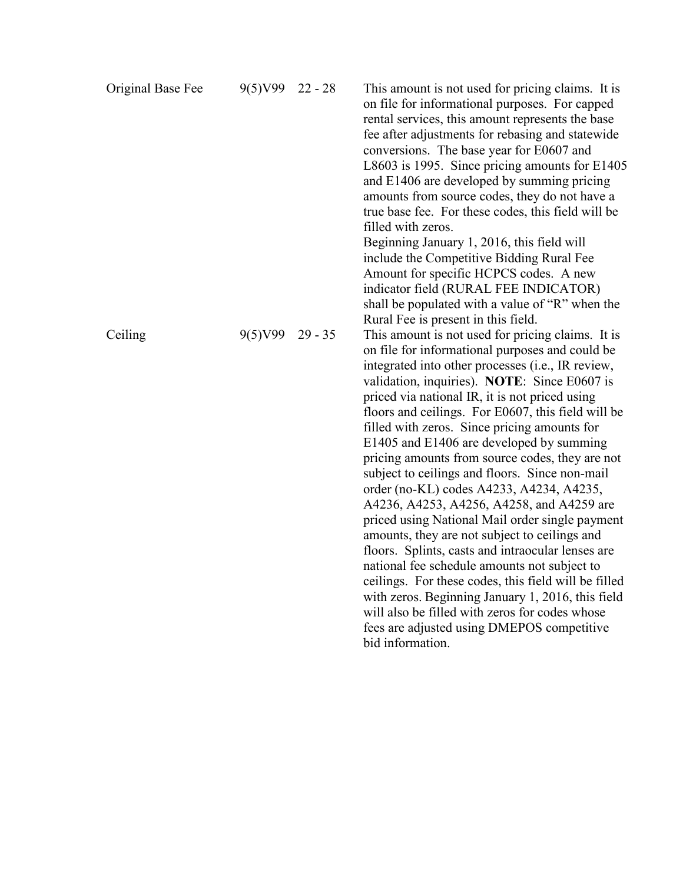| Original Base Fee | 9(5)V99 | $22 - 28$ | This amount is not used for pricing claims. It is<br>on file for informational purposes. For capped<br>rental services, this amount represents the base<br>fee after adjustments for rebasing and statewide<br>conversions. The base year for E0607 and<br>L8603 is 1995. Since pricing amounts for E1405<br>and E1406 are developed by summing pricing<br>amounts from source codes, they do not have a<br>true base fee. For these codes, this field will be<br>filled with zeros.<br>Beginning January 1, 2016, this field will<br>include the Competitive Bidding Rural Fee<br>Amount for specific HCPCS codes. A new<br>indicator field (RURAL FEE INDICATOR)<br>shall be populated with a value of "R" when the<br>Rural Fee is present in this field.                                                                                                                                                                                                                                                                                          |
|-------------------|---------|-----------|-------------------------------------------------------------------------------------------------------------------------------------------------------------------------------------------------------------------------------------------------------------------------------------------------------------------------------------------------------------------------------------------------------------------------------------------------------------------------------------------------------------------------------------------------------------------------------------------------------------------------------------------------------------------------------------------------------------------------------------------------------------------------------------------------------------------------------------------------------------------------------------------------------------------------------------------------------------------------------------------------------------------------------------------------------|
| Ceiling           | 9(5)V99 | $29 - 35$ | This amount is not used for pricing claims. It is<br>on file for informational purposes and could be<br>integrated into other processes (i.e., IR review,<br>validation, inquiries). NOTE: Since E0607 is<br>priced via national IR, it is not priced using<br>floors and ceilings. For E0607, this field will be<br>filled with zeros. Since pricing amounts for<br>E1405 and E1406 are developed by summing<br>pricing amounts from source codes, they are not<br>subject to ceilings and floors. Since non-mail<br>order (no-KL) codes A4233, A4234, A4235,<br>A4236, A4253, A4256, A4258, and A4259 are<br>priced using National Mail order single payment<br>amounts, they are not subject to ceilings and<br>floors. Splints, casts and intraocular lenses are<br>national fee schedule amounts not subject to<br>ceilings. For these codes, this field will be filled<br>with zeros. Beginning January 1, 2016, this field<br>will also be filled with zeros for codes whose<br>fees are adjusted using DMEPOS competitive<br>bid information. |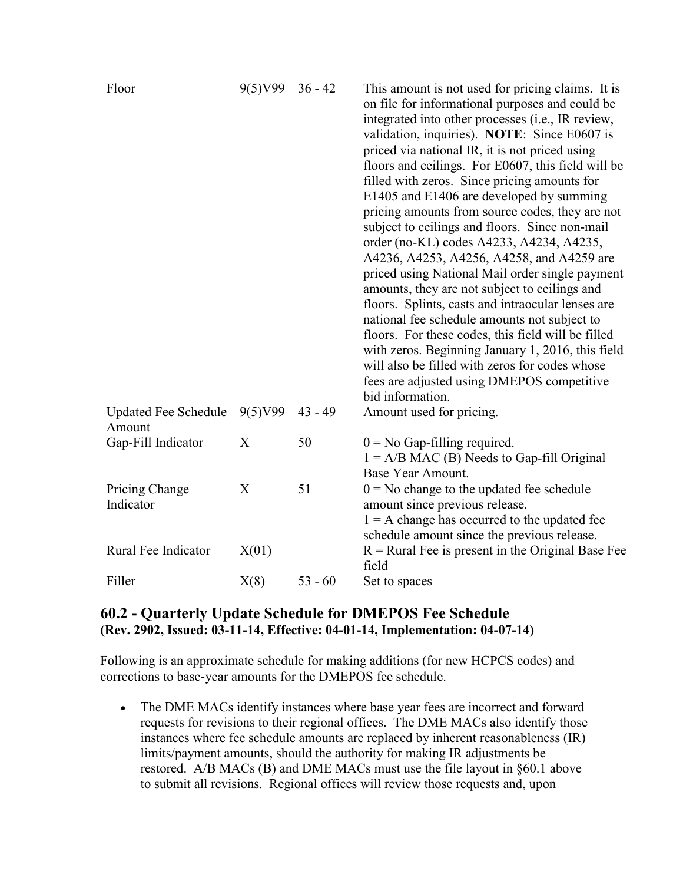| Floor                                 | 9(5)V99 | $36 - 42$ | This amount is not used for pricing claims. It is<br>on file for informational purposes and could be<br>integrated into other processes (i.e., IR review,<br>validation, inquiries). NOTE: Since E0607 is<br>priced via national IR, it is not priced using<br>floors and ceilings. For E0607, this field will be<br>filled with zeros. Since pricing amounts for<br>E1405 and E1406 are developed by summing<br>pricing amounts from source codes, they are not<br>subject to ceilings and floors. Since non-mail<br>order (no-KL) codes A4233, A4234, A4235,<br>A4236, A4253, A4256, A4258, and A4259 are<br>priced using National Mail order single payment<br>amounts, they are not subject to ceilings and<br>floors. Splints, casts and intraocular lenses are<br>national fee schedule amounts not subject to<br>floors. For these codes, this field will be filled<br>with zeros. Beginning January 1, 2016, this field<br>will also be filled with zeros for codes whose<br>fees are adjusted using DMEPOS competitive<br>bid information. |
|---------------------------------------|---------|-----------|-----------------------------------------------------------------------------------------------------------------------------------------------------------------------------------------------------------------------------------------------------------------------------------------------------------------------------------------------------------------------------------------------------------------------------------------------------------------------------------------------------------------------------------------------------------------------------------------------------------------------------------------------------------------------------------------------------------------------------------------------------------------------------------------------------------------------------------------------------------------------------------------------------------------------------------------------------------------------------------------------------------------------------------------------------|
| <b>Updated Fee Schedule</b><br>Amount | 9(5)V99 | $43 - 49$ | Amount used for pricing.                                                                                                                                                                                                                                                                                                                                                                                                                                                                                                                                                                                                                                                                                                                                                                                                                                                                                                                                                                                                                            |
| Gap-Fill Indicator                    | X       | 50        | $0 = No$ Gap-filling required.<br>$1 = A/B MAC(B)$ Needs to Gap-fill Original<br>Base Year Amount.                                                                                                                                                                                                                                                                                                                                                                                                                                                                                                                                                                                                                                                                                                                                                                                                                                                                                                                                                  |
| Pricing Change<br>Indicator           | X       | 51        | $0 = No$ change to the updated fee schedule<br>amount since previous release.<br>$1 = A$ change has occurred to the updated fee<br>schedule amount since the previous release.                                                                                                                                                                                                                                                                                                                                                                                                                                                                                                                                                                                                                                                                                                                                                                                                                                                                      |
| Rural Fee Indicator                   | X(01)   |           | $R =$ Rural Fee is present in the Original Base Fee<br>field                                                                                                                                                                                                                                                                                                                                                                                                                                                                                                                                                                                                                                                                                                                                                                                                                                                                                                                                                                                        |
| Filler                                | X(8)    | $53 - 60$ | Set to spaces                                                                                                                                                                                                                                                                                                                                                                                                                                                                                                                                                                                                                                                                                                                                                                                                                                                                                                                                                                                                                                       |

#### **60.2 - Quarterly Update Schedule for DMEPOS Fee Schedule (Rev. 2902, Issued: 03-11-14, Effective: 04-01-14, Implementation: 04-07-14)**

Following is an approximate schedule for making additions (for new HCPCS codes) and corrections to base-year amounts for the DMEPOS fee schedule.

• The DME MACs identify instances where base year fees are incorrect and forward requests for revisions to their regional offices. The DME MACs also identify those instances where fee schedule amounts are replaced by inherent reasonableness (IR) limits/payment amounts, should the authority for making IR adjustments be restored. A/B MACs (B) and DME MACs must use the file layout in §60.1 above to submit all revisions. Regional offices will review those requests and, upon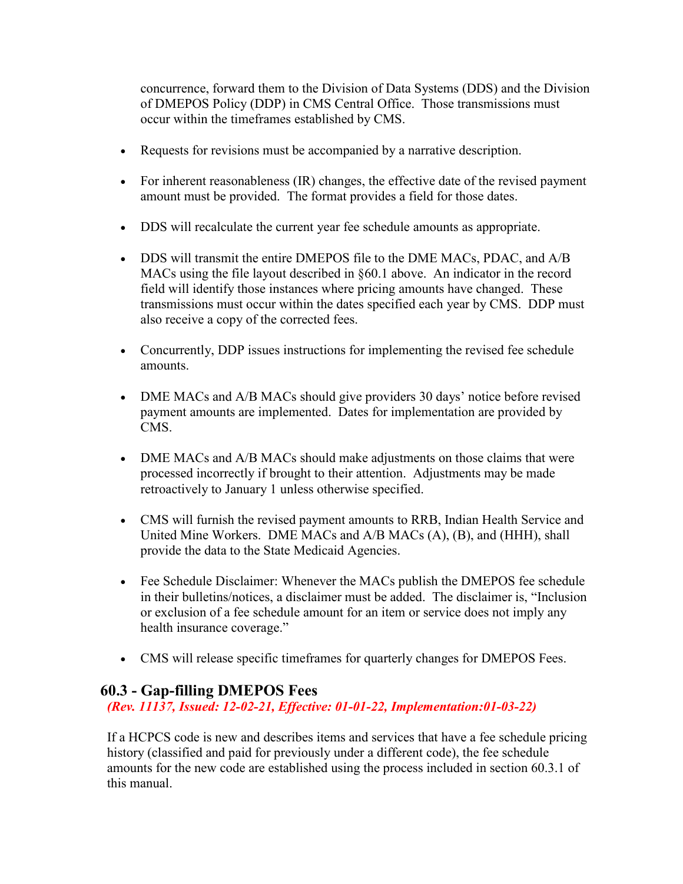concurrence, forward them to the Division of Data Systems (DDS) and the Division of DMEPOS Policy (DDP) in CMS Central Office. Those transmissions must occur within the timeframes established by CMS.

- Requests for revisions must be accompanied by a narrative description.
- For inherent reasonableness (IR) changes, the effective date of the revised payment amount must be provided. The format provides a field for those dates.
- DDS will recalculate the current year fee schedule amounts as appropriate.
- DDS will transmit the entire DMEPOS file to the DME MACs, PDAC, and A/B MACs using the file layout described in §60.1 above. An indicator in the record field will identify those instances where pricing amounts have changed. These transmissions must occur within the dates specified each year by CMS. DDP must also receive a copy of the corrected fees.
- Concurrently, DDP issues instructions for implementing the revised fee schedule amounts.
- DME MACs and A/B MACs should give providers 30 days' notice before revised payment amounts are implemented. Dates for implementation are provided by CMS.
- DME MACs and A/B MACs should make adjustments on those claims that were processed incorrectly if brought to their attention. Adjustments may be made retroactively to January 1 unless otherwise specified.
- CMS will furnish the revised payment amounts to RRB, Indian Health Service and United Mine Workers. DME MACs and A/B MACs (A), (B), and (HHH), shall provide the data to the State Medicaid Agencies.
- Fee Schedule Disclaimer: Whenever the MACs publish the DMEPOS fee schedule in their bulletins/notices, a disclaimer must be added. The disclaimer is, "Inclusion or exclusion of a fee schedule amount for an item or service does not imply any health insurance coverage."
- CMS will release specific timeframes for quarterly changes for DMEPOS Fees.

## **60.3 - Gap-filling DMEPOS Fees**

*(Rev. 11137, Issued: 12-02-21, Effective: 01-01-22, Implementation:01-03-22)* 

If a HCPCS code is new and describes items and services that have a fee schedule pricing history (classified and paid for previously under a different code), the fee schedule amounts for the new code are established using the process included in section 60.3.1 of this manual.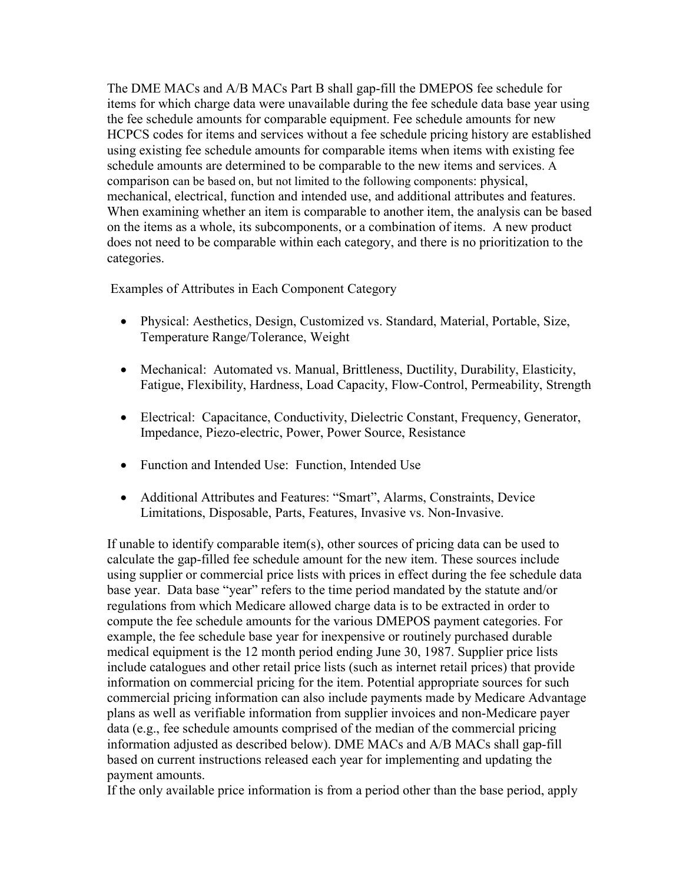The DME MACs and A/B MACs Part B shall gap-fill the DMEPOS fee schedule for items for which charge data were unavailable during the fee schedule data base year using the fee schedule amounts for comparable equipment. Fee schedule amounts for new HCPCS codes for items and services without a fee schedule pricing history are established using existing fee schedule amounts for comparable items when items with existing fee schedule amounts are determined to be comparable to the new items and services. A comparison can be based on, but not limited to the following components: physical, mechanical, electrical, function and intended use, and additional attributes and features. When examining whether an item is comparable to another item, the analysis can be based on the items as a whole, its subcomponents, or a combination of items. A new product does not need to be comparable within each category, and there is no prioritization to the categories.

Examples of Attributes in Each Component Category

- Physical: Aesthetics, Design, Customized vs. Standard, Material, Portable, Size, Temperature Range/Tolerance, Weight
- Mechanical: Automated vs. Manual, Brittleness, Ductility, Durability, Elasticity, Fatigue, Flexibility, Hardness, Load Capacity, Flow-Control, Permeability, Strength
- Electrical: Capacitance, Conductivity, Dielectric Constant, Frequency, Generator, Impedance, Piezo-electric, Power, Power Source, Resistance
- Function and Intended Use: Function, Intended Use
- Additional Attributes and Features: "Smart", Alarms, Constraints, Device Limitations, Disposable, Parts, Features, Invasive vs. Non-Invasive.

If unable to identify comparable item(s), other sources of pricing data can be used to calculate the gap-filled fee schedule amount for the new item. These sources include using supplier or commercial price lists with prices in effect during the fee schedule data base year. Data base "year" refers to the time period mandated by the statute and/or regulations from which Medicare allowed charge data is to be extracted in order to compute the fee schedule amounts for the various DMEPOS payment categories. For example, the fee schedule base year for inexpensive or routinely purchased durable medical equipment is the 12 month period ending June 30, 1987. Supplier price lists include catalogues and other retail price lists (such as internet retail prices) that provide information on commercial pricing for the item. Potential appropriate sources for such commercial pricing information can also include payments made by Medicare Advantage plans as well as verifiable information from supplier invoices and non-Medicare payer data (e.g., fee schedule amounts comprised of the median of the commercial pricing information adjusted as described below). DME MACs and A/B MACs shall gap-fill based on current instructions released each year for implementing and updating the payment amounts.

If the only available price information is from a period other than the base period, apply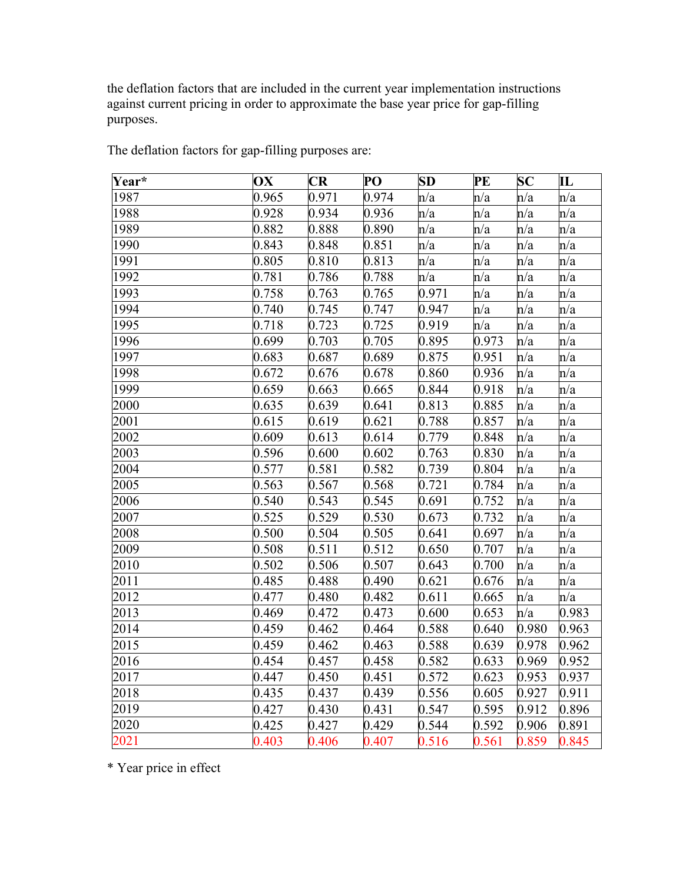the deflation factors that are included in the current year implementation instructions against current pricing in order to approximate the base year price for gap-filling purposes.

| Year* | OX    | <b>CR</b> | PO    | <b>SD</b> | PE    | $\bf SC$ | ${\bf I}{\bf L}$ |
|-------|-------|-----------|-------|-----------|-------|----------|------------------|
| 1987  | 0.965 | 0.971     | 0.974 | n/a       | n/a   | n/a      | n/a              |
| 1988  | 0.928 | 0.934     | 0.936 | n/a       | n/a   | n/a      | n/a              |
| 1989  | 0.882 | 0.888     | 0.890 | n/a       | n/a   | n/a      | n/a              |
| 1990  | 0.843 | 0.848     | 0.851 | n/a       | n/a   | n/a      | n/a              |
| 1991  | 0.805 | 0.810     | 0.813 | n/a       | n/a   | n/a      | n/a              |
| 1992  | 0.781 | 0.786     | 0.788 | n/a       | n/a   | n/a      | n/a              |
| 1993  | 0.758 | 0.763     | 0.765 | 0.971     | n/a   | n/a      | n/a              |
| 1994  | 0.740 | 0.745     | 0.747 | 0.947     | n/a   | n/a      | n/a              |
| 1995  | 0.718 | 0.723     | 0.725 | 0.919     | n/a   | n/a      | n/a              |
| 1996  | 0.699 | 0.703     | 0.705 | 0.895     | 0.973 | n/a      | n/a              |
| 1997  | 0.683 | 0.687     | 0.689 | 0.875     | 0.951 | n/a      | n/a              |
| 1998  | 0.672 | 0.676     | 0.678 | 0.860     | 0.936 | n/a      | n/a              |
| 1999  | 0.659 | 0.663     | 0.665 | 0.844     | 0.918 | n/a      | n/a              |
| 2000  | 0.635 | 0.639     | 0.641 | 0.813     | 0.885 | n/a      | n/a              |
| 2001  | 0.615 | 0.619     | 0.621 | 0.788     | 0.857 | n/a      | n/a              |
| 2002  | 0.609 | 0.613     | 0.614 | 0.779     | 0.848 | n/a      | n/a              |
| 2003  | 0.596 | 0.600     | 0.602 | 0.763     | 0.830 | n/a      | n/a              |
| 2004  | 0.577 | 0.581     | 0.582 | 0.739     | 0.804 | n/a      | n/a              |
| 2005  | 0.563 | 0.567     | 0.568 | 0.721     | 0.784 | n/a      | n/a              |
| 2006  | 0.540 | 0.543     | 0.545 | 0.691     | 0.752 | n/a      | n/a              |
| 2007  | 0.525 | 0.529     | 0.530 | 0.673     | 0.732 | n/a      | n/a              |
| 2008  | 0.500 | 0.504     | 0.505 | 0.641     | 0.697 | n/a      | n/a              |
| 2009  | 0.508 | 0.511     | 0.512 | 0.650     | 0.707 | n/a      | n/a              |
| 2010  | 0.502 | 0.506     | 0.507 | 0.643     | 0.700 | n/a      | n/a              |
| 2011  | 0.485 | 0.488     | 0.490 | 0.621     | 0.676 | n/a      | n/a              |
| 2012  | 0.477 | 0.480     | 0.482 | 0.611     | 0.665 | n/a      | n/a              |
| 2013  | 0.469 | 0.472     | 0.473 | 0.600     | 0.653 | n/a      | 0.983            |
| 2014  | 0.459 | 0.462     | 0.464 | 0.588     | 0.640 | 0.980    | 0.963            |
| 2015  | 0.459 | 0.462     | 0.463 | 0.588     | 0.639 | 0.978    | 0.962            |
| 2016  | 0.454 | 0.457     | 0.458 | 0.582     | 0.633 | 0.969    | 0.952            |
| 2017  | 0.447 | 0.450     | 0.451 | 0.572     | 0.623 | 0.953    | 0.937            |
| 2018  | 0.435 | 0.437     | 0.439 | 0.556     | 0.605 | 0.927    | 0.911            |
| 2019  | 0.427 | 0.430     | 0.431 | 0.547     | 0.595 | 0.912    | 0.896            |
| 2020  | 0.425 | 0.427     | 0.429 | 0.544     | 0.592 | 0.906    | 0.891            |
| 2021  | 0.403 | 0.406     | 0.407 | 0.516     | 0.561 | 0.859    | 0.845            |

The deflation factors for gap-filling purposes are:

\* Year price in effect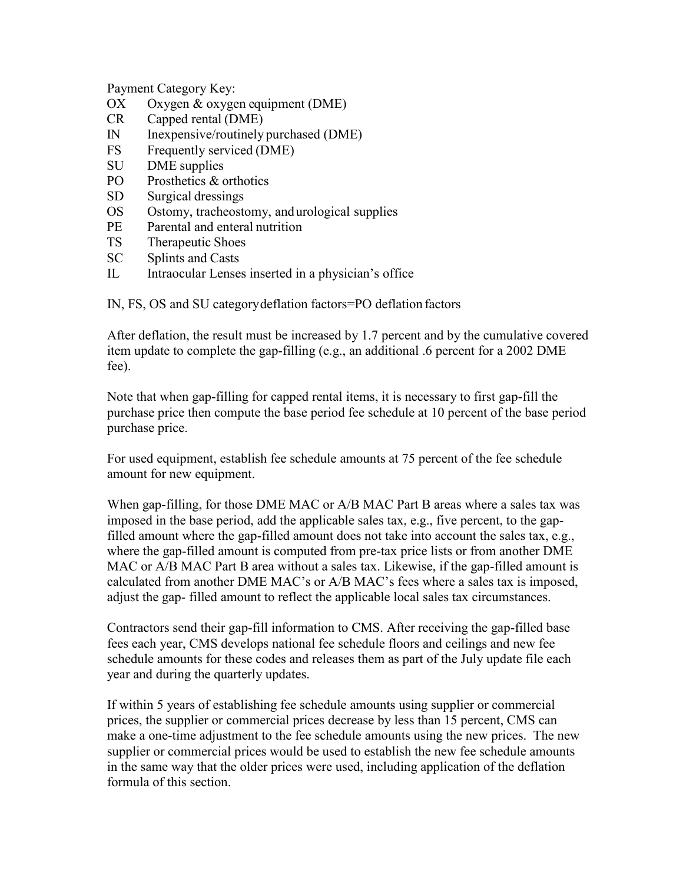Payment Category Key:

- OX Oxygen & oxygen equipment (DME)
- CR Capped rental (DME)
- IN Inexpensive/routinely purchased (DME)
- FS Frequently serviced (DME)
- SU DME supplies
- PO Prosthetics & orthotics
- SD Surgical dressings
- OS Ostomy, tracheostomy, andurological supplies
- PE Parental and enteral nutrition
- TS Therapeutic Shoes
- SC Splints and Casts
- IL Intraocular Lenses inserted in a physician's office

IN, FS, OS and SU categorydeflation factors=PO deflation factors

After deflation, the result must be increased by 1.7 percent and by the cumulative covered item update to complete the gap-filling (e.g., an additional .6 percent for a 2002 DME fee).

Note that when gap-filling for capped rental items, it is necessary to first gap-fill the purchase price then compute the base period fee schedule at 10 percent of the base period purchase price.

For used equipment, establish fee schedule amounts at 75 percent of the fee schedule amount for new equipment.

When gap-filling, for those DME MAC or A/B MAC Part B areas where a sales tax was imposed in the base period, add the applicable sales tax, e.g., five percent, to the gapfilled amount where the gap-filled amount does not take into account the sales tax, e.g., where the gap-filled amount is computed from pre-tax price lists or from another DME MAC or A/B MAC Part B area without a sales tax. Likewise, if the gap-filled amount is calculated from another DME MAC's or A/B MAC's fees where a sales tax is imposed, adjust the gap- filled amount to reflect the applicable local sales tax circumstances.

Contractors send their gap-fill information to CMS. After receiving the gap-filled base fees each year, CMS develops national fee schedule floors and ceilings and new fee schedule amounts for these codes and releases them as part of the July update file each year and during the quarterly updates.

If within 5 years of establishing fee schedule amounts using supplier or commercial prices, the supplier or commercial prices decrease by less than 15 percent, CMS can make a one-time adjustment to the fee schedule amounts using the new prices. The new supplier or commercial prices would be used to establish the new fee schedule amounts in the same way that the older prices were used, including application of the deflation formula of this section.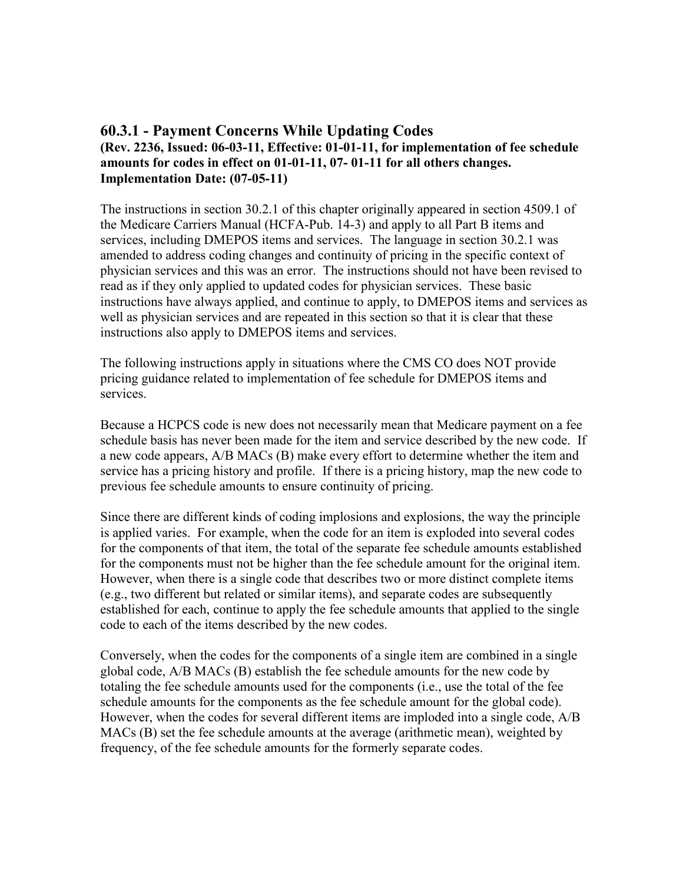## **60.3.1 - Payment Concerns While Updating Codes (Rev. 2236, Issued: 06-03-11, Effective: 01-01-11, for implementation of fee schedule amounts for codes in effect on 01-01-11, 07- 01-11 for all others changes. Implementation Date: (07-05-11)**

The instructions in section 30.2.1 of this chapter originally appeared in section 4509.1 of the Medicare Carriers Manual (HCFA-Pub. 14-3) and apply to all Part B items and services, including DMEPOS items and services. The language in section 30.2.1 was amended to address coding changes and continuity of pricing in the specific context of physician services and this was an error. The instructions should not have been revised to read as if they only applied to updated codes for physician services. These basic instructions have always applied, and continue to apply, to DMEPOS items and services as well as physician services and are repeated in this section so that it is clear that these instructions also apply to DMEPOS items and services.

The following instructions apply in situations where the CMS CO does NOT provide pricing guidance related to implementation of fee schedule for DMEPOS items and services.

Because a HCPCS code is new does not necessarily mean that Medicare payment on a fee schedule basis has never been made for the item and service described by the new code. If a new code appears, A/B MACs (B) make every effort to determine whether the item and service has a pricing history and profile. If there is a pricing history, map the new code to previous fee schedule amounts to ensure continuity of pricing.

Since there are different kinds of coding implosions and explosions, the way the principle is applied varies. For example, when the code for an item is exploded into several codes for the components of that item, the total of the separate fee schedule amounts established for the components must not be higher than the fee schedule amount for the original item. However, when there is a single code that describes two or more distinct complete items (e.g., two different but related or similar items), and separate codes are subsequently established for each, continue to apply the fee schedule amounts that applied to the single code to each of the items described by the new codes.

Conversely, when the codes for the components of a single item are combined in a single global code, A/B MACs (B) establish the fee schedule amounts for the new code by totaling the fee schedule amounts used for the components (i.e., use the total of the fee schedule amounts for the components as the fee schedule amount for the global code). However, when the codes for several different items are imploded into a single code, A/B MACs (B) set the fee schedule amounts at the average (arithmetic mean), weighted by frequency, of the fee schedule amounts for the formerly separate codes.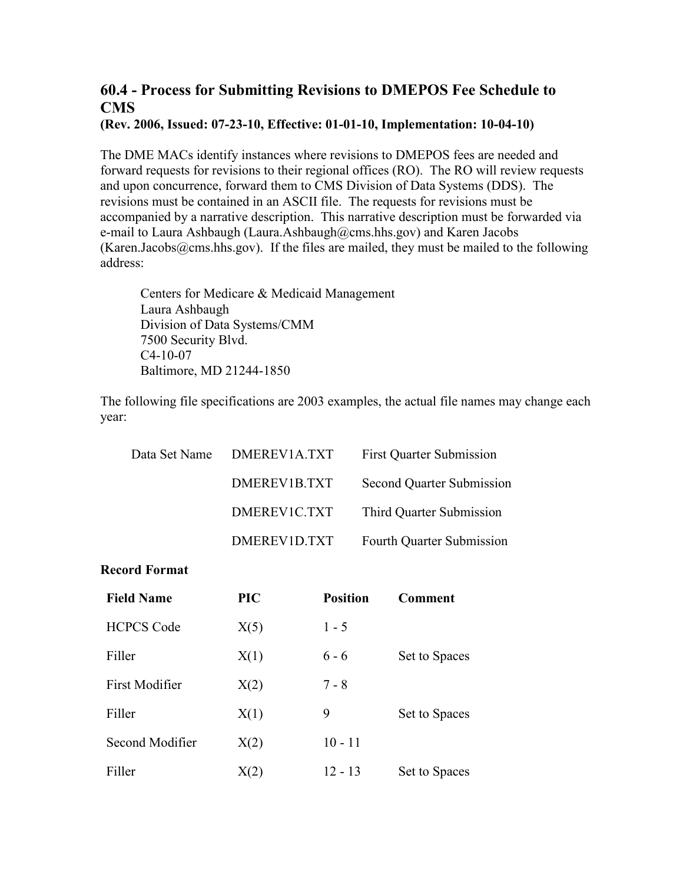# **60.4 - Process for Submitting Revisions to DMEPOS Fee Schedule to CMS**

**(Rev. 2006, Issued: 07-23-10, Effective: 01-01-10, Implementation: 10-04-10)** 

The DME MACs identify instances where revisions to DMEPOS fees are needed and forward requests for revisions to their regional offices (RO). The RO will review requests and upon concurrence, forward them to CMS Division of Data Systems (DDS). The revisions must be contained in an ASCII file. The requests for revisions must be accompanied by a narrative description. This narrative description must be forwarded via e-mail to Laura Ashbaugh (Laura.Ashbaugh@cms.hhs.gov) and Karen Jacobs (Karen.Jacobs@cms.hhs.gov). If the files are mailed, they must be mailed to the following address:

Centers for Medicare & Medicaid Management Laura Ashbaugh Division of Data Systems/CMM 7500 Security Blvd. C4-10-07 Baltimore, MD 21244-1850

The following file specifications are 2003 examples, the actual file names may change each year:

| Data Set Name | DMEREV1A.TXT | <b>First Quarter Submission</b> |
|---------------|--------------|---------------------------------|
|               | DMEREV1B.TXT | Second Quarter Submission       |
|               | DMEREVIC.TXT | Third Quarter Submission        |
|               | DMEREV1D.TXT | Fourth Quarter Submission       |

#### **Record Format**

| <b>Field Name</b>     | <b>PIC</b> | <b>Position</b> | Comment       |
|-----------------------|------------|-----------------|---------------|
| <b>HCPCS Code</b>     | X(5)       | $1 - 5$         |               |
| Filler                | X(1)       | $6 - 6$         | Set to Spaces |
| <b>First Modifier</b> | X(2)       | $7 - 8$         |               |
| Filler                | X(1)       | 9               | Set to Spaces |
| Second Modifier       | X(2)       | $10 - 11$       |               |
| Filler                | X(2)       | $12 - 13$       | Set to Spaces |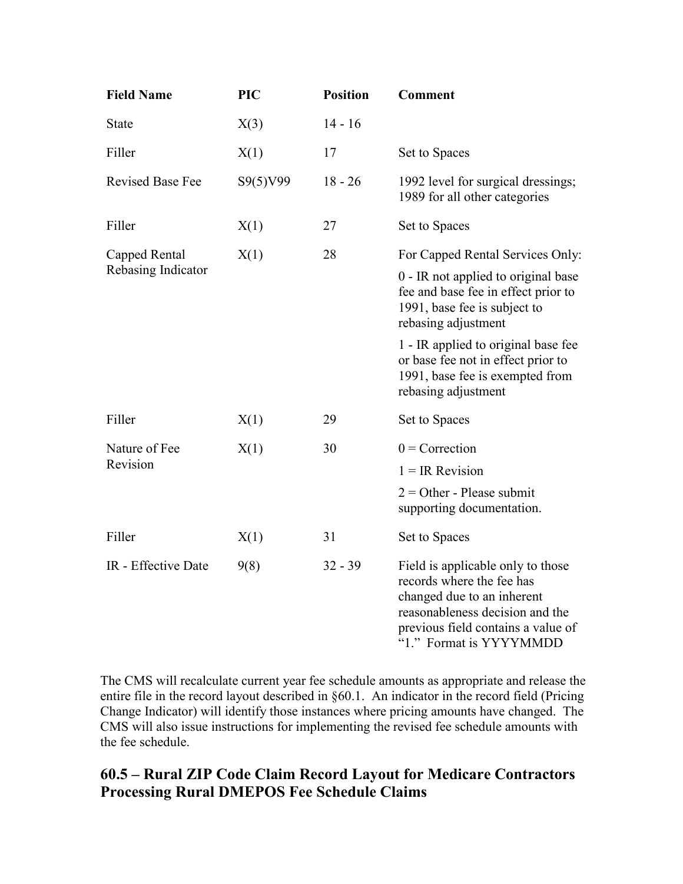| <b>Field Name</b>       | <b>PIC</b> | <b>Position</b> | <b>Comment</b>                                                                                                                                                                                   |
|-------------------------|------------|-----------------|--------------------------------------------------------------------------------------------------------------------------------------------------------------------------------------------------|
| State                   | X(3)       | $14 - 16$       |                                                                                                                                                                                                  |
| Filler                  | X(1)       | 17              | Set to Spaces                                                                                                                                                                                    |
| <b>Revised Base Fee</b> | S9(5)V99   | $18 - 26$       | 1992 level for surgical dressings;<br>1989 for all other categories                                                                                                                              |
| Filler                  | X(1)       | 27              | Set to Spaces                                                                                                                                                                                    |
| Capped Rental           | X(1)       | 28              | For Capped Rental Services Only:                                                                                                                                                                 |
| Rebasing Indicator      |            |                 | 0 - IR not applied to original base<br>fee and base fee in effect prior to<br>1991, base fee is subject to<br>rebasing adjustment                                                                |
|                         |            |                 | 1 - IR applied to original base fee<br>or base fee not in effect prior to<br>1991, base fee is exempted from<br>rebasing adjustment                                                              |
| Filler                  | X(1)       | 29              | Set to Spaces                                                                                                                                                                                    |
| Nature of Fee           | X(1)       | 30              | $0$ = Correction                                                                                                                                                                                 |
| Revision                |            |                 | $1 = IR$ Revision                                                                                                                                                                                |
|                         |            |                 | $2 =$ Other - Please submit<br>supporting documentation.                                                                                                                                         |
| Filler                  | X(1)       | 31              | Set to Spaces                                                                                                                                                                                    |
| IR - Effective Date     | 9(8)       | $32 - 39$       | Field is applicable only to those<br>records where the fee has<br>changed due to an inherent<br>reasonableness decision and the<br>previous field contains a value of<br>"1." Format is YYYYMMDD |

The CMS will recalculate current year fee schedule amounts as appropriate and release the entire file in the record layout described in §60.1. An indicator in the record field (Pricing Change Indicator) will identify those instances where pricing amounts have changed. The CMS will also issue instructions for implementing the revised fee schedule amounts with the fee schedule.

## **60.5 – Rural ZIP Code Claim Record Layout for Medicare Contractors Processing Rural DMEPOS Fee Schedule Claims**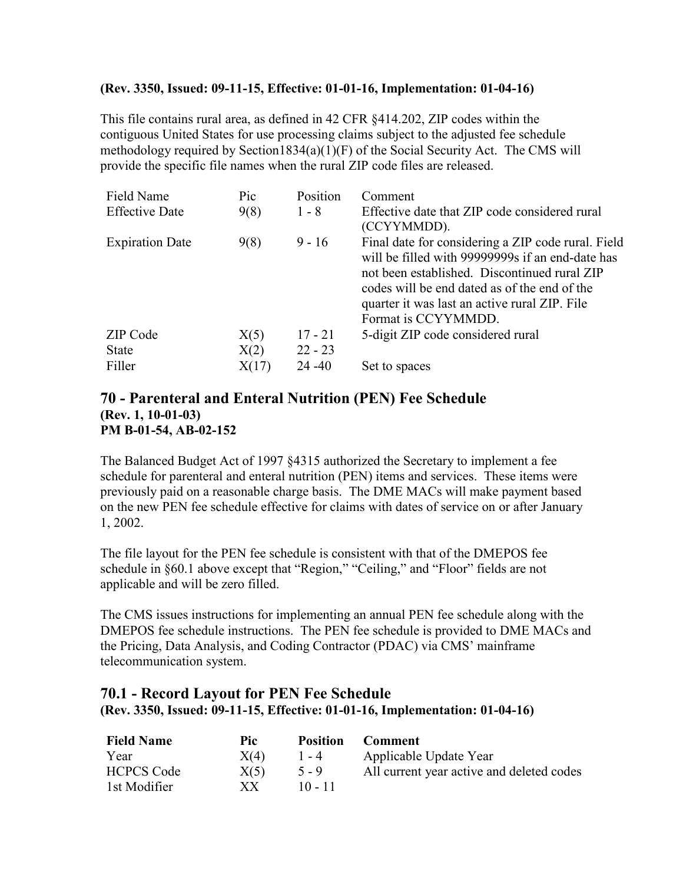#### **(Rev. 3350, Issued: 09-11-15, Effective: 01-01-16, Implementation: 01-04-16)**

This file contains rural area, as defined in 42 CFR §414.202, ZIP codes within the contiguous United States for use processing claims subject to the adjusted fee schedule methodology required by Section1834(a)(1)(F) of the Social Security Act. The CMS will provide the specific file names when the rural ZIP code files are released.

| Field Name             | Pic   | Position  | Comment                                                                                                                                                                                                                                                                       |
|------------------------|-------|-----------|-------------------------------------------------------------------------------------------------------------------------------------------------------------------------------------------------------------------------------------------------------------------------------|
| <b>Effective Date</b>  | 9(8)  | $1 - 8$   | Effective date that ZIP code considered rural<br>(CCYYMMDD).                                                                                                                                                                                                                  |
| <b>Expiration Date</b> | 9(8)  | $9 - 16$  | Final date for considering a ZIP code rural. Field<br>will be filled with 99999999 if an end-date has<br>not been established. Discontinued rural ZIP<br>codes will be end dated as of the end of the<br>quarter it was last an active rural ZIP. File<br>Format is CCYYMMDD. |
| ZIP Code               | X(5)  | $17 - 21$ | 5-digit ZIP code considered rural                                                                                                                                                                                                                                             |
| <b>State</b>           | X(2)  | $22 - 23$ |                                                                                                                                                                                                                                                                               |
| Filler                 | X(17) | $24 - 40$ | Set to spaces                                                                                                                                                                                                                                                                 |

### **70 - Parenteral and Enteral Nutrition (PEN) Fee Schedule (Rev. 1, 10-01-03) PM B-01-54, AB-02-152**

The Balanced Budget Act of 1997 §4315 authorized the Secretary to implement a fee schedule for parenteral and enteral nutrition (PEN) items and services. These items were previously paid on a reasonable charge basis. The DME MACs will make payment based on the new PEN fee schedule effective for claims with dates of service on or after January 1, 2002.

The file layout for the PEN fee schedule is consistent with that of the DMEPOS fee schedule in §60.1 above except that "Region," "Ceiling," and "Floor" fields are not applicable and will be zero filled.

The CMS issues instructions for implementing an annual PEN fee schedule along with the DMEPOS fee schedule instructions. The PEN fee schedule is provided to DME MACs and the Pricing, Data Analysis, and Coding Contractor (PDAC) via CMS' mainframe telecommunication system.

## **70.1 - Record Layout for PEN Fee Schedule (Rev. 3350, Issued: 09-11-15, Effective: 01-01-16, Implementation: 01-04-16)**

| <b>Field Name</b> | Pic  | Position  | <b>Comment</b>                            |
|-------------------|------|-----------|-------------------------------------------|
| Year              | X(4) | $1 - 4$   | Applicable Update Year                    |
| <b>HCPCS Code</b> | X(5) | $5 - 9$   | All current year active and deleted codes |
| 1st Modifier      | XX.  | $10 - 11$ |                                           |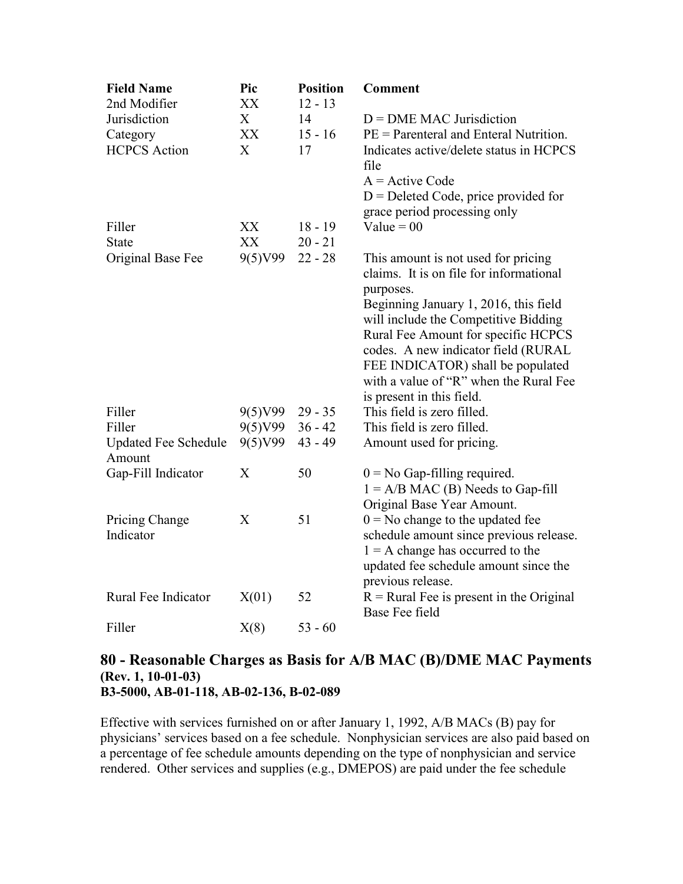| <b>Field Name</b><br>2nd Modifier     | Pic<br>XX | <b>Position</b><br>$12 - 13$ | <b>Comment</b>                                                                             |
|---------------------------------------|-----------|------------------------------|--------------------------------------------------------------------------------------------|
| Jurisdiction                          | X         | 14                           | $D = DME MAC$ Jurisdiction                                                                 |
| Category                              | XX        | $15 - 16$                    | $PE = \text{Parenteral}$ and Enteral Nutrition.                                            |
| <b>HCPCS</b> Action                   | X         | 17                           | Indicates active/delete status in HCPCS<br>file                                            |
|                                       |           |                              | $A =$ Active Code                                                                          |
|                                       |           |                              | $D =$ Deleted Code, price provided for<br>grace period processing only                     |
| Filler                                | XX        | $18 - 19$                    | Value = $00$                                                                               |
| <b>State</b>                          | XX        | $20 - 21$                    |                                                                                            |
| Original Base Fee                     | 9(5)V99   | $22 - 28$                    | This amount is not used for pricing<br>claims. It is on file for informational             |
|                                       |           |                              | purposes.<br>Beginning January 1, 2016, this field<br>will include the Competitive Bidding |
|                                       |           |                              | Rural Fee Amount for specific HCPCS                                                        |
|                                       |           |                              | codes. A new indicator field (RURAL                                                        |
|                                       |           |                              | FEE INDICATOR) shall be populated<br>with a value of "R" when the Rural Fee                |
|                                       |           |                              | is present in this field.                                                                  |
| Filler                                | 9(5)V99   | $29 - 35$                    | This field is zero filled.                                                                 |
| Filler                                | 9(5)V99   | $36 - 42$                    | This field is zero filled.                                                                 |
| <b>Updated Fee Schedule</b><br>Amount | 9(5)V99   | $43 - 49$                    | Amount used for pricing.                                                                   |
| Gap-Fill Indicator                    | X         | 50                           | $0 = No$ Gap-filling required.                                                             |
|                                       |           |                              | $1 = A/B MAC$ (B) Needs to Gap-fill<br>Original Base Year Amount.                          |
| Pricing Change                        | X         | 51                           | $0 = No$ change to the updated fee                                                         |
| Indicator                             |           |                              | schedule amount since previous release.                                                    |
|                                       |           |                              | $1 = A$ change has occurred to the                                                         |
|                                       |           |                              | updated fee schedule amount since the<br>previous release.                                 |
| Rural Fee Indicator                   | X(01)     | 52                           | $R =$ Rural Fee is present in the Original                                                 |
|                                       |           |                              | Base Fee field                                                                             |
| Filler                                | X(8)      | $53 - 60$                    |                                                                                            |

## **80 - Reasonable Charges as Basis for A/B MAC (B)/DME MAC Payments (Rev. 1, 10-01-03) B3-5000, AB-01-118, AB-02-136, B-02-089**

Effective with services furnished on or after January 1, 1992, A/B MACs (B) pay for physicians' services based on a fee schedule. Nonphysician services are also paid based on a percentage of fee schedule amounts depending on the type of nonphysician and service rendered. Other services and supplies (e.g., DMEPOS) are paid under the fee schedule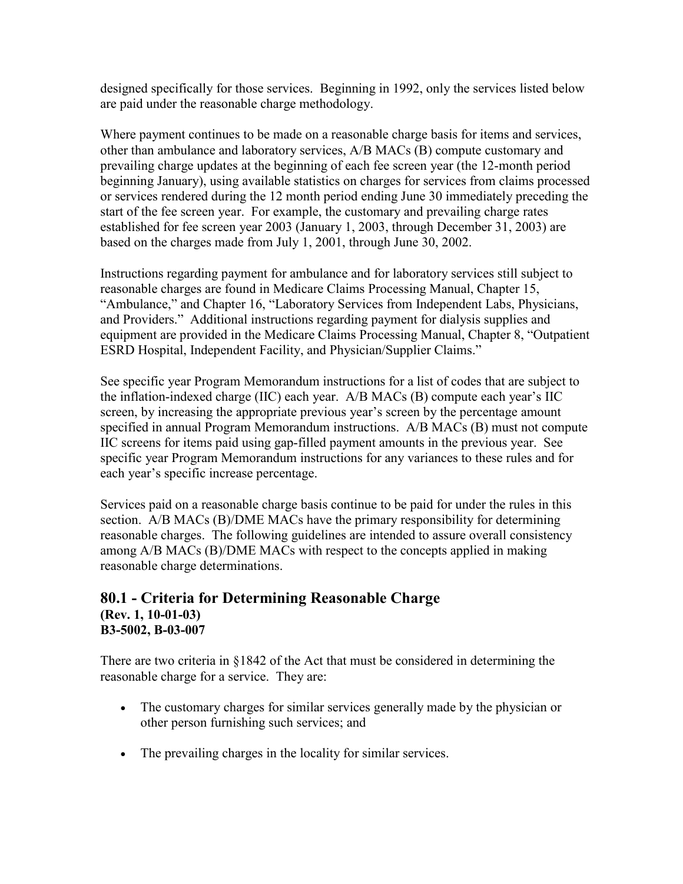designed specifically for those services. Beginning in 1992, only the services listed below are paid under the reasonable charge methodology.

Where payment continues to be made on a reasonable charge basis for items and services, other than ambulance and laboratory services, A/B MACs (B) compute customary and prevailing charge updates at the beginning of each fee screen year (the 12-month period beginning January), using available statistics on charges for services from claims processed or services rendered during the 12 month period ending June 30 immediately preceding the start of the fee screen year. For example, the customary and prevailing charge rates established for fee screen year 2003 (January 1, 2003, through December 31, 2003) are based on the charges made from July 1, 2001, through June 30, 2002.

Instructions regarding payment for ambulance and for laboratory services still subject to reasonable charges are found in Medicare Claims Processing Manual, Chapter 15, "Ambulance," and Chapter 16, "Laboratory Services from Independent Labs, Physicians, and Providers." Additional instructions regarding payment for dialysis supplies and equipment are provided in the Medicare Claims Processing Manual, Chapter 8, "Outpatient ESRD Hospital, Independent Facility, and Physician/Supplier Claims."

See specific year Program Memorandum instructions for a list of codes that are subject to the inflation-indexed charge (IIC) each year. A/B MACs (B) compute each year's IIC screen, by increasing the appropriate previous year's screen by the percentage amount specified in annual Program Memorandum instructions. A/B MACs (B) must not compute IIC screens for items paid using gap-filled payment amounts in the previous year. See specific year Program Memorandum instructions for any variances to these rules and for each year's specific increase percentage.

Services paid on a reasonable charge basis continue to be paid for under the rules in this section. A/B MACs (B)/DME MACs have the primary responsibility for determining reasonable charges. The following guidelines are intended to assure overall consistency among A/B MACs (B)/DME MACs with respect to the concepts applied in making reasonable charge determinations.

### **80.1 - Criteria for Determining Reasonable Charge (Rev. 1, 10-01-03) B3-5002, B-03-007**

There are two criteria in [§1842](http://www.cms.hhs.gov/regulations) of the Act that must be considered in determining the reasonable charge for a service. They are:

- The customary charges for similar services generally made by the physician or other person furnishing such services; and
- The prevailing charges in the locality for similar services.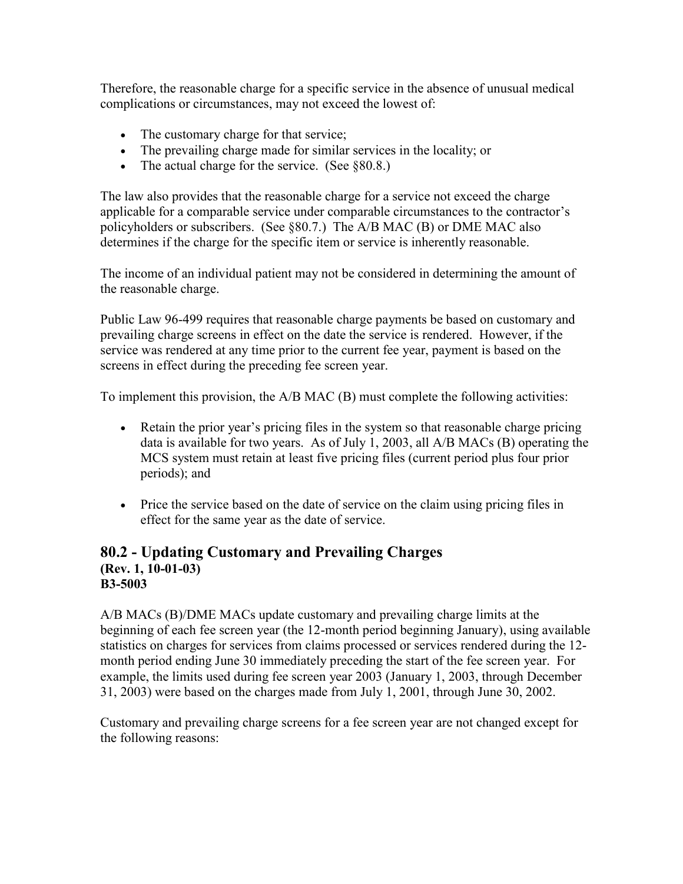Therefore, the reasonable charge for a specific service in the absence of unusual medical complications or circumstances, may not exceed the lowest of:

- The customary charge for that service;
- The prevailing charge made for similar services in the locality; or
- The actual charge for the service. (See §80.8.)

The law also provides that the reasonable charge for a service not exceed the charge applicable for a comparable service under comparable circumstances to the contractor's policyholders or subscribers. (See §80.7.) The A/B MAC (B) or DME MAC also determines if the charge for the specific item or service is inherently reasonable.

The income of an individual patient may not be considered in determining the amount of the reasonable charge.

Public Law 96-499 requires that reasonable charge payments be based on customary and prevailing charge screens in effect on the date the service is rendered. However, if the service was rendered at any time prior to the current fee year, payment is based on the screens in effect during the preceding fee screen year.

To implement this provision, the A/B MAC (B) must complete the following activities:

- Retain the prior year's pricing files in the system so that reasonable charge pricing data is available for two years. As of July 1, 2003, all A/B MACs (B) operating the MCS system must retain at least five pricing files (current period plus four prior periods); and
- Price the service based on the date of service on the claim using pricing files in effect for the same year as the date of service.

## **80.2 - Updating Customary and Prevailing Charges (Rev. 1, 10-01-03) B3-5003**

A/B MACs (B)/DME MACs update customary and prevailing charge limits at the beginning of each fee screen year (the 12-month period beginning January), using available statistics on charges for services from claims processed or services rendered during the 12 month period ending June 30 immediately preceding the start of the fee screen year. For example, the limits used during fee screen year 2003 (January 1, 2003, through December 31, 2003) were based on the charges made from July 1, 2001, through June 30, 2002.

Customary and prevailing charge screens for a fee screen year are not changed except for the following reasons: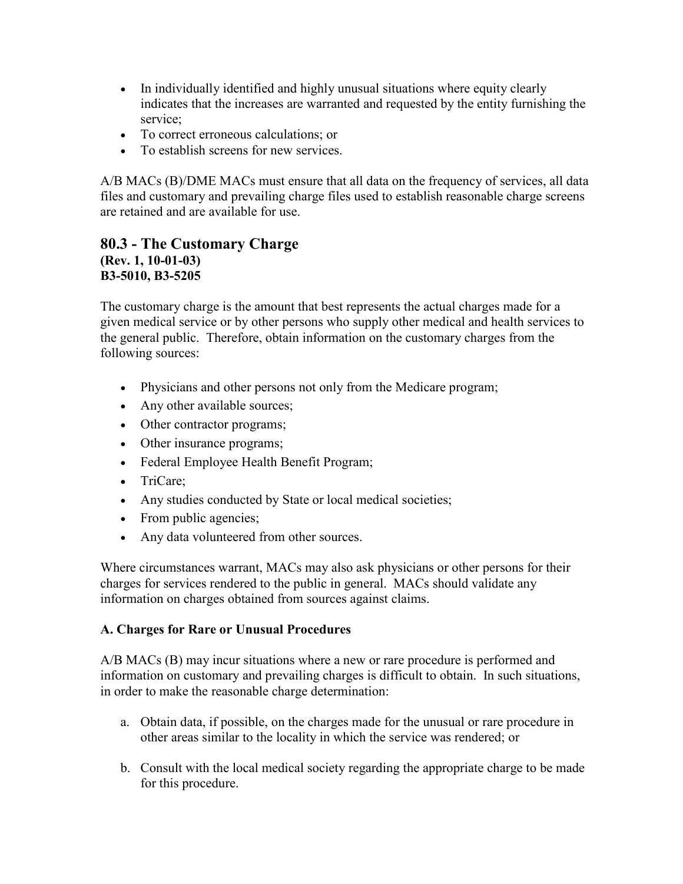- In individually identified and highly unusual situations where equity clearly indicates that the increases are warranted and requested by the entity furnishing the service;
- To correct erroneous calculations; or
- To establish screens for new services.

A/B MACs (B)/DME MACs must ensure that all data on the frequency of services, all data files and customary and prevailing charge files used to establish reasonable charge screens are retained and are available for use.

## **80.3 - The Customary Charge (Rev. 1, 10-01-03) B3-5010, B3-5205**

The customary charge is the amount that best represents the actual charges made for a given medical service or by other persons who supply other medical and health services to the general public. Therefore, obtain information on the customary charges from the following sources:

- Physicians and other persons not only from the Medicare program;
- Any other available sources;
- Other contractor programs;
- Other insurance programs;
- Federal Employee Health Benefit Program;
- TriCare;
- Any studies conducted by State or local medical societies;
- From public agencies;
- Any data volunteered from other sources.

Where circumstances warrant, MACs may also ask physicians or other persons for their charges for services rendered to the public in general. MACs should validate any information on charges obtained from sources against claims.

### **A. Charges for Rare or Unusual Procedures**

A/B MACs (B) may incur situations where a new or rare procedure is performed and information on customary and prevailing charges is difficult to obtain. In such situations, in order to make the reasonable charge determination:

- a. Obtain data, if possible, on the charges made for the unusual or rare procedure in other areas similar to the locality in which the service was rendered; or
- b. Consult with the local medical society regarding the appropriate charge to be made for this procedure.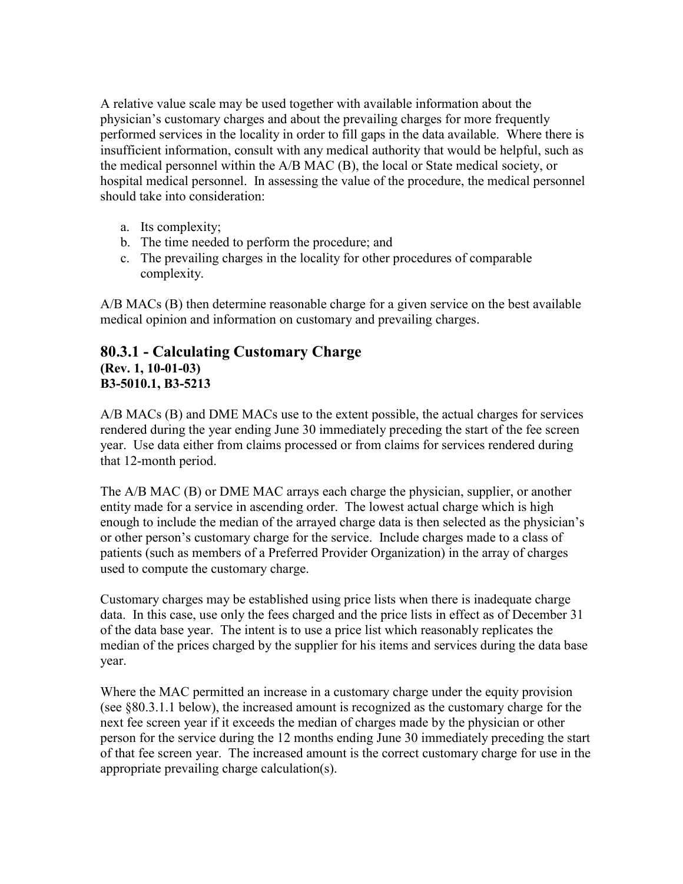A relative value scale may be used together with available information about the physician's customary charges and about the prevailing charges for more frequently performed services in the locality in order to fill gaps in the data available. Where there is insufficient information, consult with any medical authority that would be helpful, such as the medical personnel within the A/B MAC (B), the local or State medical society, or hospital medical personnel. In assessing the value of the procedure, the medical personnel should take into consideration:

- a. Its complexity;
- b. The time needed to perform the procedure; and
- c. The prevailing charges in the locality for other procedures of comparable complexity.

A/B MACs (B) then determine reasonable charge for a given service on the best available medical opinion and information on customary and prevailing charges.

## **80.3.1 - Calculating Customary Charge (Rev. 1, 10-01-03) B3-5010.1, B3-5213**

A/B MACs (B) and DME MACs use to the extent possible, the actual charges for services rendered during the year ending June 30 immediately preceding the start of the fee screen year. Use data either from claims processed or from claims for services rendered during that 12-month period.

The A/B MAC (B) or DME MAC arrays each charge the physician, supplier, or another entity made for a service in ascending order. The lowest actual charge which is high enough to include the median of the arrayed charge data is then selected as the physician's or other person's customary charge for the service. Include charges made to a class of patients (such as members of a Preferred Provider Organization) in the array of charges used to compute the customary charge.

Customary charges may be established using price lists when there is inadequate charge data. In this case, use only the fees charged and the price lists in effect as of December 31 of the data base year. The intent is to use a price list which reasonably replicates the median of the prices charged by the supplier for his items and services during the data base year.

Where the MAC permitted an increase in a customary charge under the equity provision (see §80.3.1.1 below), the increased amount is recognized as the customary charge for the next fee screen year if it exceeds the median of charges made by the physician or other person for the service during the 12 months ending June 30 immediately preceding the start of that fee screen year. The increased amount is the correct customary charge for use in the appropriate prevailing charge calculation(s).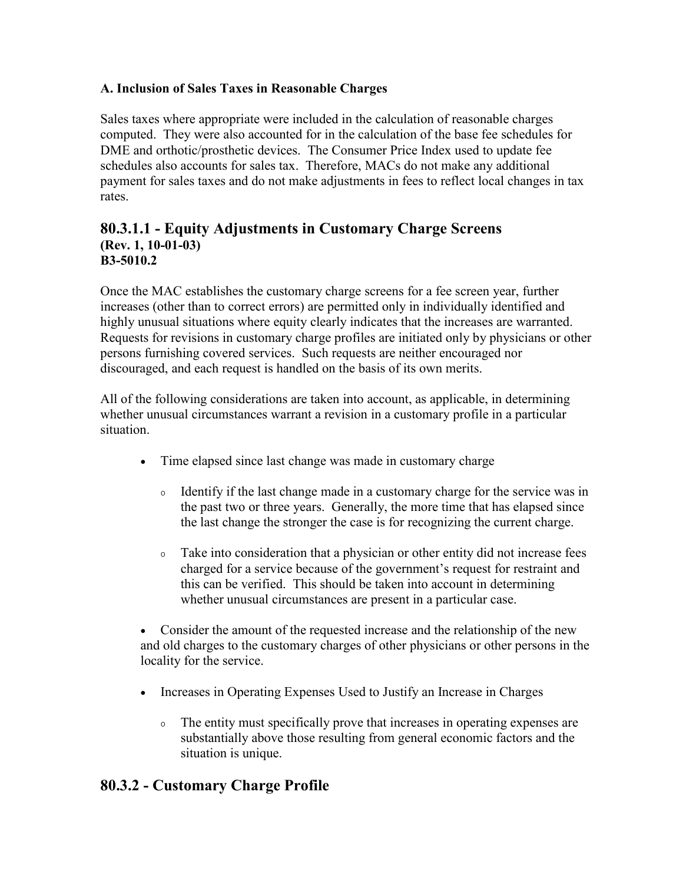### **A. Inclusion of Sales Taxes in Reasonable Charges**

Sales taxes where appropriate were included in the calculation of reasonable charges computed. They were also accounted for in the calculation of the base fee schedules for DME and orthotic/prosthetic devices. The Consumer Price Index used to update fee schedules also accounts for sales tax. Therefore, MACs do not make any additional payment for sales taxes and do not make adjustments in fees to reflect local changes in tax rates.

#### **80.3.1.1 - Equity Adjustments in Customary Charge Screens (Rev. 1, 10-01-03) B3-5010.2**

Once the MAC establishes the customary charge screens for a fee screen year, further increases (other than to correct errors) are permitted only in individually identified and highly unusual situations where equity clearly indicates that the increases are warranted. Requests for revisions in customary charge profiles are initiated only by physicians or other persons furnishing covered services. Such requests are neither encouraged nor discouraged, and each request is handled on the basis of its own merits.

All of the following considerations are taken into account, as applicable, in determining whether unusual circumstances warrant a revision in a customary profile in a particular situation.

- Time elapsed since last change was made in customary charge
	- <sup>o</sup> Identify if the last change made in a customary charge for the service was in the past two or three years. Generally, the more time that has elapsed since the last change the stronger the case is for recognizing the current charge.
	- <sup>o</sup> Take into consideration that a physician or other entity did not increase fees charged for a service because of the government's request for restraint and this can be verified. This should be taken into account in determining whether unusual circumstances are present in a particular case.

• Consider the amount of the requested increase and the relationship of the new and old charges to the customary charges of other physicians or other persons in the locality for the service.

- Increases in Operating Expenses Used to Justify an Increase in Charges
	- <sup>o</sup> The entity must specifically prove that increases in operating expenses are substantially above those resulting from general economic factors and the situation is unique.

## **80.3.2 - Customary Charge Profile**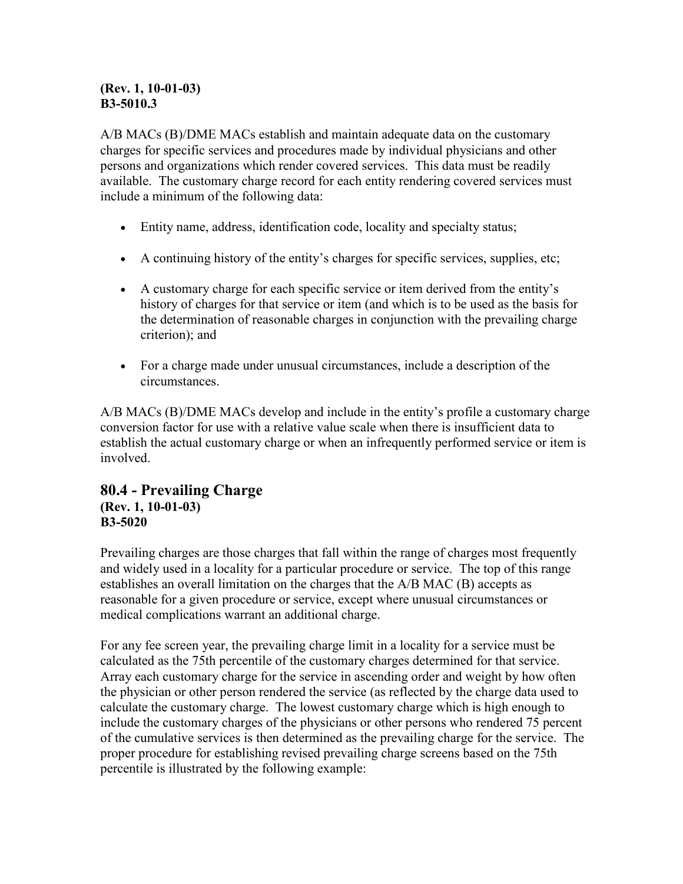### **(Rev. 1, 10-01-03) B3-5010.3**

A/B MACs (B)/DME MACs establish and maintain adequate data on the customary charges for specific services and procedures made by individual physicians and other persons and organizations which render covered services. This data must be readily available. The customary charge record for each entity rendering covered services must include a minimum of the following data:

- Entity name, address, identification code, locality and specialty status;
- A continuing history of the entity's charges for specific services, supplies, etc;
- A customary charge for each specific service or item derived from the entity's history of charges for that service or item (and which is to be used as the basis for the determination of reasonable charges in conjunction with the prevailing charge criterion); and
- For a charge made under unusual circumstances, include a description of the circumstances.

A/B MACs (B)/DME MACs develop and include in the entity's profile a customary charge conversion factor for use with a relative value scale when there is insufficient data to establish the actual customary charge or when an infrequently performed service or item is involved.

### **80.4 - Prevailing Charge (Rev. 1, 10-01-03) B3-5020**

Prevailing charges are those charges that fall within the range of charges most frequently and widely used in a locality for a particular procedure or service. The top of this range establishes an overall limitation on the charges that the A/B MAC (B) accepts as reasonable for a given procedure or service, except where unusual circumstances or medical complications warrant an additional charge.

For any fee screen year, the prevailing charge limit in a locality for a service must be calculated as the 75th percentile of the customary charges determined for that service. Array each customary charge for the service in ascending order and weight by how often the physician or other person rendered the service (as reflected by the charge data used to calculate the customary charge. The lowest customary charge which is high enough to include the customary charges of the physicians or other persons who rendered 75 percent of the cumulative services is then determined as the prevailing charge for the service. The proper procedure for establishing revised prevailing charge screens based on the 75th percentile is illustrated by the following example: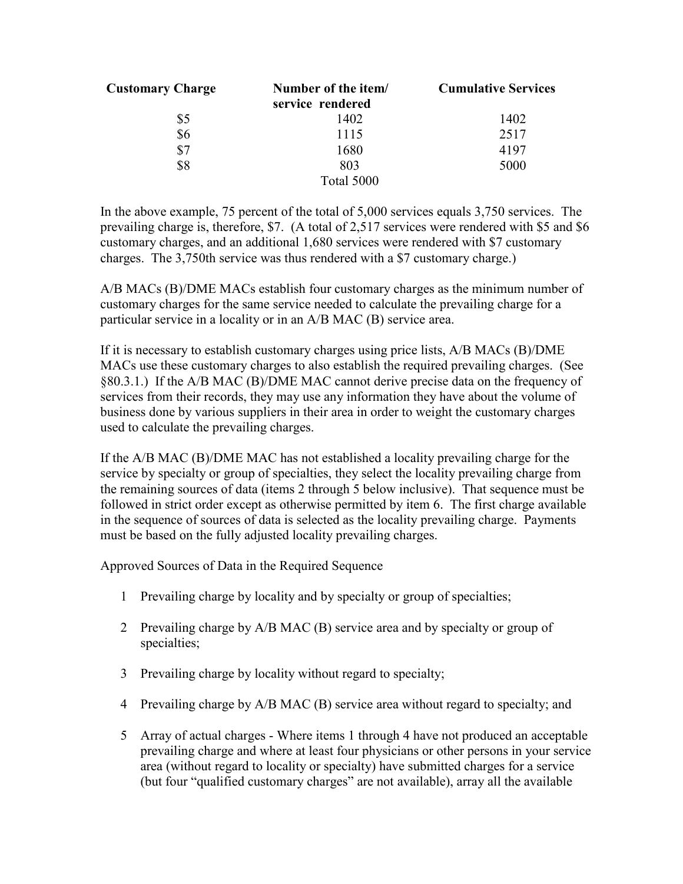| <b>Customary Charge</b> | Number of the item/ | <b>Cumulative Services</b> |
|-------------------------|---------------------|----------------------------|
|                         | service rendered    |                            |
| \$5                     | 1402                | 1402                       |
| \$6                     | 1115                | 2517                       |
| \$7                     | 1680                | 4197                       |
| \$8                     | 803                 | 5000                       |
|                         | Total 5000          |                            |

In the above example, 75 percent of the total of 5,000 services equals 3,750 services. The prevailing charge is, therefore, \$7. (A total of 2,517 services were rendered with \$5 and \$6 customary charges, and an additional 1,680 services were rendered with \$7 customary charges. The 3,750th service was thus rendered with a \$7 customary charge.)

A/B MACs (B)/DME MACs establish four customary charges as the minimum number of customary charges for the same service needed to calculate the prevailing charge for a particular service in a locality or in an A/B MAC (B) service area.

If it is necessary to establish customary charges using price lists, A/B MACs (B)/DME MACs use these customary charges to also establish the required prevailing charges. (See §80.3.1.) If the A/B MAC (B)/DME MAC cannot derive precise data on the frequency of services from their records, they may use any information they have about the volume of business done by various suppliers in their area in order to weight the customary charges used to calculate the prevailing charges.

If the A/B MAC (B)/DME MAC has not established a locality prevailing charge for the service by specialty or group of specialties, they select the locality prevailing charge from the remaining sources of data (items 2 through 5 below inclusive). That sequence must be followed in strict order except as otherwise permitted by item 6. The first charge available in the sequence of sources of data is selected as the locality prevailing charge. Payments must be based on the fully adjusted locality prevailing charges.

Approved Sources of Data in the Required Sequence

- 1 Prevailing charge by locality and by specialty or group of specialties;
- 2 Prevailing charge by A/B MAC (B) service area and by specialty or group of specialties;
- 3 Prevailing charge by locality without regard to specialty;
- 4 Prevailing charge by A/B MAC (B) service area without regard to specialty; and
- 5 Array of actual charges Where items 1 through 4 have not produced an acceptable prevailing charge and where at least four physicians or other persons in your service area (without regard to locality or specialty) have submitted charges for a service (but four "qualified customary charges" are not available), array all the available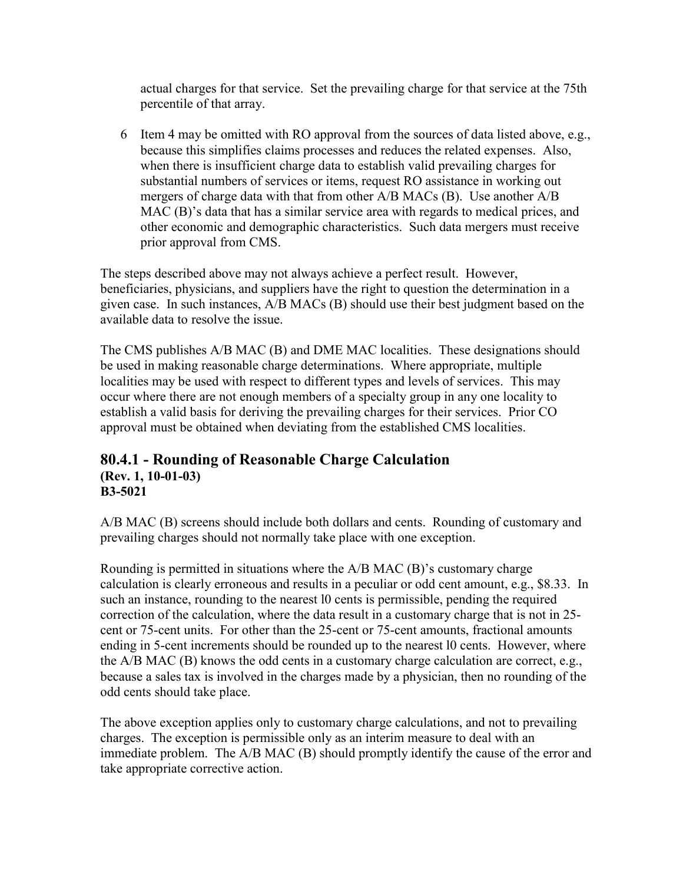actual charges for that service. Set the prevailing charge for that service at the 75th percentile of that array.

6 Item 4 may be omitted with RO approval from the sources of data listed above, e.g., because this simplifies claims processes and reduces the related expenses. Also, when there is insufficient charge data to establish valid prevailing charges for substantial numbers of services or items, request RO assistance in working out mergers of charge data with that from other A/B MACs (B). Use another A/B MAC (B)'s data that has a similar service area with regards to medical prices, and other economic and demographic characteristics. Such data mergers must receive prior approval from CMS.

The steps described above may not always achieve a perfect result. However, beneficiaries, physicians, and suppliers have the right to question the determination in a given case. In such instances, A/B MACs (B) should use their best judgment based on the available data to resolve the issue.

The CMS publishes A/B MAC (B) and DME MAC localities. These designations should be used in making reasonable charge determinations. Where appropriate, multiple localities may be used with respect to different types and levels of services. This may occur where there are not enough members of a specialty group in any one locality to establish a valid basis for deriving the prevailing charges for their services. Prior CO approval must be obtained when deviating from the established CMS localities.

## **80.4.1 - Rounding of Reasonable Charge Calculation (Rev. 1, 10-01-03) B3-5021**

A/B MAC (B) screens should include both dollars and cents. Rounding of customary and prevailing charges should not normally take place with one exception.

Rounding is permitted in situations where the A/B MAC (B)'s customary charge calculation is clearly erroneous and results in a peculiar or odd cent amount, e.g., \$8.33. In such an instance, rounding to the nearest l0 cents is permissible, pending the required correction of the calculation, where the data result in a customary charge that is not in 25 cent or 75-cent units. For other than the 25-cent or 75-cent amounts, fractional amounts ending in 5-cent increments should be rounded up to the nearest 10 cents. However, where the  $A/B$  MAC (B) knows the odd cents in a customary charge calculation are correct, e.g., because a sales tax is involved in the charges made by a physician, then no rounding of the odd cents should take place.

The above exception applies only to customary charge calculations, and not to prevailing charges. The exception is permissible only as an interim measure to deal with an immediate problem. The A/B MAC (B) should promptly identify the cause of the error and take appropriate corrective action.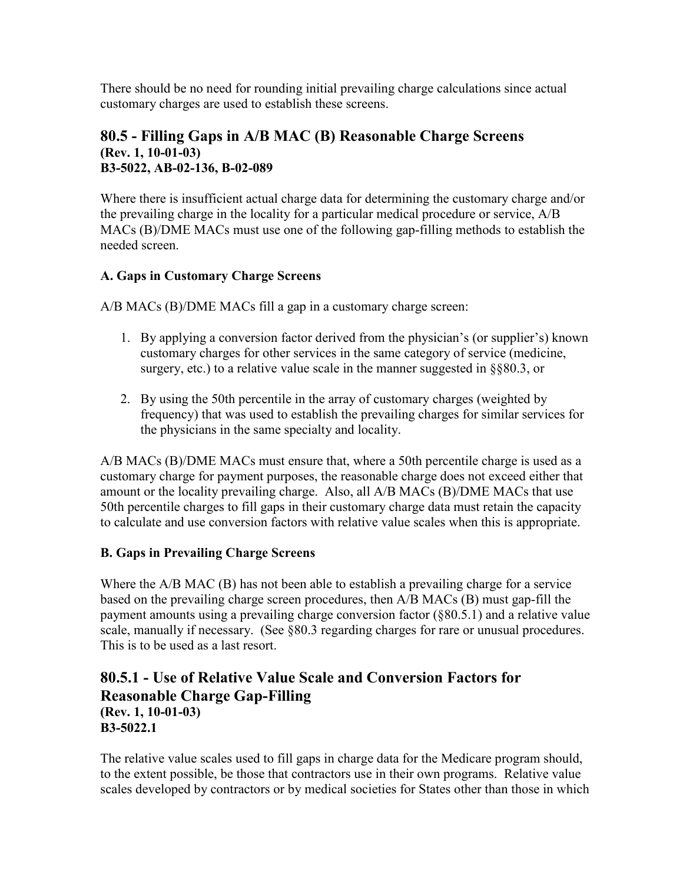There should be no need for rounding initial prevailing charge calculations since actual customary charges are used to establish these screens.

### **80.5 - Filling Gaps in A/B MAC (B) Reasonable Charge Screens (Rev. 1, 10-01-03) B3-5022, AB-02-136, B-02-089**

Where there is insufficient actual charge data for determining the customary charge and/or the prevailing charge in the locality for a particular medical procedure or service, A/B MACs (B)/DME MACs must use one of the following gap-filling methods to establish the needed screen.

## **A. Gaps in Customary Charge Screens**

A/B MACs (B)/DME MACs fill a gap in a customary charge screen:

- 1. By applying a conversion factor derived from the physician's (or supplier's) known customary charges for other services in the same category of service (medicine, surgery, etc.) to a relative value scale in the manner suggested in §§80.3, or
- 2. By using the 50th percentile in the array of customary charges (weighted by frequency) that was used to establish the prevailing charges for similar services for the physicians in the same specialty and locality.

A/B MACs (B)/DME MACs must ensure that, where a 50th percentile charge is used as a customary charge for payment purposes, the reasonable charge does not exceed either that amount or the locality prevailing charge. Also, all A/B MACs (B)/DME MACs that use 50th percentile charges to fill gaps in their customary charge data must retain the capacity to calculate and use conversion factors with relative value scales when this is appropriate.

### **B. Gaps in Prevailing Charge Screens**

Where the A/B MAC (B) has not been able to establish a prevailing charge for a service based on the prevailing charge screen procedures, then A/B MACs (B) must gap-fill the payment amounts using a prevailing charge conversion factor (§80.5.1) and a relative value scale, manually if necessary. (See §80.3 regarding charges for rare or unusual procedures. This is to be used as a last resort.

## **80.5.1 - Use of Relative Value Scale and Conversion Factors for Reasonable Charge Gap-Filling (Rev. 1, 10-01-03) B3-5022.1**

The relative value scales used to fill gaps in charge data for the Medicare program should, to the extent possible, be those that contractors use in their own programs. Relative value scales developed by contractors or by medical societies for States other than those in which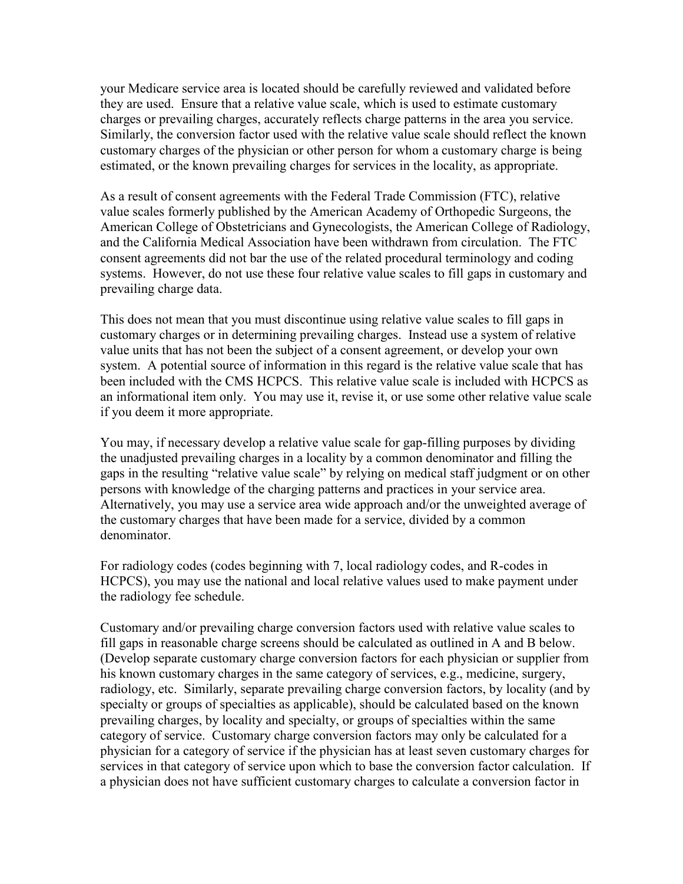your Medicare service area is located should be carefully reviewed and validated before they are used. Ensure that a relative value scale, which is used to estimate customary charges or prevailing charges, accurately reflects charge patterns in the area you service. Similarly, the conversion factor used with the relative value scale should reflect the known customary charges of the physician or other person for whom a customary charge is being estimated, or the known prevailing charges for services in the locality, as appropriate.

As a result of consent agreements with the Federal Trade Commission (FTC), relative value scales formerly published by the American Academy of Orthopedic Surgeons, the American College of Obstetricians and Gynecologists, the American College of Radiology, and the California Medical Association have been withdrawn from circulation. The FTC consent agreements did not bar the use of the related procedural terminology and coding systems. However, do not use these four relative value scales to fill gaps in customary and prevailing charge data.

This does not mean that you must discontinue using relative value scales to fill gaps in customary charges or in determining prevailing charges. Instead use a system of relative value units that has not been the subject of a consent agreement, or develop your own system. A potential source of information in this regard is the relative value scale that has been included with the CMS HCPCS. This relative value scale is included with HCPCS as an informational item only. You may use it, revise it, or use some other relative value scale if you deem it more appropriate.

You may, if necessary develop a relative value scale for gap-filling purposes by dividing the unadjusted prevailing charges in a locality by a common denominator and filling the gaps in the resulting "relative value scale" by relying on medical staff judgment or on other persons with knowledge of the charging patterns and practices in your service area. Alternatively, you may use a service area wide approach and/or the unweighted average of the customary charges that have been made for a service, divided by a common denominator.

For radiology codes (codes beginning with 7, local radiology codes, and R-codes in HCPCS), you may use the national and local relative values used to make payment under the radiology fee schedule.

Customary and/or prevailing charge conversion factors used with relative value scales to fill gaps in reasonable charge screens should be calculated as outlined in A and B below. (Develop separate customary charge conversion factors for each physician or supplier from his known customary charges in the same category of services, e.g., medicine, surgery, radiology, etc. Similarly, separate prevailing charge conversion factors, by locality (and by specialty or groups of specialties as applicable), should be calculated based on the known prevailing charges, by locality and specialty, or groups of specialties within the same category of service. Customary charge conversion factors may only be calculated for a physician for a category of service if the physician has at least seven customary charges for services in that category of service upon which to base the conversion factor calculation. If a physician does not have sufficient customary charges to calculate a conversion factor in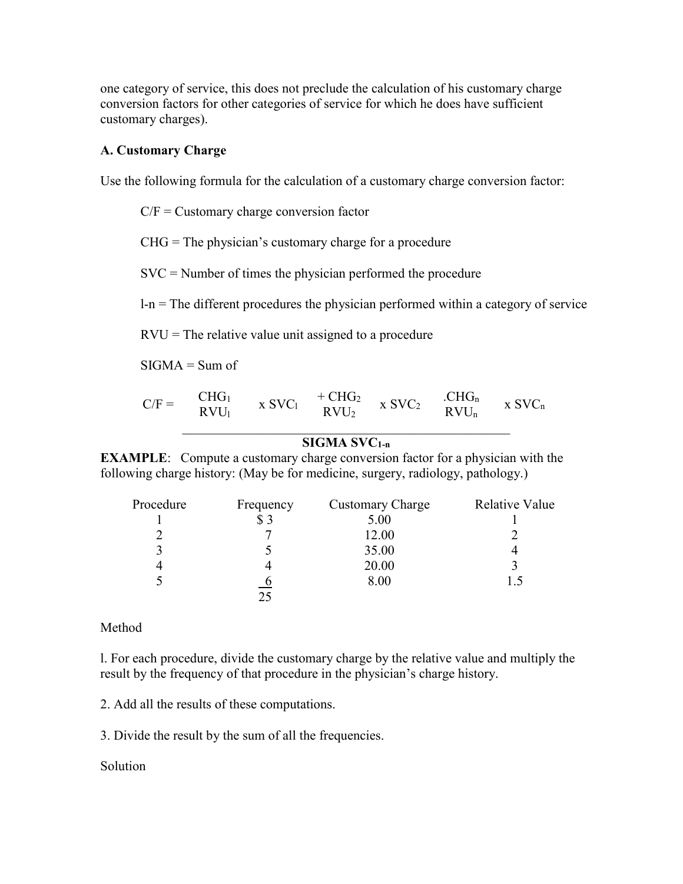one category of service, this does not preclude the calculation of his customary charge conversion factors for other categories of service for which he does have sufficient customary charges).

#### **A. Customary Charge**

Use the following formula for the calculation of a customary charge conversion factor:

C/F = Customary charge conversion factor

 $CHG = The physician's customary charge for a procedure$ 

SVC = Number of times the physician performed the procedure

 $l-n$  = The different procedures the physician performed within a category of service

 $RVU =$ The relative value unit assigned to a procedure

 $SIGMA = Sum of$ 

| $C/F =$ | CHG <sub>1</sub> | $X$ SVC <sub>1</sub> | $+CHG2$          | $X$ SV $C_2$ | CHG <sub>n</sub> | $x$ SV $C_n$ |
|---------|------------------|----------------------|------------------|--------------|------------------|--------------|
|         | $RVU_1$          |                      | RVU <sub>2</sub> |              | $RVU_n$          |              |

#### **SIGMA SVC1-n**

**EXAMPLE**: Compute a customary charge conversion factor for a physician with the following charge history: (May be for medicine, surgery, radiology, pathology.)

| Procedure | Frequency | <b>Customary Charge</b> | Relative Value |
|-----------|-----------|-------------------------|----------------|
|           | \$3       | 5.00                    |                |
|           |           | 12.00                   |                |
|           |           | 35.00                   |                |
|           |           | 20.00                   |                |
|           |           | 8.00                    |                |
|           |           |                         |                |

#### Method

l. For each procedure, divide the customary charge by the relative value and multiply the result by the frequency of that procedure in the physician's charge history.

2. Add all the results of these computations.

3. Divide the result by the sum of all the frequencies.

#### Solution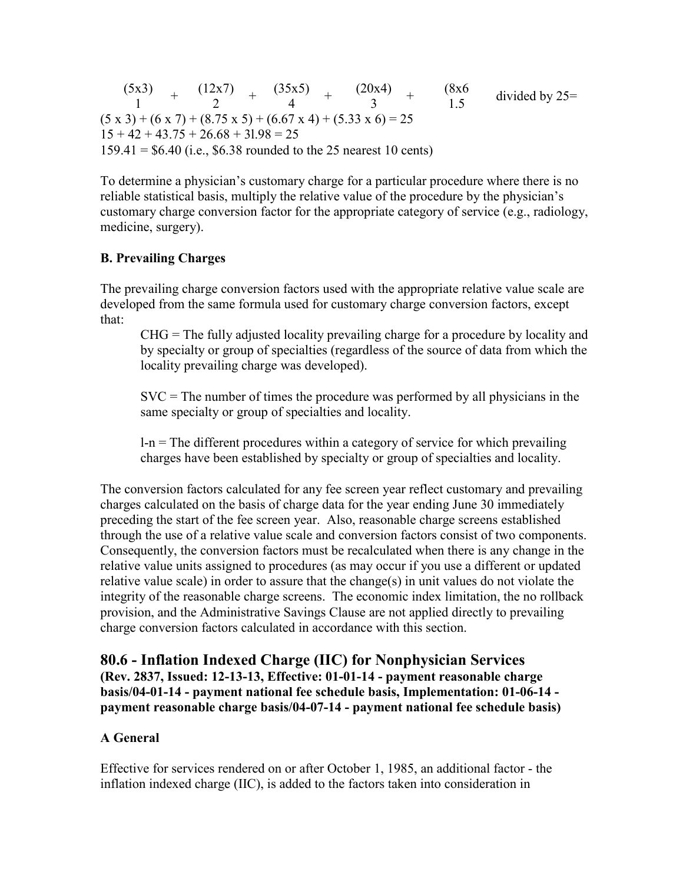$(5x3)$ 1 + (12x7) 2 + (35x5) 4 + (20x4) 3 + (8x6  $\frac{(8x6)}{1.5}$  divided by 25=  $(5 \times 3) + (6 \times 7) + (8.75 \times 5) + (6.67 \times 4) + (5.33 \times 6) = 25$  $15 + 42 + 43.75 + 26.68 + 31.98 = 25$  $159.41 = $6.40$  (i.e., \$6.38 rounded to the 25 nearest 10 cents)

To determine a physician's customary charge for a particular procedure where there is no reliable statistical basis, multiply the relative value of the procedure by the physician's customary charge conversion factor for the appropriate category of service (e.g., radiology, medicine, surgery).

## **B. Prevailing Charges**

The prevailing charge conversion factors used with the appropriate relative value scale are developed from the same formula used for customary charge conversion factors, except that:

CHG = The fully adjusted locality prevailing charge for a procedure by locality and by specialty or group of specialties (regardless of the source of data from which the locality prevailing charge was developed).

 $SVC = The number of times the procedure was performed by all physicians in the$ same specialty or group of specialties and locality.

 $l-n$  = The different procedures within a category of service for which prevailing charges have been established by specialty or group of specialties and locality.

The conversion factors calculated for any fee screen year reflect customary and prevailing charges calculated on the basis of charge data for the year ending June 30 immediately preceding the start of the fee screen year. Also, reasonable charge screens established through the use of a relative value scale and conversion factors consist of two components. Consequently, the conversion factors must be recalculated when there is any change in the relative value units assigned to procedures (as may occur if you use a different or updated relative value scale) in order to assure that the change(s) in unit values do not violate the integrity of the reasonable charge screens. The economic index limitation, the no rollback provision, and the Administrative Savings Clause are not applied directly to prevailing charge conversion factors calculated in accordance with this section.

**80.6 - Inflation Indexed Charge (IIC) for Nonphysician Services (Rev. 2837, Issued: 12-13-13, Effective: 01-01-14 - payment reasonable charge basis/04-01-14 - payment national fee schedule basis, Implementation: 01-06-14 payment reasonable charge basis/04-07-14 - payment national fee schedule basis)**

### **A General**

Effective for services rendered on or after October 1, 1985, an additional factor - the inflation indexed charge (IIC), is added to the factors taken into consideration in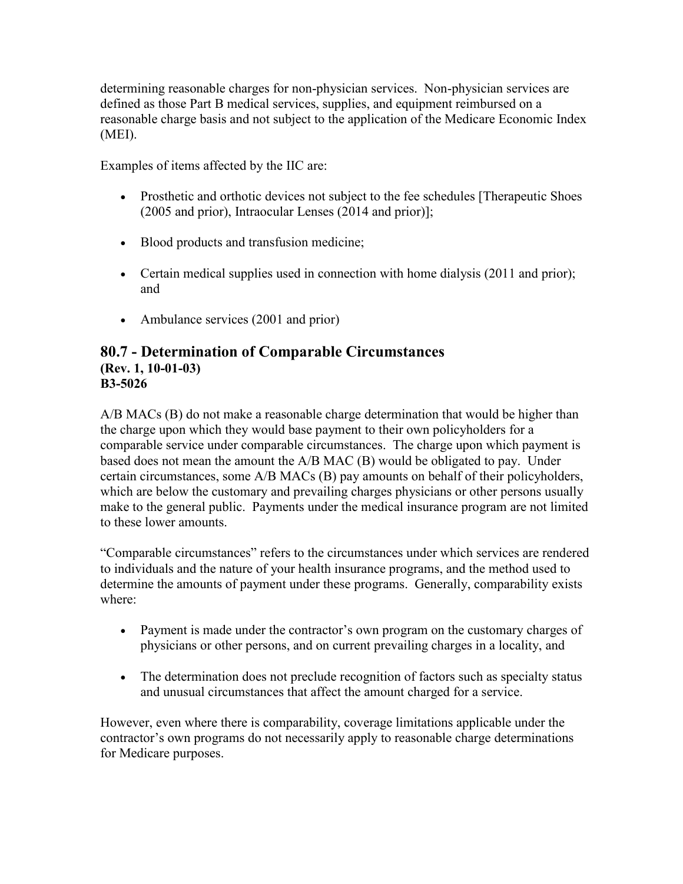determining reasonable charges for non-physician services. Non-physician services are defined as those Part B medical services, supplies, and equipment reimbursed on a reasonable charge basis and not subject to the application of the Medicare Economic Index (MEI).

Examples of items affected by the IIC are:

- Prosthetic and orthotic devices not subject to the fee schedules [Therapeutic Shoes (2005 and prior), Intraocular Lenses (2014 and prior)];
- Blood products and transfusion medicine;
- Certain medical supplies used in connection with home dialysis (2011 and prior); and
- Ambulance services (2001 and prior)

### **80.7 - Determination of Comparable Circumstances (Rev. 1, 10-01-03) B3-5026**

A/B MACs (B) do not make a reasonable charge determination that would be higher than the charge upon which they would base payment to their own policyholders for a comparable service under comparable circumstances. The charge upon which payment is based does not mean the amount the A/B MAC (B) would be obligated to pay. Under certain circumstances, some A/B MACs (B) pay amounts on behalf of their policyholders, which are below the customary and prevailing charges physicians or other persons usually make to the general public. Payments under the medical insurance program are not limited to these lower amounts.

"Comparable circumstances" refers to the circumstances under which services are rendered to individuals and the nature of your health insurance programs, and the method used to determine the amounts of payment under these programs. Generally, comparability exists where:

- Payment is made under the contractor's own program on the customary charges of physicians or other persons, and on current prevailing charges in a locality, and
- The determination does not preclude recognition of factors such as specialty status and unusual circumstances that affect the amount charged for a service.

However, even where there is comparability, coverage limitations applicable under the contractor's own programs do not necessarily apply to reasonable charge determinations for Medicare purposes.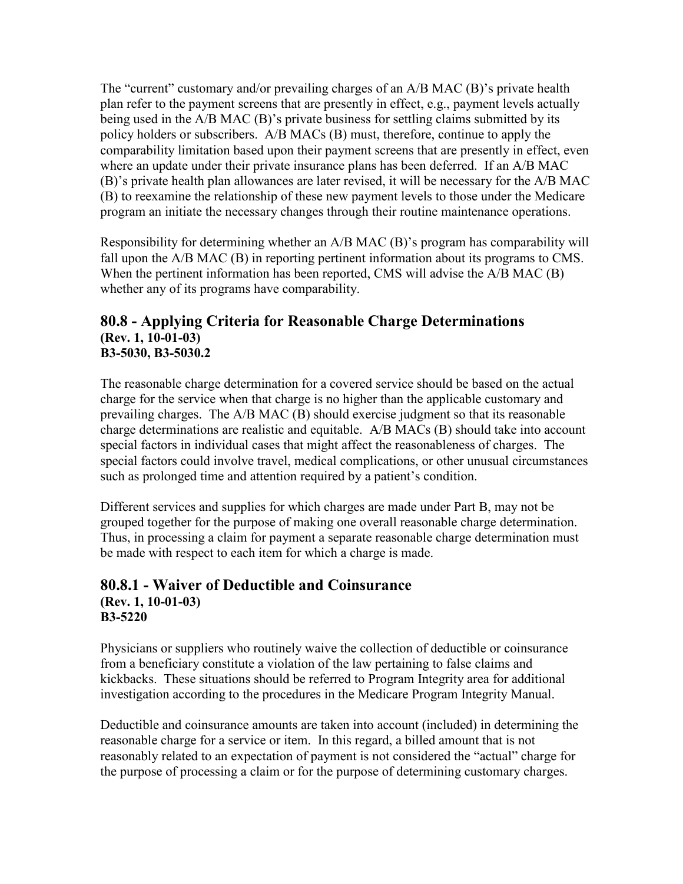The "current" customary and/or prevailing charges of an A/B MAC (B)'s private health plan refer to the payment screens that are presently in effect, e.g., payment levels actually being used in the A/B MAC (B)'s private business for settling claims submitted by its policy holders or subscribers. A/B MACs (B) must, therefore, continue to apply the comparability limitation based upon their payment screens that are presently in effect, even where an update under their private insurance plans has been deferred. If an A/B MAC (B)'s private health plan allowances are later revised, it will be necessary for the A/B MAC (B) to reexamine the relationship of these new payment levels to those under the Medicare program an initiate the necessary changes through their routine maintenance operations.

Responsibility for determining whether an A/B MAC (B)'s program has comparability will fall upon the A/B MAC (B) in reporting pertinent information about its programs to CMS. When the pertinent information has been reported, CMS will advise the A/B MAC (B) whether any of its programs have comparability.

## **80.8 - Applying Criteria for Reasonable Charge Determinations (Rev. 1, 10-01-03) B3-5030, B3-5030.2**

The reasonable charge determination for a covered service should be based on the actual charge for the service when that charge is no higher than the applicable customary and prevailing charges. The A/B MAC (B) should exercise judgment so that its reasonable charge determinations are realistic and equitable. A/B MACs (B) should take into account special factors in individual cases that might affect the reasonableness of charges. The special factors could involve travel, medical complications, or other unusual circumstances such as prolonged time and attention required by a patient's condition.

Different services and supplies for which charges are made under Part B, may not be grouped together for the purpose of making one overall reasonable charge determination. Thus, in processing a claim for payment a separate reasonable charge determination must be made with respect to each item for which a charge is made.

## **80.8.1 - Waiver of Deductible and Coinsurance (Rev. 1, 10-01-03) B3-5220**

Physicians or suppliers who routinely waive the collection of deductible or coinsurance from a beneficiary constitute a violation of the law pertaining to false claims and kickbacks. These situations should be referred to Program Integrity area for additional investigation according to the procedures in the Medicare Program Integrity Manual.

Deductible and coinsurance amounts are taken into account (included) in determining the reasonable charge for a service or item. In this regard, a billed amount that is not reasonably related to an expectation of payment is not considered the "actual" charge for the purpose of processing a claim or for the purpose of determining customary charges.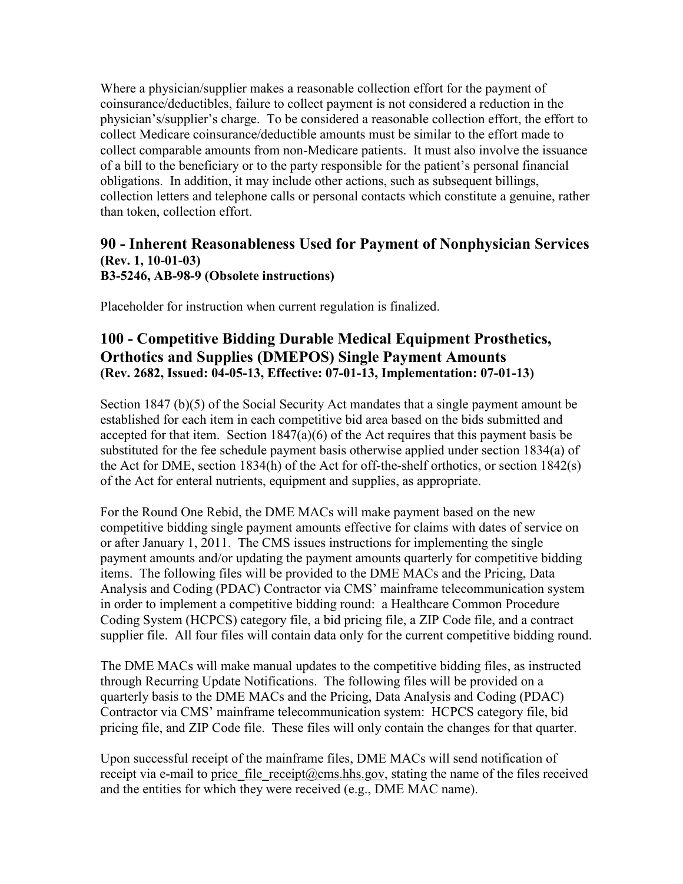Where a physician/supplier makes a reasonable collection effort for the payment of coinsurance/deductibles, failure to collect payment is not considered a reduction in the physician's/supplier's charge. To be considered a reasonable collection effort, the effort to collect Medicare coinsurance/deductible amounts must be similar to the effort made to collect comparable amounts from non-Medicare patients. It must also involve the issuance of a bill to the beneficiary or to the party responsible for the patient's personal financial obligations. In addition, it may include other actions, such as subsequent billings, collection letters and telephone calls or personal contacts which constitute a genuine, rather than token, collection effort.

## **90 - Inherent Reasonableness Used for Payment of Nonphysician Services (Rev. 1, 10-01-03) B3-5246, AB-98-9 (Obsolete instructions)**

Placeholder for instruction when current regulation is finalized.

## **100 - Competitive Bidding Durable Medical Equipment Prosthetics, Orthotics and Supplies (DMEPOS) Single Payment Amounts (Rev. 2682, Issued: 04-05-13, Effective: 07-01-13, Implementation: 07-01-13)**

Section 1847 (b)(5) of the Social Security Act mandates that a single payment amount be established for each item in each competitive bid area based on the bids submitted and accepted for that item. Section  $1847(a)(6)$  of the Act requires that this payment basis be substituted for the fee schedule payment basis otherwise applied under section 1834(a) of the Act for DME, section 1834(h) of the Act for off-the-shelf orthotics, or section 1842(s) of the Act for enteral nutrients, equipment and supplies, as appropriate.

For the Round One Rebid, the DME MACs will make payment based on the new competitive bidding single payment amounts effective for claims with dates of service on or after January 1, 2011. The CMS issues instructions for implementing the single payment amounts and/or updating the payment amounts quarterly for competitive bidding items. The following files will be provided to the DME MACs and the Pricing, Data Analysis and Coding (PDAC) Contractor via CMS' mainframe telecommunication system in order to implement a competitive bidding round: a Healthcare Common Procedure Coding System (HCPCS) category file, a bid pricing file, a ZIP Code file, and a contract supplier file. All four files will contain data only for the current competitive bidding round.

The DME MACs will make manual updates to the competitive bidding files, as instructed through Recurring Update Notifications. The following files will be provided on a quarterly basis to the DME MACs and the Pricing, Data Analysis and Coding (PDAC) Contractor via CMS' mainframe telecommunication system: HCPCS category file, bid pricing file, and ZIP Code file. These files will only contain the changes for that quarter.

Upon successful receipt of the mainframe files, DME MACs will send notification of receipt via e-mail to price file receipt@cms.hhs.gov, stating the name of the files received and the entities for which they were received (e.g., DME MAC name).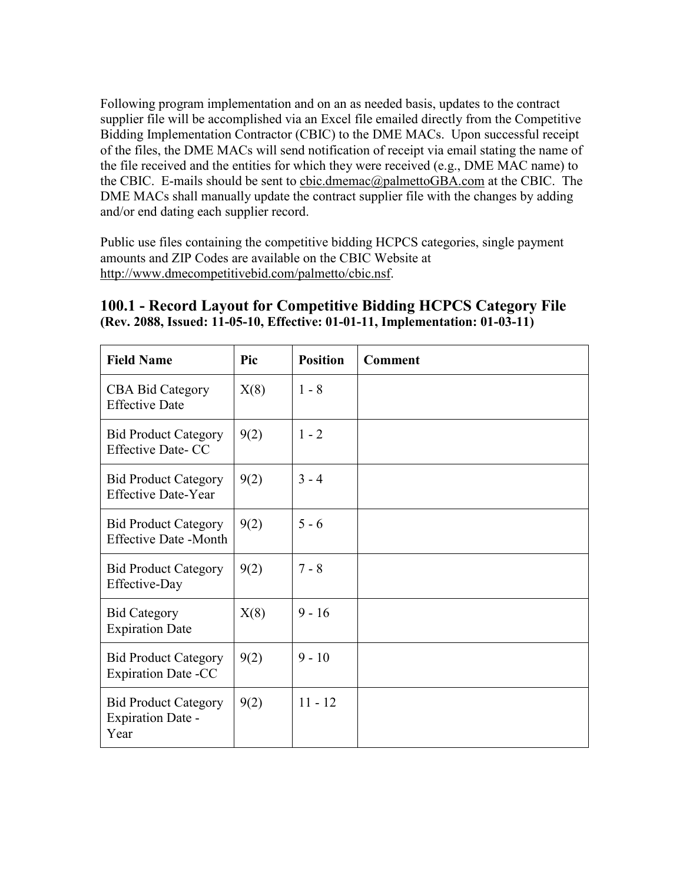Following program implementation and on an as needed basis, updates to the contract supplier file will be accomplished via an Excel file emailed directly from the Competitive Bidding Implementation Contractor (CBIC) to the DME MACs. Upon successful receipt of the files, the DME MACs will send notification of receipt via email stating the name of the file received and the entities for which they were received (e.g., DME MAC name) to the CBIC. E-mails should be sent to [cbic.dmemac@palmettoGBA.com](mailto:cbic.dmemac@palmettoGBA.com) at the CBIC. The DME MACs shall manually update the contract supplier file with the changes by adding and/or end dating each supplier record.

Public use files containing the competitive bidding HCPCS categories, single payment amounts and ZIP Codes are available on the CBIC Website at [http://www.dmecompetitivebid.com/palmetto/cbic.nsf.](http://www.dmecompetitivebid.com/palmetto/cbic.nsf)

| <b>Field Name</b>                                               | Pic  | <b>Position</b> | <b>Comment</b> |
|-----------------------------------------------------------------|------|-----------------|----------------|
| <b>CBA Bid Category</b><br><b>Effective Date</b>                | X(8) | $1 - 8$         |                |
| <b>Bid Product Category</b><br><b>Effective Date- CC</b>        | 9(2) | $1 - 2$         |                |
| <b>Bid Product Category</b><br><b>Effective Date-Year</b>       | 9(2) | $3 - 4$         |                |
| <b>Bid Product Category</b><br><b>Effective Date -Month</b>     | 9(2) | $5 - 6$         |                |
| <b>Bid Product Category</b><br>Effective-Day                    | 9(2) | $7 - 8$         |                |
| <b>Bid Category</b><br><b>Expiration Date</b>                   | X(8) | $9 - 16$        |                |
| <b>Bid Product Category</b><br><b>Expiration Date -CC</b>       | 9(2) | $9 - 10$        |                |
| <b>Bid Product Category</b><br><b>Expiration Date -</b><br>Year | 9(2) | $11 - 12$       |                |

## **100.1 - Record Layout for Competitive Bidding HCPCS Category File (Rev. 2088, Issued: 11-05-10, Effective: 01-01-11, Implementation: 01-03-11)**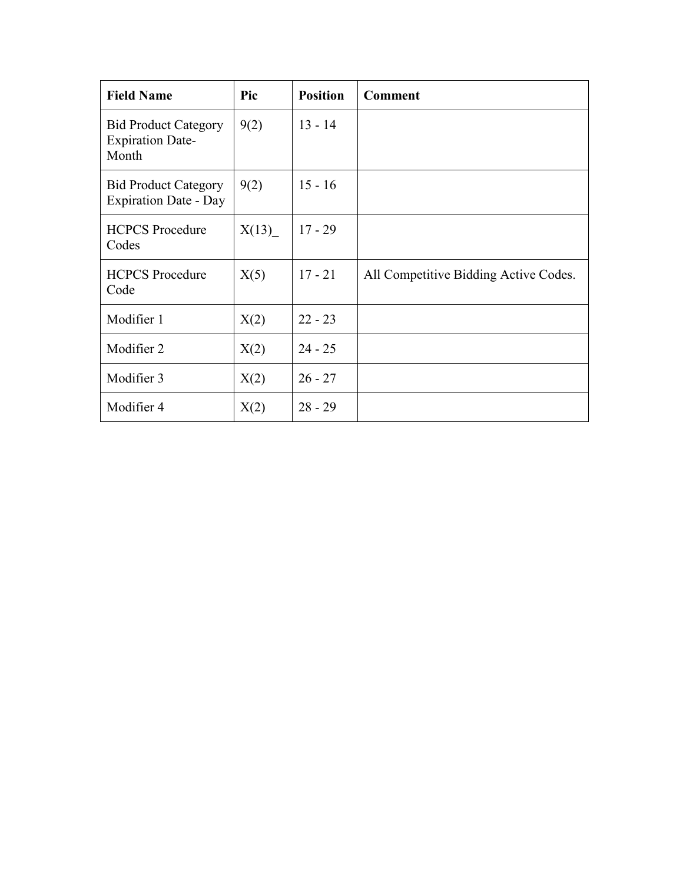| <b>Field Name</b>                                               | Pic   | <b>Position</b> | <b>Comment</b>                        |
|-----------------------------------------------------------------|-------|-----------------|---------------------------------------|
| <b>Bid Product Category</b><br><b>Expiration Date-</b><br>Month | 9(2)  | $13 - 14$       |                                       |
| <b>Bid Product Category</b><br><b>Expiration Date - Day</b>     | 9(2)  | $15 - 16$       |                                       |
| <b>HCPCS</b> Procedure<br>Codes                                 | X(13) | $17 - 29$       |                                       |
| <b>HCPCS</b> Procedure<br>Code                                  | X(5)  | $17 - 21$       | All Competitive Bidding Active Codes. |
| Modifier 1                                                      | X(2)  | $22 - 23$       |                                       |
| Modifier 2                                                      | X(2)  | $24 - 25$       |                                       |
| Modifier 3                                                      | X(2)  | $26 - 27$       |                                       |
| Modifier 4                                                      | X(2)  | $28 - 29$       |                                       |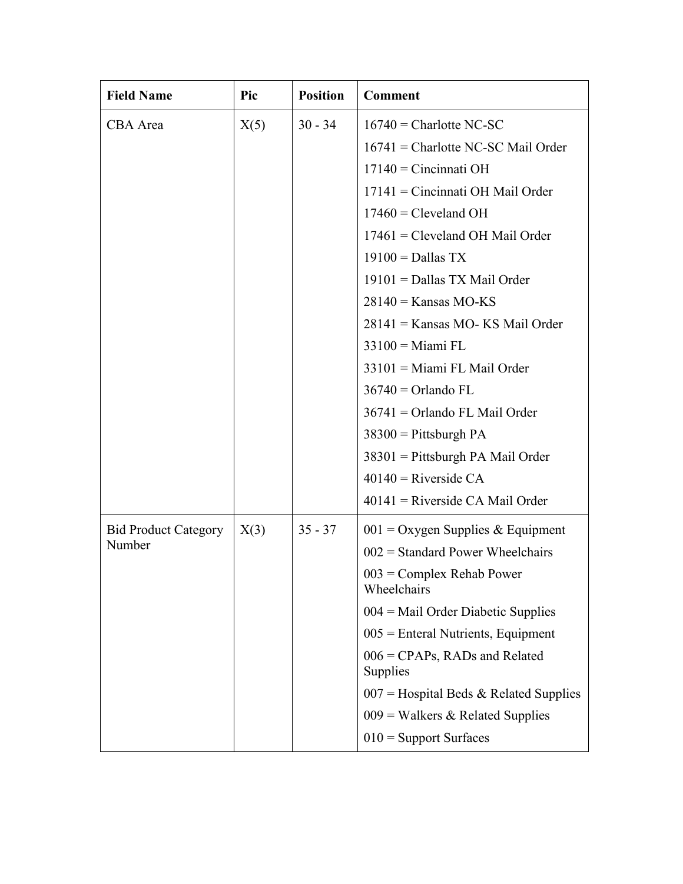| <b>Field Name</b>           | Pic  | <b>Position</b> | <b>Comment</b>                                      |
|-----------------------------|------|-----------------|-----------------------------------------------------|
| CBA Area                    | X(5) | $30 - 34$       | $16740$ = Charlotte NC-SC                           |
|                             |      |                 | $16741$ = Charlotte NC-SC Mail Order                |
|                             |      |                 | $17140$ = Cincinnati OH                             |
|                             |      |                 | $17141$ = Cincinnati OH Mail Order                  |
|                             |      |                 | $17460$ = Cleveland OH                              |
|                             |      |                 | $17461$ = Cleveland OH Mail Order                   |
|                             |      |                 | $19100 =$ Dallas TX                                 |
|                             |      |                 | $19101 =$ Dallas TX Mail Order                      |
|                             |      |                 | $28140 =$ Kansas MO-KS                              |
|                             |      |                 | 28141 = Kansas MO- KS Mail Order                    |
|                             |      |                 | $33100$ = Miami FL                                  |
|                             |      |                 | $33101$ = Miami FL Mail Order                       |
|                             |      |                 | $36740 =$ Orlando FL                                |
|                             |      |                 | $36741 =$ Orlando FL Mail Order                     |
|                             |      |                 | $38300$ = Pittsburgh PA                             |
|                             |      |                 | 38301 = Pittsburgh PA Mail Order                    |
|                             |      |                 | $40140$ = Riverside CA                              |
|                             |      |                 | $40141$ = Riverside CA Mail Order                   |
| <b>Bid Product Category</b> | X(3) | $35 - 37$       | $001 =$ Oxygen Supplies & Equipment                 |
| Number                      |      |                 | $002$ = Standard Power Wheelchairs                  |
|                             |      |                 | $003$ = Complex Rehab Power<br>Wheelchairs          |
|                             |      |                 | $004$ = Mail Order Diabetic Supplies                |
|                             |      |                 | $005$ = Enteral Nutrients, Equipment                |
|                             |      |                 | $006 = \text{CPAPs}$ , RADs and Related<br>Supplies |
|                             |      |                 | $007$ = Hospital Beds & Related Supplies            |
|                             |      |                 | $009$ = Walkers & Related Supplies                  |
|                             |      |                 | $010$ = Support Surfaces                            |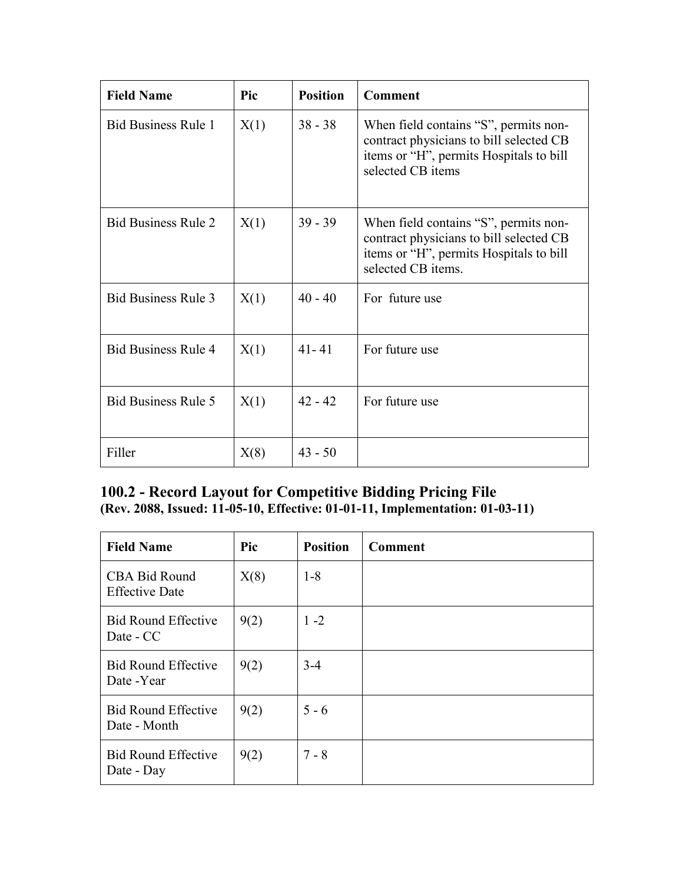| <b>Field Name</b>          | Pic  | <b>Position</b> | <b>Comment</b>                                                                                                                                    |
|----------------------------|------|-----------------|---------------------------------------------------------------------------------------------------------------------------------------------------|
| <b>Bid Business Rule 1</b> | X(1) | $38 - 38$       | When field contains "S", permits non-<br>contract physicians to bill selected CB<br>items or "H", permits Hospitals to bill<br>selected CB items  |
| <b>Bid Business Rule 2</b> | X(1) | $39 - 39$       | When field contains "S", permits non-<br>contract physicians to bill selected CB<br>items or "H", permits Hospitals to bill<br>selected CB items. |
| <b>Bid Business Rule 3</b> | X(1) | $40 - 40$       | For future use                                                                                                                                    |
| <b>Bid Business Rule 4</b> | X(1) | $41 - 41$       | For future use                                                                                                                                    |
| <b>Bid Business Rule 5</b> | X(1) | $42 - 42$       | For future use                                                                                                                                    |
| Filler                     | X(8) | $43 - 50$       |                                                                                                                                                   |

## **100.2 - Record Layout for Competitive Bidding Pricing File (Rev. 2088, Issued: 11-05-10, Effective: 01-01-11, Implementation: 01-03-11)**

| <b>Field Name</b>                          | Pic  | <b>Position</b> | <b>Comment</b> |
|--------------------------------------------|------|-----------------|----------------|
| CBA Bid Round<br><b>Effective Date</b>     | X(8) | $1 - 8$         |                |
| <b>Bid Round Effective</b><br>Date - CC    | 9(2) | $1 - 2$         |                |
| <b>Bid Round Effective</b><br>Date -Year   | 9(2) | $3-4$           |                |
| <b>Bid Round Effective</b><br>Date - Month | 9(2) | $5 - 6$         |                |
| <b>Bid Round Effective</b><br>Date - Day   | 9(2) | $7 - 8$         |                |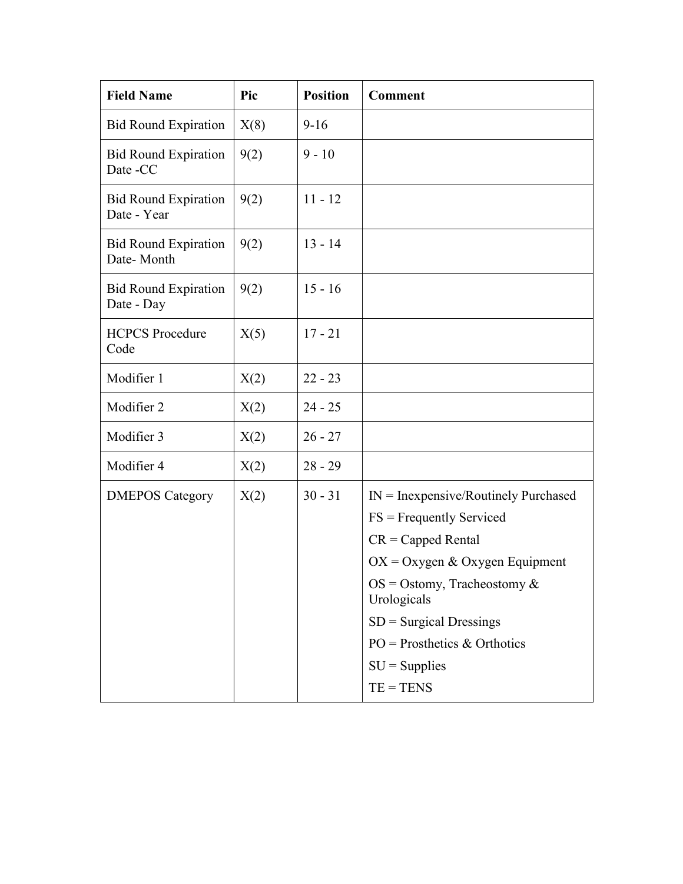| <b>Field Name</b>                          | Pic  | <b>Position</b> | <b>Comment</b>                                                                                                                                                                                                                                                                   |
|--------------------------------------------|------|-----------------|----------------------------------------------------------------------------------------------------------------------------------------------------------------------------------------------------------------------------------------------------------------------------------|
| <b>Bid Round Expiration</b>                | X(8) | $9-16$          |                                                                                                                                                                                                                                                                                  |
| <b>Bid Round Expiration</b><br>Date -CC    | 9(2) | $9 - 10$        |                                                                                                                                                                                                                                                                                  |
| <b>Bid Round Expiration</b><br>Date - Year | 9(2) | $11 - 12$       |                                                                                                                                                                                                                                                                                  |
| <b>Bid Round Expiration</b><br>Date-Month  | 9(2) | $13 - 14$       |                                                                                                                                                                                                                                                                                  |
| <b>Bid Round Expiration</b><br>Date - Day  | 9(2) | $15 - 16$       |                                                                                                                                                                                                                                                                                  |
| <b>HCPCS</b> Procedure<br>Code             | X(5) | $17 - 21$       |                                                                                                                                                                                                                                                                                  |
| Modifier 1                                 | X(2) | $22 - 23$       |                                                                                                                                                                                                                                                                                  |
| Modifier 2                                 | X(2) | $24 - 25$       |                                                                                                                                                                                                                                                                                  |
| Modifier 3                                 | X(2) | $26 - 27$       |                                                                                                                                                                                                                                                                                  |
| Modifier 4                                 | X(2) | $28 - 29$       |                                                                                                                                                                                                                                                                                  |
| <b>DMEPOS Category</b>                     | X(2) | $30 - 31$       | $IN = Inexpensive/Routinely Purchased$<br>$FS = Frequently Service$<br>$CR = Capped Rental$<br>$OX = Oxygen & Oxygen$ Equipment<br>$OS = Ostomy$ , Tracheostomy &<br>Urologicals<br>$SD =$ Surgical Dressings<br>$PO = Prostheets & Orthotics$<br>$SU =$ Supplies<br>$TE = TENS$ |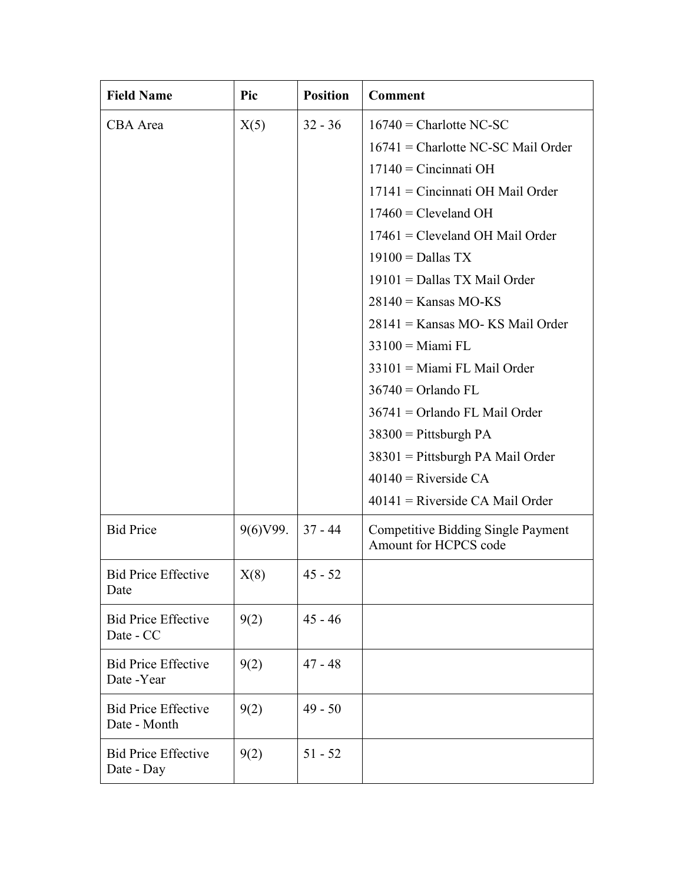| <b>Field Name</b>                          | Pic       | <b>Position</b> | <b>Comment</b>                                                     |
|--------------------------------------------|-----------|-----------------|--------------------------------------------------------------------|
| CBA Area                                   | X(5)      | $32 - 36$       | $16740$ = Charlotte NC-SC                                          |
|                                            |           |                 | $16741$ = Charlotte NC-SC Mail Order                               |
|                                            |           |                 | $17140$ = Cincinnati OH                                            |
|                                            |           |                 | $17141$ = Cincinnati OH Mail Order                                 |
|                                            |           |                 | $17460$ = Cleveland OH                                             |
|                                            |           |                 | 17461 = Cleveland OH Mail Order                                    |
|                                            |           |                 | $19100 =$ Dallas TX                                                |
|                                            |           |                 | $19101 =$ Dallas TX Mail Order                                     |
|                                            |           |                 | $28140 =$ Kansas MO-KS                                             |
|                                            |           |                 | 28141 = Kansas MO- KS Mail Order                                   |
|                                            |           |                 | $33100 =$ Miami FL                                                 |
|                                            |           |                 | 33101 = Miami FL Mail Order                                        |
|                                            |           |                 | $36740 =$ Orlando FL                                               |
|                                            |           |                 | $36741$ = Orlando FL Mail Order                                    |
|                                            |           |                 | $38300$ = Pittsburgh PA                                            |
|                                            |           |                 | $38301$ = Pittsburgh PA Mail Order                                 |
|                                            |           |                 | $40140$ = Riverside CA                                             |
|                                            |           |                 | $40141$ = Riverside CA Mail Order                                  |
| <b>Bid Price</b>                           | 9(6) V99. | $37 - 44$       | <b>Competitive Bidding Single Payment</b><br>Amount for HCPCS code |
| <b>Bid Price Effective</b><br>Date         | X(8)      | $45 - 52$       |                                                                    |
| <b>Bid Price Effective</b><br>Date - CC    | 9(2)      | $45 - 46$       |                                                                    |
| <b>Bid Price Effective</b><br>Date -Year   | 9(2)      | $47 - 48$       |                                                                    |
| <b>Bid Price Effective</b><br>Date - Month | 9(2)      | $49 - 50$       |                                                                    |
| <b>Bid Price Effective</b><br>Date - Day   | 9(2)      | $51 - 52$       |                                                                    |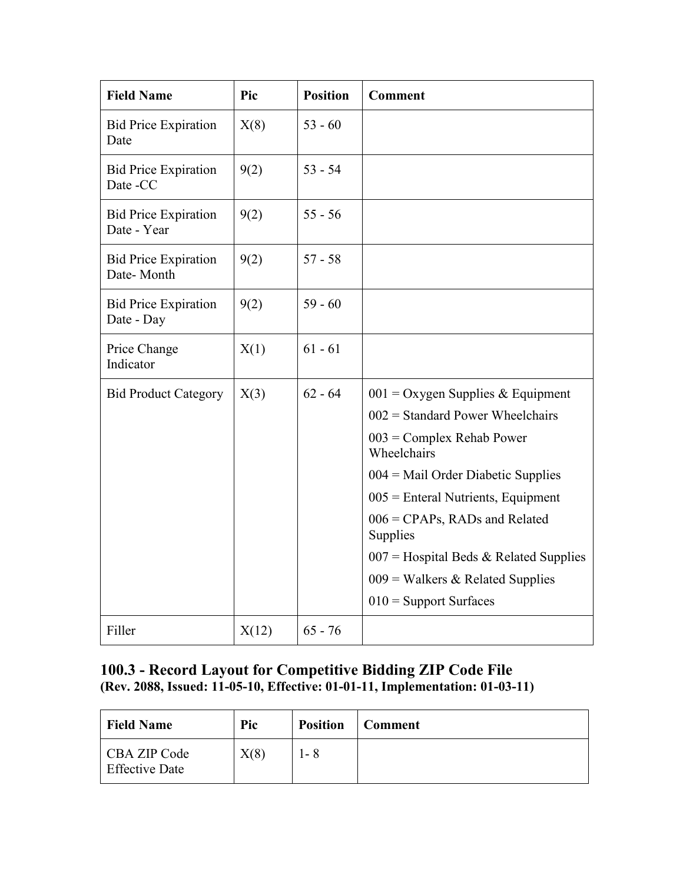| <b>Field Name</b>                          | Pic   | <b>Position</b> | <b>Comment</b>                              |
|--------------------------------------------|-------|-----------------|---------------------------------------------|
| <b>Bid Price Expiration</b><br>Date        | X(8)  | $53 - 60$       |                                             |
| <b>Bid Price Expiration</b><br>Date -CC    | 9(2)  | $53 - 54$       |                                             |
| <b>Bid Price Expiration</b><br>Date - Year | 9(2)  | $55 - 56$       |                                             |
| <b>Bid Price Expiration</b><br>Date-Month  | 9(2)  | $57 - 58$       |                                             |
| <b>Bid Price Expiration</b><br>Date - Day  | 9(2)  | $59 - 60$       |                                             |
| Price Change<br>Indicator                  | X(1)  | $61 - 61$       |                                             |
| <b>Bid Product Category</b>                | X(3)  | $62 - 64$       | $001 =$ Oxygen Supplies & Equipment         |
|                                            |       |                 | $002$ = Standard Power Wheelchairs          |
|                                            |       |                 | $003$ = Complex Rehab Power<br>Wheelchairs  |
|                                            |       |                 | $004$ = Mail Order Diabetic Supplies        |
|                                            |       |                 | $005$ = Enteral Nutrients, Equipment        |
|                                            |       |                 | $006$ = CPAPs, RADs and Related<br>Supplies |
|                                            |       |                 | $007$ = Hospital Beds & Related Supplies    |
|                                            |       |                 | $009$ = Walkers & Related Supplies          |
|                                            |       |                 | $010$ = Support Surfaces                    |
| Filler                                     | X(12) | $65 - 76$       |                                             |

## **100.3 - Record Layout for Competitive Bidding ZIP Code File (Rev. 2088, Issued: 11-05-10, Effective: 01-01-11, Implementation: 01-03-11)**

| <b>Field Name</b>                     | Pic  | <b>Position</b> | <b>Comment</b> |
|---------------------------------------|------|-----------------|----------------|
| CBA ZIP Code<br><b>Effective Date</b> | X(8) | l - 8           |                |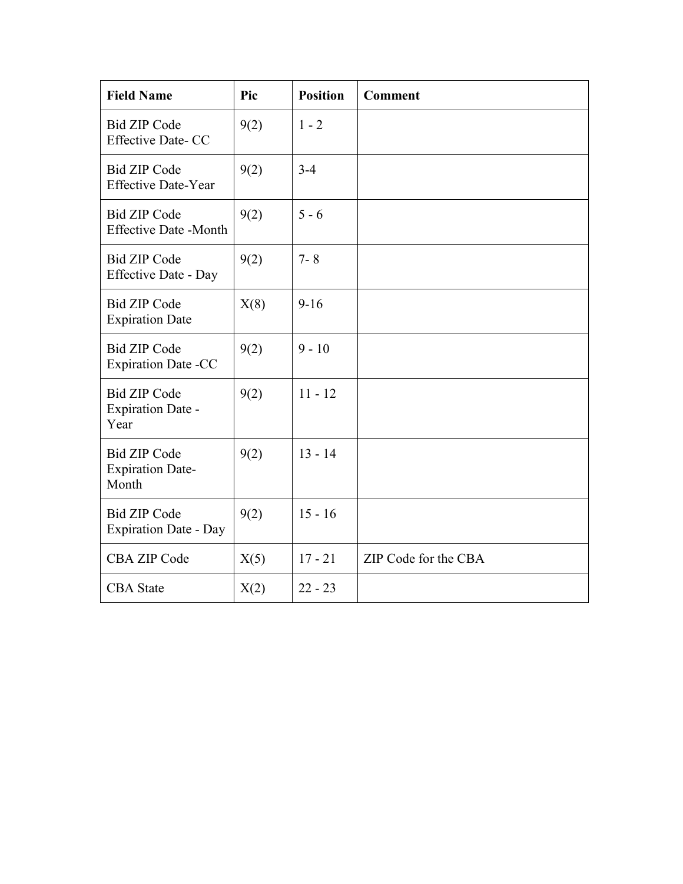| <b>Field Name</b>                                       | Pic  | <b>Position</b> | <b>Comment</b>       |
|---------------------------------------------------------|------|-----------------|----------------------|
| <b>Bid ZIP Code</b><br><b>Effective Date-CC</b>         | 9(2) | $1 - 2$         |                      |
| <b>Bid ZIP Code</b><br><b>Effective Date-Year</b>       | 9(2) | $3 - 4$         |                      |
| <b>Bid ZIP Code</b><br><b>Effective Date -Month</b>     | 9(2) | $5 - 6$         |                      |
| <b>Bid ZIP Code</b><br><b>Effective Date - Day</b>      | 9(2) | $7 - 8$         |                      |
| <b>Bid ZIP Code</b><br><b>Expiration Date</b>           | X(8) | $9-16$          |                      |
| <b>Bid ZIP Code</b><br><b>Expiration Date -CC</b>       | 9(2) | $9 - 10$        |                      |
| <b>Bid ZIP Code</b><br><b>Expiration Date -</b><br>Year | 9(2) | $11 - 12$       |                      |
| <b>Bid ZIP Code</b><br><b>Expiration Date-</b><br>Month | 9(2) | $13 - 14$       |                      |
| <b>Bid ZIP Code</b><br><b>Expiration Date - Day</b>     | 9(2) | $15 - 16$       |                      |
| <b>CBA ZIP Code</b>                                     | X(5) | $17 - 21$       | ZIP Code for the CBA |
| <b>CBA</b> State                                        | X(2) | $22 - 23$       |                      |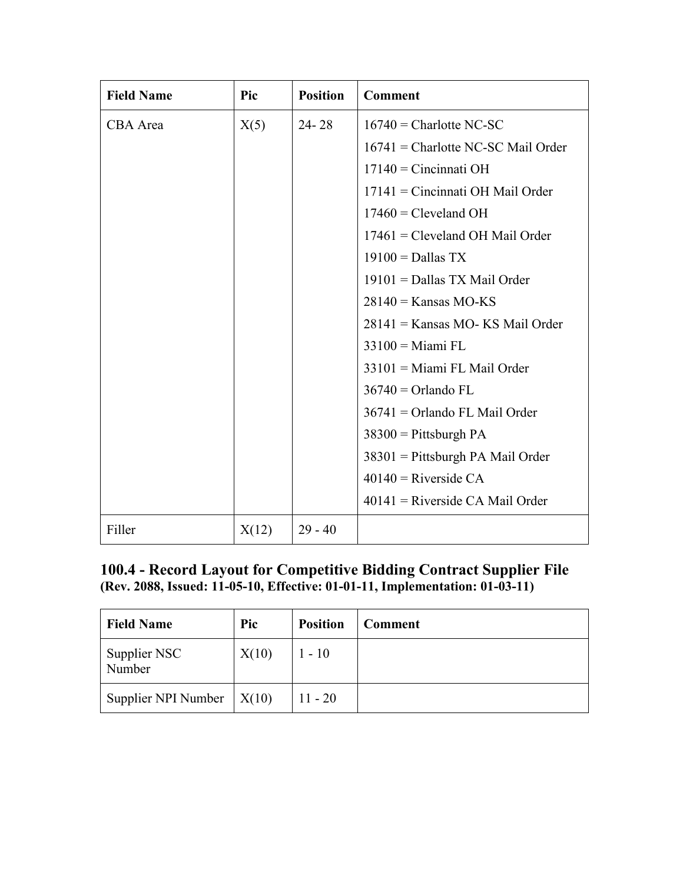| <b>Field Name</b> | Pic   | <b>Position</b> | <b>Comment</b>                       |
|-------------------|-------|-----------------|--------------------------------------|
| CBA Area          | X(5)  | $24 - 28$       | $16740$ = Charlotte NC-SC            |
|                   |       |                 | $16741$ = Charlotte NC-SC Mail Order |
|                   |       |                 | $17140$ = Cincinnati OH              |
|                   |       |                 | $17141$ = Cincinnati OH Mail Order   |
|                   |       |                 | $17460$ = Cleveland OH               |
|                   |       |                 | $17461$ = Cleveland OH Mail Order    |
|                   |       |                 | $19100 =$ Dallas TX                  |
|                   |       |                 | $19101 =$ Dallas TX Mail Order       |
|                   |       |                 | $28140 =$ Kansas MO-KS               |
|                   |       |                 | $28141$ = Kansas MO-KS Mail Order    |
|                   |       |                 | $33100 =$ Miami FL                   |
|                   |       |                 | 33101 = Miami FL Mail Order          |
|                   |       |                 | $36740 =$ Orlando FL                 |
|                   |       |                 | $36741 =$ Orlando FL Mail Order      |
|                   |       |                 | $38300$ = Pittsburgh PA              |
|                   |       |                 | $38301$ = Pittsburgh PA Mail Order   |
|                   |       |                 | $40140$ = Riverside CA               |
|                   |       |                 | $40141$ = Riverside CA Mail Order    |
| Filler            | X(12) | $29 - 40$       |                                      |

## **100.4 - Record Layout for Competitive Bidding Contract Supplier File (Rev. 2088, Issued: 11-05-10, Effective: 01-01-11, Implementation: 01-03-11)**

| <b>Field Name</b>      | Pic          | <b>Position</b> | <b>Comment</b> |
|------------------------|--------------|-----------------|----------------|
| Supplier NSC<br>Number | X(10)        | $1 - 10$        |                |
| Supplier NPI Number    | $\mid$ X(10) | $11 - 20$       |                |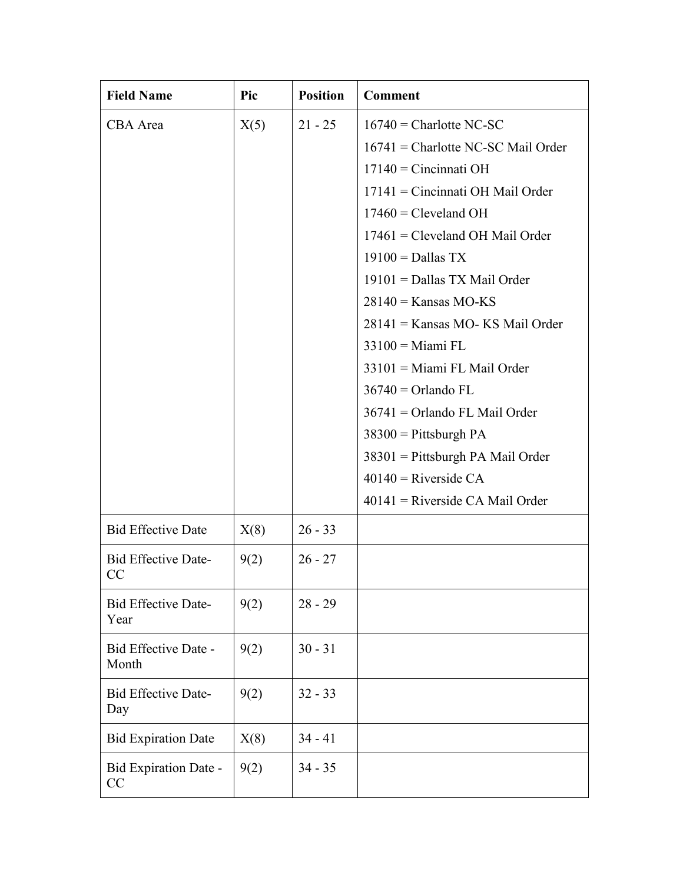| <b>Field Name</b>                  | Pic  | <b>Position</b> | <b>Comment</b>                                                                                                                                                                                                                                                                                                                                                                                                                                                                                                                                                         |
|------------------------------------|------|-----------------|------------------------------------------------------------------------------------------------------------------------------------------------------------------------------------------------------------------------------------------------------------------------------------------------------------------------------------------------------------------------------------------------------------------------------------------------------------------------------------------------------------------------------------------------------------------------|
| CBA Area                           | X(5) | $21 - 25$       | $16740$ = Charlotte NC-SC<br>$16741$ = Charlotte NC-SC Mail Order<br>$17140$ = Cincinnati OH<br>$17141$ = Cincinnati OH Mail Order<br>$17460$ = Cleveland OH<br>$17461$ = Cleveland OH Mail Order<br>$19100 =$ Dallas TX<br>$19101 =$ Dallas TX Mail Order<br>$28140 =$ Kansas MO-KS<br>28141 = Kansas MO- KS Mail Order<br>$33100$ = Miami FL<br>33101 = Miami FL Mail Order<br>$36740 =$ Orlando FL<br>$36741$ = Orlando FL Mail Order<br>$38300$ = Pittsburgh PA<br>38301 = Pittsburgh PA Mail Order<br>$40140$ = Riverside CA<br>$40141$ = Riverside CA Mail Order |
| <b>Bid Effective Date</b>          | X(8) | $26 - 33$       |                                                                                                                                                                                                                                                                                                                                                                                                                                                                                                                                                                        |
| <b>Bid Effective Date-</b><br>CC   | 9(2) | $26 - 27$       |                                                                                                                                                                                                                                                                                                                                                                                                                                                                                                                                                                        |
| <b>Bid Effective Date-</b><br>Year | 9(2) | $28 - 29$       |                                                                                                                                                                                                                                                                                                                                                                                                                                                                                                                                                                        |
| Bid Effective Date -<br>Month      | 9(2) | $30 - 31$       |                                                                                                                                                                                                                                                                                                                                                                                                                                                                                                                                                                        |
| <b>Bid Effective Date-</b><br>Day  | 9(2) | $32 - 33$       |                                                                                                                                                                                                                                                                                                                                                                                                                                                                                                                                                                        |
| <b>Bid Expiration Date</b>         | X(8) | $34 - 41$       |                                                                                                                                                                                                                                                                                                                                                                                                                                                                                                                                                                        |
| Bid Expiration Date -<br>CC        | 9(2) | $34 - 35$       |                                                                                                                                                                                                                                                                                                                                                                                                                                                                                                                                                                        |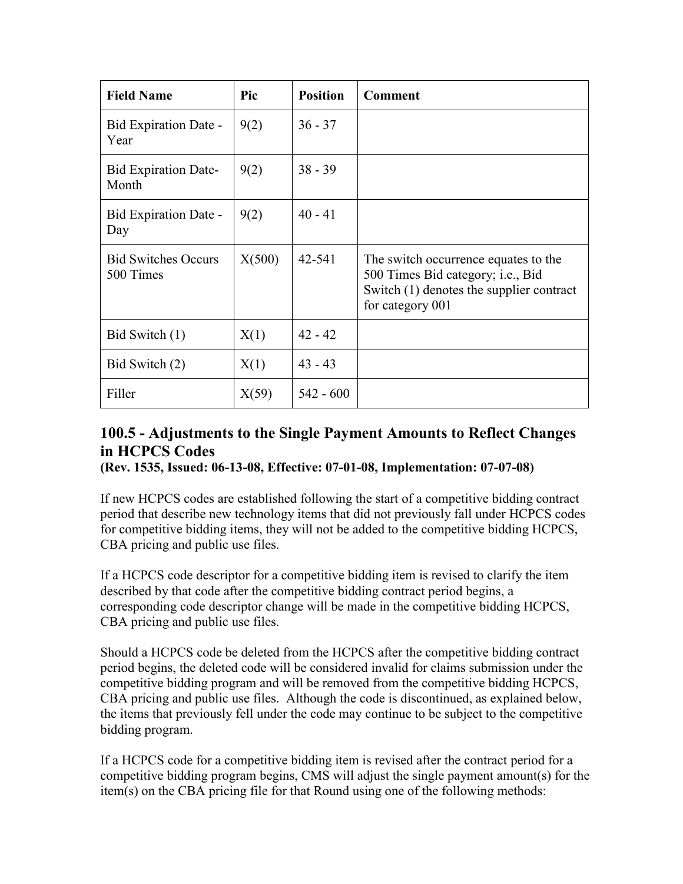| <b>Field Name</b>                       | Pic    | <b>Position</b> | <b>Comment</b>                                                                                                                            |
|-----------------------------------------|--------|-----------------|-------------------------------------------------------------------------------------------------------------------------------------------|
| Bid Expiration Date -<br>Year           | 9(2)   | $36 - 37$       |                                                                                                                                           |
| <b>Bid Expiration Date-</b><br>Month    | 9(2)   | $38 - 39$       |                                                                                                                                           |
| Bid Expiration Date -<br>Day            | 9(2)   | $40 - 41$       |                                                                                                                                           |
| <b>Bid Switches Occurs</b><br>500 Times | X(500) | 42-541          | The switch occurrence equates to the<br>500 Times Bid category; i.e., Bid<br>Switch (1) denotes the supplier contract<br>for category 001 |
| Bid Switch (1)                          | X(1)   | $42 - 42$       |                                                                                                                                           |
| Bid Switch (2)                          | X(1)   | $43 - 43$       |                                                                                                                                           |
| Filler                                  | X(59)  | $542 - 600$     |                                                                                                                                           |

# **100.5 - Adjustments to the Single Payment Amounts to Reflect Changes in HCPCS Codes**

**(Rev. 1535, Issued: 06-13-08, Effective: 07-01-08, Implementation: 07-07-08)**

If new HCPCS codes are established following the start of a competitive bidding contract period that describe new technology items that did not previously fall under HCPCS codes for competitive bidding items, they will not be added to the competitive bidding HCPCS, CBA pricing and public use files.

If a HCPCS code descriptor for a competitive bidding item is revised to clarify the item described by that code after the competitive bidding contract period begins, a corresponding code descriptor change will be made in the competitive bidding HCPCS, CBA pricing and public use files.

Should a HCPCS code be deleted from the HCPCS after the competitive bidding contract period begins, the deleted code will be considered invalid for claims submission under the competitive bidding program and will be removed from the competitive bidding HCPCS, CBA pricing and public use files. Although the code is discontinued, as explained below, the items that previously fell under the code may continue to be subject to the competitive bidding program.

If a HCPCS code for a competitive bidding item is revised after the contract period for a competitive bidding program begins, CMS will adjust the single payment amount(s) for the item(s) on the CBA pricing file for that Round using one of the following methods: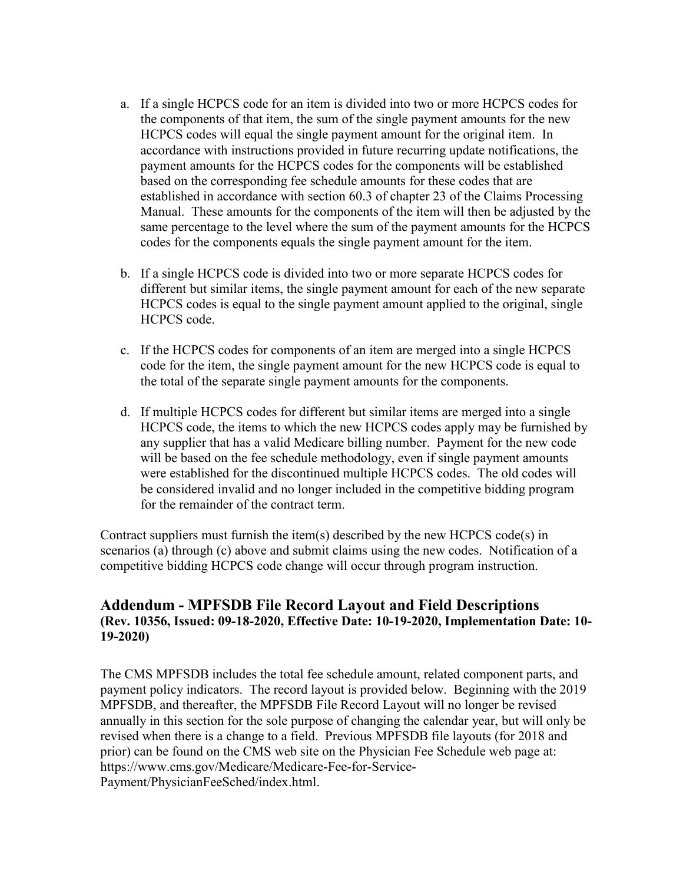- a. If a single HCPCS code for an item is divided into two or more HCPCS codes for the components of that item, the sum of the single payment amounts for the new HCPCS codes will equal the single payment amount for the original item. In accordance with instructions provided in future recurring update notifications, the payment amounts for the HCPCS codes for the components will be established based on the corresponding fee schedule amounts for these codes that are established in accordance with section 60.3 of chapter 23 of the Claims Processing Manual. These amounts for the components of the item will then be adjusted by the same percentage to the level where the sum of the payment amounts for the HCPCS codes for the components equals the single payment amount for the item.
- b. If a single HCPCS code is divided into two or more separate HCPCS codes for different but similar items, the single payment amount for each of the new separate HCPCS codes is equal to the single payment amount applied to the original, single HCPCS code.
- c. If the HCPCS codes for components of an item are merged into a single HCPCS code for the item, the single payment amount for the new HCPCS code is equal to the total of the separate single payment amounts for the components.
- d. If multiple HCPCS codes for different but similar items are merged into a single HCPCS code, the items to which the new HCPCS codes apply may be furnished by any supplier that has a valid Medicare billing number. Payment for the new code will be based on the fee schedule methodology, even if single payment amounts were established for the discontinued multiple HCPCS codes. The old codes will be considered invalid and no longer included in the competitive bidding program for the remainder of the contract term.

Contract suppliers must furnish the item(s) described by the new HCPCS code(s) in scenarios (a) through (c) above and submit claims using the new codes. Notification of a competitive bidding HCPCS code change will occur through program instruction.

## **Addendum - MPFSDB File Record Layout and Field Descriptions (Rev. 10356, Issued: 09-18-2020, Effective Date: 10-19-2020, Implementation Date: 10- 19-2020)**

The CMS MPFSDB includes the total fee schedule amount, related component parts, and payment policy indicators. The record layout is provided below. Beginning with the 2019 MPFSDB, and thereafter, the MPFSDB File Record Layout will no longer be revised annually in this section for the sole purpose of changing the calendar year, but will only be revised when there is a change to a field. Previous MPFSDB file layouts (for 2018 and prior) can be found on the CMS web site on the Physician Fee Schedule web page at: https://www.cms.gov/Medicare/Medicare-Fee-for-Service-Payment/PhysicianFeeSched/index.html.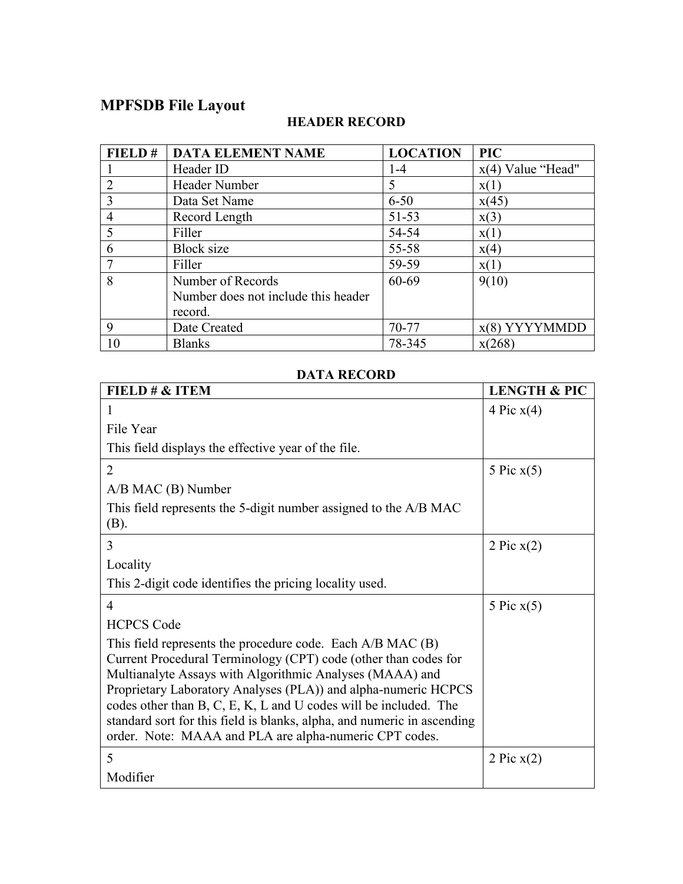## **MPFSDB File Layout**

### **FIELD # DATA ELEMENT NAME LOCATION PIC** 1 Header ID<br>
2 Header Number 1-4  $x(4)$  Value "Head"<br>
5  $x(1)$  $\frac{2}{3}$  Header Number  $\frac{5}{6-50}$   $\frac{x(1)}{x(45)}$ 3 Data Set Name 6-50<br>4 Record Length 51-53 4 Record Length 51-53 x(3)<br>5 Filler 54-54 x(1) 5 Filler  $54-54$   $x(1)$  $\begin{array}{c|c|c|c|c|c|c|c} \hline 6 & \text{Block size} & & 55-58 & x(4) \\ \hline 7 & \text{Filter} & & 59-59 & x(1) \end{array}$ 7 Filler | 59-59 | x(1) 8 Number of Records Number does not include this header record.<br>Date Created  $60-69$  9(10) 9 Date Created 70-77 x(8) YYYYMMDD<br>10 Blanks 78-345 x(268) 10 | Blanks | 78-345 | x(268)

## **HEADER RECORD**

### **DATA RECORD**

| FIELD # & ITEM                                                                                                                                                                                                                                                                                                                                                                                                                                                       | <b>LENGTH &amp; PIC</b> |
|----------------------------------------------------------------------------------------------------------------------------------------------------------------------------------------------------------------------------------------------------------------------------------------------------------------------------------------------------------------------------------------------------------------------------------------------------------------------|-------------------------|
| 1                                                                                                                                                                                                                                                                                                                                                                                                                                                                    | 4 Pic $x(4)$            |
| File Year                                                                                                                                                                                                                                                                                                                                                                                                                                                            |                         |
| This field displays the effective year of the file.                                                                                                                                                                                                                                                                                                                                                                                                                  |                         |
| $\overline{2}$                                                                                                                                                                                                                                                                                                                                                                                                                                                       | 5 Pic $x(5)$            |
| $A/B$ MAC $(B)$ Number                                                                                                                                                                                                                                                                                                                                                                                                                                               |                         |
| This field represents the 5-digit number assigned to the A/B MAC<br>(B).                                                                                                                                                                                                                                                                                                                                                                                             |                         |
| 3                                                                                                                                                                                                                                                                                                                                                                                                                                                                    | 2 Pic $x(2)$            |
| Locality                                                                                                                                                                                                                                                                                                                                                                                                                                                             |                         |
| This 2-digit code identifies the pricing locality used.                                                                                                                                                                                                                                                                                                                                                                                                              |                         |
| 4                                                                                                                                                                                                                                                                                                                                                                                                                                                                    | 5 Pic $x(5)$            |
| <b>HCPCS Code</b>                                                                                                                                                                                                                                                                                                                                                                                                                                                    |                         |
| This field represents the procedure code. Each A/B MAC (B)<br>Current Procedural Terminology (CPT) code (other than codes for<br>Multianalyte Assays with Algorithmic Analyses (MAAA) and<br>Proprietary Laboratory Analyses (PLA)) and alpha-numeric HCPCS<br>codes other than B, C, E, K, L and U codes will be included. The<br>standard sort for this field is blanks, alpha, and numeric in ascending<br>order. Note: MAAA and PLA are alpha-numeric CPT codes. |                         |
| 5                                                                                                                                                                                                                                                                                                                                                                                                                                                                    | 2 Pic $x(2)$            |
| Modifier                                                                                                                                                                                                                                                                                                                                                                                                                                                             |                         |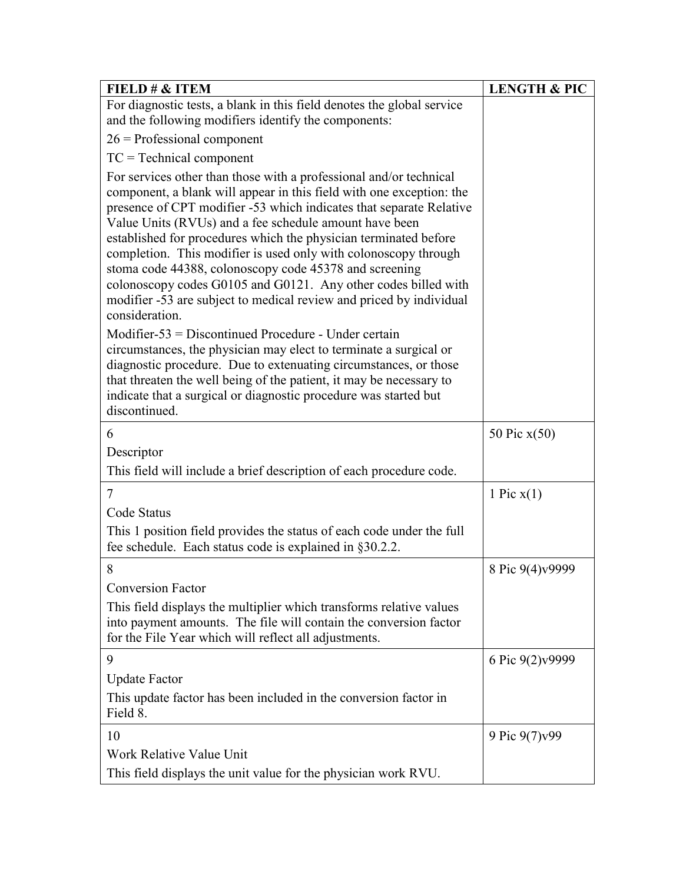| FIELD $\# \&$ ITEM                                                                                                                                                                                                                                                                                                                                                                                                                                                                                                                                                                                                                      | <b>LENGTH &amp; PIC</b> |
|-----------------------------------------------------------------------------------------------------------------------------------------------------------------------------------------------------------------------------------------------------------------------------------------------------------------------------------------------------------------------------------------------------------------------------------------------------------------------------------------------------------------------------------------------------------------------------------------------------------------------------------------|-------------------------|
| For diagnostic tests, a blank in this field denotes the global service                                                                                                                                                                                                                                                                                                                                                                                                                                                                                                                                                                  |                         |
| and the following modifiers identify the components:                                                                                                                                                                                                                                                                                                                                                                                                                                                                                                                                                                                    |                         |
| $26$ = Professional component                                                                                                                                                                                                                                                                                                                                                                                                                                                                                                                                                                                                           |                         |
| $TC = Technical component$                                                                                                                                                                                                                                                                                                                                                                                                                                                                                                                                                                                                              |                         |
| For services other than those with a professional and/or technical<br>component, a blank will appear in this field with one exception: the<br>presence of CPT modifier -53 which indicates that separate Relative<br>Value Units (RVUs) and a fee schedule amount have been<br>established for procedures which the physician terminated before<br>completion. This modifier is used only with colonoscopy through<br>stoma code 44388, colonoscopy code 45378 and screening<br>colonoscopy codes G0105 and G0121. Any other codes billed with<br>modifier -53 are subject to medical review and priced by individual<br>consideration. |                         |
| Modifier-53 = Discontinued Procedure - Under certain<br>circumstances, the physician may elect to terminate a surgical or<br>diagnostic procedure. Due to extenuating circumstances, or those<br>that threaten the well being of the patient, it may be necessary to<br>indicate that a surgical or diagnostic procedure was started but<br>discontinued.                                                                                                                                                                                                                                                                               |                         |
| 6                                                                                                                                                                                                                                                                                                                                                                                                                                                                                                                                                                                                                                       | 50 Pic $x(50)$          |
| Descriptor                                                                                                                                                                                                                                                                                                                                                                                                                                                                                                                                                                                                                              |                         |
| This field will include a brief description of each procedure code.                                                                                                                                                                                                                                                                                                                                                                                                                                                                                                                                                                     |                         |
| 7                                                                                                                                                                                                                                                                                                                                                                                                                                                                                                                                                                                                                                       | 1 Pic $x(1)$            |
| Code Status                                                                                                                                                                                                                                                                                                                                                                                                                                                                                                                                                                                                                             |                         |
| This 1 position field provides the status of each code under the full<br>fee schedule. Each status code is explained in §30.2.2.                                                                                                                                                                                                                                                                                                                                                                                                                                                                                                        |                         |
| 8                                                                                                                                                                                                                                                                                                                                                                                                                                                                                                                                                                                                                                       | 8 Pic 9(4)v9999         |
| <b>Conversion Factor</b>                                                                                                                                                                                                                                                                                                                                                                                                                                                                                                                                                                                                                |                         |
| This field displays the multiplier which transforms relative values<br>into payment amounts. The file will contain the conversion factor<br>for the File Year which will reflect all adjustments.                                                                                                                                                                                                                                                                                                                                                                                                                                       |                         |
| 9                                                                                                                                                                                                                                                                                                                                                                                                                                                                                                                                                                                                                                       | 6 Pic 9(2)v9999         |
| <b>Update Factor</b>                                                                                                                                                                                                                                                                                                                                                                                                                                                                                                                                                                                                                    |                         |
| This update factor has been included in the conversion factor in<br>Field 8.                                                                                                                                                                                                                                                                                                                                                                                                                                                                                                                                                            |                         |
| 10                                                                                                                                                                                                                                                                                                                                                                                                                                                                                                                                                                                                                                      | 9 Pic 9(7) v99          |
| Work Relative Value Unit                                                                                                                                                                                                                                                                                                                                                                                                                                                                                                                                                                                                                |                         |
| This field displays the unit value for the physician work RVU.                                                                                                                                                                                                                                                                                                                                                                                                                                                                                                                                                                          |                         |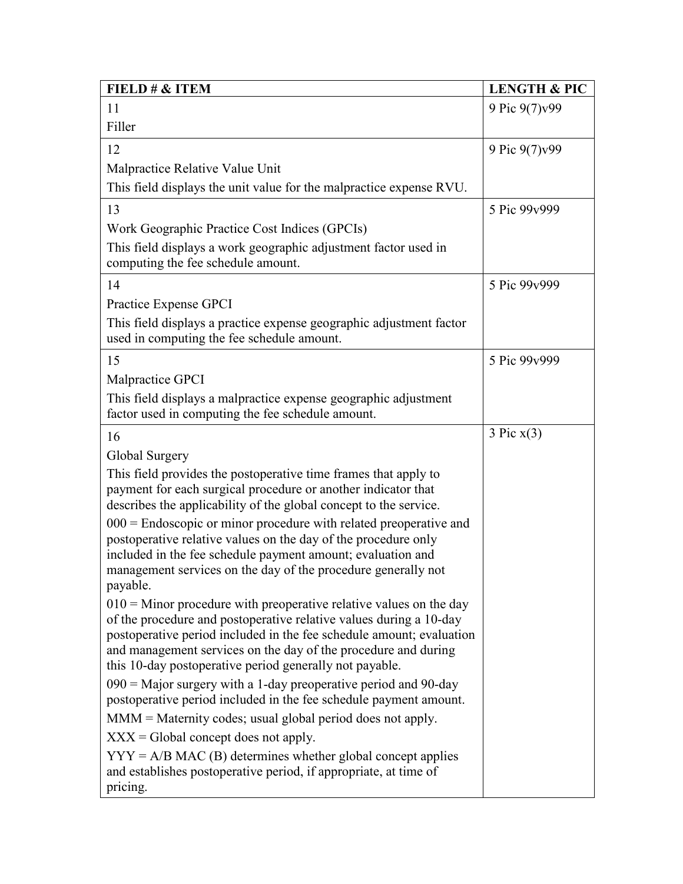| FIELD # & ITEM                                                                                                                                                                                                                                                                                                                                  | <b>LENGTH &amp; PIC</b> |
|-------------------------------------------------------------------------------------------------------------------------------------------------------------------------------------------------------------------------------------------------------------------------------------------------------------------------------------------------|-------------------------|
| 11                                                                                                                                                                                                                                                                                                                                              | 9 Pic 9(7)v99           |
| Filler                                                                                                                                                                                                                                                                                                                                          |                         |
| 12                                                                                                                                                                                                                                                                                                                                              | 9 Pic 9(7) v99          |
| Malpractice Relative Value Unit                                                                                                                                                                                                                                                                                                                 |                         |
| This field displays the unit value for the malpractice expense RVU.                                                                                                                                                                                                                                                                             |                         |
| 13                                                                                                                                                                                                                                                                                                                                              | 5 Pic 99v999            |
| Work Geographic Practice Cost Indices (GPCIs)                                                                                                                                                                                                                                                                                                   |                         |
| This field displays a work geographic adjustment factor used in<br>computing the fee schedule amount.                                                                                                                                                                                                                                           |                         |
| 14                                                                                                                                                                                                                                                                                                                                              | 5 Pic 99v999            |
| Practice Expense GPCI                                                                                                                                                                                                                                                                                                                           |                         |
| This field displays a practice expense geographic adjustment factor<br>used in computing the fee schedule amount.                                                                                                                                                                                                                               |                         |
| 15                                                                                                                                                                                                                                                                                                                                              | 5 Pic 99v999            |
| Malpractice GPCI                                                                                                                                                                                                                                                                                                                                |                         |
| This field displays a malpractice expense geographic adjustment<br>factor used in computing the fee schedule amount.                                                                                                                                                                                                                            |                         |
| 16                                                                                                                                                                                                                                                                                                                                              | 3 Pic x(3)              |
| Global Surgery                                                                                                                                                                                                                                                                                                                                  |                         |
| This field provides the postoperative time frames that apply to<br>payment for each surgical procedure or another indicator that<br>describes the applicability of the global concept to the service.                                                                                                                                           |                         |
| $000$ = Endoscopic or minor procedure with related preoperative and<br>postoperative relative values on the day of the procedure only                                                                                                                                                                                                           |                         |
| included in the fee schedule payment amount; evaluation and<br>management services on the day of the procedure generally not<br>payable.                                                                                                                                                                                                        |                         |
| $010$ = Minor procedure with preoperative relative values on the day<br>of the procedure and postoperative relative values during a 10-day<br>postoperative period included in the fee schedule amount; evaluation<br>and management services on the day of the procedure and during<br>this 10-day postoperative period generally not payable. |                         |
| $090$ = Major surgery with a 1-day preoperative period and 90-day                                                                                                                                                                                                                                                                               |                         |
| postoperative period included in the fee schedule payment amount.                                                                                                                                                                                                                                                                               |                         |
| MMM = Maternity codes; usual global period does not apply.                                                                                                                                                                                                                                                                                      |                         |
| $XXX = Global concept does not apply.$                                                                                                                                                                                                                                                                                                          |                         |
| $YYY = A/B MAC$ (B) determines whether global concept applies<br>and establishes postoperative period, if appropriate, at time of<br>pricing.                                                                                                                                                                                                   |                         |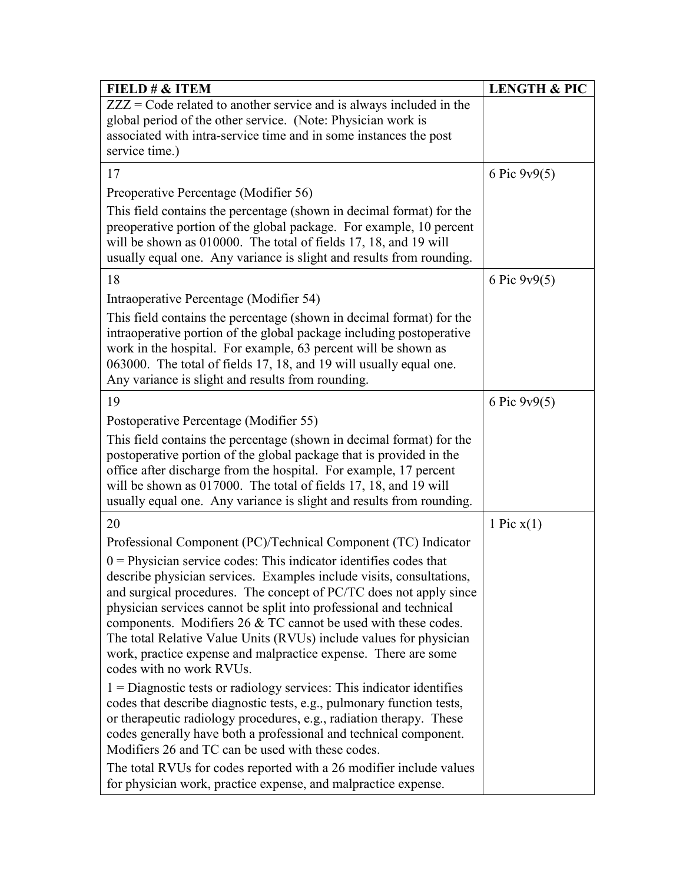| FIELD # & ITEM                                                                                                                                                                                                                                                                                                                                                                                                                                                                                                                                                                                      | <b>LENGTH &amp; PIC</b> |
|-----------------------------------------------------------------------------------------------------------------------------------------------------------------------------------------------------------------------------------------------------------------------------------------------------------------------------------------------------------------------------------------------------------------------------------------------------------------------------------------------------------------------------------------------------------------------------------------------------|-------------------------|
| $ZZZ = \text{Code related to another service and is always included in the}$<br>global period of the other service. (Note: Physician work is                                                                                                                                                                                                                                                                                                                                                                                                                                                        |                         |
| associated with intra-service time and in some instances the post                                                                                                                                                                                                                                                                                                                                                                                                                                                                                                                                   |                         |
| service time.)                                                                                                                                                                                                                                                                                                                                                                                                                                                                                                                                                                                      |                         |
| 17                                                                                                                                                                                                                                                                                                                                                                                                                                                                                                                                                                                                  | 6 Pic $9v9(5)$          |
| Preoperative Percentage (Modifier 56)                                                                                                                                                                                                                                                                                                                                                                                                                                                                                                                                                               |                         |
| This field contains the percentage (shown in decimal format) for the<br>preoperative portion of the global package. For example, 10 percent<br>will be shown as 010000. The total of fields 17, 18, and 19 will<br>usually equal one. Any variance is slight and results from rounding.                                                                                                                                                                                                                                                                                                             |                         |
| 18                                                                                                                                                                                                                                                                                                                                                                                                                                                                                                                                                                                                  | 6 Pic $9v9(5)$          |
| Intraoperative Percentage (Modifier 54)                                                                                                                                                                                                                                                                                                                                                                                                                                                                                                                                                             |                         |
| This field contains the percentage (shown in decimal format) for the<br>intraoperative portion of the global package including postoperative<br>work in the hospital. For example, 63 percent will be shown as<br>063000. The total of fields 17, 18, and 19 will usually equal one.<br>Any variance is slight and results from rounding.                                                                                                                                                                                                                                                           |                         |
| 19                                                                                                                                                                                                                                                                                                                                                                                                                                                                                                                                                                                                  | 6 Pic $9v9(5)$          |
| Postoperative Percentage (Modifier 55)                                                                                                                                                                                                                                                                                                                                                                                                                                                                                                                                                              |                         |
| This field contains the percentage (shown in decimal format) for the<br>postoperative portion of the global package that is provided in the<br>office after discharge from the hospital. For example, 17 percent<br>will be shown as 017000. The total of fields 17, 18, and 19 will<br>usually equal one. Any variance is slight and results from rounding.                                                                                                                                                                                                                                        |                         |
| 20                                                                                                                                                                                                                                                                                                                                                                                                                                                                                                                                                                                                  | 1 Pic $x(1)$            |
| Professional Component (PC)/Technical Component (TC) Indicator<br>$0$ = Physician service codes: This indicator identifies codes that<br>describe physician services. Examples include visits, consultations,<br>and surgical procedures. The concept of PC/TC does not apply since<br>physician services cannot be split into professional and technical<br>components. Modifiers $26 \& T$ C cannot be used with these codes.<br>The total Relative Value Units (RVUs) include values for physician<br>work, practice expense and malpractice expense. There are some<br>codes with no work RVUs. |                         |
| $1 =$ Diagnostic tests or radiology services: This indicator identifies<br>codes that describe diagnostic tests, e.g., pulmonary function tests,<br>or therapeutic radiology procedures, e.g., radiation therapy. These<br>codes generally have both a professional and technical component.<br>Modifiers 26 and TC can be used with these codes.                                                                                                                                                                                                                                                   |                         |
| The total RVUs for codes reported with a 26 modifier include values<br>for physician work, practice expense, and malpractice expense.                                                                                                                                                                                                                                                                                                                                                                                                                                                               |                         |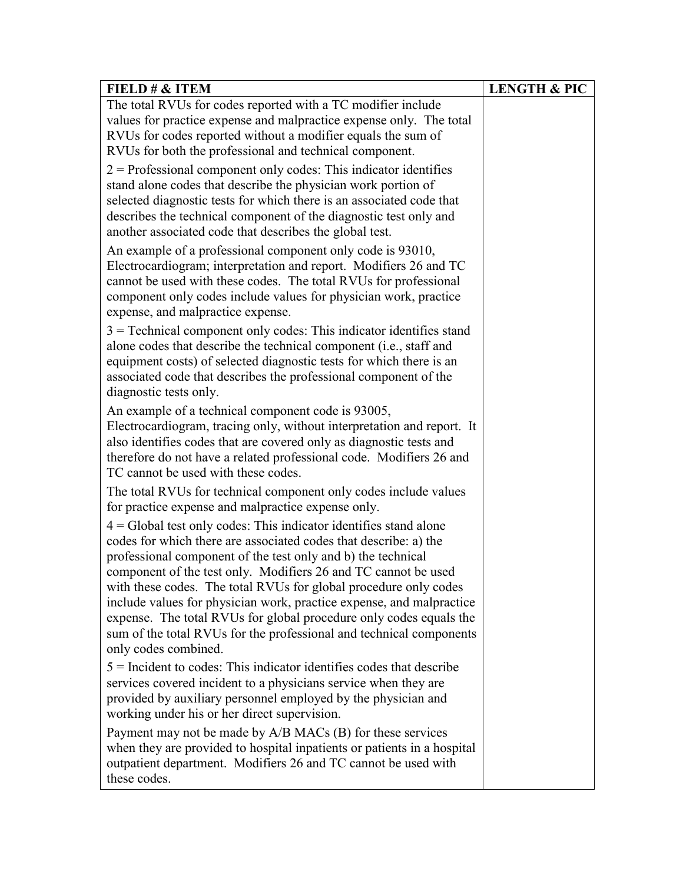| FIELD $\# \&$ ITEM                                                                                                                                                                                                                                                                                                                                                                                                                                                                                                                                                                         | <b>LENGTH &amp; PIC</b> |
|--------------------------------------------------------------------------------------------------------------------------------------------------------------------------------------------------------------------------------------------------------------------------------------------------------------------------------------------------------------------------------------------------------------------------------------------------------------------------------------------------------------------------------------------------------------------------------------------|-------------------------|
| The total RVUs for codes reported with a TC modifier include<br>values for practice expense and malpractice expense only. The total<br>RVUs for codes reported without a modifier equals the sum of                                                                                                                                                                                                                                                                                                                                                                                        |                         |
| RVUs for both the professional and technical component.                                                                                                                                                                                                                                                                                                                                                                                                                                                                                                                                    |                         |
| $2$ = Professional component only codes: This indicator identifies<br>stand alone codes that describe the physician work portion of<br>selected diagnostic tests for which there is an associated code that<br>describes the technical component of the diagnostic test only and<br>another associated code that describes the global test.                                                                                                                                                                                                                                                |                         |
| An example of a professional component only code is 93010,<br>Electrocardiogram; interpretation and report. Modifiers 26 and TC<br>cannot be used with these codes. The total RVUs for professional<br>component only codes include values for physician work, practice<br>expense, and malpractice expense.                                                                                                                                                                                                                                                                               |                         |
| $3$ = Technical component only codes: This indicator identifies stand<br>alone codes that describe the technical component (i.e., staff and<br>equipment costs) of selected diagnostic tests for which there is an<br>associated code that describes the professional component of the<br>diagnostic tests only.                                                                                                                                                                                                                                                                           |                         |
| An example of a technical component code is 93005,<br>Electrocardiogram, tracing only, without interpretation and report. It<br>also identifies codes that are covered only as diagnostic tests and<br>therefore do not have a related professional code. Modifiers 26 and<br>TC cannot be used with these codes.                                                                                                                                                                                                                                                                          |                         |
| The total RVUs for technical component only codes include values<br>for practice expense and malpractice expense only.                                                                                                                                                                                                                                                                                                                                                                                                                                                                     |                         |
| $4 =$ Global test only codes: This indicator identifies stand alone<br>codes for which there are associated codes that describe: a) the<br>professional component of the test only and b) the technical<br>component of the test only. Modifiers 26 and TC cannot be used<br>with these codes. The total RVUs for global procedure only codes<br>include values for physician work, practice expense, and malpractice<br>expense. The total RVUs for global procedure only codes equals the<br>sum of the total RVUs for the professional and technical components<br>only codes combined. |                         |
| $5$ = Incident to codes: This indicator identifies codes that describe<br>services covered incident to a physicians service when they are<br>provided by auxiliary personnel employed by the physician and<br>working under his or her direct supervision.                                                                                                                                                                                                                                                                                                                                 |                         |
| Payment may not be made by A/B MACs (B) for these services<br>when they are provided to hospital inpatients or patients in a hospital<br>outpatient department. Modifiers 26 and TC cannot be used with<br>these codes.                                                                                                                                                                                                                                                                                                                                                                    |                         |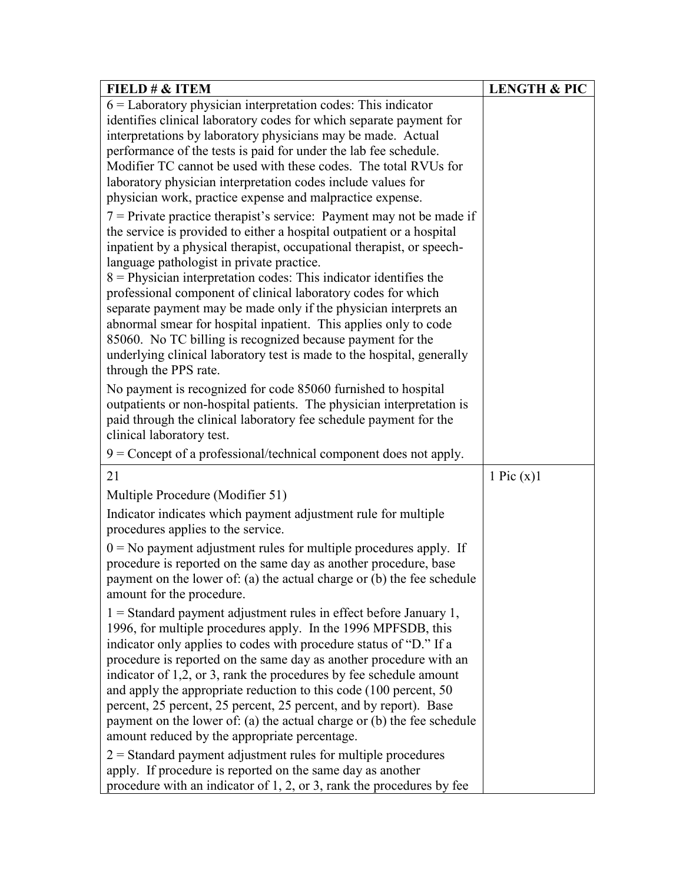| FIELD # & ITEM                                                                                                                                                                                                                                                                                                                                                                                                                                                                                                                                                                                                                                                                                                                                                                                                                                                   | <b>LENGTH &amp; PIC</b> |
|------------------------------------------------------------------------------------------------------------------------------------------------------------------------------------------------------------------------------------------------------------------------------------------------------------------------------------------------------------------------------------------------------------------------------------------------------------------------------------------------------------------------------------------------------------------------------------------------------------------------------------------------------------------------------------------------------------------------------------------------------------------------------------------------------------------------------------------------------------------|-------------------------|
| $6$ = Laboratory physician interpretation codes: This indicator                                                                                                                                                                                                                                                                                                                                                                                                                                                                                                                                                                                                                                                                                                                                                                                                  |                         |
| identifies clinical laboratory codes for which separate payment for                                                                                                                                                                                                                                                                                                                                                                                                                                                                                                                                                                                                                                                                                                                                                                                              |                         |
| interpretations by laboratory physicians may be made. Actual                                                                                                                                                                                                                                                                                                                                                                                                                                                                                                                                                                                                                                                                                                                                                                                                     |                         |
| performance of the tests is paid for under the lab fee schedule.                                                                                                                                                                                                                                                                                                                                                                                                                                                                                                                                                                                                                                                                                                                                                                                                 |                         |
| Modifier TC cannot be used with these codes. The total RVUs for                                                                                                                                                                                                                                                                                                                                                                                                                                                                                                                                                                                                                                                                                                                                                                                                  |                         |
| laboratory physician interpretation codes include values for                                                                                                                                                                                                                                                                                                                                                                                                                                                                                                                                                                                                                                                                                                                                                                                                     |                         |
| physician work, practice expense and malpractice expense.                                                                                                                                                                                                                                                                                                                                                                                                                                                                                                                                                                                                                                                                                                                                                                                                        |                         |
| $7$ = Private practice therapist's service: Payment may not be made if<br>the service is provided to either a hospital outpatient or a hospital<br>inpatient by a physical therapist, occupational therapist, or speech-<br>language pathologist in private practice.<br>$8$ = Physician interpretation codes: This indicator identifies the<br>professional component of clinical laboratory codes for which<br>separate payment may be made only if the physician interprets an<br>abnormal smear for hospital inpatient. This applies only to code<br>85060. No TC billing is recognized because payment for the<br>underlying clinical laboratory test is made to the hospital, generally<br>through the PPS rate.<br>No payment is recognized for code 85060 furnished to hospital<br>outpatients or non-hospital patients. The physician interpretation is |                         |
| paid through the clinical laboratory fee schedule payment for the<br>clinical laboratory test.                                                                                                                                                                                                                                                                                                                                                                                                                                                                                                                                                                                                                                                                                                                                                                   |                         |
| $9 =$ Concept of a professional/technical component does not apply.                                                                                                                                                                                                                                                                                                                                                                                                                                                                                                                                                                                                                                                                                                                                                                                              |                         |
| 21                                                                                                                                                                                                                                                                                                                                                                                                                                                                                                                                                                                                                                                                                                                                                                                                                                                               | 1 Pic $(x)$ 1           |
| Multiple Procedure (Modifier 51)                                                                                                                                                                                                                                                                                                                                                                                                                                                                                                                                                                                                                                                                                                                                                                                                                                 |                         |
| Indicator indicates which payment adjustment rule for multiple<br>procedures applies to the service.                                                                                                                                                                                                                                                                                                                                                                                                                                                                                                                                                                                                                                                                                                                                                             |                         |
| $0 = No$ payment adjustment rules for multiple procedures apply. If<br>procedure is reported on the same day as another procedure, base<br>payment on the lower of: (a) the actual charge or (b) the fee schedule<br>amount for the procedure.                                                                                                                                                                                                                                                                                                                                                                                                                                                                                                                                                                                                                   |                         |
| $1 =$ Standard payment adjustment rules in effect before January 1,<br>1996, for multiple procedures apply. In the 1996 MPFSDB, this<br>indicator only applies to codes with procedure status of "D." If a<br>procedure is reported on the same day as another procedure with an<br>indicator of 1,2, or 3, rank the procedures by fee schedule amount<br>and apply the appropriate reduction to this code (100 percent, 50)<br>percent, 25 percent, 25 percent, 25 percent, and by report). Base<br>payment on the lower of: (a) the actual charge or (b) the fee schedule<br>amount reduced by the appropriate percentage.                                                                                                                                                                                                                                     |                         |
| $2$ = Standard payment adjustment rules for multiple procedures<br>apply. If procedure is reported on the same day as another<br>procedure with an indicator of $1, 2$ , or 3, rank the procedures by fee                                                                                                                                                                                                                                                                                                                                                                                                                                                                                                                                                                                                                                                        |                         |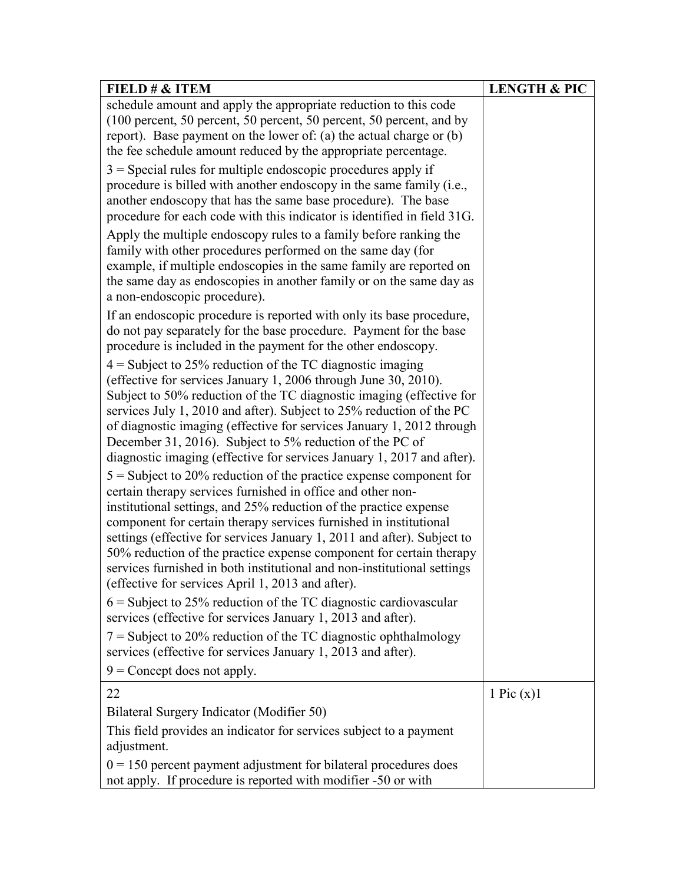| FIELD $\# \&$ ITEM                                                                                                                                                                                                                                                                                                                                                                                                                                                                                                                                                                                                                                                                                                                                                                                                                                                                                                                                                                                                                                                                                                                                                                                                                                                                                                                                                                                                                                    | <b>LENGTH &amp; PIC</b> |
|-------------------------------------------------------------------------------------------------------------------------------------------------------------------------------------------------------------------------------------------------------------------------------------------------------------------------------------------------------------------------------------------------------------------------------------------------------------------------------------------------------------------------------------------------------------------------------------------------------------------------------------------------------------------------------------------------------------------------------------------------------------------------------------------------------------------------------------------------------------------------------------------------------------------------------------------------------------------------------------------------------------------------------------------------------------------------------------------------------------------------------------------------------------------------------------------------------------------------------------------------------------------------------------------------------------------------------------------------------------------------------------------------------------------------------------------------------|-------------------------|
| schedule amount and apply the appropriate reduction to this code<br>(100 percent, 50 percent, 50 percent, 50 percent, 50 percent, and by<br>report). Base payment on the lower of: (a) the actual charge or (b)<br>the fee schedule amount reduced by the appropriate percentage.                                                                                                                                                                                                                                                                                                                                                                                                                                                                                                                                                                                                                                                                                                                                                                                                                                                                                                                                                                                                                                                                                                                                                                     |                         |
| $3$ = Special rules for multiple endoscopic procedures apply if<br>procedure is billed with another endoscopy in the same family (i.e.,<br>another endoscopy that has the same base procedure). The base<br>procedure for each code with this indicator is identified in field 31G.<br>Apply the multiple endoscopy rules to a family before ranking the<br>family with other procedures performed on the same day (for<br>example, if multiple endoscopies in the same family are reported on<br>the same day as endoscopies in another family or on the same day as                                                                                                                                                                                                                                                                                                                                                                                                                                                                                                                                                                                                                                                                                                                                                                                                                                                                                 |                         |
| a non-endoscopic procedure).<br>If an endoscopic procedure is reported with only its base procedure,<br>do not pay separately for the base procedure. Payment for the base<br>procedure is included in the payment for the other endoscopy.<br>$4 =$ Subject to 25% reduction of the TC diagnostic imaging<br>(effective for services January 1, 2006 through June 30, 2010).<br>Subject to 50% reduction of the TC diagnostic imaging (effective for<br>services July 1, 2010 and after). Subject to 25% reduction of the PC<br>of diagnostic imaging (effective for services January 1, 2012 through<br>December 31, 2016). Subject to 5% reduction of the PC of<br>diagnostic imaging (effective for services January 1, 2017 and after).<br>$5 =$ Subject to 20% reduction of the practice expense component for<br>certain therapy services furnished in office and other non-<br>institutional settings, and 25% reduction of the practice expense<br>component for certain therapy services furnished in institutional<br>settings (effective for services January 1, 2011 and after). Subject to<br>50% reduction of the practice expense component for certain therapy<br>services furnished in both institutional and non-institutional settings<br>(effective for services April 1, 2013 and after).<br>$6 =$ Subject to 25% reduction of the TC diagnostic cardiovascular<br>services (effective for services January 1, 2013 and after). |                         |
| $7 =$ Subject to 20% reduction of the TC diagnostic ophthalmology<br>services (effective for services January 1, 2013 and after).<br>$9$ = Concept does not apply.                                                                                                                                                                                                                                                                                                                                                                                                                                                                                                                                                                                                                                                                                                                                                                                                                                                                                                                                                                                                                                                                                                                                                                                                                                                                                    |                         |
|                                                                                                                                                                                                                                                                                                                                                                                                                                                                                                                                                                                                                                                                                                                                                                                                                                                                                                                                                                                                                                                                                                                                                                                                                                                                                                                                                                                                                                                       |                         |
| 22                                                                                                                                                                                                                                                                                                                                                                                                                                                                                                                                                                                                                                                                                                                                                                                                                                                                                                                                                                                                                                                                                                                                                                                                                                                                                                                                                                                                                                                    | 1 Pic $(x)$ 1           |
| Bilateral Surgery Indicator (Modifier 50)<br>This field provides an indicator for services subject to a payment<br>adjustment.                                                                                                                                                                                                                                                                                                                                                                                                                                                                                                                                                                                                                                                                                                                                                                                                                                                                                                                                                                                                                                                                                                                                                                                                                                                                                                                        |                         |
| $0 = 150$ percent payment adjustment for bilateral procedures does<br>not apply. If procedure is reported with modifier -50 or with                                                                                                                                                                                                                                                                                                                                                                                                                                                                                                                                                                                                                                                                                                                                                                                                                                                                                                                                                                                                                                                                                                                                                                                                                                                                                                                   |                         |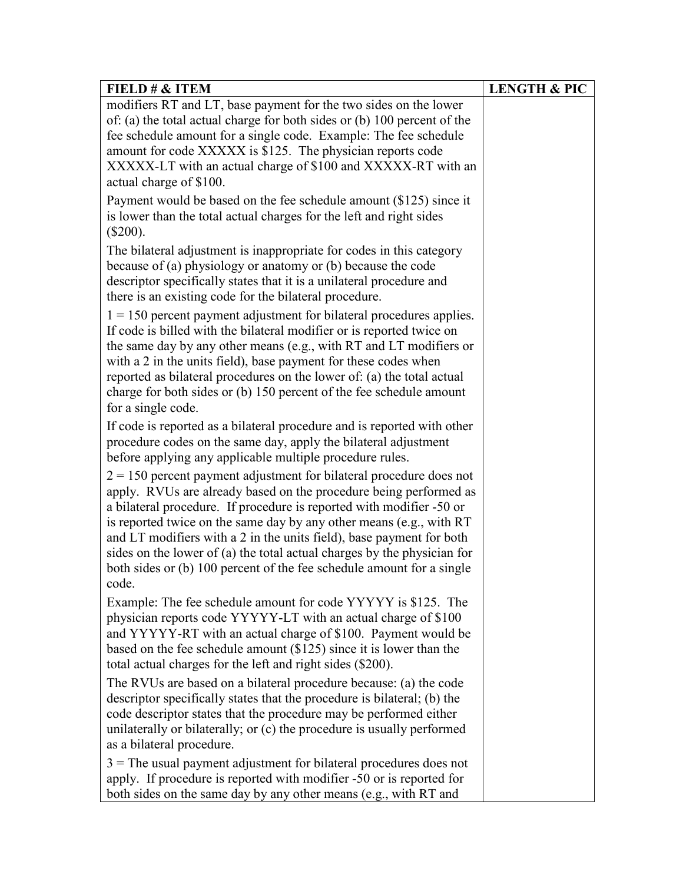| FIELD $\# \&$ ITEM                                                                                                                                                                                                                                                                                                                                                                                                                                                                                                             | <b>LENGTH &amp; PIC</b> |
|--------------------------------------------------------------------------------------------------------------------------------------------------------------------------------------------------------------------------------------------------------------------------------------------------------------------------------------------------------------------------------------------------------------------------------------------------------------------------------------------------------------------------------|-------------------------|
| modifiers RT and LT, base payment for the two sides on the lower<br>of: (a) the total actual charge for both sides or (b) $100$ percent of the<br>fee schedule amount for a single code. Example: The fee schedule<br>amount for code XXXXX is \$125. The physician reports code<br>XXXXX-LT with an actual charge of \$100 and XXXXX-RT with an<br>actual charge of \$100.                                                                                                                                                    |                         |
| Payment would be based on the fee schedule amount $(\$125)$ since it<br>is lower than the total actual charges for the left and right sides<br>$(\$200).$                                                                                                                                                                                                                                                                                                                                                                      |                         |
| The bilateral adjustment is inappropriate for codes in this category<br>because of (a) physiology or anatomy or (b) because the code<br>descriptor specifically states that it is a unilateral procedure and<br>there is an existing code for the bilateral procedure.                                                                                                                                                                                                                                                         |                         |
| $1 = 150$ percent payment adjustment for bilateral procedures applies.<br>If code is billed with the bilateral modifier or is reported twice on<br>the same day by any other means (e.g., with RT and LT modifiers or<br>with a 2 in the units field), base payment for these codes when<br>reported as bilateral procedures on the lower of: (a) the total actual<br>charge for both sides or (b) 150 percent of the fee schedule amount<br>for a single code.                                                                |                         |
| If code is reported as a bilateral procedure and is reported with other<br>procedure codes on the same day, apply the bilateral adjustment<br>before applying any applicable multiple procedure rules.                                                                                                                                                                                                                                                                                                                         |                         |
| $2 = 150$ percent payment adjustment for bilateral procedure does not<br>apply. RVUs are already based on the procedure being performed as<br>a bilateral procedure. If procedure is reported with modifier -50 or<br>is reported twice on the same day by any other means (e.g., with RT<br>and LT modifiers with a 2 in the units field), base payment for both<br>sides on the lower of (a) the total actual charges by the physician for<br>both sides or (b) 100 percent of the fee schedule amount for a single<br>code. |                         |
| Example: The fee schedule amount for code YYYYY is \$125. The<br>physician reports code YYYYY-LT with an actual charge of \$100<br>and YYYYY-RT with an actual charge of \$100. Payment would be<br>based on the fee schedule amount $(\$125)$ since it is lower than the<br>total actual charges for the left and right sides (\$200).                                                                                                                                                                                        |                         |
| The RVUs are based on a bilateral procedure because: (a) the code<br>descriptor specifically states that the procedure is bilateral; (b) the<br>code descriptor states that the procedure may be performed either<br>unilaterally or bilaterally; or (c) the procedure is usually performed<br>as a bilateral procedure.                                                                                                                                                                                                       |                         |
| $3$ = The usual payment adjustment for bilateral procedures does not<br>apply. If procedure is reported with modifier -50 or is reported for<br>both sides on the same day by any other means (e.g., with RT and                                                                                                                                                                                                                                                                                                               |                         |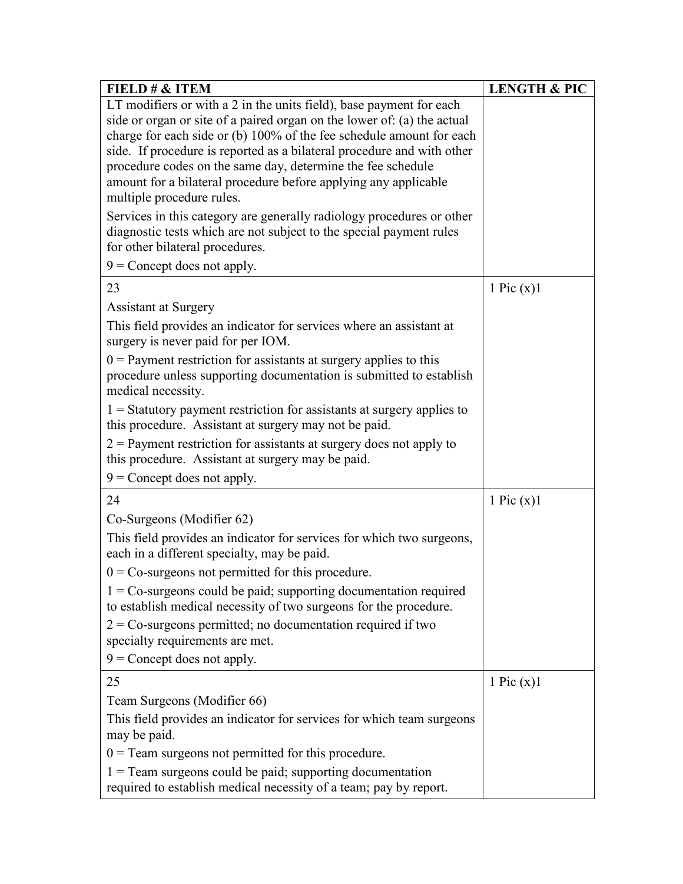| FIELD $\# \&$ ITEM                                                                                                                                                              | <b>LENGTH &amp; PIC</b> |
|---------------------------------------------------------------------------------------------------------------------------------------------------------------------------------|-------------------------|
| LT modifiers or with a 2 in the units field), base payment for each                                                                                                             |                         |
| side or organ or site of a paired organ on the lower of: (a) the actual                                                                                                         |                         |
| charge for each side or (b) 100% of the fee schedule amount for each                                                                                                            |                         |
| side. If procedure is reported as a bilateral procedure and with other                                                                                                          |                         |
| procedure codes on the same day, determine the fee schedule                                                                                                                     |                         |
| amount for a bilateral procedure before applying any applicable                                                                                                                 |                         |
| multiple procedure rules.                                                                                                                                                       |                         |
| Services in this category are generally radiology procedures or other<br>diagnostic tests which are not subject to the special payment rules<br>for other bilateral procedures. |                         |
| $9$ = Concept does not apply.                                                                                                                                                   |                         |
|                                                                                                                                                                                 |                         |
| 23                                                                                                                                                                              | 1 Pic $(x)$ 1           |
| <b>Assistant at Surgery</b>                                                                                                                                                     |                         |
| This field provides an indicator for services where an assistant at<br>surgery is never paid for per IOM.                                                                       |                         |
| $0$ = Payment restriction for assistants at surgery applies to this                                                                                                             |                         |
| procedure unless supporting documentation is submitted to establish<br>medical necessity.                                                                                       |                         |
| $1 =$ Statutory payment restriction for assistants at surgery applies to                                                                                                        |                         |
| this procedure. Assistant at surgery may not be paid.                                                                                                                           |                         |
| $2$ = Payment restriction for assistants at surgery does not apply to                                                                                                           |                         |
| this procedure. Assistant at surgery may be paid.                                                                                                                               |                         |
| $9$ = Concept does not apply.                                                                                                                                                   |                         |
| 24                                                                                                                                                                              | 1 Pic $(x)$ 1           |
| Co-Surgeons (Modifier 62)                                                                                                                                                       |                         |
| This field provides an indicator for services for which two surgeons,                                                                                                           |                         |
| each in a different specialty, may be paid.                                                                                                                                     |                         |
| $0 = Co-surgeons$ not permitted for this procedure.                                                                                                                             |                         |
| $1 = Co-surgeons$ could be paid; supporting documentation required<br>to establish medical necessity of two surgeons for the procedure.                                         |                         |
| $2 = Co-surgeons$ permitted; no documentation required if two<br>specialty requirements are met.                                                                                |                         |
| $9$ = Concept does not apply.                                                                                                                                                   |                         |
| 25                                                                                                                                                                              | 1 Pic $(x)$ 1           |
| Team Surgeons (Modifier 66)                                                                                                                                                     |                         |
|                                                                                                                                                                                 |                         |
| This field provides an indicator for services for which team surgeons<br>may be paid.                                                                                           |                         |
| $0 =$ Team surgeons not permitted for this procedure.                                                                                                                           |                         |
| $1 =$ Team surgeons could be paid; supporting documentation<br>required to establish medical necessity of a team; pay by report.                                                |                         |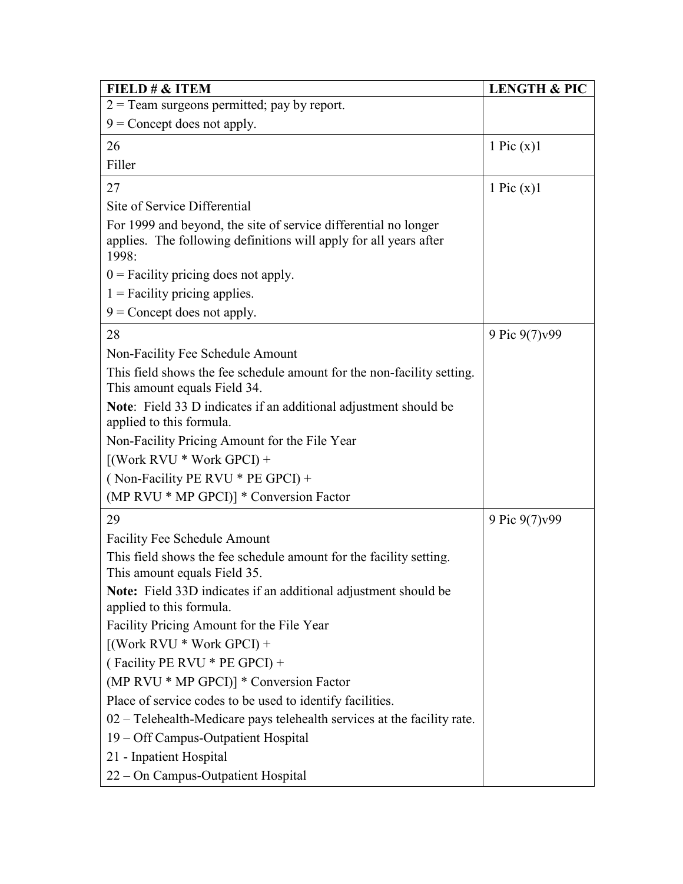| FIELD $\# \&$ ITEM                                                                                                                            | <b>LENGTH &amp; PIC</b> |
|-----------------------------------------------------------------------------------------------------------------------------------------------|-------------------------|
| $2 =$ Team surgeons permitted; pay by report.                                                                                                 |                         |
| $9$ = Concept does not apply.                                                                                                                 |                         |
| 26                                                                                                                                            | 1 Pic $(x)$ 1           |
| Filler                                                                                                                                        |                         |
| 27                                                                                                                                            | 1 Pic $(x)$ 1           |
| Site of Service Differential                                                                                                                  |                         |
| For 1999 and beyond, the site of service differential no longer<br>applies. The following definitions will apply for all years after<br>1998: |                         |
| $0$ = Facility pricing does not apply.                                                                                                        |                         |
| $1$ = Facility pricing applies.                                                                                                               |                         |
| $9$ = Concept does not apply.                                                                                                                 |                         |
| 28                                                                                                                                            | 9 Pic 9(7) v 99         |
| Non-Facility Fee Schedule Amount                                                                                                              |                         |
| This field shows the fee schedule amount for the non-facility setting.<br>This amount equals Field 34.                                        |                         |
| Note: Field 33 D indicates if an additional adjustment should be<br>applied to this formula.                                                  |                         |
| Non-Facility Pricing Amount for the File Year                                                                                                 |                         |
| $[(Work RVU * Work GPCI) +$                                                                                                                   |                         |
| (Non-Facility PE RVU $*$ PE GPCI) +                                                                                                           |                         |
| (MP RVU * MP GPCI)] * Conversion Factor                                                                                                       |                         |
| 29                                                                                                                                            | 9 Pic 9(7)v99           |
| Facility Fee Schedule Amount                                                                                                                  |                         |
| This field shows the fee schedule amount for the facility setting.<br>This amount equals Field 35.                                            |                         |
| Note: Field 33D indicates if an additional adjustment should be<br>applied to this formula.                                                   |                         |
| Facility Pricing Amount for the File Year                                                                                                     |                         |
| $[(Work RVU * Work GPCI) +$                                                                                                                   |                         |
| (Facility PE RVU * PE GPCI) +                                                                                                                 |                         |
| (MP RVU * MP GPCI)] * Conversion Factor                                                                                                       |                         |
| Place of service codes to be used to identify facilities.                                                                                     |                         |
| 02 – Telehealth-Medicare pays telehealth services at the facility rate.                                                                       |                         |
| 19 – Off Campus-Outpatient Hospital                                                                                                           |                         |
| 21 - Inpatient Hospital                                                                                                                       |                         |
| 22 – On Campus-Outpatient Hospital                                                                                                            |                         |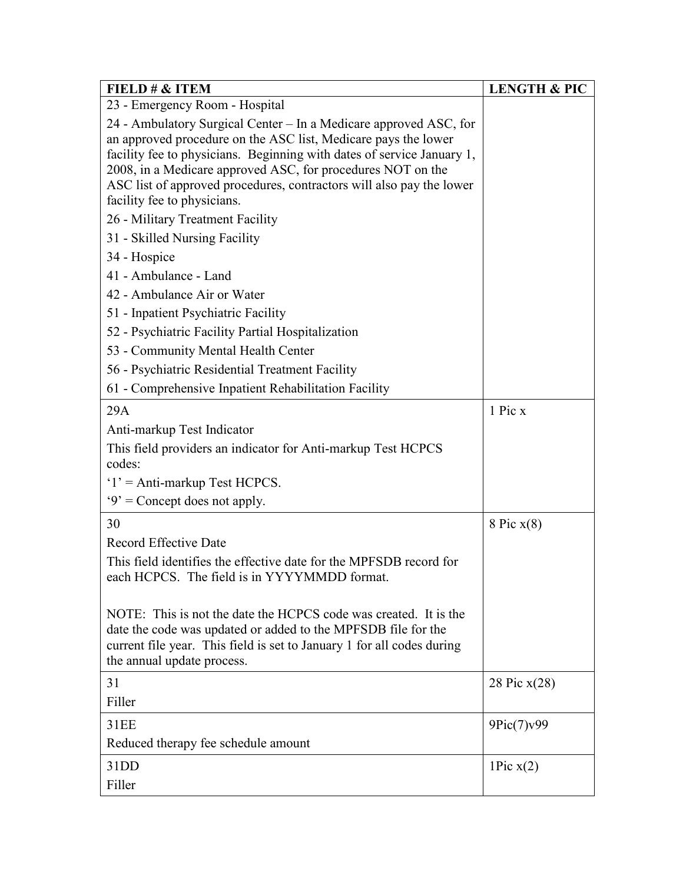| FIELD # & ITEM                                                                                                                                                                                                                                                                                                                                                                      | <b>LENGTH &amp; PIC</b> |
|-------------------------------------------------------------------------------------------------------------------------------------------------------------------------------------------------------------------------------------------------------------------------------------------------------------------------------------------------------------------------------------|-------------------------|
| 23 - Emergency Room - Hospital                                                                                                                                                                                                                                                                                                                                                      |                         |
| 24 - Ambulatory Surgical Center – In a Medicare approved ASC, for<br>an approved procedure on the ASC list, Medicare pays the lower<br>facility fee to physicians. Beginning with dates of service January 1,<br>2008, in a Medicare approved ASC, for procedures NOT on the<br>ASC list of approved procedures, contractors will also pay the lower<br>facility fee to physicians. |                         |
| 26 - Military Treatment Facility                                                                                                                                                                                                                                                                                                                                                    |                         |
| 31 - Skilled Nursing Facility                                                                                                                                                                                                                                                                                                                                                       |                         |
| 34 - Hospice                                                                                                                                                                                                                                                                                                                                                                        |                         |
| 41 - Ambulance - Land                                                                                                                                                                                                                                                                                                                                                               |                         |
| 42 - Ambulance Air or Water                                                                                                                                                                                                                                                                                                                                                         |                         |
| 51 - Inpatient Psychiatric Facility                                                                                                                                                                                                                                                                                                                                                 |                         |
| 52 - Psychiatric Facility Partial Hospitalization                                                                                                                                                                                                                                                                                                                                   |                         |
| 53 - Community Mental Health Center                                                                                                                                                                                                                                                                                                                                                 |                         |
| 56 - Psychiatric Residential Treatment Facility                                                                                                                                                                                                                                                                                                                                     |                         |
| 61 - Comprehensive Inpatient Rehabilitation Facility                                                                                                                                                                                                                                                                                                                                |                         |
| 29A                                                                                                                                                                                                                                                                                                                                                                                 | 1 Pic x                 |
| Anti-markup Test Indicator                                                                                                                                                                                                                                                                                                                                                          |                         |
| This field providers an indicator for Anti-markup Test HCPCS<br>codes:                                                                                                                                                                                                                                                                                                              |                         |
| $1'$ = Anti-markup Test HCPCS.                                                                                                                                                                                                                                                                                                                                                      |                         |
| $9'$ = Concept does not apply.                                                                                                                                                                                                                                                                                                                                                      |                         |
| 30                                                                                                                                                                                                                                                                                                                                                                                  | 8 Pic $x(8)$            |
| Record Effective Date                                                                                                                                                                                                                                                                                                                                                               |                         |
| This field identifies the effective date for the MPFSDB record for<br>each HCPCS. The field is in YYYYMMDD format.                                                                                                                                                                                                                                                                  |                         |
| NOTE: This is not the date the HCPCS code was created. It is the<br>date the code was updated or added to the MPFSDB file for the<br>current file year. This field is set to January 1 for all codes during<br>the annual update process.                                                                                                                                           |                         |
| 31                                                                                                                                                                                                                                                                                                                                                                                  | 28 Pic x(28)            |
| Filler                                                                                                                                                                                                                                                                                                                                                                              |                         |
| 31EE                                                                                                                                                                                                                                                                                                                                                                                | 9Pic(7)v99              |
| Reduced therapy fee schedule amount                                                                                                                                                                                                                                                                                                                                                 |                         |
| 31DD                                                                                                                                                                                                                                                                                                                                                                                | 1Pic $x(2)$             |
| Filler                                                                                                                                                                                                                                                                                                                                                                              |                         |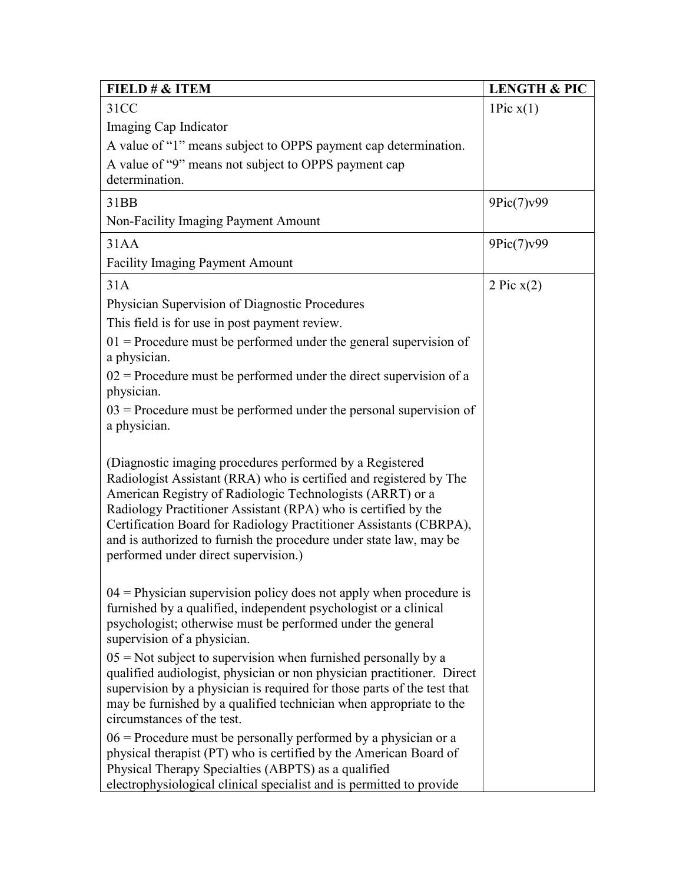| FIELD # & ITEM                                                                                                                                                                                                                                                                                                                                                                                                                                    | <b>LENGTH &amp; PIC</b> |
|---------------------------------------------------------------------------------------------------------------------------------------------------------------------------------------------------------------------------------------------------------------------------------------------------------------------------------------------------------------------------------------------------------------------------------------------------|-------------------------|
| 31CC                                                                                                                                                                                                                                                                                                                                                                                                                                              | 1Pic $x(1)$             |
| Imaging Cap Indicator                                                                                                                                                                                                                                                                                                                                                                                                                             |                         |
| A value of "1" means subject to OPPS payment cap determination.                                                                                                                                                                                                                                                                                                                                                                                   |                         |
| A value of "9" means not subject to OPPS payment cap                                                                                                                                                                                                                                                                                                                                                                                              |                         |
| determination.                                                                                                                                                                                                                                                                                                                                                                                                                                    |                         |
| 31BB                                                                                                                                                                                                                                                                                                                                                                                                                                              | 9Pic(7)v99              |
| Non-Facility Imaging Payment Amount                                                                                                                                                                                                                                                                                                                                                                                                               |                         |
| 31AA                                                                                                                                                                                                                                                                                                                                                                                                                                              | 9Pic(7)v99              |
| <b>Facility Imaging Payment Amount</b>                                                                                                                                                                                                                                                                                                                                                                                                            |                         |
| 31A                                                                                                                                                                                                                                                                                                                                                                                                                                               | 2 Pic $x(2)$            |
| Physician Supervision of Diagnostic Procedures                                                                                                                                                                                                                                                                                                                                                                                                    |                         |
| This field is for use in post payment review.                                                                                                                                                                                                                                                                                                                                                                                                     |                         |
| $01$ = Procedure must be performed under the general supervision of<br>a physician.                                                                                                                                                                                                                                                                                                                                                               |                         |
| $02$ = Procedure must be performed under the direct supervision of a<br>physician.                                                                                                                                                                                                                                                                                                                                                                |                         |
| $03$ = Procedure must be performed under the personal supervision of<br>a physician.                                                                                                                                                                                                                                                                                                                                                              |                         |
| (Diagnostic imaging procedures performed by a Registered<br>Radiologist Assistant (RRA) who is certified and registered by The<br>American Registry of Radiologic Technologists (ARRT) or a<br>Radiology Practitioner Assistant (RPA) who is certified by the<br>Certification Board for Radiology Practitioner Assistants (CBRPA),<br>and is authorized to furnish the procedure under state law, may be<br>performed under direct supervision.) |                         |
| $04$ = Physician supervision policy does not apply when procedure is<br>furnished by a qualified, independent psychologist or a clinical<br>psychologist; otherwise must be performed under the general<br>supervision of a physician.                                                                                                                                                                                                            |                         |
| $05$ = Not subject to supervision when furnished personally by a<br>qualified audiologist, physician or non physician practitioner. Direct<br>supervision by a physician is required for those parts of the test that<br>may be furnished by a qualified technician when appropriate to the<br>circumstances of the test.                                                                                                                         |                         |
| $06$ = Procedure must be personally performed by a physician or a<br>physical therapist (PT) who is certified by the American Board of<br>Physical Therapy Specialties (ABPTS) as a qualified<br>electrophysiological clinical specialist and is permitted to provide                                                                                                                                                                             |                         |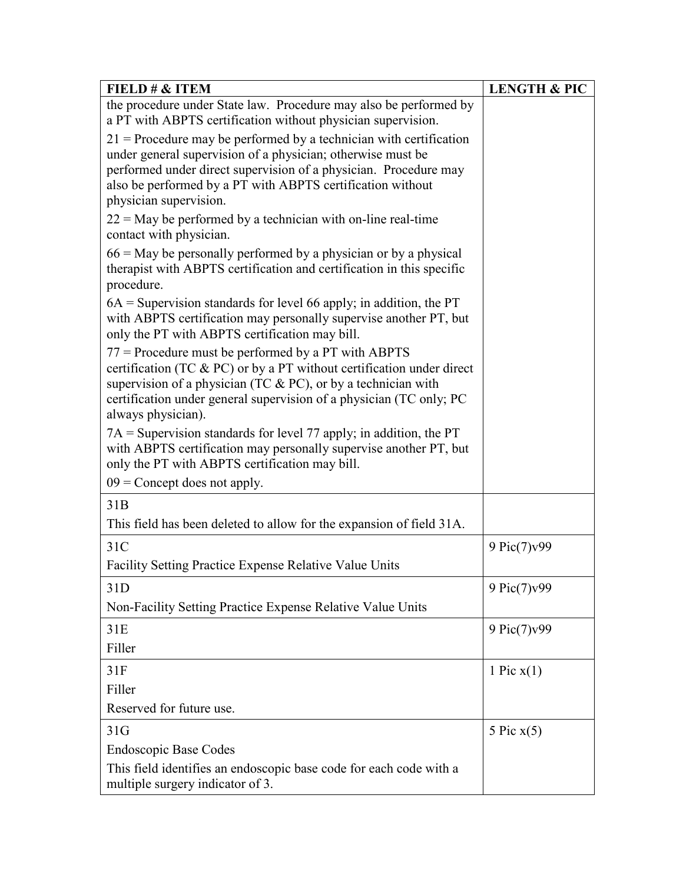| FIELD # & ITEM                                                                                                                                                                                                                                                                                  | <b>LENGTH &amp; PIC</b> |
|-------------------------------------------------------------------------------------------------------------------------------------------------------------------------------------------------------------------------------------------------------------------------------------------------|-------------------------|
| the procedure under State law. Procedure may also be performed by<br>a PT with ABPTS certification without physician supervision.                                                                                                                                                               |                         |
| $21$ = Procedure may be performed by a technician with certification<br>under general supervision of a physician; otherwise must be                                                                                                                                                             |                         |
| performed under direct supervision of a physician. Procedure may<br>also be performed by a PT with ABPTS certification without                                                                                                                                                                  |                         |
| physician supervision.                                                                                                                                                                                                                                                                          |                         |
| $22 =$ May be performed by a technician with on-line real-time<br>contact with physician.                                                                                                                                                                                                       |                         |
| $66$ = May be personally performed by a physician or by a physical<br>therapist with ABPTS certification and certification in this specific<br>procedure.                                                                                                                                       |                         |
| $6A$ = Supervision standards for level 66 apply; in addition, the PT<br>with ABPTS certification may personally supervise another PT, but<br>only the PT with ABPTS certification may bill.                                                                                                     |                         |
| $77$ = Procedure must be performed by a PT with ABPTS<br>certification (TC & PC) or by a PT without certification under direct<br>supervision of a physician (TC $& PC$ ), or by a technician with<br>certification under general supervision of a physician (TC only; PC<br>always physician). |                         |
| $7A =$ Supervision standards for level 77 apply; in addition, the PT<br>with ABPTS certification may personally supervise another PT, but<br>only the PT with ABPTS certification may bill.                                                                                                     |                         |
| $09$ = Concept does not apply.                                                                                                                                                                                                                                                                  |                         |
| 31B                                                                                                                                                                                                                                                                                             |                         |
| This field has been deleted to allow for the expansion of field 31A.                                                                                                                                                                                                                            |                         |
| 31C                                                                                                                                                                                                                                                                                             | 9 Pic(7)v99             |
| Facility Setting Practice Expense Relative Value Units                                                                                                                                                                                                                                          |                         |
| 31D                                                                                                                                                                                                                                                                                             | 9 Pic(7)v99             |
| Non-Facility Setting Practice Expense Relative Value Units                                                                                                                                                                                                                                      |                         |
| 31E                                                                                                                                                                                                                                                                                             | 9 Pic $(7)$ v99         |
| Filler                                                                                                                                                                                                                                                                                          |                         |
| 31F                                                                                                                                                                                                                                                                                             | 1 Pic $x(1)$            |
| Filler                                                                                                                                                                                                                                                                                          |                         |
| Reserved for future use.                                                                                                                                                                                                                                                                        |                         |
| 31G                                                                                                                                                                                                                                                                                             | 5 Pic $x(5)$            |
| <b>Endoscopic Base Codes</b>                                                                                                                                                                                                                                                                    |                         |
| This field identifies an endoscopic base code for each code with a<br>multiple surgery indicator of 3.                                                                                                                                                                                          |                         |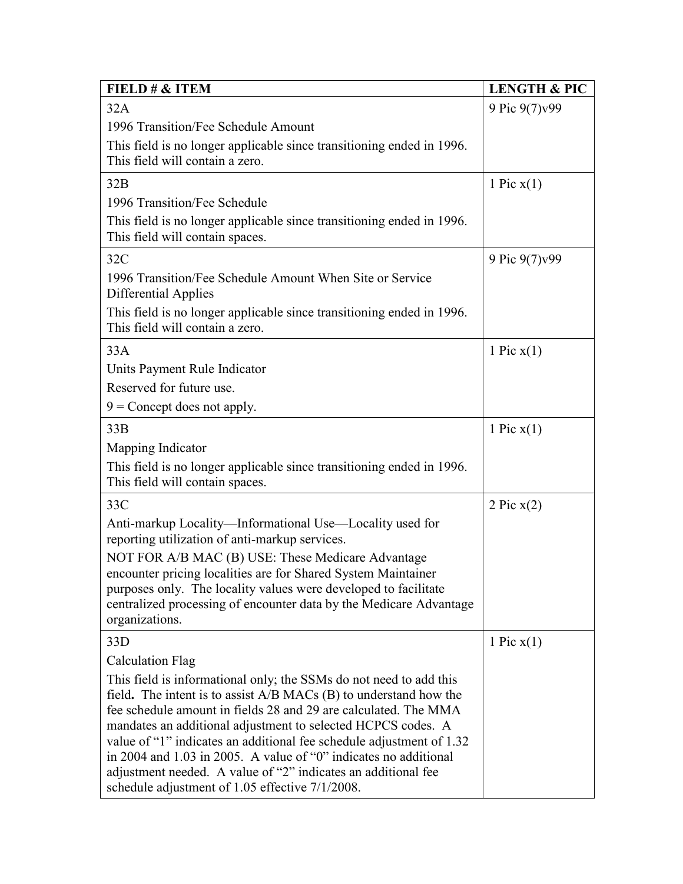| FIELD # & ITEM                                                                                                                              | <b>LENGTH &amp; PIC</b> |
|---------------------------------------------------------------------------------------------------------------------------------------------|-------------------------|
| 32A                                                                                                                                         | 9 Pic 9(7) v99          |
| 1996 Transition/Fee Schedule Amount                                                                                                         |                         |
| This field is no longer applicable since transitioning ended in 1996.<br>This field will contain a zero.                                    |                         |
| 32B                                                                                                                                         | 1 Pic $x(1)$            |
| 1996 Transition/Fee Schedule                                                                                                                |                         |
| This field is no longer applicable since transitioning ended in 1996.<br>This field will contain spaces.                                    |                         |
| 32C                                                                                                                                         | 9 Pic 9(7) v 99         |
| 1996 Transition/Fee Schedule Amount When Site or Service<br>Differential Applies                                                            |                         |
| This field is no longer applicable since transitioning ended in 1996.<br>This field will contain a zero.                                    |                         |
| 33A                                                                                                                                         | 1 Pic $x(1)$            |
| Units Payment Rule Indicator                                                                                                                |                         |
| Reserved for future use.                                                                                                                    |                         |
| $9$ = Concept does not apply.                                                                                                               |                         |
| 33B                                                                                                                                         | 1 Pic $x(1)$            |
| Mapping Indicator                                                                                                                           |                         |
| This field is no longer applicable since transitioning ended in 1996.                                                                       |                         |
| This field will contain spaces.                                                                                                             |                         |
| 33C                                                                                                                                         | 2 Pic $x(2)$            |
| Anti-markup Locality—Informational Use—Locality used for                                                                                    |                         |
| reporting utilization of anti-markup services.                                                                                              |                         |
| NOT FOR A/B MAC (B) USE: These Medicare Advantage<br>encounter pricing localities are for Shared System Maintainer                          |                         |
| purposes only. The locality values were developed to facilitate                                                                             |                         |
| centralized processing of encounter data by the Medicare Advantage                                                                          |                         |
| organizations.                                                                                                                              |                         |
| 33D                                                                                                                                         | 1 Pic $x(1)$            |
| <b>Calculation Flag</b>                                                                                                                     |                         |
| This field is informational only; the SSMs do not need to add this<br>field. The intent is to assist $A/B$ MACs $(B)$ to understand how the |                         |
| fee schedule amount in fields 28 and 29 are calculated. The MMA                                                                             |                         |
| mandates an additional adjustment to selected HCPCS codes. A                                                                                |                         |
| value of "1" indicates an additional fee schedule adjustment of 1.32                                                                        |                         |
| in 2004 and 1.03 in 2005. A value of "0" indicates no additional<br>adjustment needed. A value of "2" indicates an additional fee           |                         |
| schedule adjustment of 1.05 effective 7/1/2008.                                                                                             |                         |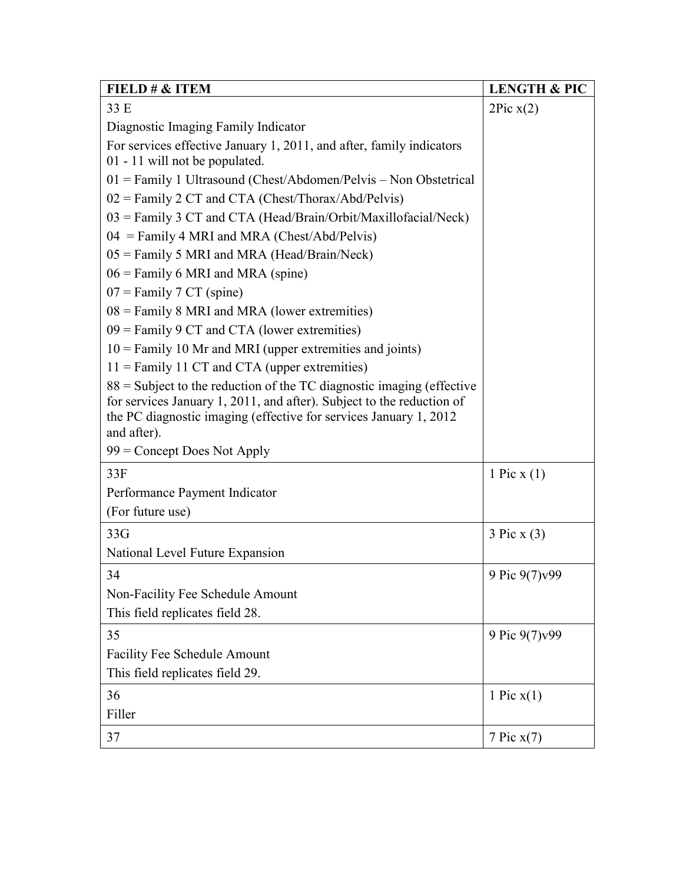| FIELD # & ITEM                                                                    | <b>LENGTH &amp; PIC</b> |
|-----------------------------------------------------------------------------------|-------------------------|
| 33 E                                                                              | 2Pic x(2)               |
| Diagnostic Imaging Family Indicator                                               |                         |
| For services effective January 1, 2011, and after, family indicators              |                         |
| 01 - 11 will not be populated.                                                    |                         |
| $01$ = Family 1 Ultrasound (Chest/Abdomen/Pelvis – Non Obstetrical                |                         |
| $02$ = Family 2 CT and CTA (Chest/Thorax/Abd/Pelvis)                              |                         |
| $03 =$ Family 3 CT and CTA (Head/Brain/Orbit/Maxillofacial/Neck)                  |                         |
| $04$ = Family 4 MRI and MRA (Chest/Abd/Pelvis)                                    |                         |
| 05 = Family 5 MRI and MRA (Head/Brain/Neck)                                       |                         |
| $06 =$ Family 6 MRI and MRA (spine)                                               |                         |
| $07 =$ Family 7 CT (spine)                                                        |                         |
| $08 =$ Family 8 MRI and MRA (lower extremities)                                   |                         |
| $09$ = Family 9 CT and CTA (lower extremities)                                    |                         |
| $10 =$ Family 10 Mr and MRI (upper extremities and joints)                        |                         |
| $11$ = Family 11 CT and CTA (upper extremities)                                   |                         |
| $88 =$ Subject to the reduction of the TC diagnostic imaging (effective           |                         |
| for services January 1, 2011, and after). Subject to the reduction of             |                         |
| the PC diagnostic imaging (effective for services January 1, 2012)<br>and after). |                         |
| $99$ = Concept Does Not Apply                                                     |                         |
| 33F                                                                               | 1 Pic $x(1)$            |
|                                                                                   |                         |
| Performance Payment Indicator                                                     |                         |
| (For future use)                                                                  |                         |
| 33G                                                                               | 3 Pic X (3)             |
| National Level Future Expansion                                                   |                         |
| 34                                                                                | 9 Pic 9(7) v99          |
| Non-Facility Fee Schedule Amount                                                  |                         |
| This field replicates field 28.                                                   |                         |
| 35                                                                                | 9 Pic 9(7)v99           |
| Facility Fee Schedule Amount                                                      |                         |
| This field replicates field 29.                                                   |                         |
| 36                                                                                | 1 Pic $x(1)$            |
| Filler                                                                            |                         |
| 37                                                                                | 7 Pic $x(7)$            |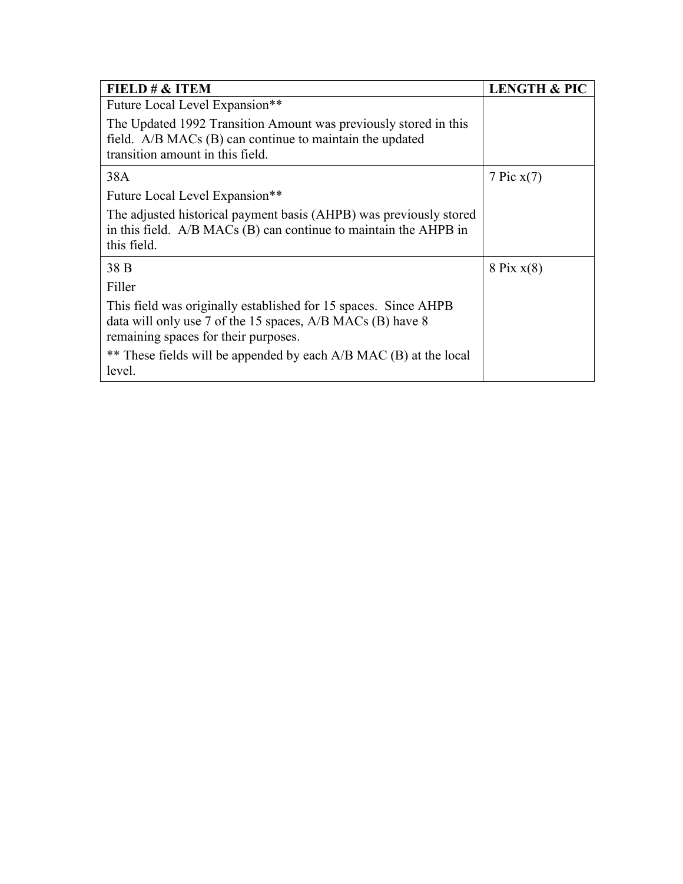| FIELD $\# \&$ ITEM                                                                                                                                                    | <b>LENGTH &amp; PIC</b> |
|-----------------------------------------------------------------------------------------------------------------------------------------------------------------------|-------------------------|
| Future Local Level Expansion**                                                                                                                                        |                         |
| The Updated 1992 Transition Amount was previously stored in this<br>field. A/B MACs (B) can continue to maintain the updated<br>transition amount in this field.      |                         |
| 38A                                                                                                                                                                   | 7 Pic $x(7)$            |
| Future Local Level Expansion**                                                                                                                                        |                         |
| The adjusted historical payment basis (AHPB) was previously stored<br>in this field. $A/B$ MACs (B) can continue to maintain the AHPB in<br>this field.               |                         |
| 38 B                                                                                                                                                                  | $8$ Pix $x(8)$          |
| Filler                                                                                                                                                                |                         |
| This field was originally established for 15 spaces. Since AHPB<br>data will only use 7 of the 15 spaces, A/B MACs (B) have 8<br>remaining spaces for their purposes. |                         |
| ** These fields will be appended by each A/B MAC (B) at the local<br>level.                                                                                           |                         |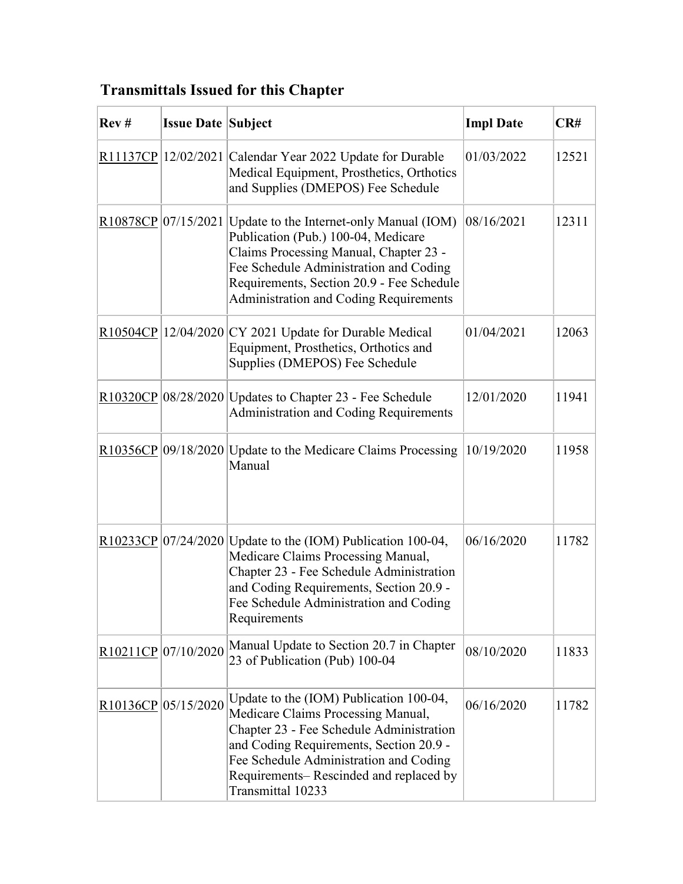## **Transmittals Issued for this Chapter**

| Rev# | <b>Issue Date Subject</b> |                                                                                                                                                                                                                                                                                       | <b>Impl Date</b> | CR#   |
|------|---------------------------|---------------------------------------------------------------------------------------------------------------------------------------------------------------------------------------------------------------------------------------------------------------------------------------|------------------|-------|
|      |                           | R11137CP 12/02/2021 Calendar Year 2022 Update for Durable<br>Medical Equipment, Prosthetics, Orthotics<br>and Supplies (DMEPOS) Fee Schedule                                                                                                                                          | 01/03/2022       | 12521 |
|      |                           | R10878CP 07/15/2021 Update to the Internet-only Manual (IOM)<br>Publication (Pub.) 100-04, Medicare<br>Claims Processing Manual, Chapter 23 -<br>Fee Schedule Administration and Coding<br>Requirements, Section 20.9 - Fee Schedule<br><b>Administration and Coding Requirements</b> | 08/16/2021       | 12311 |
|      |                           | $\frac{R10504CP}{12/04/2020}$ CY 2021 Update for Durable Medical<br>Equipment, Prosthetics, Orthotics and<br>Supplies (DMEPOS) Fee Schedule                                                                                                                                           | 01/04/2021       | 12063 |
|      |                           | $\frac{R10320CP}{08/28/2020}$ Updates to Chapter 23 - Fee Schedule<br><b>Administration and Coding Requirements</b>                                                                                                                                                                   | 12/01/2020       | 11941 |
|      |                           | $R10356CP$ 09/18/2020 Update to the Medicare Claims Processing<br>Manual                                                                                                                                                                                                              | 10/19/2020       | 11958 |
|      |                           | R10233CP $ 07/24/2020 $ Update to the (IOM) Publication 100-04,<br>Medicare Claims Processing Manual,<br>Chapter 23 - Fee Schedule Administration<br>and Coding Requirements, Section 20.9 -<br>Fee Schedule Administration and Coding<br>Requirements                                | 06/16/2020       | 11782 |
|      | R10211CP 07/10/2020       | Manual Update to Section 20.7 in Chapter<br>23 of Publication (Pub) 100-04                                                                                                                                                                                                            | 08/10/2020       | 11833 |
|      | R10136CP 05/15/2020       | Update to the (IOM) Publication 100-04,<br>Medicare Claims Processing Manual,<br>Chapter 23 - Fee Schedule Administration<br>and Coding Requirements, Section 20.9 -<br>Fee Schedule Administration and Coding<br>Requirements-Rescinded and replaced by<br>Transmittal 10233         | 06/16/2020       | 11782 |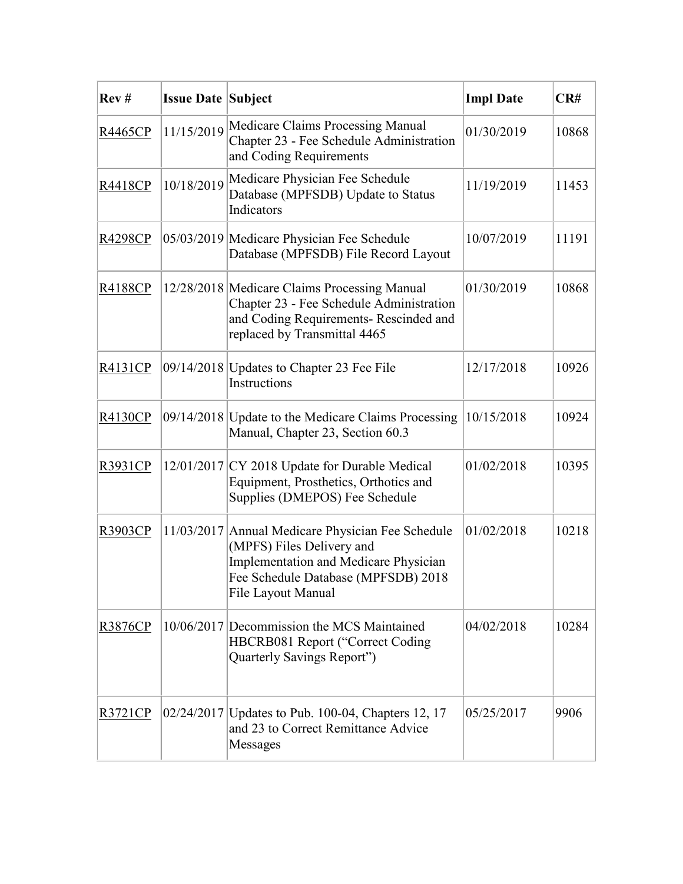| Rev#           | <b>Issue Date Subject</b> |                                                                                                                                                                                      | <b>Impl Date</b> | CR#   |
|----------------|---------------------------|--------------------------------------------------------------------------------------------------------------------------------------------------------------------------------------|------------------|-------|
| R4465CP        | 11/15/2019                | Medicare Claims Processing Manual<br>Chapter 23 - Fee Schedule Administration<br>and Coding Requirements                                                                             | 01/30/2019       | 10868 |
| R4418CP        | 10/18/2019                | Medicare Physician Fee Schedule<br>Database (MPFSDB) Update to Status<br>Indicators                                                                                                  | 11/19/2019       | 11453 |
| R4298CP        |                           | 05/03/2019 Medicare Physician Fee Schedule<br>Database (MPFSDB) File Record Layout                                                                                                   | 10/07/2019       | 11191 |
| R4188CP        |                           | 12/28/2018 Medicare Claims Processing Manual<br>Chapter 23 - Fee Schedule Administration<br>and Coding Requirements- Rescinded and<br>replaced by Transmittal 4465                   | 01/30/2019       | 10868 |
| R4131CP        |                           | 09/14/2018   Updates to Chapter 23 Fee File<br>Instructions                                                                                                                          | 12/17/2018       | 10926 |
| R4130CP        |                           | 09/14/2018 Update to the Medicare Claims Processing<br>Manual, Chapter 23, Section 60.3                                                                                              | 10/15/2018       | 10924 |
| R3931CP        |                           | 12/01/2017 CY 2018 Update for Durable Medical<br>Equipment, Prosthetics, Orthotics and<br>Supplies (DMEPOS) Fee Schedule                                                             | 01/02/2018       | 10395 |
| R3903CP        |                           | 11/03/2017 Annual Medicare Physician Fee Schedule<br>(MPFS) Files Delivery and<br>Implementation and Medicare Physician<br>Fee Schedule Database (MPFSDB) 2018<br>File Layout Manual | 01/02/2018       | 10218 |
| R3876CP        |                           | 10/06/2017 Decommission the MCS Maintained<br>HBCRB081 Report ("Correct Coding<br>Quarterly Savings Report")                                                                         | 04/02/2018       | 10284 |
| <u>R3721CP</u> |                           | 02/24/2017   Updates to Pub. 100-04, Chapters 12, 17<br>and 23 to Correct Remittance Advice<br>Messages                                                                              | 05/25/2017       | 9906  |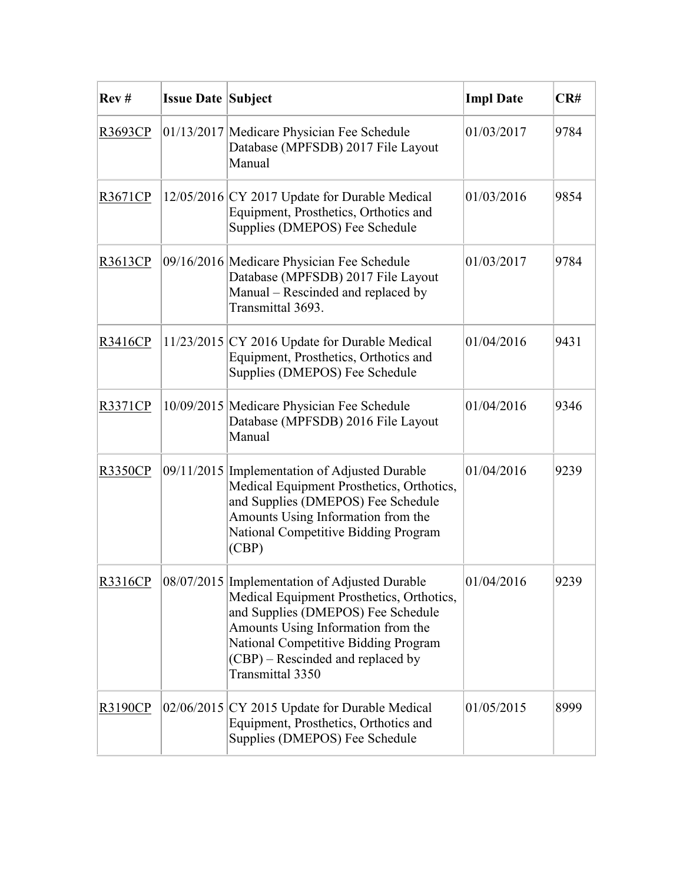| Rev#           | <b>Issue Date Subject</b> |                                                                                                                                                                                                                                                                         | <b>Impl Date</b> | CR#  |
|----------------|---------------------------|-------------------------------------------------------------------------------------------------------------------------------------------------------------------------------------------------------------------------------------------------------------------------|------------------|------|
| R3693CP        |                           | 01/13/2017 Medicare Physician Fee Schedule<br>Database (MPFSDB) 2017 File Layout<br>Manual                                                                                                                                                                              | 01/03/2017       | 9784 |
| R3671CP        |                           | $12/05/2016$ CY 2017 Update for Durable Medical<br>Equipment, Prosthetics, Orthotics and<br>Supplies (DMEPOS) Fee Schedule                                                                                                                                              | 01/03/2016       | 9854 |
| R3613CP        |                           | 09/16/2016 Medicare Physician Fee Schedule<br>Database (MPFSDB) 2017 File Layout<br>Manual - Rescinded and replaced by<br>Transmittal 3693.                                                                                                                             | 01/03/2017       | 9784 |
| R3416CP        |                           | $11/23/2015$ CY 2016 Update for Durable Medical<br>Equipment, Prosthetics, Orthotics and<br>Supplies (DMEPOS) Fee Schedule                                                                                                                                              | 01/04/2016       | 9431 |
| <b>R3371CP</b> |                           | 10/09/2015 Medicare Physician Fee Schedule<br>Database (MPFSDB) 2016 File Layout<br>Manual                                                                                                                                                                              | 01/04/2016       | 9346 |
| <b>R3350CP</b> |                           | 09/11/2015 Implementation of Adjusted Durable<br>Medical Equipment Prosthetics, Orthotics,<br>and Supplies (DMEPOS) Fee Schedule<br>Amounts Using Information from the<br>National Competitive Bidding Program<br>(CBP)                                                 | 01/04/2016       | 9239 |
| R3316CP        |                           | 08/07/2015 Implementation of Adjusted Durable<br>Medical Equipment Prosthetics, Orthotics,<br>and Supplies (DMEPOS) Fee Schedule<br>Amounts Using Information from the<br>National Competitive Bidding Program<br>(CBP) – Rescinded and replaced by<br>Transmittal 3350 | 01/04/2016       | 9239 |
| <b>R3190CP</b> |                           | $02/06/2015$ CY 2015 Update for Durable Medical<br>Equipment, Prosthetics, Orthotics and<br>Supplies (DMEPOS) Fee Schedule                                                                                                                                              | 01/05/2015       | 8999 |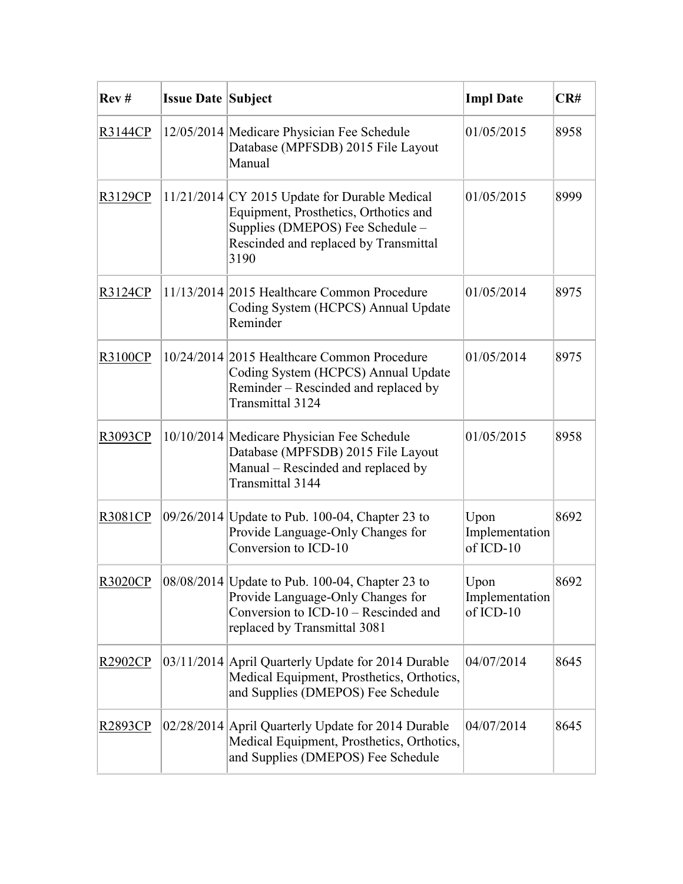| Rev#           | <b>Issue Date Subject</b> |                                                                                                                                                                               | <b>Impl Date</b>                      | CR#  |
|----------------|---------------------------|-------------------------------------------------------------------------------------------------------------------------------------------------------------------------------|---------------------------------------|------|
| R3144CP        |                           | 12/05/2014 Medicare Physician Fee Schedule<br>Database (MPFSDB) 2015 File Layout<br>Manual                                                                                    | 01/05/2015                            | 8958 |
| R3129CP        |                           | $11/21/2014$ CY 2015 Update for Durable Medical<br>Equipment, Prosthetics, Orthotics and<br>Supplies (DMEPOS) Fee Schedule -<br>Rescinded and replaced by Transmittal<br>3190 | 01/05/2015                            | 8999 |
| <u>R3124CP</u> |                           | 11/13/2014 2015 Healthcare Common Procedure<br>Coding System (HCPCS) Annual Update<br>Reminder                                                                                | 01/05/2014                            | 8975 |
| R3100CP        |                           | 10/24/2014 2015 Healthcare Common Procedure<br>Coding System (HCPCS) Annual Update<br>Reminder – Rescinded and replaced by<br>Transmittal 3124                                | 01/05/2014                            | 8975 |
| R3093CP        |                           | 10/10/2014 Medicare Physician Fee Schedule<br>Database (MPFSDB) 2015 File Layout<br>Manual - Rescinded and replaced by<br>Transmittal 3144                                    | 01/05/2015                            | 8958 |
| R3081CP        |                           | 09/26/2014 Update to Pub. 100-04, Chapter 23 to<br>Provide Language-Only Changes for<br>Conversion to ICD-10                                                                  | Upon<br>Implementation<br>of ICD-10   | 8692 |
| <b>R3020CP</b> |                           | 08/08/2014 Update to Pub. 100-04, Chapter 23 to<br>Provide Language-Only Changes for<br>Conversion to ICD-10 – Rescinded and<br>replaced by Transmittal 3081                  | Upon<br>Implementation<br>$of ICD-10$ | 8692 |
| R2902CP        |                           | 03/11/2014 April Quarterly Update for 2014 Durable<br>Medical Equipment, Prosthetics, Orthotics,<br>and Supplies (DMEPOS) Fee Schedule                                        | 04/07/2014                            | 8645 |
| R2893CP        |                           | 02/28/2014 April Quarterly Update for 2014 Durable<br>Medical Equipment, Prosthetics, Orthotics,<br>and Supplies (DMEPOS) Fee Schedule                                        | 04/07/2014                            | 8645 |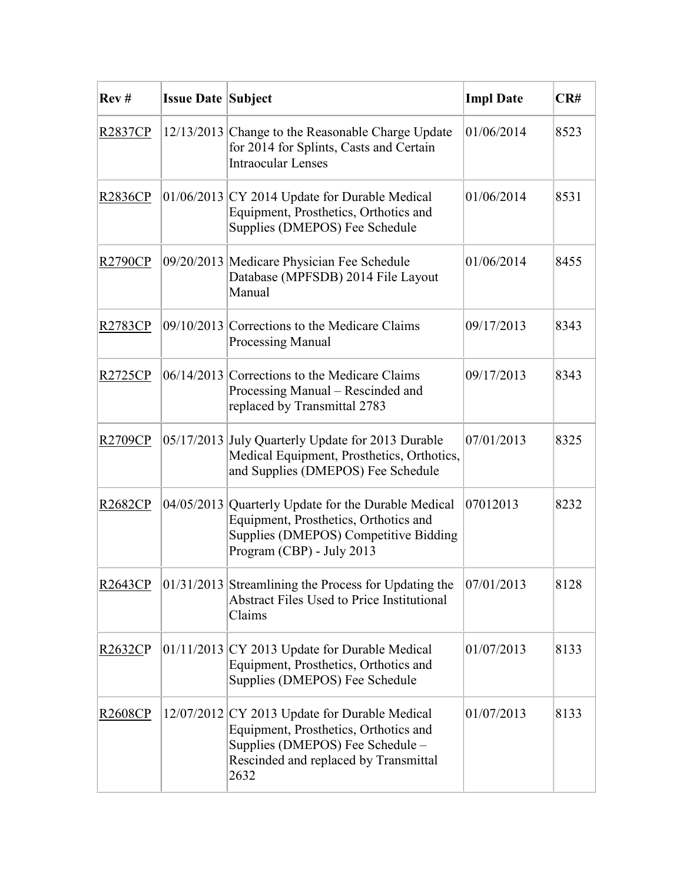| Rev#           | <b>Issue Date Subject</b> |                                                                                                                                                                             | <b>Impl Date</b> | CR#  |
|----------------|---------------------------|-----------------------------------------------------------------------------------------------------------------------------------------------------------------------------|------------------|------|
| R2837CP        |                           | 12/13/2013 Change to the Reasonable Charge Update<br>for 2014 for Splints, Casts and Certain<br><b>Intraocular Lenses</b>                                                   | 01/06/2014       | 8523 |
| R2836CP        |                           | $01/06/2013$ CY 2014 Update for Durable Medical<br>Equipment, Prosthetics, Orthotics and<br>Supplies (DMEPOS) Fee Schedule                                                  | 01/06/2014       | 8531 |
| R2790CP        |                           | 09/20/2013 Medicare Physician Fee Schedule<br>Database (MPFSDB) 2014 File Layout<br>Manual                                                                                  | 01/06/2014       | 8455 |
| R2783CP        |                           | $09/10/2013$ Corrections to the Medicare Claims<br><b>Processing Manual</b>                                                                                                 | 09/17/2013       | 8343 |
| R2725CP        |                           | $06/14/2013$ Corrections to the Medicare Claims<br>Processing Manual - Rescinded and<br>replaced by Transmittal 2783                                                        | 09/17/2013       | 8343 |
| R2709CP        |                           | 05/17/2013 July Quarterly Update for 2013 Durable<br>Medical Equipment, Prosthetics, Orthotics,<br>and Supplies (DMEPOS) Fee Schedule                                       | 07/01/2013       | 8325 |
| R2682CP        |                           | 04/05/2013 Quarterly Update for the Durable Medical<br>Equipment, Prosthetics, Orthotics and<br>Supplies (DMEPOS) Competitive Bidding<br>Program (CBP) - July 2013          | 07012013         | 8232 |
| R2643CP        |                           | $ 01/31/2013 $ Streamlining the Process for Updating the<br><b>Abstract Files Used to Price Institutional</b><br>Claims                                                     | 07/01/2013       | 8128 |
| R2632CP        |                           | $01/11/2013$ CY 2013 Update for Durable Medical<br>Equipment, Prosthetics, Orthotics and<br>Supplies (DMEPOS) Fee Schedule                                                  | 01/07/2013       | 8133 |
| <b>R2608CP</b> |                           | 12/07/2012 CY 2013 Update for Durable Medical<br>Equipment, Prosthetics, Orthotics and<br>Supplies (DMEPOS) Fee Schedule -<br>Rescinded and replaced by Transmittal<br>2632 | 01/07/2013       | 8133 |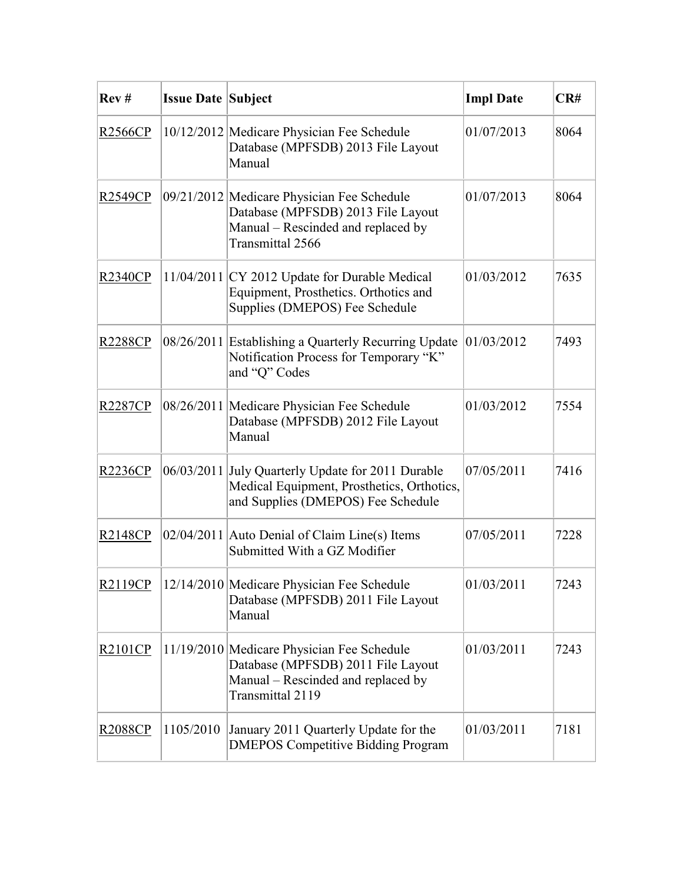| Rev#           | <b>Issue Date Subject</b> |                                                                                                                                            | <b>Impl Date</b> | CR#  |
|----------------|---------------------------|--------------------------------------------------------------------------------------------------------------------------------------------|------------------|------|
| R2566CP        |                           | 10/12/2012 Medicare Physician Fee Schedule<br>Database (MPFSDB) 2013 File Layout<br>Manual                                                 | 01/07/2013       | 8064 |
| R2549CP        |                           | 09/21/2012 Medicare Physician Fee Schedule<br>Database (MPFSDB) 2013 File Layout<br>Manual - Rescinded and replaced by<br>Transmittal 2566 | 01/07/2013       | 8064 |
| R2340CP        |                           | 11/04/2011 CY 2012 Update for Durable Medical<br>Equipment, Prosthetics. Orthotics and<br>Supplies (DMEPOS) Fee Schedule                   | 01/03/2012       | 7635 |
| <b>R2288CP</b> |                           | 08/26/2011 Establishing a Quarterly Recurring Update<br>Notification Process for Temporary "K"<br>and "Q" Codes                            | 01/03/2012       | 7493 |
| R2287CP        |                           | 08/26/2011 Medicare Physician Fee Schedule<br>Database (MPFSDB) 2012 File Layout<br>Manual                                                 | 01/03/2012       | 7554 |
| R2236CP        |                           | 06/03/2011 July Quarterly Update for 2011 Durable<br>Medical Equipment, Prosthetics, Orthotics,<br>and Supplies (DMEPOS) Fee Schedule      | 07/05/2011       | 7416 |
| R2148CP        |                           | $02/04/2011$ Auto Denial of Claim Line(s) Items<br>Submitted With a GZ Modifier                                                            | 07/05/2011       | 7228 |
| R2119CP        |                           | 12/14/2010 Medicare Physician Fee Schedule<br>Database (MPFSDB) 2011 File Layout<br>Manual                                                 | 01/03/2011       | 7243 |
| R2101CP        |                           | 11/19/2010 Medicare Physician Fee Schedule<br>Database (MPFSDB) 2011 File Layout<br>Manual - Rescinded and replaced by<br>Transmittal 2119 | 01/03/2011       | 7243 |
| <u>R2088CP</u> | 1105/2010                 | January 2011 Quarterly Update for the<br><b>DMEPOS Competitive Bidding Program</b>                                                         | 01/03/2011       | 7181 |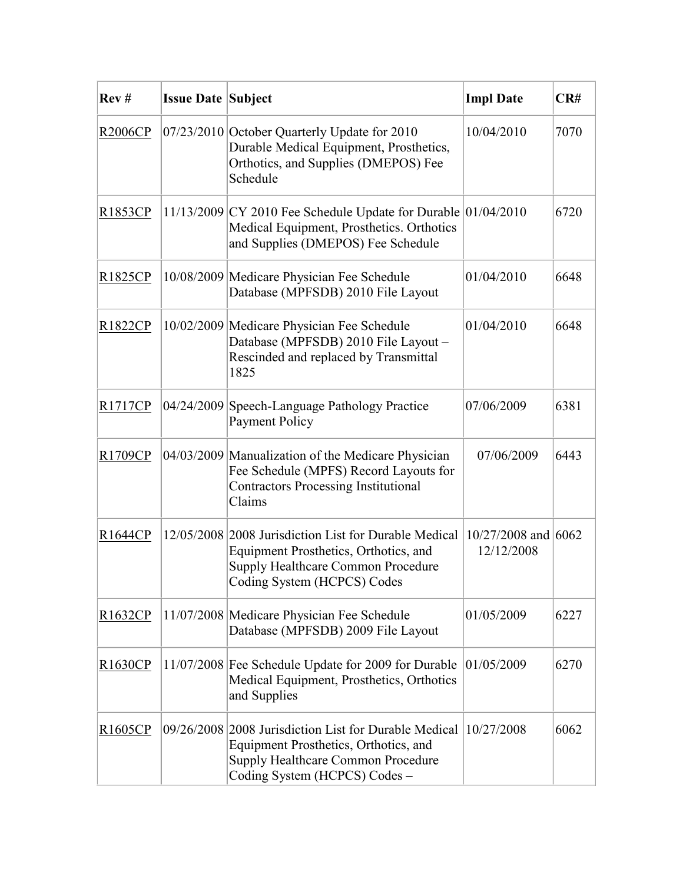| Rev#                 | <b>Issue Date Subject</b> |                                                                                                                                                                       | <b>Impl Date</b>                  | CR#  |
|----------------------|---------------------------|-----------------------------------------------------------------------------------------------------------------------------------------------------------------------|-----------------------------------|------|
| R2006CP              |                           | 07/23/2010 October Quarterly Update for 2010<br>Durable Medical Equipment, Prosthetics,<br>Orthotics, and Supplies (DMEPOS) Fee<br>Schedule                           | 10/04/2010                        | 7070 |
| R1853CP              |                           | 11/13/2009 CY 2010 Fee Schedule Update for Durable 01/04/2010<br>Medical Equipment, Prosthetics. Orthotics<br>and Supplies (DMEPOS) Fee Schedule                      |                                   | 6720 |
| R1825CP              |                           | 10/08/2009 Medicare Physician Fee Schedule<br>Database (MPFSDB) 2010 File Layout                                                                                      | 01/04/2010                        | 6648 |
| R1822CP              |                           | 10/02/2009 Medicare Physician Fee Schedule<br>Database (MPFSDB) 2010 File Layout -<br>Rescinded and replaced by Transmittal<br>1825                                   | 01/04/2010                        | 6648 |
| R1717CP              |                           | 04/24/2009 Speech-Language Pathology Practice<br><b>Payment Policy</b>                                                                                                | 07/06/2009                        | 6381 |
| R1709CP              |                           | 04/03/2009 Manualization of the Medicare Physician<br>Fee Schedule (MPFS) Record Layouts for<br><b>Contractors Processing Institutional</b><br>Claims                 | 07/06/2009                        | 6443 |
| R1644CP              |                           | 12/05/2008 2008 Jurisdiction List for Durable Medical<br>Equipment Prosthetics, Orthotics, and<br>Supply Healthcare Common Procedure<br>Coding System (HCPCS) Codes   | 10/27/2008 and 6062<br>12/12/2008 |      |
| R <sub>1632</sub> CP |                           | 11/07/2008 Medicare Physician Fee Schedule<br>Database (MPFSDB) 2009 File Layout                                                                                      | 01/05/2009                        | 6227 |
| R1630CP              |                           | 11/07/2008 Fee Schedule Update for 2009 for Durable<br>Medical Equipment, Prosthetics, Orthotics<br>and Supplies                                                      | 01/05/2009                        | 6270 |
| R <sub>1605</sub> CP |                           | 09/26/2008 2008 Jurisdiction List for Durable Medical<br>Equipment Prosthetics, Orthotics, and<br>Supply Healthcare Common Procedure<br>Coding System (HCPCS) Codes - | 10/27/2008                        | 6062 |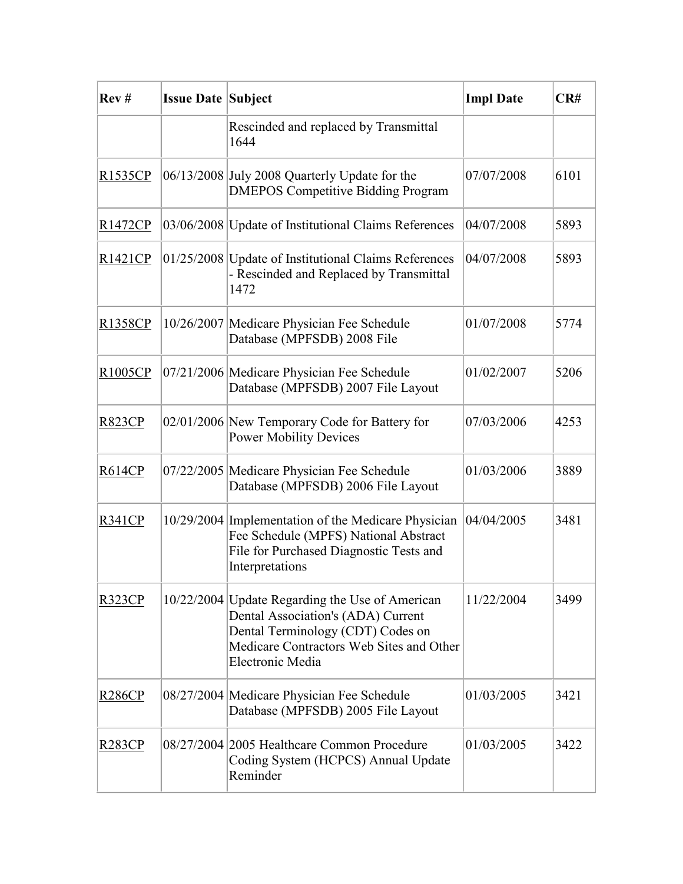| Rev#           | <b>Issue Date Subject</b> |                                                                                                                                                                                            | <b>Impl Date</b> | CR#  |
|----------------|---------------------------|--------------------------------------------------------------------------------------------------------------------------------------------------------------------------------------------|------------------|------|
|                |                           | Rescinded and replaced by Transmittal<br>1644                                                                                                                                              |                  |      |
| <u>R1535CP</u> |                           | 06/13/2008 July 2008 Quarterly Update for the<br><b>DMEPOS Competitive Bidding Program</b>                                                                                                 | 07/07/2008       | 6101 |
| <u>R1472CP</u> |                           | 03/06/2008 Update of Institutional Claims References                                                                                                                                       | 04/07/2008       | 5893 |
| R1421CP        |                           | 01/25/2008 Update of Institutional Claims References<br>- Rescinded and Replaced by Transmittal<br>1472                                                                                    | 04/07/2008       | 5893 |
| <u>R1358CP</u> |                           | 10/26/2007 Medicare Physician Fee Schedule<br>Database (MPFSDB) 2008 File                                                                                                                  | 01/07/2008       | 5774 |
| R1005CP        |                           | 07/21/2006 Medicare Physician Fee Schedule<br>Database (MPFSDB) 2007 File Layout                                                                                                           | 01/02/2007       | 5206 |
| R823CP         |                           | 02/01/2006 New Temporary Code for Battery for<br><b>Power Mobility Devices</b>                                                                                                             | 07/03/2006       | 4253 |
| <u>R614CP</u>  |                           | 07/22/2005 Medicare Physician Fee Schedule<br>Database (MPFSDB) 2006 File Layout                                                                                                           | 01/03/2006       | 3889 |
| R341CP         |                           | 10/29/2004 Implementation of the Medicare Physician<br>Fee Schedule (MPFS) National Abstract<br>File for Purchased Diagnostic Tests and<br>Interpretations                                 | 04/04/2005       | 3481 |
| R323CP         |                           | 10/22/2004 Update Regarding the Use of American<br>Dental Association's (ADA) Current<br>Dental Terminology (CDT) Codes on<br>Medicare Contractors Web Sites and Other<br>Electronic Media | 11/22/2004       | 3499 |
| R286CP         |                           | 08/27/2004 Medicare Physician Fee Schedule<br>Database (MPFSDB) 2005 File Layout                                                                                                           | 01/03/2005       | 3421 |
| <u>R283CP</u>  |                           | 08/27/2004 2005 Healthcare Common Procedure<br>Coding System (HCPCS) Annual Update<br>Reminder                                                                                             | 01/03/2005       | 3422 |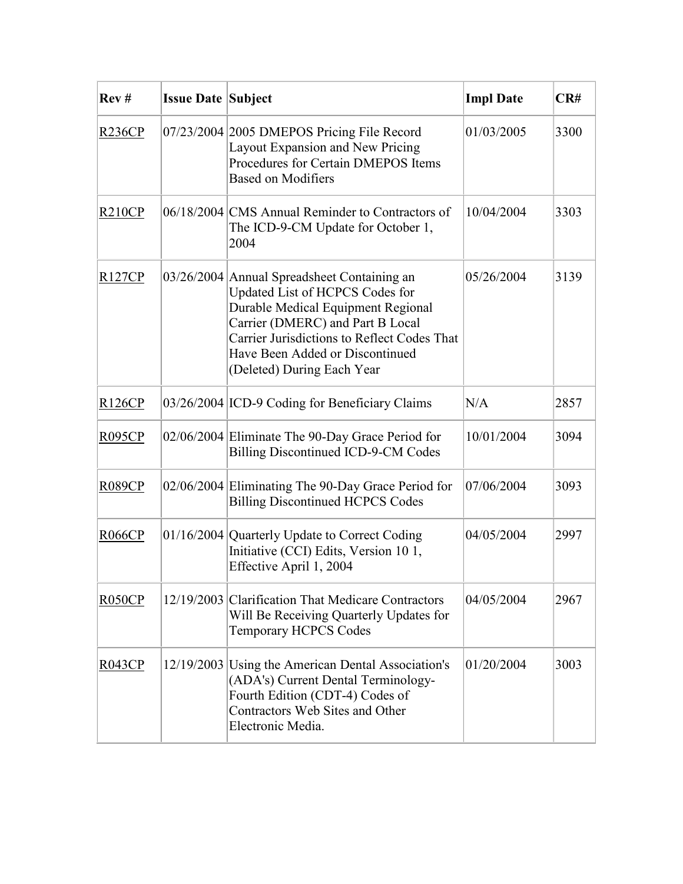| Rev#          | <b>Issue Date Subject</b> |                                                                                                                                                                                                                                                                          | <b>Impl Date</b> | CR#  |
|---------------|---------------------------|--------------------------------------------------------------------------------------------------------------------------------------------------------------------------------------------------------------------------------------------------------------------------|------------------|------|
| R236CP        |                           | 07/23/2004 2005 DMEPOS Pricing File Record<br>Layout Expansion and New Pricing<br>Procedures for Certain DMEPOS Items<br><b>Based on Modifiers</b>                                                                                                                       | 01/03/2005       | 3300 |
| R210CP        |                           | 06/18/2004 CMS Annual Reminder to Contractors of<br>The ICD-9-CM Update for October 1,<br>2004                                                                                                                                                                           | 10/04/2004       | 3303 |
| R127CP        |                           | 03/26/2004 Annual Spreadsheet Containing an<br>Updated List of HCPCS Codes for<br>Durable Medical Equipment Regional<br>Carrier (DMERC) and Part B Local<br>Carrier Jurisdictions to Reflect Codes That<br>Have Been Added or Discontinued<br>(Deleted) During Each Year | 05/26/2004       | 3139 |
| <b>R126CP</b> |                           | 03/26/2004 ICD-9 Coding for Beneficiary Claims                                                                                                                                                                                                                           | N/A              | 2857 |
| <b>R095CP</b> |                           | 02/06/2004 Eliminate The 90-Day Grace Period for<br><b>Billing Discontinued ICD-9-CM Codes</b>                                                                                                                                                                           | 10/01/2004       | 3094 |
| <b>R089CP</b> |                           | 02/06/2004 Eliminating The 90-Day Grace Period for<br><b>Billing Discontinued HCPCS Codes</b>                                                                                                                                                                            | 07/06/2004       | 3093 |
| <b>R066CP</b> |                           | 01/16/2004 Quarterly Update to Correct Coding<br>Initiative (CCI) Edits, Version 10 1,<br>Effective April 1, 2004                                                                                                                                                        | 04/05/2004       | 2997 |
| RO50CP        |                           | 12/19/2003 Clarification That Medicare Contractors<br>Will Be Receiving Quarterly Updates for<br><b>Temporary HCPCS Codes</b>                                                                                                                                            | 04/05/2004       | 2967 |
| R043CP        |                           | 12/19/2003 Using the American Dental Association's<br>(ADA's) Current Dental Terminology-<br>Fourth Edition (CDT-4) Codes of<br>Contractors Web Sites and Other<br>Electronic Media.                                                                                     | 01/20/2004       | 3003 |